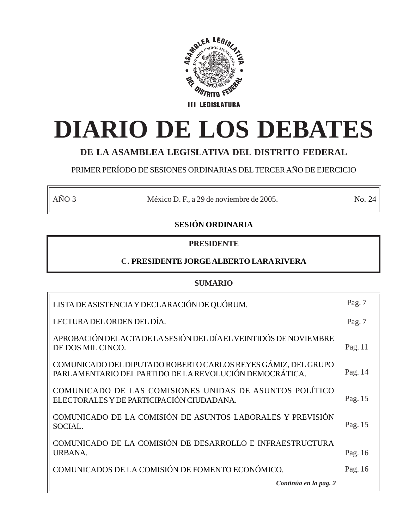

# **DIARIO DE LOS DEBATES**

# **DE LA ASAMBLEA LEGISLATIVA DEL DISTRITO FEDERAL**

# PRIMER PERÍODO DE SESIONES ORDINARIAS DEL TERCER AÑO DE EJERCICIO

AÑO 3 México D. F., a 29 de noviembre de 2005. No. 24

# **SESIÓN ORDINARIA**

# **PRESIDENTE**

# **C. PRESIDENTE JORGE ALBERTO LARA RIVERA**

## **SUMARIO**

| LISTA DE ASISTENCIA Y DECLARACIÓN DE QUÓRUM.                                                                             | Pag. $7$ |
|--------------------------------------------------------------------------------------------------------------------------|----------|
| LECTURA DEL ORDEN DEL DÍA.                                                                                               | Pag. 7   |
| APROBACIÓN DEL ACTA DE LA SESIÓN DEL DÍA EL VEINTIDÓS DE NOVIEMBRE<br>DE DOS MIL CINCO.                                  | Pag. 11  |
| COMUNICADO DEL DIPUTADO ROBERTO CARLOS REYES GÁMIZ, DEL GRUPO<br>PARLAMENTARIO DEL PARTIDO DE LA REVOLUCIÓN DEMOCRÁTICA. | Pag. 14  |
| COMUNICADO DE LAS COMISIONES UNIDAS DE ASUNTOS POLÍTICO<br>ELECTORALES Y DE PARTICIPACIÓN CIUDADANA.                     | Pag. 15  |
| COMUNICADO DE LA COMISIÓN DE ASUNTOS LABORALES Y PREVISIÓN<br>SOCIAL.                                                    | Pag. 15  |
| COMUNICADO DE LA COMISIÓN DE DESARROLLO E INFRAESTRUCTURA<br>URBANA.                                                     | Pag. 16  |
| COMUNICADOS DE LA COMISIÓN DE FOMENTO ECONÓMICO.                                                                         | Pag. 16  |
| Continúa en la pag. 2                                                                                                    |          |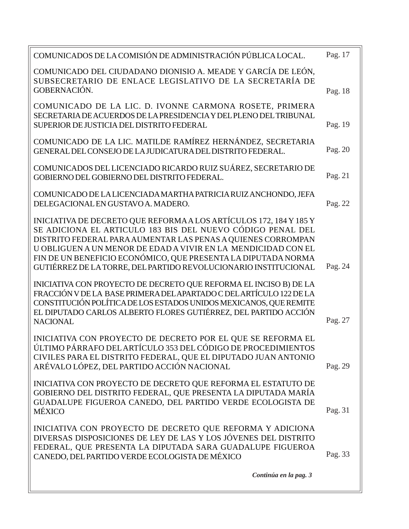| COMUNICADOS DE LA COMISIÓN DE ADMINISTRACIÓN PÚBLICA LOCAL.                                                                                                               | Pag. 17 |
|---------------------------------------------------------------------------------------------------------------------------------------------------------------------------|---------|
| COMUNICADO DEL CIUDADANO DIONISIO A. MEADE Y GARCÍA DE LEÓN,<br>SUBSECRETARIO DE ENLACE LEGISLATIVO DE LA SECRETARÍA DE<br>GOBERNACIÓN.                                   |         |
|                                                                                                                                                                           | Pag. 18 |
| COMUNICADO DE LA LIC. D. IVONNE CARMONA ROSETE, PRIMERA<br>SECRETARIA DE ACUERDOS DE LA PRESIDENCIA Y DEL PLENO DEL TRIBUNAL<br>SUPERIOR DE JUSTICIA DEL DISTRITO FEDERAL | Pag. 19 |
|                                                                                                                                                                           |         |
| COMUNICADO DE LA LIC. MATILDE RAMÍREZ HERNÁNDEZ, SECRETARIA<br>GENERAL DEL CONSEJO DE LA JUDICATURA DEL DISTRITO FEDERAL.                                                 | Pag. 20 |
| COMUNICADOS DEL LICENCIADO RICARDO RUIZ SUÁREZ, SECRETARIO DE<br>GOBIERNO DEL GOBIERNO DEL DISTRITO FEDERAL.                                                              | Pag. 21 |
| COMUNICADO DE LA LICENCIADA MARTHA PATRICIA RUIZANCHONDO, JEFA<br>DELEGACIONAL EN GUSTAVO A. MADERO.                                                                      | Pag. 22 |
| INICIATIVA DE DECRETO QUE REFORMA A LOS ARTÍCULOS 172, 184 Y 185 Y                                                                                                        |         |
| SE ADICIONA EL ARTICULO 183 BIS DEL NUEVO CÓDIGO PENAL DEL                                                                                                                |         |
| DISTRITO FEDERAL PARA AUMENTAR LAS PENAS A QUIENES CORROMPAN<br>U OBLIGUEN A UN MENOR DE EDAD A VIVIR EN LA MENDICIDAD CON EL                                             |         |
| FIN DE UN BENEFICIO ECONÓMICO, QUE PRESENTA LA DIPUTADA NORMA                                                                                                             |         |
| GUTIÉRREZ DE LA TORRE, DEL PARTIDO REVOLUCIONARIO INSTITUCIONAL                                                                                                           | Pag. 24 |
| INICIATIVA CON PROYECTO DE DECRETO QUE REFORMA EL INCISO B) DE LA                                                                                                         |         |
| FRACCIÓN V DE LA BASE PRIMERA DEL APARTADO C DEL ARTÍCULO 122 DE LA                                                                                                       |         |
| CONSTITUCIÓN POLÍTICA DE LOS ESTADOS UNIDOS MEXICANOS, QUE REMITE                                                                                                         |         |
| EL DIPUTADO CARLOS ALBERTO FLORES GUTIÉRREZ, DEL PARTIDO ACCIÓN<br><b>NACIONAL</b>                                                                                        | Pag. 27 |
|                                                                                                                                                                           |         |
| INICIATIVA CON PROYECTO DE DECRETO POR EL QUE SE REFORMA EL<br>ÚLTIMO PÁRRAFO DEL ARTÍCULO 353 DEL CÓDIGO DE PROCEDIMIENTOS                                               |         |
| CIVILES PARA EL DISTRITO FEDERAL, QUE EL DIPUTADO JUAN ANTONIO                                                                                                            |         |
| ARÉVALO LÓPEZ, DEL PARTIDO ACCIÓN NACIONAL                                                                                                                                | Pag. 29 |
| INICIATIVA CON PROYECTO DE DECRETO QUE REFORMA EL ESTATUTO DE                                                                                                             |         |
| GOBIERNO DEL DISTRITO FEDERAL, QUE PRESENTA LA DIPUTADA MARÍA                                                                                                             |         |
| GUADALUPE FIGUEROA CANEDO, DEL PARTIDO VERDE ECOLOGISTA DE                                                                                                                | Pag. 31 |
| MÉXICO                                                                                                                                                                    |         |
| INICIATIVA CON PROYECTO DE DECRETO QUE REFORMA Y ADICIONA                                                                                                                 |         |
| DIVERSAS DISPOSICIONES DE LEY DE LAS Y LOS JÓVENES DEL DISTRITO<br>FEDERAL, QUE PRESENTA LA DIPUTADA SARA GUADALUPE FIGUEROA                                              |         |
| CANEDO, DEL PARTIDO VERDE ECOLOGISTA DE MÉXICO                                                                                                                            | Pag. 33 |
| Continúa en la pag. 3                                                                                                                                                     |         |
|                                                                                                                                                                           |         |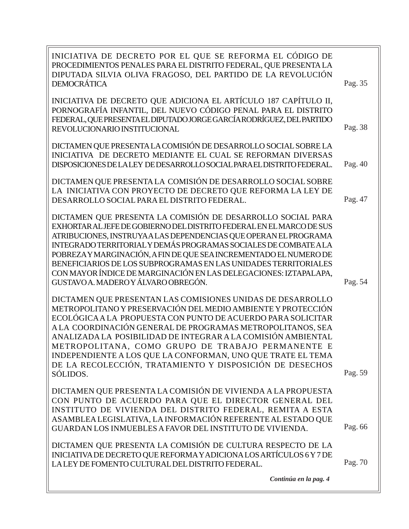| INICIATIVA DE DECRETO POR EL QUE SE REFORMA EL CÓDIGO DE<br>PROCEDIMIENTOS PENALES PARA EL DISTRITO FEDERAL, QUE PRESENTA LA<br>DIPUTADA SILVIA OLIVA FRAGOSO, DEL PARTIDO DE LA REVOLUCIÓN<br>DEMOCRÁTICA                                                                                                                                                                                                                                                                                                                   | Pag. 35 |
|------------------------------------------------------------------------------------------------------------------------------------------------------------------------------------------------------------------------------------------------------------------------------------------------------------------------------------------------------------------------------------------------------------------------------------------------------------------------------------------------------------------------------|---------|
| INICIATIVA DE DECRETO QUE ADICIONA EL ARTÍCULO 187 CAPÍTULO II,<br>PORNOGRAFÍA INFANTIL, DEL NUEVO CÓDIGO PENAL PARA EL DISTRITO<br>FEDERAL, QUE PRESENTA EL DIPUTADO JORGE GARCÍA RODRÍGUEZ, DEL PARTIDO<br>REVOLUCIONARIO INSTITUCIONAL                                                                                                                                                                                                                                                                                    | Pag. 38 |
| DICTAMEN QUE PRESENTA LA COMISIÓN DE DESARROLLO SOCIAL SOBRE LA<br>INICIATIVA DE DECRETO MEDIANTE EL CUAL SE REFORMAN DIVERSAS<br>DISPOSICIONES DE LALEY DE DESARROLLO SOCIAL PARA EL DISTRITO FEDERAL.                                                                                                                                                                                                                                                                                                                      | Pag. 40 |
| DICTAMEN QUE PRESENTA LA COMISIÓN DE DESARROLLO SOCIAL SOBRE<br>LA INICIATIVA CON PROYECTO DE DECRETO QUE REFORMA LA LEY DE<br>DESARROLLO SOCIAL PARA EL DISTRITO FEDERAL.                                                                                                                                                                                                                                                                                                                                                   | Pag. 47 |
| DICTAMEN QUE PRESENTA LA COMISIÓN DE DESARROLLO SOCIAL PARA<br>EXHORTAR AL JEFE DE GOBIERNO DEL DISTRITO FEDERAL EN EL MARCO DE SUS<br>ATRIBUCIONES, INSTRUYAALAS DEPENDENCIAS QUE OPERAN EL PROGRAMA<br>INTEGRADO TERRITORIAL Y DEMÁS PROGRAMAS SOCIALES DE COMBATE A LA<br>POBREZA Y MARGINACIÓN, A FIN DE QUE SEA INCREMENTADO EL NUMERO DE<br>BENEFICIARIOS DE LOS SUBPROGRAMAS EN LAS UNIDADES TERRITORIALES<br>CON MAYOR ÍNDICE DE MARGINACIÓN EN LAS DELEGACIONES: IZTAPALAPA,<br>GUSTAVO A. MADERO Y ÁLVARO OBREGÓN. | Pag. 54 |
| DICTAMEN QUE PRESENTAN LAS COMISIONES UNIDAS DE DESARROLLO<br>METROPOLITANO Y PRESERVACIÓN DEL MEDIO AMBIENTE Y PROTECCIÓN<br>ECOLÓGICA A LA PROPUESTA CON PUNTO DE ACUERDO PARA SOLICITAR<br>A LA COORDINACIÓN GENERAL DE PROGRAMAS METROPOLITANOS, SEA<br>ANALIZADA LA POSIBILIDAD DE INTEGRAR A LA COMISIÓN AMBIENTAL<br>METROPOLITANA, COMO GRUPO DE TRABAJO PERMANENTE E<br>INDEPENDIENTE A LOS QUE LA CONFORMAN, UNO QUE TRATE EL TEMA<br>DE LA RECOLECCIÓN, TRATAMIENTO Y DISPOSICIÓN DE DESECHOS<br>SÓLIDOS.         | Pag. 59 |
| DICTAMEN QUE PRESENTA LA COMISIÓN DE VIVIENDA A LA PROPUESTA<br>CON PUNTO DE ACUERDO PARA QUE EL DIRECTOR GENERAL DEL<br>INSTITUTO DE VIVIENDA DEL DISTRITO FEDERAL, REMITA A ESTA<br>ASAMBLEA LEGISLATIVA, LA INFORMACIÓN REFERENTE AL ESTADO QUE<br>GUARDAN LOS INMUEBLES A FAVOR DEL INSTITUTO DE VIVIENDA.                                                                                                                                                                                                               | Pag. 66 |
| DICTAMEN QUE PRESENTA LA COMISIÓN DE CULTURA RESPECTO DE LA<br>INICIATIVA DE DECRETO QUE REFORMA Y ADICIONA LOS ARTÍCULOS 6 Y 7 DE<br>LALEY DE FOMENTO CULTURAL DEL DISTRITO FEDERAL.                                                                                                                                                                                                                                                                                                                                        | Pag. 70 |
| Continúa en la pag. 4                                                                                                                                                                                                                                                                                                                                                                                                                                                                                                        |         |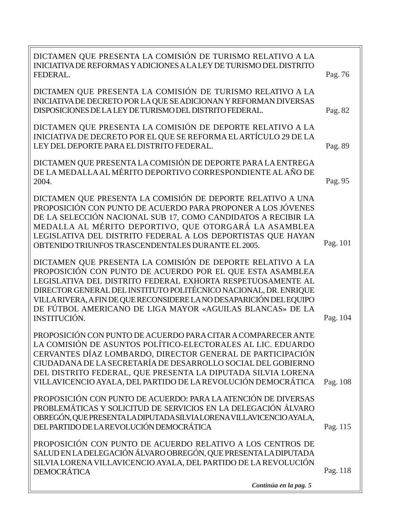| DICTAMEN QUE PRESENTA LA COMISIÓN DE TURISMO RELATIVO A LA<br>INICIATIVA DE REFORMAS Y ADICIONES A LA LEY DE TURISMO DEL DISTRITO<br>FEDERAL.                                                                                                                                                                                                                                                                          | Pag. 76  |
|------------------------------------------------------------------------------------------------------------------------------------------------------------------------------------------------------------------------------------------------------------------------------------------------------------------------------------------------------------------------------------------------------------------------|----------|
| DICTAMEN QUE PRESENTA LA COMISIÓN DE TURISMO RELATIVO A LA<br>INICIATIVA DE DECRETO POR LA QUE SE ADICIONAN Y REFORMAN DIVERSAS<br>DISPOSICIONES DE LA LEY DE TURISMO DEL DISTRITO FEDERAL.                                                                                                                                                                                                                            | Pag. 82  |
| DICTAMEN QUE PRESENTA LA COMISIÓN DE DEPORTE RELATIVO A LA<br>INICIATIVA DE DECRETO POR EL QUE SE REFORMA EL ARTÍCULO 29 DE LA<br>LEY DEL DEPORTE PARA EL DISTRITO FEDERAL.                                                                                                                                                                                                                                            | Pag. 89  |
| DICTAMEN QUE PRESENTA LA COMISIÓN DE DEPORTE PARA LA ENTREGA<br>DE LA MEDALLA AL MÉRITO DEPORTIVO CORRESPONDIENTE AL AÑO DE<br>2004.                                                                                                                                                                                                                                                                                   | Pag. 95  |
| DICTAMEN QUE PRESENTA LA COMISIÓN DE DEPORTE RELATIVO A UNA<br>PROPOSICIÓN CON PUNTO DE ACUERDO PARA PROPONER A LOS JÓVENES<br>DE LA SELECCIÓN NACIONAL SUB 17, COMO CANDIDATOS A RECIBIR LA<br>MEDALLA AL MÉRITO DEPORTIVO, QUE OTORGARÁ LA ASAMBLEA<br>LEGISLATIVA DEL DISTRITO FEDERAL A LOS DEPORTISTAS QUE HAYAN<br>OBTENIDO TRIUNFOS TRASCENDENTALES DURANTE EL 2005.                                            | Pag. 101 |
| DICTAMEN QUE PRESENTA LA COMISIÓN DE DEPORTE RELATIVO A LA<br>PROPOSICIÓN CON PUNTO DE ACUERDO POR EL QUE ESTA ASAMBLEA<br>LEGISLATIVA DEL DISTRITO FEDERAL EXHORTA RESPETUOSAMENTE AL<br>DIRECTOR GENERAL DEL INSTITUTO POLITÉCNICO NACIONAL, DR. ENRIQUE<br>VILLA RIVERA, A FIN DE QUE RECONSIDERE LA NO DESAPARICIÓN DEL EQUIPO<br>DE FÚTBOL AMERICANO DE LIGA MAYOR «AGUILAS BLANCAS» DE LA<br><b>INSTITUCIÓN.</b> | Pag. 104 |
| PROPOSICIÓN CON PUNTO DE ACUERDO PARA CITAR A COMPARECER ANTE<br>LA COMISIÓN DE ASUNTOS POLÍTICO-ELECTORALES AL LIC. EDUARDO<br>CERVANTES DÍAZ LOMBARDO, DIRECTOR GENERAL DE PARTICIPACIÓN<br>CIUDADANA DE LA SECRETARÍA DE DESARROLLO SOCIAL DEL GOBIERNO<br>DEL DISTRITO FEDERAL, QUE PRESENTA LA DIPUTADA SILVIA LORENA<br>VILLAVICENCIO AYALA, DEL PARTIDO DE LA REVOLUCIÓN DEMOCRÁTICA                            | Pag. 108 |
| PROPOSICIÓN CON PUNTO DE ACUERDO: PARA LA ATENCIÓN DE DIVERSAS<br>PROBLEMÁTICAS Y SOLICITUD DE SERVICIOS EN LA DELEGACIÓN ÁLVARO<br>OBREGÓN, QUE PRESENTALA DIPUTADA SILVIA LORENA VILLAVICENCIO AYALA,<br>DEL PARTIDO DE LA REVOLUCIÓN DEMOCRÁTICA                                                                                                                                                                    | Pag. 115 |
| PROPOSICIÓN CON PUNTO DE ACUERDO RELATIVO A LOS CENTROS DE<br>SALUD EN LA DELEGACIÓN ÁLVARO OBREGÓN, QUE PRESENTA LA DIPUTADA<br>SILVIA LORENA VILLAVICENCIO AYALA, DEL PARTIDO DE LA REVOLUCIÓN<br><b>DEMOCRÁTICA</b>                                                                                                                                                                                                 | Pag. 118 |
| Continúa en la pag. 5                                                                                                                                                                                                                                                                                                                                                                                                  |          |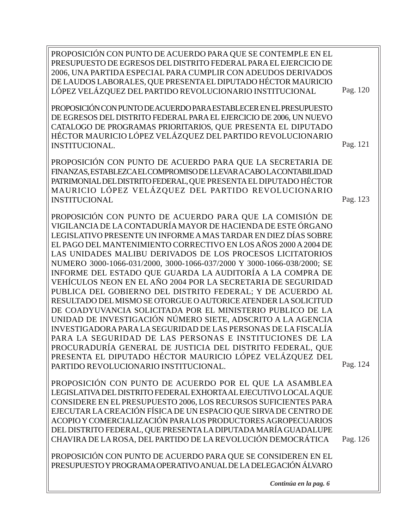Pag. 120 PROPOSICIÓN CON PUNTO DE ACUERDO PARA QUE SE CONTEMPLE EN EL PRESUPUESTO DE EGRESOS DEL DISTRITO FEDERAL PARA EL EJERCICIO DE 2006, UNA PARTIDA ESPECIAL PARA CUMPLIR CON ADEUDOS DERIVADOS DE LAUDOS LABORALES, QUE PRESENTA EL DIPUTADO HÉCTOR MAURICIO LÓPEZ VELÁZQUEZ DEL PARTIDO REVOLUCIONARIO INSTITUCIONAL

PROPOSICIÓN CON PUNTO DE ACUERDO PARA ESTABLECER EN EL PRESUPUESTO DE EGRESOS DEL DISTRITO FEDERAL PARA EL EJERCICIO DE 2006, UN NUEVO CATALOGO DE PROGRAMAS PRIORITARIOS, QUE PRESENTA EL DIPUTADO HÉCTOR MAURICIO LÓPEZ VELÁZQUEZ DEL PARTIDO REVOLUCIONARIO INSTITUCIONAL.

PROPOSICIÓN CON PUNTO DE ACUERDO PARA QUE LA SECRETARIA DE FINANZAS, ESTABLEZCA EL COMPROMISO DE LLEVAR A CABO LA CONTABILIDAD PATRIMONIAL DEL DISTRITO FEDERAL, QUE PRESENTA EL DIPUTADO HÉCTOR MAURICIO LÓPEZ VELÁZQUEZ DEL PARTIDO REVOLUCIONARIO INSTITUCIONAL

PROPOSICIÓN CON PUNTO DE ACUERDO PARA QUE LA COMISIÓN DE VIGILANCIA DE LA CONTADURÍA MAYOR DE HACIENDA DE ESTE ÓRGANO LEGISLATIVO PRESENTE UN INFORME A MAS TARDAR EN DIEZ DÍAS SOBRE EL PAGO DEL MANTENIMIENTO CORRECTIVO EN LOS AÑOS 2000 A 2004 DE LAS UNIDADES MALIBU DERIVADOS DE LOS PROCESOS LICITATORIOS NUMERO 3000-1066-031/2000, 3000-1066-037/2000 Y 3000-1066-038/2000; SE INFORME DEL ESTADO QUE GUARDA LA AUDITORÍA A LA COMPRA DE VEHÍCULOS NEON EN EL AÑO 2004 POR LA SECRETARIA DE SEGURIDAD PUBLICA DEL GOBIERNO DEL DISTRITO FEDERAL; Y DE ACUERDO AL RESULTADO DEL MISMO SE OTORGUE O AUTORICE ATENDER LA SOLICITUD DE COADYUVANCIA SOLICITADA POR EL MINISTERIO PUBLICO DE LA UNIDAD DE INVESTIGACIÓN NÚMERO SIETE, ADSCRITO A LA AGENCIA INVESTIGADORA PARA LA SEGURIDAD DE LAS PERSONAS DE LA FISCALÍA PARA LA SEGURIDAD DE LAS PERSONAS E INSTITUCIONES DE LA PROCURADURÍA GENERAL DE JUSTICIA DEL DISTRITO FEDERAL, QUE PRESENTA EL DIPUTADO HÉCTOR MAURICIO LÓPEZ VELÁZQUEZ DEL PARTIDO REVOLUCIONARIO INSTITUCIONAL.

PROPOSICIÓN CON PUNTO DE ACUERDO POR EL QUE LA ASAMBLEA LEGISLATIVA DEL DISTRITO FEDERAL EXHORTA AL EJECUTIVO LOCAL A QUE CONSIDERE EN EL PRESUPUESTO 2006, LOS RECURSOS SUFICIENTES PARA EJECUTAR LA CREACIÓN FÍSICA DE UN ESPACIO QUE SIRVA DE CENTRO DE ACOPIO Y COMERCIALIZACIÓN PARA LOS PRODUCTORES AGROPECUARIOS DEL DISTRITO FEDERAL, QUE PRESENTA LA DIPUTADA MARÍA GUADALUPE CHAVIRA DE LA ROSA, DEL PARTIDO DE LA REVOLUCIÓN DEMOCRÁTICA

PROPOSICIÓN CON PUNTO DE ACUERDO PARA QUE SE CONSIDEREN EN EL PRESUPUESTO Y PROGRAMA OPERATIVO ANUAL DE LA DELEGACIÓN ÁLVARO

*Continúa en la pag. 6*

Pag. 124

Pag. 121

Pag. 123

Pag. 126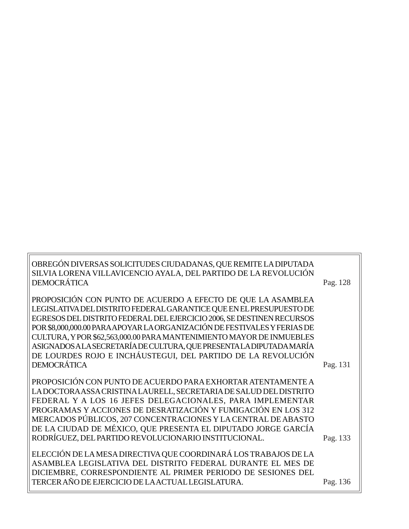| OBREGÓN DIVERSAS SOLICITUDES CIUDADANAS, QUE REMITE LA DIPUTADA         |          |
|-------------------------------------------------------------------------|----------|
| SILVIA LORENA VILLAVICENCIO AYALA, DEL PARTIDO DE LA REVOLUCIÓN         |          |
| DEMOCRÁTICA                                                             | Pag. 128 |
|                                                                         |          |
| PROPOSICIÓN CON PUNTO DE ACUERDO A EFECTO DE QUE LA ASAMBLEA            |          |
| LEGISLATIVA DEL DISTRITO FEDERAL GARANTICE QUE EN EL PRESUPUESTO DE     |          |
| EGRESOS DEL DISTRITO FEDERAL DEL EJERCICIO 2006, SE DESTINEN RECURSOS   |          |
| POR \$8,000,000.00 PARAAPOYAR LA ORGANIZACIÓN DE FESTIVALES Y FERIAS DE |          |
| CULTURA, Y POR \$62,563,000.00 PARA MANTENIMIENTO MAYOR DE INMUEBLES    |          |
| ASIGNADOS ALA SECRETARÍA DE CULTURA, QUE PRESENTA LA DIPUTADA MARÍA     |          |
| DE LOURDES ROJO E INCHÁUSTEGUI, DEL PARTIDO DE LA REVOLUCIÓN            |          |
| DEMOCRÁTICA                                                             | Pag. 131 |
|                                                                         |          |
| PROPOSICIÓN CON PUNTO DE ACUERDO PARA EXHORTAR ATENTAMENTE A            |          |
| LADOCTORAASSA CRISTINA LAURELL, SECRETARIA DE SALUD DEL DISTRITO        |          |
| FEDERAL Y A LOS 16 JEFES DELEGACIONALES, PARA IMPLEMENTAR               |          |
| PROGRAMAS Y ACCIONES DE DESRATIZACIÓN Y FUMIGACIÓN EN LOS 312           |          |
| MERCADOS PÚBLICOS, 207 CONCENTRACIONES Y LA CENTRAL DE ABASTO           |          |
| DE LA CIUDAD DE MÉXICO, QUE PRESENTA EL DIPUTADO JORGE GARCÍA           |          |
| RODRÍGUEZ, DEL PARTIDO REVOLUCIONARIO INSTITUCIONAL.                    | Pag. 133 |
|                                                                         |          |
| ELECCIÓN DE LA MESA DIRECTIVA QUE COORDINARÁ LOS TRABAJOS DE LA         |          |
| ASAMBLEA LEGISLATIVA DEL DISTRITO FEDERAL DURANTE EL MES DE             |          |
| DICIEMBRE, CORRESPONDIENTE AL PRIMER PERIODO DE SESIONES DEL            |          |
| TERCER AÑO DE EJERCICIO DE LA ACTUAL LEGISLATURA.                       | Pag. 136 |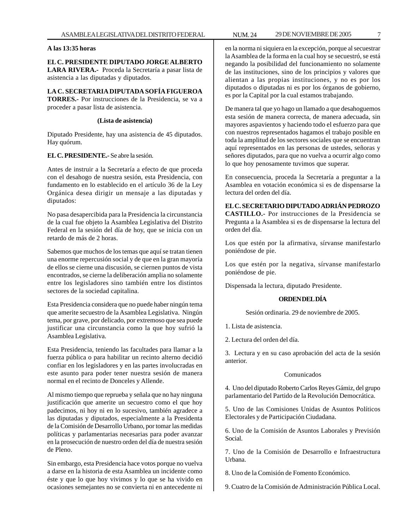#### **A las 13:35 horas**

## **EL C. PRESIDENTE DIPUTADO JORGE ALBERTO LARA RIVERA.-** Proceda la Secretaría a pasar lista de asistencia a las diputadas y diputados.

#### **LA C. SECRETARIA DIPUTADA SOFÍA FIGUEROA TORRES.-** Por instrucciones de la Presidencia, se va a proceder a pasar lista de asistencia.

#### **(Lista de asistencia)**

Diputado Presidente, hay una asistencia de 45 diputados. Hay quórum.

#### **EL C. PRESIDENTE.-** Se abre la sesión.

Antes de instruir a la Secretaría a efecto de que proceda con el desahogo de nuestra sesión, esta Presidencia, con fundamento en lo establecido en el artículo 36 de la Ley Orgánica desea dirigir un mensaje a las diputadas y diputados:

No pasa desapercibida para la Presidencia la circunstancia de la cual fue objeto la Asamblea Legislativa del Distrito Federal en la sesión del día de hoy, que se inicia con un retardo de más de 2 horas.

Sabemos que muchos de los temas que aquí se tratan tienen una enorme repercusión social y de que en la gran mayoría de ellos se cierne una discusión, se ciernen puntos de vista encontrados, se cierne la deliberación amplia no solamente entre los legisladores sino también entre los distintos sectores de la sociedad capitalina.

Esta Presidencia considera que no puede haber ningún tema que amerite secuestro de la Asamblea Legislativa. Ningún tema, por grave, por delicado, por extremoso que sea puede justificar una circunstancia como la que hoy sufrió la Asamblea Legislativa.

Esta Presidencia, teniendo las facultades para llamar a la fuerza pública o para habilitar un recinto alterno decidió confiar en los legisladores y en las partes involucradas en este asunto para poder tener nuestra sesión de manera normal en el recinto de Donceles y Allende.

Al mismo tiempo que reprueba y señala que no hay ninguna justificación que amerite un secuestro como el que hoy padecimos, ni hoy ni en lo sucesivo, también agradece a las diputadas y diputados, especialmente a la Presidenta de la Comisión de Desarrollo Urbano, por tomar las medidas políticas y parlamentarias necesarias para poder avanzar en la prosecución de nuestro orden del día de nuestra sesión de Pleno.

Sin embargo, esta Presidencia hace votos porque no vuelva a darse en la historia de esta Asamblea un incidente como éste y que lo que hoy vivimos y lo que se ha vivido en ocasiones semejantes no se convierta ni en antecedente ni

en la norma ni siquiera en la excepción, porque al secuestrar la Asamblea de la forma en la cual hoy se secuestró, se está negando la posibilidad del funcionamiento no solamente de las instituciones, sino de los principios y valores que alientan a las propias instituciones, y no es por los diputados o diputadas ni es por los órganos de gobierno, es por la Capital por la cual estamos trabajando.

De manera tal que yo hago un llamado a que desahoguemos esta sesión de manera correcta, de manera adecuada, sin mayores aspavientos y haciendo todo el esfuerzo para que con nuestros representados hagamos el trabajo posible en toda la amplitud de los sectores sociales que se encuentran aquí representados en las personas de ustedes, señoras y señores diputados, para que no vuelva a ocurrir algo como lo que hoy penosamente tuvimos que superar.

En consecuencia, proceda la Secretaría a preguntar a la Asamblea en votación económica si es de dispensarse la lectura del orden del día.

#### **EL C. SECRETARIO DIPUTADO ADRIÁN PEDROZO**

**CASTILLO.-** Por instrucciones de la Presidencia se Pregunta a la Asamblea si es de dispensarse la lectura del orden del día.

Los que estén por la afirmativa, sírvanse manifestarlo poniéndose de pie.

Los que estén por la negativa, sírvanse manifestarlo poniéndose de pie.

Dispensada la lectura, diputado Presidente.

#### **ORDEN DEL DÍA**

Sesión ordinaria. 29 de noviembre de 2005.

1. Lista de asistencia.

2. Lectura del orden del día.

3. Lectura y en su caso aprobación del acta de la sesión anterior.

#### Comunicados

4. Uno del diputado Roberto Carlos Reyes Gámiz, del grupo parlamentario del Partido de la Revolución Democrática.

5. Uno de las Comisiones Unidas de Asuntos Políticos Electorales y de Participación Ciudadana.

6. Uno de la Comisión de Asuntos Laborales y Previsión Social.

7. Uno de la Comisión de Desarrollo e Infraestructura Urbana.

8. Uno de la Comisión de Fomento Económico.

9. Cuatro de la Comisión de Administración Pública Local.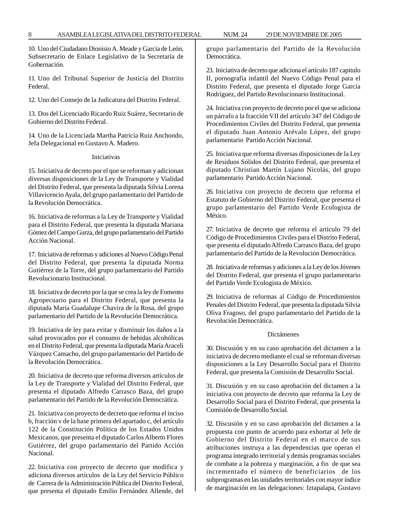10. Uno del Ciudadano Dionisio A. Meade y García de León, Subsecretario de Enlace Legislativo de la Secretaría de Gobernación.

11. Uno del Tribunal Superior de Justicia del Distrito Federal.

12. Uno del Consejo de la Judicatura del Distrito Federal.

13. Dos del Licenciado Ricardo Ruiz Suárez, Secretario de Gobierno del Distrito Federal.

14. Uno de la Licenciada Martha Patricia Ruiz Anchondo, Jefa Delegacional en Gustavo A. Madero.

#### Iniciativas

15. Iniciativa de decreto por el que se reforman y adicionan diversas disposiciones de la Ley de Transporte y Vialidad del Distrito Federal, que presenta la diputada Silvia Lorena Villavicencio Ayala, del grupo parlamentario del Partido de la Revolución Democrática.

16. Iniciativa de reformas a la Ley de Transporte y Vialidad para el Distrito Federal, que presenta la diputada Mariana Gómez del Campo Gurza, del grupo parlamentario del Partido Acción Nacional.

17. Iniciativa de reformas y adiciones al Nuevo Código Penal del Distrito Federal, que presenta la diputada Norma Gutiérrez de la Torre, del grupo parlamentario del Partido Revolucionario Institucional.

18. Iniciativa de decreto por la que se crea la ley de Fomento Agropecuario para el Distrito Federal, que presenta la diputada María Guadalupe Chavira de la Rosa, del grupo parlamentario del Partido de la Revolución Democrática.

19. Iniciativa de ley para evitar y disminuir los daños a la salud provocados por el consumo de bebidas alcohólicas en el Distrito Federal, que presenta la diputada María Araceli Vázquez Camacho, del grupo parlamentario del Partido de la Revolución Democrática.

20. Iniciativa de decreto que reforma diversos artículos de la Ley de Transporte y Vialidad del Distrito Federal, que presenta el diputado Alfredo Carrasco Baza, del grupo parlamentario del Partido de la Revolución Democrática.

21. Iniciativa con proyecto de decreto que reforma el inciso b, fracción v de la base primera del apartado c, del artículo 122 de la Constitución Política de los Estados Unidos Mexicanos, que presenta el diputado Carlos Alberto Flores Gutiérrez, del grupo parlamentario del Partido Acción Nacional.

22. Iniciativa con proyecto de decreto que modifica y adiciona diversos artículos de la Ley del Servicio Público de Carrera de la Administración Pública del Distrito Federal, que presenta el diputado Emilio Fernández Allende, del grupo parlamentario del Partido de la Revolución Democrática.

23. Iniciativa de decreto que adiciona el artículo 187 capitulo II, pornografía infantil del Nuevo Código Penal para el Distrito Federal, que presenta el diputado Jorge García Rodríguez, del Partido Revolucionario Institucional.

24. Iniciativa con proyecto de decreto por el que se adiciona un párrafo a la fracción VII del artículo 347 del Código de Procedimientos Civiles del Distrito Federal, que presenta el diputado Juan Antonio Arévalo López, del grupo parlamentario Partido Acción Nacional.

25. Iniciativa que reforma diversas disposiciones de la Ley de Residuos Sólidos del Distrito Federal, que presenta el diputado Christian Martín Lujano Nicolás, del grupo parlamentario Partido Acción Nacional.

26. Iniciativa con proyecto de decreto que reforma el Estatuto de Gobierno del Distrito Federal, que presenta el grupo parlamentario del Partido Verde Ecologista de México.

27. Iniciativa de decreto que reforma el artículo 79 del Código de Procedimientos Civiles para el Distrito Federal, que presenta el diputado Alfredo Carrasco Baza, del grupo parlamentario del Partido de la Revolución Democrática.

28. Iniciativa de reformas y adiciones a la Ley de los Jóvenes del Distrito Federal, que presenta el grupo parlamentario del Partido Verde Ecologista de México.

29. Iniciativa de reformas al Código de Procedimientos Penales del Distrito Federal, que presenta la diputada Silvia Oliva Fragoso, del grupo parlamentario del Partido de la Revolución Democrática.

#### Dictámenes

30. Discusión y en su caso aprobación del dictamen a la iniciativa de decreto mediante el cual se reforman diversas disposiciones a la Ley Desarrollo Social para el Distrito Federal, que presenta la Comisión de Desarrollo Social.

31. Discusión y en su caso aprobación del dictamen a la iniciativa con proyecto de decreto que reforma la Ley de Desarrollo Social para el Distrito Federal, que presenta la Comisión de Desarrollo Social.

32. Discusión y en su caso aprobación del dictamen a la propuesta con punto de acuerdo para exhortar al Jefe de Gobierno del Distrito Federal en el marco de sus atribuciones instruya a las dependencias que operan el programa integrado territorial y demás programas sociales de combate a la pobreza y marginación, a fin de que sea incrementado el número de beneficiarios de los subprogramas en las unidades territoriales con mayor índice de marginación en las delegaciones: Iztapalapa, Gustavo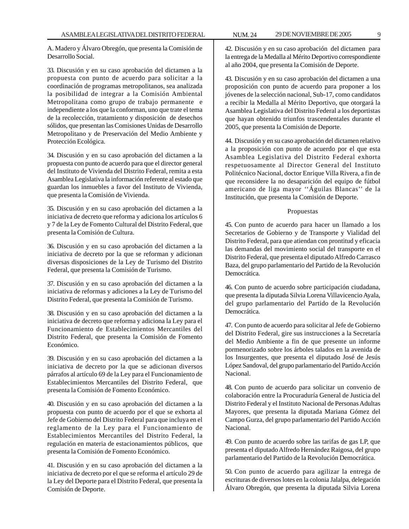A. Madero y Álvaro Obregón, que presenta la Comisión de Desarrollo Social.

33. Discusión y en su caso aprobación del dictamen a la propuesta con punto de acuerdo para solicitar a la coordinación de programas metropolitanos, sea analizada la posibilidad de integrar a la Comisión Ambiental Metropolitana como grupo de trabajo permanente e independiente a los que la conforman, uno que trate el tema de la recolección, tratamiento y disposición de desechos sólidos, que presentan las Comisiones Unidas de Desarrollo Metropolitano y de Preservación del Medio Ambiente y Protección Ecológica.

34. Discusión y en su caso aprobación del dictamen a la propuesta con punto de acuerdo para que el director general del Instituto de Vivienda del Distrito Federal, remita a esta Asamblea Legislativa la información referente al estado que guardan los inmuebles a favor del Instituto de Vivienda, que presenta la Comisión de Vivienda.

35. Discusión y en su caso aprobación del dictamen a la iniciativa de decreto que reforma y adiciona los artículos 6 y 7 de la Ley de Fomento Cultural del Distrito Federal, que presenta la Comisión de Cultura.

36. Discusión y en su caso aprobación del dictamen a la iniciativa de decreto por la que se reforman y adicionan diversas disposiciones de la Ley de Turismo del Distrito Federal, que presenta la Comisión de Turismo.

37. Discusión y en su caso aprobación del dictamen a la iniciativa de reformas y adiciones a la Ley de Turismo del Distrito Federal, que presenta la Comisión de Turismo.

38. Discusión y en su caso aprobación del dictamen a la iniciativa de decreto que reforma y adiciona la Ley para el Funcionamiento de Establecimientos Mercantiles del Distrito Federal, que presenta la Comisión de Fomento Económico.

39. Discusión y en su caso aprobación del dictamen a la iniciativa de decreto por la que se adicionan diversos párrafos al artículo 69 de la Ley para el Funcionamiento de Establecimientos Mercantiles del Distrito Federal, que presenta la Comisión de Fomento Económico.

40. Discusión y en su caso aprobación del dictamen a la propuesta con punto de acuerdo por el que se exhorta al Jefe de Gobierno del Distrito Federal para que incluya en el reglamento de la Ley para el Funcionamiento de Establecimientos Mercantiles del Distrito Federal, la regulación en materia de estacionamientos públicos, que presenta la Comisión de Fomento Económico.

41. Discusión y en su caso aprobación del dictamen a la iniciativa de decreto por el que se reforma el artículo 29 de la Ley del Deporte para el Distrito Federal, que presenta la Comisión de Deporte.

42. Discusión y en su caso aprobación del dictamen para la entrega de la Medalla al Mérito Deportivo correspondiente al año 2004, que presenta la Comisión de Deporte.

43. Discusión y en su caso aprobación del dictamen a una proposición con punto de acuerdo para proponer a los jóvenes de la selección nacional, Sub-17, como candidatos a recibir la Medalla al Mérito Deportivo, que otorgará la Asamblea Legislativa del Distrito Federal a los deportistas que hayan obtenido triunfos trascendentales durante el 2005, que presenta la Comisión de Deporte.

44. Discusión y en su caso aprobación del dictamen relativo a la proposición con punto de acuerdo por el que esta Asamblea Legislativa del Distrito Federal exhorta respetuosamente al Director General del Instituto Politécnico Nacional, doctor Enrique Villa Rivera, a fin de que reconsidere la no desaparición del equipo de fútbol americano de liga mayor ''Águilas Blancas'' de la Institución, que presenta la Comisión de Deporte.

#### Propuestas

45. Con punto de acuerdo para hacer un llamado a los Secretarios de Gobierno y de Transporte y Vialidad del Distrito Federal, para que atiendan con prontitud y eficacia las demandas del movimiento social del transporte en el Distrito Federal, que presenta el diputado Alfredo Carrasco Baza, del grupo parlamentario del Partido de la Revolución Democrática.

46. Con punto de acuerdo sobre participación ciudadana, que presenta la diputada Silvia Lorena Villavicencio Ayala, del grupo parlamentario del Partido de la Revolución Democrática.

47. Con punto de acuerdo para solicitar al Jefe de Gobierno del Distrito Federal, gire sus instrucciones a la Secretaría del Medio Ambiente a fin de que presente un informe pormenorizado sobre los árboles talados en la avenida de los Insurgentes, que presenta el diputado José de Jesús López Sandoval, del grupo parlamentario del Partido Acción Nacional.

48. Con punto de acuerdo para solicitar un convenio de colaboración entre la Procuraduría General de Justicia del Distrito Federal y el Instituto Nacional de Personas Adultas Mayores, que presenta la diputada Mariana Gómez del Campo Gurza, del grupo parlamentario del Partido Acción Nacional.

49. Con punto de acuerdo sobre las tarifas de gas LP, que presenta el diputado Alfredo Hernández Raigosa, del grupo parlamentario del Partido de la Revolución Democrática.

50. Con punto de acuerdo para agilizar la entrega de escrituras de diversos lotes en la colonia Jalalpa, delegación Álvaro Obregón, que presenta la diputada Silvia Lorena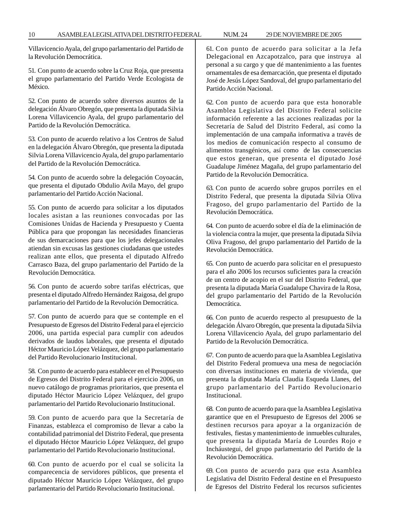Villavicencio Ayala, del grupo parlamentario del Partido de la Revolución Democrática.

51. Con punto de acuerdo sobre la Cruz Roja, que presenta el grupo parlamentario del Partido Verde Ecologista de México.

52. Con punto de acuerdo sobre diversos asuntos de la delegación Álvaro Obregón, que presenta la diputada Silvia Lorena Villavicencio Ayala, del grupo parlamentario del Partido de la Revolución Democrática.

53. Con punto de acuerdo relativo a los Centros de Salud en la delegación Álvaro Obregón, que presenta la diputada Silvia Lorena Villavicencio Ayala, del grupo parlamentario del Partido de la Revolución Democrática.

54. Con punto de acuerdo sobre la delegación Coyoacán, que presenta el diputado Obdulio Avila Mayo, del grupo parlamentario del Partido Acción Nacional.

55. Con punto de acuerdo para solicitar a los diputados locales asistan a las reuniones convocadas por las Comisiones Unidas de Hacienda y Presupuesto y Cuenta Pública para que propongan las necesidades financieras de sus demarcaciones para que los jefes delegacionales atiendan sin excusas las gestiones ciudadanas que ustedes realizan ante ellos, que presenta el diputado Alfredo Carrasco Baza, del grupo parlamentario del Partido de la Revolución Democrática.

56. Con punto de acuerdo sobre tarifas eléctricas, que presenta el diputado Alfredo Hernández Raigosa, del grupo parlamentario del Partido de la Revolución Democrática.

57. Con punto de acuerdo para que se contemple en el Presupuesto de Egresos del Distrito Federal para el ejercicio 2006, una partida especial para cumplir con adeudos derivados de laudos laborales, que presenta el diputado Héctor Mauricio López Velázquez, del grupo parlamentario del Partido Revolucionario Institucional.

58. Con punto de acuerdo para establecer en el Presupuesto de Egresos del Distrito Federal para el ejercicio 2006, un nuevo catálogo de programas prioritarios, que presenta el diputado Héctor Mauricio López Velázquez, del grupo parlamentario del Partido Revolucionario Institucional.

59. Con punto de acuerdo para que la Secretaría de Finanzas, establezca el compromiso de llevar a cabo la contabilidad patrimonial del Distrito Federal, que presenta el diputado Héctor Mauricio López Velázquez, del grupo parlamentario del Partido Revolucionario Institucional.

60. Con punto de acuerdo por el cual se solicita la comparecencia de servidores públicos, que presenta el diputado Héctor Mauricio López Velázquez, del grupo parlamentario del Partido Revolucionario Institucional.

61. Con punto de acuerdo para solicitar a la Jefa Delegacional en Azcapotzalco, para que instruya al personal a su cargo y que dé mantenimiento a las fuentes ornamentales de esa demarcación, que presenta el diputado José de Jesús López Sandoval, del grupo parlamentario del Partido Acción Nacional.

62. Con punto de acuerdo para que esta honorable Asamblea Legislativa del Distrito Federal solicite información referente a las acciones realizadas por la Secretaría de Salud del Distrito Federal, así como la implementación de una campaña informativa a través de los medios de comunicación respecto al consumo de alimentos transgénicos, así como de las consecuencias que estos generan, que presenta el diputado José Guadalupe Jiménez Magaña, del grupo parlamentario del Partido de la Revolución Democrática.

63. Con punto de acuerdo sobre grupos porriles en el Distrito Federal, que presenta la diputada Silvia Oliva Fragoso, del grupo parlamentario del Partido de la Revolución Democrática.

64. Con punto de acuerdo sobre el día de la eliminación de la violencia contra la mujer, que presenta la diputada Silvia Oliva Fragoso, del grupo parlamentario del Partido de la Revolución Democrática.

65. Con punto de acuerdo para solicitar en el presupuesto para el año 2006 los recursos suficientes para la creación de un centro de acopio en el sur del Distrito Federal, que presenta la diputada María Guadalupe Chavira de la Rosa, del grupo parlamentario del Partido de la Revolución Democrática.

66. Con punto de acuerdo respecto al presupuesto de la delegación Álvaro Obregón, que presenta la diputada Silvia Lorena Villavicencio Ayala, del grupo parlamentario del Partido de la Revolución Democrática.

67. Con punto de acuerdo para que la Asamblea Legislativa del Distrito Federal promueva una mesa de negociación con diversas instituciones en materia de vivienda, que presenta la diputada María Claudia Esqueda Llanes, del grupo parlamentario del Partido Revolucionario Institucional.

68. Con punto de acuerdo para que la Asamblea Legislativa garantice que en el Presupuesto de Egresos del 2006 se destinen recursos para apoyar a la organización de festivales, fiestas y mantenimiento de inmuebles culturales, que presenta la diputada María de Lourdes Rojo e Incháustegui, del grupo parlamentario del Partido de la Revolución Democrática.

69. Con punto de acuerdo para que esta Asamblea Legislativa del Distrito Federal destine en el Presupuesto de Egresos del Distrito Federal los recursos suficientes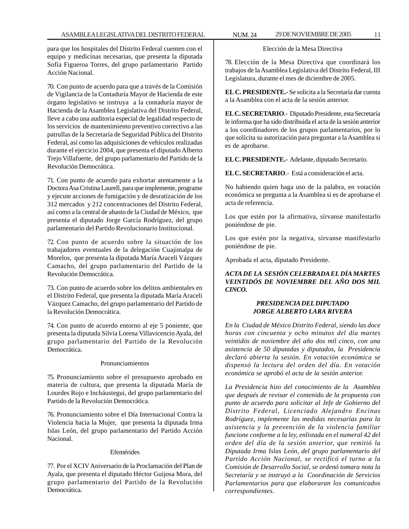para que los hospitales del Distrito Federal cuenten con el equipo y medicinas necesarias, que presenta la diputada Sofía Figueroa Torres, del grupo parlamentario Partido Acción Nacional.

70. Con punto de acuerdo para que a través de la Comisión de Vigilancia de la Contaduría Mayor de Hacienda de este órgano legislativo se instruya a la contaduría mayor de Hacienda de la Asamblea Legislativa del Distrito Federal, lleve a cabo una auditoria especial de legalidad respecto de los servicios de mantenimiento preventivo correctivo a las patrullas de la Secretaría de Seguridad Pública del Distrito Federal, así como las adquisiciones de vehículos realizadas durante el ejercicio 2004, que presenta el diputado Alberto Trejo Villafuerte, del grupo parlamentario del Partido de la Revolución Democrática.

71. Con punto de acuerdo para exhortar atentamente a la Doctora Asa Cristina Laurell, para que implemente, programe y ejecute acciones de fumigación y de desratización de los 312 mercados y 212 concentraciones del Distrito Federal, así como a la central de abasto de la Ciudad de México, que presenta el diputado Jorge García Rodríguez, del grupo parlamentario del Partido Revolucionario Institucional.

72. Con punto de acuerdo sobre la situación de los trabajadores eventuales de la delegación Cuajimalpa de Morelos, que presenta la diputada María Araceli Vázquez Camacho, del grupo parlamentario del Partido de la Revolución Democrática.

73. Con punto de acuerdo sobre los delitos ambientales en el Distrito Federal, que presenta la diputada María Araceli Vázquez Camacho, del grupo parlamentario del Partido de la Revolución Democrática.

74. Con punto de acuerdo entorno al eje 5 poniente, que presenta la diputada Silvia Lorena Villavicencio Ayala, del grupo parlamentario del Partido de la Revolución Democrática.

#### Pronunciamientos

75. Pronunciamiento sobre el presupuesto aprobado en materia de cultura, que presenta la diputada María de Lourdes Rojo e Incháustegui, del grupo parlamentario del Partido de la Revolución Democrática.

76. Pronunciamiento sobre el Día Internacional Contra la Violencia hacia la Mujer, que presenta la diputada Irma Islas León, del grupo parlamentario del Partido Acción Nacional.

## Efemérides

77. Por el XCIV Aniversario de la Proclamación del Plan de Ayala, que presenta el diputado Héctor Guijosa Mora, del grupo parlamentario del Partido de la Revolución Democrática.

## Elección de la Mesa Directiva

78. Elección de la Mesa Directiva que coordinará los trabajos de la Asamblea Legislativa del Distrito Federal, III Legislatura, durante el mes de diciembre de 2005.

**EL C. PRESIDENTE.-** Se solicita a la Secretaría dar cuenta a la Asamblea con el acta de la sesión anterior.

**EL C. SECRETARIO**.- Diputado Presidente, esta Secretaría le informa que ha sido distribuida el acta de la sesión anterior a los coordinadores de los grupos parlamentarios, por lo que solicita su autorización para preguntar a la Asamblea si es de aprobarse.

**EL C. PRESIDENTE.-** Adelante, diputado Secretario.

**EL C. SECRETARIO**.- Está a consideración el acta.

No habiendo quien haga uso de la palabra, en votación económica se pregunta a la Asamblea si es de aprobarse el acta de referencia.

Los que estén por la afirmativa, sírvanse manifestarlo poniéndose de pie.

Los que estén por la negativa, sírvanse manifestarlo poniéndose de pie.

Aprobada el acta, diputado Presidente.

## *ACTA DE LA SESIÓN CELEBRADA EL DÍA MARTES VEINTIDÓS DE NOVIEMBRE DEL AÑO DOS MIL CINCO.*

## *PRESIDENCIA DEL DIPUTADO JORGE ALBERTO LARA RIVERA*

*En la Ciudad de México Distrito Federal, siendo las doce horas con cincuenta y ocho minutos del día martes veintidós de noviembre del año dos mil cinco, con una asistencia de 50 diputadas y diputados, la Presidencia declaró abierta la sesión. En votación económica se dispensó la lectura del orden del día. En votación económica se aprobó el acta de la sesión anterior.*

*La Presidencia hizo del conocimiento de la Asamblea que después de revisar el contenido de la propuesta con punto de acuerdo para solicitar al Jefe de Gobierno del Distrito Federal, Licenciado Alejandro Encinas Rodríguez, implemente las medidas necesarias para la asistencia y la prevención de la violencia familiar funcione conforme a la ley, enlistada en el numeral 42 del orden del día de la sesión anterior, que remitió la Diputada Irma Islas León, del grupo parlamentario del Partido Acción Nacional, se rectificó el turno a la Comisión de Desarrollo Social, se ordenó tomara nota la Secretaría y se instruyó a la Coordinación de Servicios Parlamentarios para que elaboraran los comunicados correspondientes.*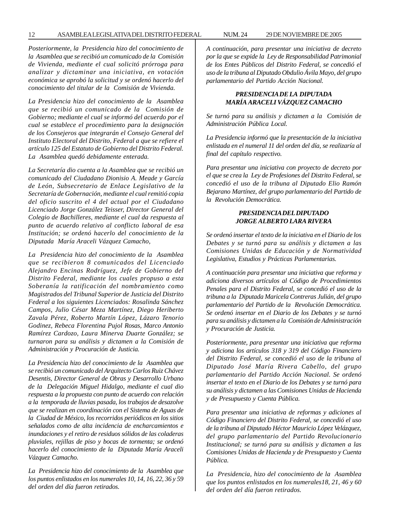#### 12 ASAMBLEA LEGISLATIVA DEL DISTRITO FEDERAL NUM. 24 29 DE NOVIEMBRE DE 2005

*Posteriormente, la Presidencia hizo del conocimiento de la Asamblea que se recibió un comunicado de la Comisión de Vivienda, mediante el cual solicitó prórroga para analizar y dictaminar una iniciativa, en votación económica se aprobó la solicitud y se ordenó hacerlo del conocimiento del titular de la Comisión de Vivienda.*

*La Presidencia hizo del conocimiento de la Asamblea que se recibió un comunicado de la Comisión de Gobierno; mediante el cual se informó del acuerdo por el cual se establece el procedimiento para la designación de los Consejeros que integrarán el Consejo General del Instituto Electoral del Distrito, Federal a que se refiere el artículo 125 del Estatuto de Gobierno del Distrito Federal. La Asamblea quedó debidamente enterada.*

*La Secretaría dio cuenta a la Asamblea que se recibió un comunicado del Ciudadano Dionisio A. Meade y García de León, Subsecretario de Enlace Legislativo de la Secretaría de Gobernación, mediante el cual remitió copia del oficio suscrito el 4 del actual por el Ciudadano Licenciado Jorge González Teisser, Director General del Colegio de Bachilleres, mediante el cual da respuesta al punto de acuerdo relativo al conflicto laboral de esa Institución; se ordenó hacerlo del conocimiento de la Diputada María Araceli Vázquez Camacho,*

*La Presidencia hizo del conocimiento de la Asamblea que se recibieron 8 comunicados del Licenciado Alejandro Encinas Rodríguez, Jefe de Gobierno del Distrito Federal, mediante los cuales propuso a esta Soberanía la ratificación del nombramiento como Magistrados del Tribunal Superior de Justicia del Distrito Federal a los siguientes Licenciados: Rosalinda Sánchez Campos, Julio César Meza Martínez, Diego Heriberto Zavala Pérez, Roberto Martín López, Lázaro Tenorio Godinez, Rebeca Florentina Pujol Rosas, Marco Antonio Ramírez Cardozo, Laura Minerva Duarte González; se turnaron para su análisis y dictamen a la Comisión de Administración y Procuración de Justicia.*

*La Presidencia hizo del conocimiento de la Asamblea que se recibió un comunicado del Arquitecto Carlos Ruiz Chávez Desentis, Director General de Obras y Desarrollo Urbano de la Delegación Miguel Hidalgo, mediante el cual dio respuesta a la propuesta con punto de acuerdo con relación a la temporada de lluvias pasada, los trabajos de desazolve que se realizan en coordinación con el Sistema de Aguas de la Ciudad de México, los recorridos periódicos en los sitios señalados como de alta incidencia de encharcamientos e inundaciones y el retiro de residuos sólidos de las coladeras pluviales, rejillas de piso y bocas de tormenta; se ordenó hacerlo del conocimiento de la Diputada María Araceli Vázquez Camacho.*

*La Presidencia hizo del conocimiento de la Asamblea que los puntos enlistados en los numerales 10, 14, 16, 22, 36 y 59 del orden del día fueron retirados.*

*A continuación, para presentar una iniciativa de decreto por la que se expide la Ley de Responsabilidad Patrimonial de los Entes Públicos del Distrito Federal, se concedió el uso de la tribuna al Diputado Obdulio Ávila Mayo, del grupo parlamentario del Partido Acción Nacional.*

#### *PRESIDENCIA DE LA DIPUTADA MARÍA ARACELI VÁZQUEZ CAMACHO*

*Se turnó para su análisis y dictamen a la Comisión de Administración Pública Local.*

*La Presidencia informó que la presentación de la iniciativa enlistada en el numeral 11 del orden del día, se realizaría al final del capítulo respectivo.*

*Para presentar una iniciativa con proyecto de decreto por el que se crea la Ley de Profesiones del Distrito Federal, se concedió el uso de la tribuna al Diputado Elio Ramón Bejarano Martínez, del grupo parlamentario del Partido de la Revolución Democrática.*

## *PRESIDENCIA DEL DIPUTADO JORGE ALBERTO LARA RIVERA*

*Se ordenó insertar el texto de la iniciativa en el Diario de los Debates y se turnó para su análisis y dictamen a las Comisiones Unidas de Educación y de Normatividad Legislativa, Estudios y Prácticas Parlamentarias.*

*A continuación para presentar una iniciativa que reforma y adiciona diversos artículos al Código de Procedimientos Penales para el Distrito Federal, se concedió el uso de la tribuna a la Diputada Maricela Contreras Julián, del grupo parlamentario del Partido de la Revolución Democrática. Se ordenó insertar en el Diario de los Debates y se turnó para su análisis y dictamen a la Comisión de Administración y Procuración de Justicia.*

*Posteriormente, para presentar una iniciativa que reforma y adiciona los artículos 318 y 319 del Código Financiero del Distrito Federal, se concedió el uso de la tribuna al Diputado José María Rivera Cabello, del grupo parlamentario del Partido Acción Nacional. Se ordenó insertar el texto en el Diario de los Debates y se turnó para su análisis y dictamen a las Comisiones Unidas de Hacienda y de Presupuesto y Cuenta Pública.*

*Para presentar una iniciativa de reformas y adiciones al Código Financiero del Distrito Federal, se concedió el uso de la tribuna al Diputado Héctor Mauricio López Velázquez, del grupo parlamentario del Partido Revolucionario Institucional; se turnó para su análisis y dictamen a las Comisiones Unidas de Hacienda y de Presupuesto y Cuenta Pública.*

*La Presidencia, hizo del conocimiento de la Asamblea que los puntos enlistados en los numerales18, 21, 46 y 60 del orden del día fueron retirados.*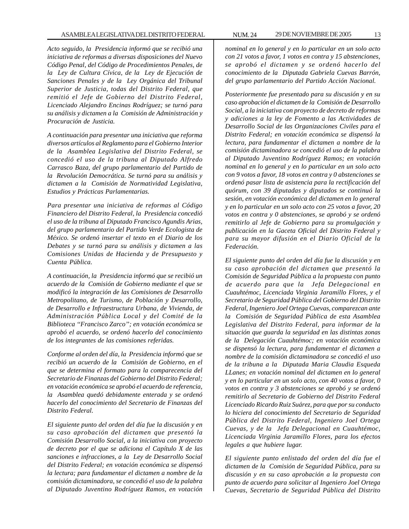*Acto seguido, la Presidencia informó que se recibió una iniciativa de reformas a diversas disposiciones del Nuevo Código Penal, del Código de Procedimientos Penales, de la Ley de Cultura Cívica, de la Ley de Ejecución de Sanciones Penales y de la Ley Orgánica del Tribunal Superior de Justicia, todas del Distrito Federal, que remitió el Jefe de Gobierno del Distrito Federal, Licenciado Alejandro Encinas Rodríguez; se turnó para su análisis y dictamen a la Comisión de Administración y Procuración de Justicia.*

*A continuación para presentar una iniciativa que reforma diversos artículos al Reglamento para el Gobierno Interior de la Asamblea Legislativa del Distrito Federal, se concedió el uso de la tribuna al Diputado Alfredo Carrasco Baza, del grupo parlamentario del Partido de la Revolución Democrática. Se turnó para su análisis y dictamen a la Comisión de Normatividad Legislativa, Estudios y Prácticas Parlamentarias.*

*Para presentar una iniciativa de reformas al Código Financiero del Distrito Federal, la Presidencia concedió el uso de la tribuna al Diputado Francisco Agundis Arias, del grupo parlamentario del Partido Verde Ecologista de México. Se ordenó insertar el texto en el Diario de los Debates y se turnó para su análisis y dictamen a las Comisiones Unidas de Hacienda y de Presupuesto y Cuenta Pública.*

*A continuación, la Presidencia informó que se recibió un acuerdo de la Comisión de Gobierno mediante el que se modificó la integración de las Comisiones de Desarrollo Metropolitano, de Turismo, de Población y Desarrollo, de Desarrollo e Infraestructura Urbana, de Vivienda, de Administración Pública Local y del Comité de la Biblioteca ''Francisco Zarco''; en votación económica se aprobó el acuerdo, se ordenó hacerlo del conocimiento de los integrantes de las comisiones referidas.*

*Conforme al orden del día, la Presidencia informó que se recibió un acuerdo de la Comisión de Gobierno, en el que se determina el formato para la comparecencia del Secretario de Finanzas del Gobierno del Distrito Federal; en votación económica se aprobó el acuerdo de referencia, la Asamblea quedó debidamente enterada y se ordenó hacerlo del conocimiento del Secretario de Finanzas del Distrito Federal.*

*El siguiente punto del orden del día fue la discusión y en su caso aprobación del dictamen que presentó la Comisión Desarrollo Social, a la iniciativa con proyecto de decreto por el que se adiciona el Capítulo X de las sanciones e infracciones, a la Ley de Desarrollo Social del Distrito Federal; en votación económica se dispensó la lectura; para fundamentar el dictamen a nombre de la comisión dictaminadora, se concedió el uso de la palabra al Diputado Juventino Rodríguez Ramos, en votación*

*nominal en lo general y en lo particular en un solo acto con 21 votos a favor, 1 votos en contra y 15 abstenciones, se aprobó el dictamen y se ordenó hacerlo del conocimiento de la Diputada Gabriela Cuevas Barrón, del grupo parlamentario del Partido Acción Nacional.*

*Posteriormente fue presentado para su discusión y en su caso aprobación el dictamen de la Comisión de Desarrollo Social, a la iniciativa con proyecto de decreto de reformas y adiciones a la ley de Fomento a las Actividades de Desarrollo Social de las Organizaciones Civiles para el Distrito Federal; en votación económica se dispensó la lectura, para fundamentar el dictamen a nombre de la comisión dictaminadora se concedió el uso de la palabra al Diputado Juventino Rodríguez Ramos; en votación nominal en lo general y en lo particular en un solo acto con 9 votos a favor, 18 votos en contra y 0 abstenciones se ordenó pasar lista de asistencia para la rectificación del quórum, con 39 diputadas y diputados se continuó la sesión, en votación económica del dictamen en lo general y en lo particular en un solo acto con 25 votos a favor, 20 votos en contra y 0 abstenciones, se aprobó y se ordenó remitirlo al Jefe de Gobierno para su promulgación y publicación en la Gaceta Oficial del Distrito Federal y para su mayor difusión en el Diario Oficial de la Federación.*

*El siguiente punto del orden del día fue la discusión y en su caso aprobación del dictamen que presentó la Comisión de Seguridad Pública a la propuesta con punto de acuerdo para que la Jefa Delegacional en Cuauhtémoc, Licenciada Virginia Jaramillo Flores, y el Secretario de Seguridad Pública del Gobierno del Distrito Federal, Ingeniero Joel Ortega Cuevas, comparezcan ante la Comisión de Seguridad Pública de esta Asamblea Legislativa del Distrito Federal, para informar de la situación que guarda la seguridad en las distintas zonas de la Delegación Cuauhtémoc; en votación económica se dispensó la lectura, para fundamentar el dictamen a nombre de la comisión dictaminadora se concedió el uso de la tribuna a la Diputada Maria Claudia Esqueda LLanes; en votación nominal del dictamen en lo general y en lo particular en un solo acto, con 40 votos a favor, 0 votos en contra y 3 abstenciones se aprobó y se ordenó remitirlo al Secretario de Gobierno del Distrito Federal Licenciado Ricardo Ruiz Suárez, para que por su conducto lo hiciera del conocimiento del Secretario de Seguridad Pública del Distrito Federal, Ingeniero Joel Ortega Cuevas, y de la Jefa Delegacional en Cuauhtémoc, Licenciada Virginia Jaramillo Flores, para los efectos legales a que hubiere lugar.*

*El siguiente punto enlistado del orden del día fue el dictamen de la Comisión de Seguridad Pública, para su discusión y en su caso aprobación a la propuesta con punto de acuerdo para solicitar al Ingeniero Joel Ortega Cuevas, Secretario de Seguridad Pública del Distrito*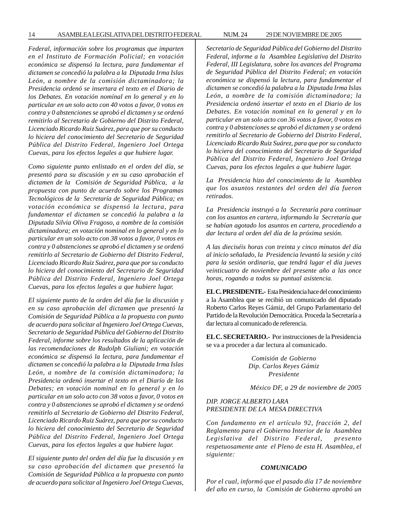14 ASAMBLEA LEGISLATIVA DEL DISTRITO FEDERAL NUM. 24 29 DE NOVIEMBRE DE 2005

*Federal, información sobre los programas que imparten en el Instituto de Formación Policial; en votación económica se dispensó la lectura, para fundamentar el dictamen se concedió la palabra a la Diputada Irma Islas León, a nombre de la comisión dictaminadora; la Presidencia ordenó se insertara el texto en el Diario de los Debates. En votación nominal en lo general y en lo particular en un solo acto con 40 votos a favor, 0 votos en contra y 0 abstenciones se aprobó el dictamen y se ordenó remitirlo al Secretario de Gobierno del Distrito Federal, Licenciado Ricardo Ruiz Suárez, para que por su conducto lo hiciera del conocimiento del Secretario de Seguridad Pública del Distrito Federal, Ingeniero Joel Ortega Cuevas, para los efectos legales a que hubiere lugar.*

*Como siguiente punto enlistado en el orden del día, se presentó para su discusión y en su caso aprobación el dictamen de la Comisión de Seguridad Pública, a la propuesta con punto de acuerdo sobre los Programas Tecnológicos de la Secretaría de Seguridad Pública; en votación económica se dispensó la lectura, para fundamentar el dictamen se concedió la palabra a la Diputada Silvia Oliva Fragoso, a nombre de la comisión dictaminadora; en votación nominal en lo general y en lo particular en un solo acto con 38 votos a favor, 0 votos en contra y 0 abstenciones se aprobó el dictamen y se ordenó remitirlo al Secretario de Gobierno del Distrito Federal, Licenciado Ricardo Ruiz Suárez, para que por su conducto lo hiciera del conocimiento del Secretario de Seguridad Pública del Distrito Federal, Ingeniero Joel Ortega Cuevas, para los efectos legales a que hubiere lugar.*

*El siguiente punto de la orden del día fue la discusión y en su caso aprobación del dictamen que presentó la Comisión de Seguridad Pública a la propuesta con punto de acuerdo para solicitar al Ingeniero Joel Ortega Cuevas, Secretario de Seguridad Pública del Gobierno del Distrito Federal, informe sobre los resultados de la aplicación de las recomendaciones de Rudolph Giuliani; en votación económica se dispensó la lectura, para fundamentar el dictamen se concedió la palabra a la Diputada Irma Islas León, a nombre de la comisión dictaminadora; la Presidencia ordenó insertar el texto en el Diario de los Debates; en votación nominal en lo general y en lo particular en un solo acto con 38 votos a favor, 0 votos en contra y 0 abstenciones se aprobó el dictamen y se ordenó remitirlo al Secretario de Gobierno del Distrito Federal, Licenciado Ricardo Ruiz Suárez, para que por su conducto lo hiciera del conocimiento del Secretario de Seguridad Pública del Distrito Federal, Ingeniero Joel Ortega Cuevas, para los efectos legales a que hubiere lugar.*

*El siguiente punto del orden del día fue la discusión y en su caso aprobación del dictamen que presentó la Comisión de Seguridad Pública a la propuesta con punto de acuerdo para solicitar al Ingeniero Joel Ortega Cuevas,*

*Secretario de Seguridad Pública del Gobierno del Distrito Federal, informe a la Asamblea Legislativa del Distrito Federal, III Legislatura, sobre los avances del Programa de Seguridad Pública del Distrito Federal; en votación económica se dispensó la lectura, para fundamentar el dictamen se concedió la palabra a la Diputada Irma Islas León, a nombre de la comisión dictaminadora; la Presidencia ordenó insertar el texto en el Diario de los Debates. En votación nominal en lo general y en lo particular en un solo acto con 36 votos a favor, 0 votos en contra y 0 abstenciones se aprobó el dictamen y se ordenó remitirlo al Secretario de Gobierno del Distrito Federal, Licenciado Ricardo Ruiz Suárez, para que por su conducto lo hiciera del conocimiento del Secretario de Seguridad Pública del Distrito Federal, Ingeniero Joel Ortega Cuevas, para los efectos legales a que hubiere lugar.*

*La Presidencia hizo del conocimiento de la Asamblea que los asuntos restantes del orden del día fueron retirados.*

*La Presidencia instruyó a la Secretaría para continuar con los asuntos en cartera, informando la Secretaría que se habían agotado los asuntos en cartera, procediendo a dar lectura al orden del día de la próxima sesión.*

*A las dieciséis horas con treinta y cinco minutos del día al inicio señalado, la Presidencia levantó la sesión y citó para la sesión ordinaria, que tendrá lugar el día jueves veinticuatro de noviembre del presente año a las once horas, rogando a todos su puntual asistencia.*

**EL C. PRESIDENTE.-** Esta Presidencia hace del conocimiento a la Asamblea que se recibió un comunicado del diputado Roberto Carlos Reyes Gámiz, del Grupo Parlamentario del Partido de la Revolución Democrática. Proceda la Secretaría a dar lectura al comunicado de referencia.

**EL C. SECRETARIO.-** Por instrucciones de la Presidencia se va a proceder a dar lectura al comunicado.

> *Comisión de Gobierno Dip. Carlos Reyes Gámiz Presidente*

*México DF, a 29 de noviembre de 2005*

## *DIP. JORGE ALBERTO LARA PRESIDENTE DE LA MESA DIRECTIVA*

*Con fundamento en el artículo 92, fracción 2, del Reglamento para el Gobierno Interior de la Asamblea Legislativa del Distrito Federal, presento respetuosamente ante el Pleno de esta H. Asamblea, el siguiente:*

#### *COMUNICADO*

*Por el cual, informó que el pasado día 17 de noviembre del año en curso, la Comisión de Gobierno aprobó un*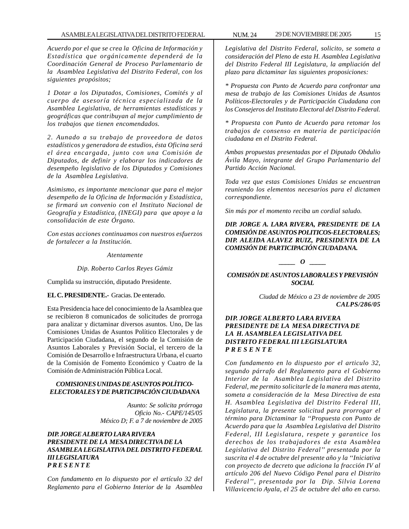*Acuerdo por el que se crea la Oficina de Información y Estadística que orgánicamente dependerá de la Coordinación General de Proceso Parlamentario de la Asamblea Legislativa del Distrito Federal, con los siguientes propósitos;*

*1 Dotar a los Diputados, Comisiones, Comités y al cuerpo de asesoría técnica especializada de la Asamblea Legislativa, de herramientas estadísticas y geográficas que contribuyan al mejor cumplimiento de los trabajos que tienen encomendados.*

*2. Aunado a su trabajo de proveedora de datos estadísticos y generadora de estudios, ésta Oficina será el área encargada, junto con una Comisión de Diputados, de definir y elaborar los indicadores de desempeño legislativo de los Diputados y Comisiones de la Asamblea Legislativa.*

*Asimismo, es importante mencionar que para el mejor desempeño de la Oficina de Información y Estadística, se firmará un convenio con el Instituto Nacional de Geografía y Estadística, (INEGI) para que apoye a la consolidación de este Órgano.*

*Con estas acciones continuamos con nuestros esfuerzos de fortalecer a la Institución.*

*Atentamente*

*Dip. Roberto Carlos Reyes Gámiz*

Cumplida su instrucción, diputado Presidente.

**EL C. PRESIDENTE.-** Gracias. De enterado.

Esta Presidencia hace del conocimiento de la Asamblea que se recibieron 8 comunicados de solicitudes de prorroga para analizar y dictaminar diversos asuntos. Uno, De las Comisiones Unidas de Asuntos Político Electorales y de Participación Ciudadana, el segundo de la Comisión de Asuntos Laborales y Previsión Social, el tercero de la Comisión de Desarrollo e Infraestructura Urbana, el cuarto de la Comisión de Fomento Económico y Cuatro de la Comisión de Administración Pública Local.

## *COMISIONES UNIDAS DE ASUNTOS POLÍTICO-ELECTORALES Y DE PARTICIPACIÓN CIUDADANA*

*Asunto: Se solicita prórroga Oficio No.- CAPE/145/05 México D; F. a 7 de noviembre de 2005*

#### *DIP. JORGE ALBERTO LARA RIVERA PRESIDENTE DE LA MESA DIRECTIVA DE LA ASAMBLEA LEGISLATIVA DEL DISTRITO FEDERAL III LEGISLATURA P R E S E N T E*

*Con fundamento en lo dispuesto por el artículo 32 del Reglamento para el Gobierno Interior de la Asamblea*

*Legislativa del Distrito Federal, solicito, se someta a consideración del Pleno de esta H. Asamblea Legislativa del Distrito Federal III Legislatura, la ampliación del plazo para dictaminar las siguientes proposiciones:*

*\* Propuesta con Punto de Acuerdo para confrontar una mesa de trabajo de las Comisiones Unidas de Asuntos Políticos-Electorales y de Participación Ciudadana con los Consejeros del Instituto Electoral del Distrito Federal.*

*\* Propuesta con Punto de Acuerdo para retomar los trabajos de consenso en materia de participación ciudadana en el Distrito Federal.*

*Ambas propuestas presentadas por el Diputado Obdulio Ávila Mayo, integrante del Grupo Parlamentario del Partido Acción Nacional.*

*Toda vez que estas Comisiones Unidas se encuentran reuniendo los elementos necesarios para el dictamen correspondiente.*

*Sin más por el momento reciba un cordial saludo.*

## *DIP. JORGE A. LARA RIVERA, PRESIDENTE DE LA COMISIÓN DE ASUNTOS POLITICOS-ELECTORALES; DIP. ALEIDA ALAVEZ RUIZ, PRESIDENTA DE LA COMISIÓN DE PARTICIPACIÓN CIUDADANA.*

*\_\_\_\_\_ O \_\_\_\_\_*

*COMISIÓN DE ASUNTOS LABORALES Y PREVISIÓN SOCIAL*

> *Ciudad de México a 23 de noviembre de 2005 CALPS/286/05*

## *DIP. JORGE ALBERTO LARA RIVERA PRESIDENTE DE LA MESA DIRECTIVA DE LA H. ASAMBLEA LEGISLATIVA DEL DISTRITO FEDERAL III LEGISLATURA P R E S E N T E*

*Con fundamento en lo dispuesto por el articulo 32, segundo párrafo del Reglamento para el Gobierno Interior de la Asamblea Legislativa del Distrito Federal, me permito solicitarle de la manera mas atenta, someta a consideración de la Mesa Directiva de esta H. Asamblea Legislativa del Distrito Federal III, Legislatura, la presente solicitud para prorrogar el término para Dictaminar la ''Propuesta con Punto de Acuerdo para que la Asamblea Legislativa del Distrito Federal, III Legislatura, respete y garantice los derechos de los trabajadores de esta Asamblea Legislativa del Distrito Federal'' presentada por la suscrita el 4 de octubre del presente año y la ''Iniciativa con proyecto de decreto que adiciona la fracción IV al artículo 206 del Nuevo Código Penal para el Distrito Federal'', presentada por la Dip. Silvia Lorena Villavicencio Ayala, el 25 de octubre del año en curso.*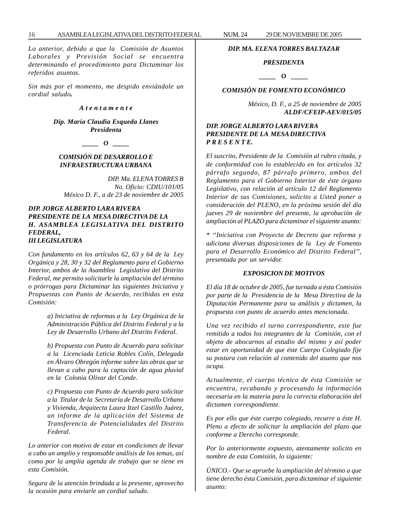*Lo anterior, debido a que la Comisión de Asuntos Laborales y Previsión Social se encuentra determinando el procedimiento para Dictaminar los referidos asuntos.*

*Sin más por el momento, me despido enviándole un cordial saludo.*

#### *A t e n t a m e n t e*

*Dip. María Claudia Esqueda Llanes Presidenta*

*\_\_\_\_\_ O \_\_\_\_\_*

#### *COMISIÓN DE DESARROLLO E INFRAESTRUCTURA URBANA*

*DIP. Ma. ELENA TORRES B No. Oficio: CDIU/101/05 México D. F., a de 23 de noviembre de 2005*

#### *DIP. JORGE ALBERTO LARA RIVERA PRESIDENTE DE LA MESA DIRECTIVA DE LA H. ASAMBLEA LEGISLATIVA DEL DISTRITO FEDERAL, III LEGISLATURA*

*Con fundamento en los artículos 62, 63 y 64 de la Ley Orgánica y 28, 30 y 32 del Reglamento para el Gobierno Interior, ambos de la Asamblea Legislativa del Distrito Federal, me permito solicitarle la ampliación del término o prórrogas para Dictaminar las siguientes Iniciativa y Propuestas con Punto de Acuerdo, recibidas en esta Comisión:*

> *a) Iniciativa de reformas a la Ley Orgánica de la Administración Pública del Distrito Federal y a la Ley de Desarrollo Urbano del Distrito Federal.*

> *b) Propuesta con Punto de Acuerdo para solicitar a la Licenciada Leticia Robles Colín, Delegada en Álvaro Obregón informe sobre las obras que se llevan a cabo para la captación de agua pluvial en la Colonia Olivar del Conde.*

> *c) Propuesta con Punto de Acuerdo para solicitar a la Titular de la Secretaría de Desarrollo Urbano y Vivienda, Arquitecta Laura Itzel Castillo Juárez, un informe de la aplicación del Sistema de Transferencia de Potencialidades del Distrito Federal.*

*Lo anterior con motivo de estar en condiciones de llevar a cabo un amplio y responsable análisis de los temas, así como por la amplia agenda de trabajo que se tiene en esta Comisión.*

*Segura de la atención brindada a la presente, aprovecho la ocasión para enviarle un cordial saludo.*

#### *DIP. MA. ELENA TORRES BALTAZAR*

## *PRESIDENTA*

*d*  $\theta$ 

## *COMISIÓN DE FOMENTO ECONÓMICO*

*México, D. F., a 25 de noviembre de 2005 ALDF/CFEIP-AEV/015/05*

## *DIP. JORGE ALBERTO LARA RIVERA PRESIDENTE DE LA MESA DIRECTIVA P R E S E N T E.*

*El suscrito, Presidente de la Comisión al rubro citada, y de conformidad con lo establecido en los artículos 32 párrafo segundo, 87 párrafo primero, ambos del Reglamento para el Gobierno Interior de éste órgano Legislativo, con relación al artículo 12 del Reglamento Interior de sus Comisiones, solicito a Usted poner a consideración del PLENO, en la próxima sesión del día jueves 29 de noviembre del presente, la aprobación de ampliación al PLAZO para dictaminar el siguiente asunto:*

*\* ''Iniciativa con Proyecto de Decreto que reforma y adiciona diversas disposiciones de la Ley de Fomento para el Desarrollo Económico del Distrito Federal'', presentada por un servidor.*

#### *EXPOSICION DE MOTIVOS*

*El día 18 de octubre de 2005, fue turnada a ésta Comisión por parte de la Presidencia de la Mesa Directiva de la Diputación Permanente para su análisis y dictamen, la propuesta con punto de acuerdo antes mencionada.*

*Una vez recibido el turno correspondiente, este fue remitido a todos los integrantes de la Comisión, con el objeto de abocarnos al estudio del mismo y así poder estar en oportunidad de que éste Cuerpo Colegiado fije su postura con relación al contenido del asunto que nos ocupa.*

*Actualmente, el cuerpo técnico de ésta Comisión se encuentra, recabando y procesando la información necesaria en la materia para la correcta elaboración del dictamen correspondiente.*

*Es por ello que éste cuerpo colegiado, recurre a éste H. Pleno a efecto de solicitar la ampliación del plazo que conforme a Derecho corresponde.*

*Por lo anteriormente expuesto, atentamente solicito en nombre de esta Comisión, lo siguiente:*

*ÚNICO.- Que se apruebe la ampliación del término a que tiene derecho ésta Comisión, para dictaminar el siguiente asunto:*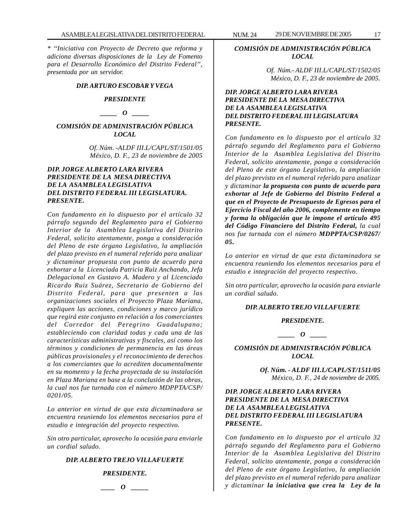*\* ''Iniciativa con Proyecto de Decreto que reforma y adiciona diversas disposiciones de la Ley de Fomento para el Desarrollo Económico del Distrito Federal'', presentada por un servidor.*

#### *DIP. ARTURO ESCOBAR Y VEGA*

#### *PRESIDENTE*

*\_\_\_\_\_ O \_\_\_\_\_*

## *COMISIÓN DE ADMINISTRACIÓN PÚBLICA LOCAL*

*Of. Núm. -ALDF III.L/CAPL/ST/1501/05 México, D. F., 23 de noviembre de 2005*

### *DIP. JORGE ALBERTO LARA RIVERA PRESIDENTE DE LA MESA DIRECTIVA DE LA ASAMBLEA LEGISLATIVA DEL DISTRITO FEDERAL III LEGISLATURA. PRESENTE.*

*Con fundamento en lo dispuesto por el artículo 32 párrafo segundo del Reglamento para el Gobierno Interior de la Asamblea Legislativa del Distrito Federal, solicito atentamente, ponga a consideración del Pleno de este órgano Legislativo, la ampliación del plazo previsto en el numeral referido para analizar y dictaminar propuesta con punto de acuerdo para exhortar a la Licenciada Patricia Ruiz Anchando, Jefa Delegacional en Gustavo A. Madero y al Licenciado Ricardo Ruiz Suárez, Secretario de Gobierno del Distrito Federal, para que presenten a las organizaciones sociales el Proyecto Plaza Mariana, expliquen las acciones, condiciones y marco jurídico que regirá este conjunto en relación a los comerciantes del Corredor del Peregrino Guadalupano; estableciendo con claridad todas y cada una de las características administrativas y fiscales, así como los términos y condiciones de permanencia en las áreas públicas provisionales y el reconocimiento de derechos a los comerciantes que lo acrediten documentalmente en su momento y la fecha proyectada de su instalación en Plaza Mariana en base a la conclusión de las obras, la cual nos fue turnada con el número MDPPTA/CSP/ 0201/05.*

*Lo anterior en virtud de que esta dictaminadora se encuentra reuniendo los elementos necesarios para el estudio e integración del proyecto respectivo.*

*Sin otro particular, aprovecho la ocasión para enviarle un cordial saludo.*

#### *DIP. ALBERTO TREJO VILLAFUERTE*

*PRESIDENTE.*

*\_\_\_\_ O \_\_\_\_\_*

## *COMISIÓN DE ADMINISTRACIÓN PÚBLICA LOCAL*

*Of. Núm.- ALDF III.L/CAPL/ST/1502/05 México, D. F., 23 de noviembre de 2005.*

## *DIP. JORGE ALBERTO LARA RIVERA PRESIDENTE DE LA MESA DIRECTIVA DE LA ASAMBLEA LEGISLATIVA DEL DISTRITO FEDERAL III LEGISLATURA PRESENTE.*

*Con fundamento en lo dispuesto por el artículo 32 párrafo segundo del Reglamento para el Gobierno Interior de la Asamblea Legislativa del Distrito Federal, solicito atentamente, ponga a consideración del Pleno de este órgano Legislativo, la ampliación del plazo previsto en el numeral referido para analizar y dictaminar la propuesta con punto de acuerdo para exhortar al Jefe de Gobierno del Distrito Federal a que en el Proyecto de Presupuesto de Egresos para el Ejercicio Fiscal del año 2006, complemente en tiempo y forma la obligación que le impone el artículo 495 del Código Financiero del Distrito Federal, la cual nos fue turnada con el número MDPPTA/CSP/0267/ 05.*

*Lo anterior en virtud de que esta dictaminadora se encuentra reuniendo los elementos necesarios para el estudio e integración del proyecto respectivo.*

*Sin otro particular, aprovecho la ocasión para enviarle un cordial saludo.*

#### *DIP. ALBERTO TREJO VILLAFUERTE*

#### *PRESIDENTE.*

*\_\_\_\_\_ O \_\_\_\_\_*

*COMISIÓN DE ADMINISTRACIÓN PÚBLICA LOCAL*

> *Of. Núm. - ALDF III.L/CAPL/ST/1511/05 México, D. F., 24 de noviembre de 2005.*

#### *DIP. JORGE ALBERTO LARA RIVERA PRESIDENTE DE LA MESA DIRECTIVA DE LA ASAMBLEA LEGISLATIVA DEL DISTRITO FEDERAL III LEGISLATURA PRESENTE.*

*Con fundamento en lo dispuesto por el artículo 32 párrafo segundo del Reglamento para el Gobierno Interior de la Asamblea Legislativa del Distrito Federal, solicito atentamente, ponga a consideración del Pleno de este órgano Legislativo, la ampliación del plazo previsto en el numeral referido para analizar y dictaminar la iniciativa que crea la Ley de la*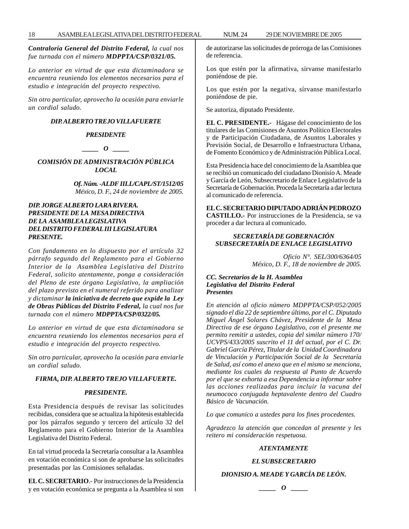*Contraloría General del Distrito Federal, la cual nos fue turnada con el número MDPPTA/CSP/0321/05.*

*Lo anterior en virtud de que esta dictaminadora se encuentra reuniendo los elementos necesarios para el estudio e integración del proyecto respectivo.*

*Sin otro particular, aprovecho la ocasión para enviarle un cordial saludo.*

#### *DIP. ALBERTO TREJO VILLAFUERTE*

#### *PRESIDENTE*

*\_\_\_\_\_ O \_\_\_\_\_*

*COMISIÓN DE ADMINISTRACIÓN PÚBLICA LOCAL*

> *Of. Núm. -ALDF III.L/CAPL/ST/1512/05 México, D. F., 24 de noviembre de 2005.*

## *DIP. JORGE ALBERTO LARA RIVERA. PRESIDENTE DE LA MESA DIRECTIVA DE LA ASAMBLEA LEGISLATIVA DEL DISTRITO FEDERAL III LEGISLATURA PRESENTE.*

*Con fundamento en lo dispuesto por el artículo 32 párrafo segundo del Reglamento para el Gobierno Interior de la Asamblea Legislativa del Distrito Federal, solicito atentamente, ponga a consideración del Pleno de este órgano Legislativo, la ampliación del plazo previsto en el numeral referido para analizar y dictaminar la iniciativa de decreto que expide la Ley de Obras Públicas del Distrito Federal, la cual nos fue turnada con el número MDPPTA/CSP/0322/05.*

*Lo anterior en virtud de que esta dictaminadora se encuentra reuniendo los elementos necesarios para el estudio e integración del proyecto respectivo.*

*Sin otro particular, aprovecho la ocasión para enviarle un cordial saludo.*

#### *FIRMA, DIP. ALBERTO TREJO VILLAFUERTE.*

#### *PRESIDENTE.*

Esta Presidencia después de revisar las solicitudes recibidas, considera que se actualiza la hipótesis establecida por los párrafos segundo y tercero del artículo 32 del Reglamento para el Gobierno Interior de la Asamblea Legislativa del Distrito Federal.

En tal virtud proceda la Secretaría consultar a la Asamblea en votación económica si son de aprobarse las solicitudes presentadas por las Comisiones señaladas.

**EL C. SECRETARIO**.- Por instrucciones de la Presidencia y en votación económica se pregunta a la Asamblea si son de autorizarse las solicitudes de prórroga de las Comisiones de referencia.

Los que estén por la afirmativa, sírvanse manifestarlo poniéndose de pie.

Los que estén por la negativa, sírvanse manifestarlo poniéndose de pie.

Se autoriza, diputado Presidente.

**EL C. PRESIDENTE.-** Hágase del conocimiento de los titulares de las Comisiones de Asuntos Político Electorales y de Participación Ciudadana, de Asuntos Laborales y Previsión Social, de Desarrollo e Infraestructura Urbana, de Fomento Económico y de Administración Pública Local.

Esta Presidencia hace del conocimiento de la Asamblea que se recibió un comunicado del ciudadano Dionisio A. Meade y García de León, Subsecretario de Enlace Legislativo de la Secretaría de Gobernación. Proceda la Secretaría a dar lectura al comunicado de referencia.

**EL C. SECRETARIO DIPUTADO ADRIÁN PEDROZO CASTILLO.-** Por instrucciones de la Presidencia, se va proceder a dar lectura al comunicado.

#### *SECRETARÍA DE GOBERNACIÓN SUBSECRETARÍA DE ENLACE LEGISLATIVO*

*Oficio N°. SEL/300/6364/05 México, D. F., 18 de noviembre de 2005.*

#### *CC. Secretarios de la H. Asamblea Legislativa del Distrito Federal Presentes*

*En atención al oficio número MDPPTA/CSP/052/2005 signado el día 22 de septiembre último, por el C. Diputado Miguel Ángel Solares Chávez, Presidente de la Mesa Directiva de ese órgano Legislativo, con el presente me permito remitir a ustedes, copia del similar número 170/ UCVPS/433/2005 suscrito el 11 del actual, por el C. Dr. Gabriel García Pérez, Titular de la Unidad Coordinadora de Vinculación y Participación Social de la Secretaría de Salud, así como el anexo que en el mismo se menciona, mediante los cuales da respuesta al Punto de Acuerdo por el que se exhorta a esa Dependencia a informar sobre las acciones realizadas para incluir la vacuna del neumococo conjugada heptavalente dentro del Cuadro Básico de Vacunación.*

*Lo que comunico a ustedes para los fines procedentes.*

*Agradezco la atención que concedan al presente y les reitero mi consideración respetuosa.*

#### *ATENTAMENTE*

#### *EL SUBSECRETARIO*

## *DIONISIO A. MEADE Y GARCÍA DE LEÓN.*

*\_\_\_\_\_ O \_\_\_\_\_*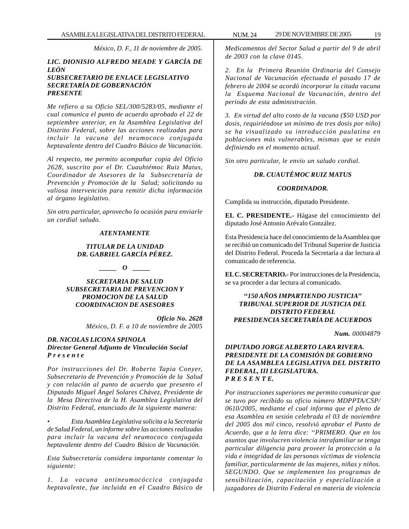*México, D. F., 11 de noviembre de 2005.*

#### *LIC. DIONISIO ALFREDO MEADE Y GARCÍA DE LEÓN SUBSECRETARIO DE ENLACE LEGISLATIVO SECRETARÍA DE GOBERNACIÓN PRESENTE*

*Me refiero a su Oficio SEL/300/5283/05, mediante el cual comunica el punto de acuerdo aprobado el 22 de septiembre anterior, en la Asamblea Legislativa del Distrito Federal, sobre las acciones realizadas para incluir la vacuna del neumococo conjugada heptavalente dentro del Cuadro Básico de Vacunación.*

*Al respecto, me permito acompañar copia del Oficio 2628, suscrito por el Dr. Cuauhtémoc Ruiz Matus, Coordinador de Asesores de la Subsecretaría de Prevención y Promoción de la Salud; solicitando su valiosa intervención para remitir dicha información al órgano legislativo.*

*Sin otro particular, aprovecho la ocasión para enviarle un cordial saludo.*

#### *ATENTAMENTE*

#### *TITULAR DE LA UNIDAD DR. GABRIEL GARCÍA PÉREZ.*

*\_\_\_\_\_ O \_\_\_\_\_*

*SECRETARIA DE SALUD SUBSECRETARIA DE PREVENCION Y PROMOCION DE LA SALUD COORDINACION DE ASESORES*

> *Oficio No. 2628 México, D. F. a 10 de noviembre de 2005*

#### *DR. NICOLAS LICONA SPINOLA Director General Adjunto de Vinculación Social P r e s e n t e*

*Por instrucciones del Dr. Roberto Tapia Conyer, Subsecretario de Prevención y Promoción de la Salud y con relación al punto de acuerdo que presento el Diputado Miguel Ángel Solares Chávez, Presidente de la Mesa Directiva de la H. Asamblea Legislativa del Distrito Federal, enunciado de la siguiente manera:*

*• Esta Asamblea Legislativa solicita a la Secretaría de Salud Federal, un informe sobre las acciones realizadas para incluir la vacuna del neumococo conjugada heptavalente dentro del Cuadro Básico de Vacunación.*

*Esta Subsecretaría considera importante comentar lo siguiente:*

*1. La vacuna antineumocóccica conjugada heptavalente, fue incluida en el Cuadro Básico de*

*Medicamentos del Sector Salud a partir del 9 de abril de 2003 con la clave 0145.*

*2. En la Primera Reunión Ordinaria del Consejo Nacional de Vacunación efectuada el pasado 17 de febrero de 2004 se acordó incorporar la citada vacuna la Esquema Nacional de Vacunación, dentro del periodo de esta administración.*

*3. En virtud del alto costo de la vacuna (\$50 USD por dosis, requiriéndose un mínimo de tres dosis por niño) se ha visualizado su introducción paulatina en poblaciones más vulnerables, mismas que se están definiendo en el momento actual.*

*Sin otro particular, le envío un saludo cordial.*

## *DR. CUAUTÉMOC RUIZ MATUS*

#### *COORDINADOR.*

Cumplida su instrucción, diputado Presidente.

**EL C. PRESIDENTE.-** Hágase del conocimiento del diputado José Antonio Arévalo González.

Esta Presidencia hace del conocimiento de la Asamblea que se recibió un comunicado del Tribunal Superior de Justicia del Distrito Federal. Proceda la Secretaría a dar lectura al comunicado de referencia.

**EL C. SECRETARIO.-** Por instrucciones de la Presidencia, se va proceder a dar lectura al comunicado.

#### *''150 AÑOS IMPARTIENDO JUSTICIA'' TRIBUNAL SUPERIOR DE JUSTICIA DEL DISTRITO FEDERAL PRESIDENCIA SECRETARÍA DE ACUERDOS*

*Num. 00004879*

## *DIPUTADO JORGE ALBERTO LARA RIVERA. PRESIDENTE DE LA COMISIÓN DE GOBIERNO DE LA ASAMBLEA LEGISLATIVA DEL DISTRITO FEDERAL, III LEGISLATURA. P R E S E N T E.*

*Por instrucciones superiores me permito comunicar que se tuvo por recibido su oficio número MDPPTA/CSP/ 0610/2005, mediante el cual informa que el pleno de esa Asamblea en sesión celebrada el 03 de noviembre del 2005 dos mil cinco, resolvió aprobar el Punto de Acuerdo, que a la letra dice: ''PRIMERO. Que en los asuntos que involucren violencia intrafamiliar se tenga particular diligencia para proveer la protección a la vida e integridad de las personas víctimas de violencia familiar, particularmente de las mujeres, niñas y niños. SEGUNDO. Que se implementen los programas de sensibilización, capacitación y especialización a juzgadores de Distrito Federal en materia de violencia*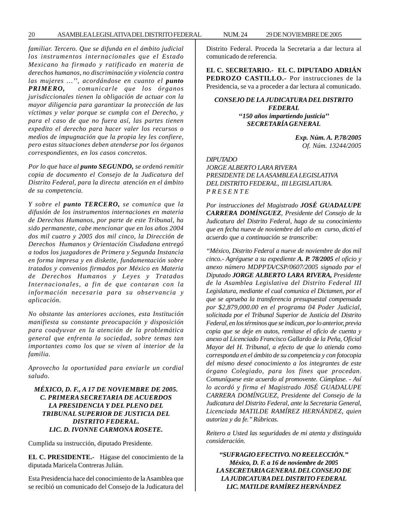*familiar. Tercero. Que se difunda en el ámbito judicial los instrumentos internacionales que el Estado Mexicano ha firmado y ratificado en materia de derechos humanos, no discriminación y violencia contra las mujeres …'', acordándose en cuanto el punto PRIMERO, comunicarle que los órganos jurisdiccionales tienen la obligación de actuar con la mayor diligencia para garantizar la protección de las víctimas y velar porque se cumpla con el Derecho, y para el caso de que no fuera así, las partes tienen expedito el derecho para hacer valer los recursos o medios de impugnación que la propia ley les confiere, pero estas situaciones deben atenderse por los órganos correspondientes, en los casos concretos.*

*Por lo que hace al punto SEGUNDO, se ordenó remitir copia de documento el Consejo de la Judicatura del Distrito Federal, para la directa atención en el ámbito de su competencia.*

*Y sobre el punto TERCERO, se comunica que la difusión de los instrumentos internaciones en materia de Derechos Humanos, por parte de este Tribunal, ha sido permanente, cabe mencionar que en los años 2004 dos mil cuatro y 2005 dos mil cinco, la Dirección de Derechos Humanos y Orientación Ciudadana entregó a todos los juzgadores de Primera y Segunda Instancia en forma impresa y en diskette, fundamentación sobre tratados y convenios firmados por México en Materia de Derechos Humanos y Leyes y Tratados Internacionales, a fin de que contaran con la información necesaria para su observancia y aplicación.*

*No obstante las anteriores acciones, esta Institución manifiesta su constante preocupación y disposición para coadyuvar en la atención de la problemática general que enfrenta la sociedad, sobre temas tan importantes como los que se viven al interior de la familia.*

*Aprovecho la oportunidad para enviarle un cordial saludo.*

## *MÉXICO, D. F., A 17 DE NOVIEMBRE DE 2005. C. PRIMERA SECRETARIA DE ACUERDOS LA PRESIDENCIA Y DEL PLENO DEL TRIBUNAL SUPERIOR DE JUSTICIA DEL DISTRITO FEDERAL. LIC. D. IVONNE CARMONA ROSETE.*

Cumplida su instrucción, diputado Presidente.

**EL C. PRESIDENTE.-** Hágase del conocimiento de la diputada Maricela Contreras Julián.

Esta Presidencia hace del conocimiento de la Asamblea que se recibió un comunicado del Consejo de la Judicatura del Distrito Federal. Proceda la Secretaria a dar lectura al comunicado de referencia.

**EL C. SECRETARIO.- EL C. DIPUTADO ADRIÁN PEDROZO CASTILLO.-** Por instrucciones de la Presidencia, se va a proceder a dar lectura al comunicado.

## *CONSEJO DE LA JUDICATURA DEL DISTRITO FEDERAL ''150 años impartiendo justicia'' SECRETARÍA GENERAL*

*Exp. Núm. A. P.78/2005 Of. Núm. 13244/2005*

#### *DIPUTADO*

*JORGE ALBERTO LARA RIVERA PRESIDENTE DE LA ASAMBLEA LEGISLATIVA DEL DISTRITO FEDERAL, III LEGISLATURA. P R E S E N T E*

*Por instrucciones del Magistrado JOSÉ GUADALUPE CARRERA DOMÍNGUEZ, Presidente del Consejo de la Judicatura del Distrito Federal, hago de su conocimiento que en fecha nueve de noviembre del año en curso, dictó el acuerdo que a continuación se transcribe:*

*''México, Distrito Federal a nueve de noviembre de dos mil cinco.- Agréguese a su expediente A. P. 78/2005 el oficio y anexo número MDPPTA/CSP/0607/2005 signado por el Diputado JORGE ALBERTO LARA RIVERA, Presidente de la Asamblea Legislativa del Distrito Federal III Legislatura, mediante el cual comunica el Dictamen, por el que se aprueba la transferencia presupuestal compensada por \$2,879,000.00 en el programa 04 Poder Judicial, solicitada por el Tribunal Superior de Justicia del Distrito Federal, en los términos que se indican, por lo anterior, previa copia que se deje en autos, remítase el oficio de cuenta y anexo al Licenciado Francisco Gallardo de la Peña, Oficial Mayor del H. Tribunal, a efecto de que lo atienda como corresponda en el ámbito de su competencia y con fotocopia del mismo deseé conocimiento a los integrantes de este órgano Colegiado, para los fines que procedan. Comuníquese este acuerdo al promovente. Cúmplase. - Así lo acordó y firma el Magistrado J0SÉ GUADALUPE CARRERA DOMÍNGUEZ, Presidente del Consejo de la Judicatura del Distrito Federal, ante la Secretaria General, Licenciada MATILDE RAMÍREZ HERNÁNDEZ, quien autoriza y da fe.'' Rúbricas.*

*Reitero a Usted las seguridades de mi atenta y distinguida consideración.*

*''SUFRAGIO EFECTIVO. NO REELECCIÓN.'' México, D. F. a 16 de noviembre de 2005 LA SECRETARIA GENERAL DEL CONSEJO DE LA JUDICATURA DEL DISTRITO FEDERAL LIC. MATILDE RAMÍREZ HERNÁNDEZ*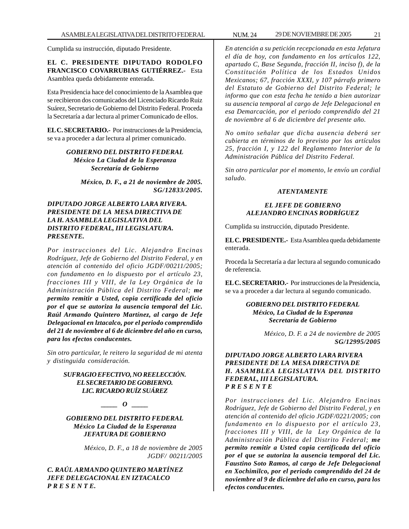Cumplida su instrucción, diputado Presidente.

**EL C. PRESIDENTE DIPUTADO RODOLFO FRANCISCO COVARRUBIAS GUTIÉRREZ.-** Esta Asamblea queda debidamente enterada.

Esta Presidencia hace del conocimiento de la Asamblea que se recibieron dos comunicados del Licenciado Ricardo Ruiz Suárez, Secretario de Gobierno del Distrito Federal. Proceda la Secretaría a dar lectura al primer Comunicado de ellos.

**EL C. SECRETARIO.-** Por instrucciones de la Presidencia, se va a proceder a dar lectura al primer comunicado.

#### *GOBIERNO DEL DISTRITO FEDERAL México La Ciudad de la Esperanza Secretaría de Gobierno*

*México, D. F., a 21 de noviembre de 2005. SG/12833/2005.*

## *DIPUTADO JORGE ALBERTO LARA RIVERA. PRESIDENTE DE LA MESA DIRECTIVA DE LA H. ASAMBLEA LEGISLATIVA DEL DISTRITO FEDERAL, III LEGISLATURA. PRESENTE.*

*Por instrucciones del Lic. Alejandro Encinas Rodríguez, Jefe de Gobierno del Distrito Federal, y en atención al contenido del oficio JGDF/00211/2005; con fundamento en lo dispuesto por el artículo 23, fracciones III y VIII, de la Ley Orgánica de la Administración Pública del Distrito Federal; me permito remitir a Usted, copia certificada del oficio por el que se autoriza la ausencia temporal del Lic. Raúl Armando Quintero Martínez, al cargo de Jefe Delegacional en lztacalco, por el periodo comprendido del 21 de noviembre al 6 de diciembre del año en curso, para los efectos conducentes.*

*Sin otro particular, le reitero la seguridad de mi atenta y distinguida consideración.*

## *SUFRAGIO EFECTIVO, NO REELECCIÓN. EL SECRETARIO DE GOBIERNO. LIC. RICARDO RUÍZ SUÁREZ*

*\_\_\_\_\_ O \_\_\_\_\_*

*GOBIERNO DEL DISTRITO FEDERAL México La Ciudad de la Esperanza JEFATURA DE GOBIERNO*

> *México, D. F., a 18 de noviembre de 2005 JGDF/ 00211/2005*

## *C. RAÚL ARMANDO QUINTERO MARTÍNEZ JEFE DELEGACIONAL EN IZTACALCO P R E S E N T E.*

*En atención a su petición recepcionada en esta Jefatura el día de hoy, con fundamento en los artículos 122, apartado C, Base Segunda, fracción II, inciso f), de la Constitución Política de los Estados Unidos Mexicanos; 67, fracción XXXI, y 107 párrafo primero del Estatuto de Gobierno del Distrito Federal; le informo que con esta fecha he tenido a bien autorizar su ausencia temporal al cargo de Jefe Delegacional en esa Demarcación, por el periodo comprendido del 21 de noviembre al 6 de diciembre del presente año.*

*No omito señalar que dicha ausencia deberá ser cubierta en términos de lo previsto por los artículos 25, fracción I, y 122 del Reglamento Interior de la Administración Pública del Distrito Federal.*

*Sin otro particular por el momento, le envío un cordial saludo.*

#### *ATENTAMENTE*

## *EL JEFE DE GOBIERNO ALEJANDRO ENCINAS RODRÍGUEZ*

Cumplida su instrucción, diputado Presidente.

**EL C. PRESIDENTE.-** Esta Asamblea queda debidamente enterada.

Proceda la Secretaría a dar lectura al segundo comunicado de referencia.

**EL C. SECRETARIO.-** Por instrucciones de la Presidencia, se va a proceder a dar lectura al segundo comunicado.

> *GOBIERNO DEL DISTRITO FEDERAL México, La Ciudad de la Esperanza Secretaría de Gobierno*

> > *México, D. F. a 24 de noviembre de 2005 SG/12995/2005*

#### *DIPUTADO JORGE ALBERTO LARA RIVERA PRESIDENTE DE LA MESA DIRECTIVA DE H. ASAMBLEA LEGISLATIVA DEL DISTRITO FEDERAL, III LEGISLATURA. P R E S E N T E*

*Por instrucciones del Lic. Alejandro Encinas Rodríguez, Jefe de Gobierno del Distrito Federal, y en atención al contenido del oficio JGDF/0221/2005; con fundamento en lo dispuesto por el artículo 23, fracciones III y VIII, de la Ley Orgánica de la Administración Pública del Distrito Federal; me permito remitir a Usted copia certificada del oficio por el que se autoriza la ausencia temporal del Lic. Faustino Soto Ramos, al cargo de Jefe Delegacional en Xochimilco, por el periodo comprendido del 24 de noviembre al 9 de diciembre del año en curso, para los efectos conducentes.*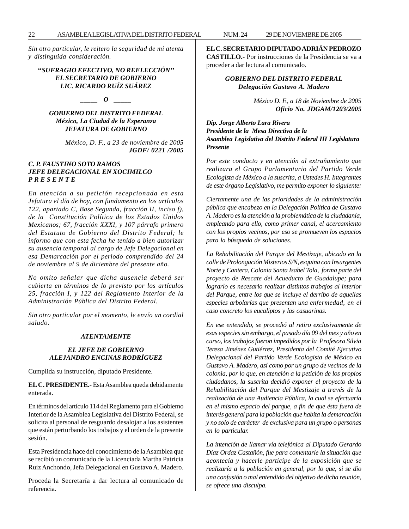*Sin otro particular, le reitero la seguridad de mi atenta y distinguida consideración.*

#### *''SUFRAGIO EFECTIVO, NO REELECCIÓN'' EL SECRETARIO DE GOBIERNO LIC. RICARDO RUÍZ SUÁREZ*

*\_\_\_\_\_ O \_\_\_\_\_*

## *GOBIERNO DEL DISTRITO FEDERAL México, La Ciudad de la Esperanza JEFATURA DE GOBIERNO*

*México, D. F., a 23 de noviembre de 2005 JGDF/ 0221 /2005*

#### *C. P. FAUSTINO SOTO RAMOS JEFE DELEGACIONAL EN XOCIMILCO P R E S E N T E*

*En atención a su petición recepcionada en esta Jefatura el día de hoy, con fundamento en los artículos 122, apartado C, Base Segunda, fracción II, inciso f), de la Constitución Política de los Estados Unidos Mexicanos; 67, fracción XXXI, y 107 párrafo primero del Estatuto de Gobierno del Distrito Federal; le informo que con esta fecha he tenido a bien autorizar su ausencia temporal al cargo de Jefe Delegacional en esa Demarcación por el periodo comprendido del 24 de noviembre al 9 de diciembre del presente año.*

*No omito señalar que dicha ausencia deberá ser cubierta en términos de lo previsto por los artículos 25, fracción I, y 122 del Reglamento Interior de la Administración Pública del Distrito Federal.*

*Sin otro particular por el momento, le envío un cordial saludo.*

#### *ATENTAMENTE*

#### *EL JEFE DE GOBIERNO ALEJANDRO ENCINAS RODRÍGUEZ*

Cumplida su instrucción, diputado Presidente.

**EL C. PRESIDENTE.-** Esta Asamblea queda debidamente enterada.

En términos del artículo 114 del Reglamento para el Gobierno Interior de la Asamblea Legislativa del Distrito Federal, se solicita al personal de resguardo desalojar a los asistentes que están perturbando los trabajos y el orden de la presente sesión.

Esta Presidencia hace del conocimiento de la Asamblea que se recibió un comunicado de la Licenciada Martha Patricia Ruiz Anchondo, Jefa Delegacional en Gustavo A. Madero.

Proceda la Secretaría a dar lectura al comunicado de referencia.

**EL C. SECRETARIO DIPUTADO ADRIÁN PEDROZO CASTILLO.-** Por instrucciones de la Presidencia se va a proceder a dar lectura al comunicado.

## *GOBIERNO DEL DISTRITO FEDERAL Delegación Gustavo A. Madero*

*México D. F., a 18 de Noviembre de 2005 Oficio No. JDGAM/1203/2005*

*Dip. Jorge Alberto Lara Rivera Presidente de la Mesa Directiva de la Asamblea Legislativa del Distrito Federal III Legislatura Presente*

*Por este conducto y en atención al extrañamiento que realizara el Grupo Parlamentario del Partido Verde Ecologista de México a la suscrita, a Ustedes H. Integrantes de este órgano Legislativo, me permito exponer lo siguiente:*

*Ciertamente una de las prioridades de la administración pública que encabezo en la Delegación Política de Gustavo A. Madero es la atención a la problemática de la ciudadanía, empleando para ello, como primer canal, el acercamiento con los propios vecinos, por eso se promueven los espacios para la búsqueda de soluciones.*

*La Rehabilitación del Parque del Mestizaje, ubicado en la calle de Prolongación Misterios S/N, esquina con Insurgentes Norte y Cantera, Colonia Santa Isabel Tola, forma parte del proyecto de Rescate del Acueducto de Guadalupe; para lograrlo es necesario realizar distintos trabajos al interior del Parque, entre los que se incluye el derribo de aquellas especies arbolarías que presentan una enfermedad, en el caso concreto los eucaliptos y las casuarinas.*

*En ese entendido, se procedió al retiro exclusivamente de esas especies sin embargo, el pasado día 09 del mes y año en curso, los trabajos fueron impedidos por la Profesora Silvia Teresa Jiménez Gutiérrez, Presidenta del Comité Ejecutivo Delegacional del Partido Verde Ecologista de México en Gustavo A. Madero, así como por un grupo de vecinos de la colonia, por lo que, en atención a la petición de los propios ciudadanos, la suscrita decidió exponer el proyecto de la Rehabilitación del Parque del Mestizaje a través de la realización de una Audiencia Pública, la cual se efectuaría en el mismo espacio del parque, a fin de que ésta fuera de interés general para la población que habita la demarcación y no solo de carácter de exclusiva para un grupo o personas en lo particular.*

*La intención de llamar vía telefónica al Diputado Gerardo Díaz Ordaz Castañón, fue para comentarle la situación que acontecía y hacerle participe de la exposición que se realizaría a la población en general, por lo que, si se dio una confusión o mal entendido del objetivo de dicha reunión, se ofrece una disculpa.*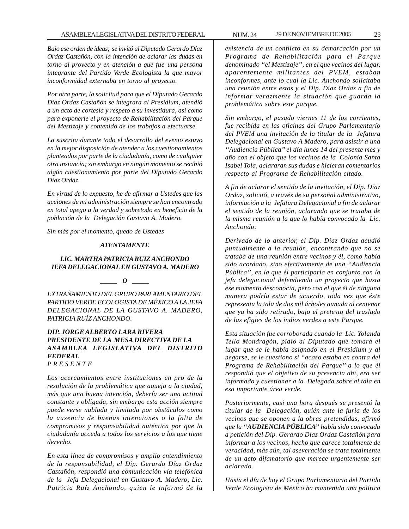*Bajo ese orden de ideas, se invitó al Diputado Gerardo Díaz Ordaz Castañón, con la intención de aclarar las dudas en torno al proyecto y en atención a que fue una persona integrante del Partido Verde Ecologista la que mayor inconformidad externaba en torno al proyecto.*

*Por otra parte, la solicitud para que el Diputado Gerardo Díaz Ordaz Castañón se integrara al Presidium, atendió a un acto de cortesía y respeto a su investidura, así como para exponerle el proyecto de Rehabilitación del Parque del Mestizaje y contenido de los trabajos a efectuarse.*

*La suscrita durante todo el desarrollo del evento estuvo en la mejor disposición de atender a los cuestionamientos planteados por parte de la ciudadanía, como de cualquier otra instancia; sin embargo en ningún momento se recibió algún cuestionamiento por parte del Diputado Gerardo Díaz Ordaz.*

*En virtud de lo expuesto, he de afirmar a Ustedes que las acciones de mi administración siempre se han encontrado en total apego a la verdad y sobretodo en beneficio de la población de la Delegación Gustavo A. Madero.*

*Sin más por el momento, quedo de Ustedes*

#### *ATENTAMENTE*

#### *LIC. MARTHA PATRICIA RUIZ ANCHONDO JEFA DELEGACIONAL EN GUSTAVO A. MADERO*

*\_\_\_\_\_ O \_\_\_\_\_*

*EXTRAÑAMIENTO DEL GRUPO PARLAMENTARIO DEL PARTIDO VERDE ECOLOGISTA DE MÉXICO A LA JEFA DELEGACIONAL DE LA GUSTAVO A. MADERO, PATRICIA RUÍZ ANCHONDO.*

#### *DIP. JORGE ALBERTO LARA RIVERA PRESIDENTE DE LA MESA DIRECTIVA DE LA ASAMBLEA LEGISLATIVA DEL DISTRITO FEDERAL P R E S E N T E*

*Los acercamientos entre instituciones en pro de la resolución de la problemática que aqueja a la ciudad, más que una buena intención, debería ser una actitud constante y obligada, sin embargo esta acción siempre puede verse nublada y limitada por obstáculos como la ausencia de buenas intenciones o la falta de compromisos y responsabilidad auténtica por que la ciudadanía acceda a todos los servicios a los que tiene derecho.*

*En esta línea de compromisos y amplio entendimiento de la responsabilidad, el Dip. Gerardo Díaz Ordaz Castañón, respondió una comunicación vía telefónica de la Jefa Delegacional en Gustavo A. Madero, Lic. Patricia Ruíz Anchondo, quien le informó de la*

*existencia de un conflicto en su demarcación por un Programa de Rehabilitación para el Parque denominado ''el Mestizaje'', en el que vecinos del lugar, aparentemente militantes del PVEM, estaban inconformes, ante lo cual la Lic. Anchondo solicitaba una reunión entre estos y el Dip. Díaz Ordaz a fin de informar verazmente la situación que guarda la problemática sobre este parque.*

*Sin embargo, el pasado viernes 11 de los corrientes, fue recibida en las oficinas del Grupo Parlamentario del PVEM una invitación de la titular de la Jefatura Delegacional en Gustavo A Madero, para asistir a una ''Audiencia Pública'' el día lunes 14 del presente mes y año con el objeto que los vecinos de la Colonia Santa Isabel Tola, aclararan sus dudas e hicieran comentarios respecto al Programa de Rehabilitación citado.*

*A fin de aclarar el sentido de la invitación, el Dip. Díaz Ordaz, solicitó, a través de su personal administrativo, información a la Jefatura Delegacional a fin de aclarar el sentido de la reunión, aclarando que se trataba de la misma reunión a la que lo había convocado la Lic. Anchondo.*

*Derivado de lo anterior, el Dip. Díaz Ordaz acudió puntualmente a la reunión, encontrando que no se trataba de una reunión entre vecinos y él, como había sido acordado, sino efectivamente de una ''Audiencia Pública'', en la que él participaría en conjunto con la jefa delegacional defendiendo un proyecto que hasta ese momento desconocía, pero con el que él de ninguna manera podría estar de acuerdo, toda vez que éste representa la tala de dos mil árboles aunada al centenar que ya ha sido retirado, bajo el pretexto del traslado de las efigies de los indios verdes a este Parque.*

*Esta situación fue corroborada cuando la Lic. Yolanda Tello Mondragón, pidió al Diputado que tomará el lugar que se le había asignado en el Presidium y al negarse, se le cuestiono si ''acaso estaba en contra del Programa de Rehabilitación del Parque'' a lo que él respondió que el objetivo de su presencia ahí, era ser informado y cuestionar a la Delegada sobre al tala en esa importante área verde.*

*Posteriormente, casi una hora después se presentó la titular de la Delegación, quién ante la furia de los vecinos que se oponen a la obras pretendidas, afirmó que la ''AUDIENCIA PÚBLICA'' había sido convocada a petición del Dip. Gerardo Díaz Ordaz Castañón para informar a los vecinos, hecho que carece totalmente de veracidad, más aún, tal aseveración se trata totalmente de un acto difamatorio que merece urgentemente ser aclarado.*

*Hasta el día de hoy el Grupo Parlamentario del Partido Verde Ecologista de México ha mantenido una política*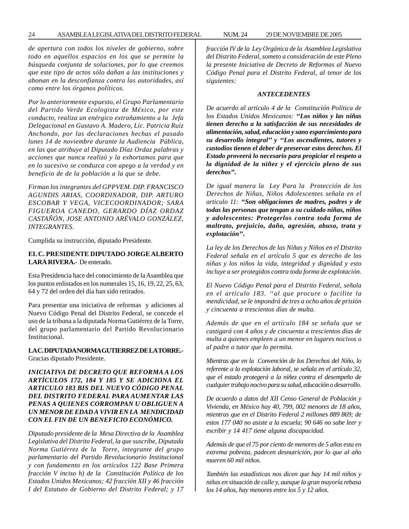#### 24 ASAMBLEA LEGISLATIVA DEL DISTRITO FEDERAL NUM. 24 29 DE NOVIEMBRE DE 2005

*de apertura con todos los niveles de gobierno, sobre todo en aquellos espacios en los que se permite la búsqueda conjunta de soluciones, por lo que creemos que este tipo de actos sólo dañan a las instituciones y abonan en la desconfianza contra las autoridades, así como entre los órganos políticos.*

*Por lo anteriormente expuesto, el Grupo Parlamentario del Partido Verde Ecologista de México, por este conducto, realiza un enérgico extrañamiento a la Jefa Delegacional en Gustavo A. Madero, Lic. Patricia Ruíz Anchondo, por las declaraciones hechas el pasado lunes 14 de noviembre durante la Audiencia Pública, en las que atribuye al Diputado Díaz Ordaz palabras y acciones que nunca realizó y la exhortamos para que en lo sucesivo se conduzca con apego a la verdad y en beneficio de de la población a la que se debe.*

*Firman los integrantes del GPPVEM. DIP. FRANCISCO AGUNDIS ARIAS, COORDINADOR, DIP. ARTURO ESCOBAR Y VEGA, VICECOORDINADOR; SARA FIGUEROA CANEDO, GERARDO DÍAZ ORDAZ CASTAÑÓN, JOSE ANTONIO ARÉVALO GONZÁLEZ, INTEGRANTES.*

Cumplida su instrucción, diputado Presidente.

#### **EL C. PRESIDENTE DIPUTADO JORGE ALBERTO LARA RIVERA.-** De enterado.

Esta Presidencia hace del conocimiento de la Asamblea que los puntos enlistados en los numerales 15, 16, 19, 22, 25, 63, 64 y 72 del orden del día han sido retirados.

Para presentar una iniciativa de reformas y adiciones al Nuevo Código Penal del Distrito Federal, se concede el uso de la tribuna a la diputada Norma Gutiérrez de la Torre, del grupo parlamentario del Partido Revolucionario Institucional.

#### **LA C. DIPUTADA NORMA GUTIERREZ DE LA TORRE.-** Gracias diputado Presidente.

## *INICIATIVA DE DECRETO QUE REFORMA A LOS ARTÍCULOS 172, 184 Y 185 Y SE ADICIONA EL ARTICULO 183 BIS DEL NUEVO CÓDIGO PENAL DEL DISTRITO FEDERAL PARA AUMENTAR LAS PENAS A QUIENES CORROMPAN U OBLIGUEN A UN MENOR DE EDAD A VIVIR EN LA MENDICIDAD CON EL FIN DE UN BENEFICIO ECONÓMICO.*

*Diputado presidente de la Mesa Directiva de la Asamblea Legislativa del Distrito Federal, la que suscribe, Diputada Norma Gutiérrez de la Torre, integrante del grupo parlamentario del Partido Revolucionario Institucional y con fundamento en los artículos 122 Base Primera fracción V inciso h) de la Constitución Política de los Estados Unidos Mexicanos; 42 fracción XII y 46 fracción I del Estatuto de Gobierno del Distrito Federal; y 17* *fracción IV de la Ley Orgánica de la Asamblea Legislativa del Distrito Federal, someto a consideración de este Pleno la presente Iniciativa de Decreto de Reformas al Nuevo Código Penal para el Distrito Federal, al tenor de los siguientes:*

#### *ANTECEDENTES*

*De acuerdo al artículo 4 de la Constitución Política de los Estados Unidos Mexicanos: ''Los niños y las niñas tienen derecho a la satisfacción de sus necesidades de alimentación, salud, educación y sano esparcimiento para su desarrollo integral'' y ''Los ascendientes, tutores y custodios tienen el deber de preservar estos derechos. El Estado proveerá lo necesario para propiciar el respeto a la dignidad de la niñez y el ejercicio pleno de sus derechos''.*

*De igual manera la Ley Para la Protección de los Derechos de Niñas, Niños Adolescentes señala en el articulo 11: ''Son obligaciones de madres, padres y de todas las personas que tengan a su cuidado niñas, niños y adolescentes: Protegerlos contra toda forma de maltrato, prejuicio, daño, agresión, abuso, trata y explotación''.*

*La ley de los Derechos de las Niñas y Niños en el Distrito Federal señala en el artículo 5 que es derecho de las niñas y los niños la vida, integridad y dignidad y esto incluye a ser protegidos contra toda forma de explotación.*

*El Nuevo Código Penal para el Distrito Federal, señala en el artículo 183. ''al que procure o facilite la mendicidad, se le impondrá de tres a ocho años de prisión y cincuenta a trescientos días de multa.*

*Además de que en el artículo 184 se señala que se castigará con 4 años y de cincuenta a trescientos días de multa a quienes empleen a un menor en lugares nocivos o al padre o tutor que lo permita.*

*Mientras que en la Convención de los Derechos del Niño, lo referente a la explotación laboral, se señala en el artículo 32, que el estado protegerá a la niñez contra el desempeño de cualquier trabajo nocivo para su salud, educación o desarrollo.*

*De acuerdo a datos del XII Censo General de Población y Vivienda, en México hay 40, 799, 002 menores de 18 años, mientras que en el Distrito Federal 2 millones 889 869; de estos 177 040 no asiste a la escuela; 90 646 no sabe leer y escribir y 14 417 tiene alguna discapacidad.*

*Además de que el 75 por ciento de menores de 5 años esta en extrema pobreza, padecen desnutrición, por lo que al año mueren 60 mil niños.*

*También las estadísticas nos dicen que hay 14 mil niños y niñas en situación de calle y, aunque la gran mayoría rebasa los 14 años, hay menores entre los 5 y 12 años.*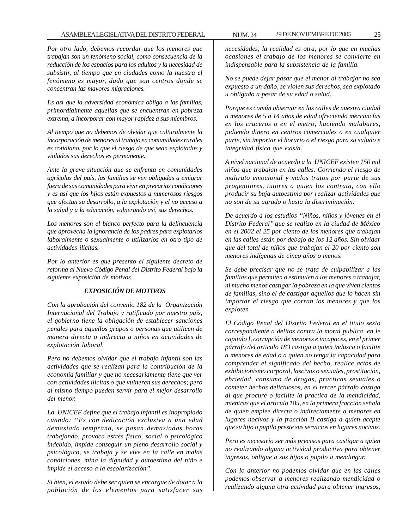*Por otro lado, debemos recordar que los menores que trabajan son un fenómeno social, como consecuencia de la reducción de los espacios para los adultos y la necesidad de subsistir, al tiempo que en ciudades como la nuestra el fenómeno es mayor, dado que son centros donde se concentran las mayores migraciones.*

*Es así que la adversidad económica obliga a las familias, primordialmente aquellas que se encuentran en pobreza extrema, a incorporar con mayor rapidez a sus miembros.*

*Al tiempo que no debemos de olvidar que culturalmente la incorporación de menores al trabajo en comunidades rurales es cotidiano, por lo que el riesgo de que sean explotados y violados sus derechos es permanente.*

*Ante la grave situación que se enfrenta en comunidades agrícolas del país, las familias se ven obligadas a emigrar fuera de sus comunidades para vivir en precarias condiciones y es así que los hijos están expuestos a numerosos riesgos que afectan su desarrollo, a la explotación y el no acceso a la salud y a la educación, vulnerando así, sus derechos.*

*Los menores son el blanco perfecto para la delincuencia que aprovecha la ignorancia de los padres para explotarlos laboralmente o sexualmente o utilizarlos en otro tipo de actividades ilícitas.*

*Por lo anterior es que presento el siguiente decreto de reforma al Nuevo Código Penal del Distrito Federal bajo la siguiente exposición de motivos.*

#### *EXPOSICIÓN DE MOTIVOS*

*Con la aprobación del convenio 182 de la Organización Internacional del Trabajo y ratificado por nuestro país, el gobierno tiene la obligación de establecer sanciones penales para aquellos grupos o personas que utilicen de manera directa o indirecta a niños en actividades de explotación laboral.*

*Pero no debemos olvidar que el trabajo infantil son las actividades que se realizan para la contribución de la economía familiar y que no necesariamente tiene que ver con actividades ilícitas o que vulneren sus derechos; pero al mismo tiempo pueden servir para el mejor desarrollo del menor.*

*La UNICEF define que el trabajo infantil es inapropiado cuando: ''Es con dedicación exclusiva a una edad demasiado temprana, se pasan demasiadas horas trabajando, provoca estrés físico, social o psicológico indebido, impide conseguir un pleno desarrollo social y psicológico, se trabaja y se vive en la calle en malas condiciones, mina la dignidad y autoestima del niño e impide el acceso a la escolarización''.*

*Si bien, el estado debe ser quien se encargue de dotar a la población de los elementos para satisfacer sus*

*necesidades, la realidad es otra, por lo que en muchas ocasiones el trabajo de los menores se convierte en indispensable para la subsistencia de la familia.*

*No se puede dejar pasar que el menor al trabajar no sea expuesto a un daño, se violen sus derechos, sea explotado u obligado a pesar de su edad o salud.*

*Porque es común observar en las calles de nuestra ciudad a menores de 5 a 14 años de edad ofreciendo mercancías en los cruceros o en el metro, haciendo malabares, pidiendo dinero en centros comerciales o en cualquier parte, sin importar el horario o el riesgo para su saludo e integridad física que exista.*

*A nivel nacional de acuerdo a la UNICEF existen 150 mil niños que trabajan en las calles. Corriendo el riesgo de maltrato emocional y malos tratos por parte de sus progenitores, tutores o quien los contrata, con ello producir su baja autoestima por realizar actividades que no son de su agrado o hasta la discriminación.*

*De acuerdo a los estudios ''Niños, niños y jóvenes en el Distrito Federal'' que se realizo en la ciudad de México en el 2002 el 25 por ciento de los menores que trabajan en las calles están por debajo de los 12 años. Sin olvidar que del total de niños que trabajan el 20 por ciento son menores indígenas de cinco años o menos.*

*Se debe precisar que no se trata de culpabilizar a las familias que permiten o estimulen a los menores a trabajar, ni mucho menos castigar la pobreza en la que viven cientos de familias, sino el de castigar aquellos que lo hacen sin importar el riesgo que corran los menores y que los exploten*

*El Código Penal del Distrito Federal en el titulo sexto correspondiente a delitos contra la moral publica, en le capitulo I, corrupción de menores e incapaces, en el primer párrafo del articulo 183 castiga a quien induzca o facilite a menores de edad o a quien no tenga la capacidad para comprender el significado del hecho, realice actos de exhibicionismo corporal, lascivos o sexuales, prostitución, ebriedad, consumo de drogas, practicas sexuales o cometer hechos delictuosos, en el tercer párrafo castiga al que procure o facilite la practica de la mendicidad, mientras que el articulo 185, en la primera fracción señala de quien emplee directa o indirectamente a menores en lugares nocivos y la fracción II castiga a quien acepte que su hijo o pupilo preste sus servicios en lugares nocivos.*

*Pero es necesario ser más precisos para castigar a quien no realizando alguna actividad productiva para obtener ingresos, obligue a sus hijos o pupilo a mendingar.*

*Con lo anterior no podemos olvidar que en las calles podemos observar a menores realizando mendicidad o realizando alguna otra actividad para obtener ingresos,*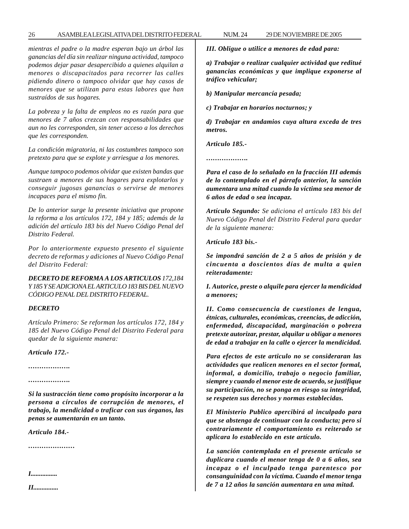#### 26 ASAMBLEA LEGISLATIVA DEL DISTRITO FEDERAL NUM. 24 29 DE NOVIEMBRE DE 2005

*mientras el padre o la madre esperan bajo un árbol las ganancias del día sin realizar ninguna actividad, tampoco podemos dejar pasar desapercibido a quienes alquilan a menores o discapacitados para recorrer las calles pidiendo dinero o tampoco olvidar que hay casos de menores que se utilizan para estas labores que han sustraídos de sus hogares.*

*La pobreza y la falta de empleos no es razón para que menores de 7 años crezcan con responsabilidades que aun no les corresponden, sin tener acceso a los derechos que les corresponden.*

*La condición migratoria, ni las costumbres tampoco son pretexto para que se explote y arriesgue a los menores.*

*Aunque tampoco podemos olvidar que existen bandas que sustraen a menores de sus hogares para explotarlos y conseguir jugosas ganancias o servirse de menores incapaces para el mismo fin.*

*De lo anterior surge la presente iniciativa que propone la reforma a los artículos 172, 184 y 185; además de la adición del artículo 183 bis del Nuevo Código Penal del Distrito Federal.*

*Por lo anteriormente expuesto presento el siguiente decreto de reformas y adiciones al Nuevo Código Penal del Distrito Federal:*

*DECRETO DE REFORMA A LOS ARTICULOS 172,184 Y 185 Y SE ADICIONA EL ARTICULO 183 BIS DEL NUEVO CÓDIGO PENAL DEL DISTRITO FEDERAL.*

#### *DECRETO*

*Artículo Primero: Se reforman los artículos 172, 184 y 185 del Nuevo Código Penal del Distrito Federal para quedar de la siguiente manera:*

*Artículo 172.-*

*……………….*

*……………….*

*Si la sustracción tiene como propósito incorporar a la persona a círculos de corrupción de menores, el trabajo, la mendicidad o traficar con sus órganos, las penas se aumentarán en un tanto.*

*Articulo 184.-*

*…………………*

*I................*

*II...............*

*III. Obligue o utilice a menores de edad para:*

*a) Trabajar o realizar cualquier actividad que reditué ganancias económicas y que implique exponerse al tráfico vehicular;*

*b) Manipular mercancía pesada;*

*c) Trabajar en horarios nocturnos; y*

*d) Trabajar en andamios cuya altura exceda de tres metros.*

*Articulo 185.-*

*……………….*

*Para el caso de lo señalado en la fracción III además de lo contemplado en el párrafo anterior, la sanción aumentara una mitad cuando la víctima sea menor de 6 años de edad o sea incapaz.*

*Artículo Segundo: Se adiciona el artículo 183 bis del Nuevo Código Penal del Distrito Federal para quedar de la siguiente manera:*

*Artículo 183 bis.-*

*Se impondrá sanción de 2 a 5 años de prisión y de cincuenta a doscientos días de multa a quien reiteradamente:*

*I. Autorice, preste o alquile para ejercer la mendicidad a menores;*

*II. Como consecuencia de cuestiones de lengua, étnicas, culturales, económicas, creencias, de adicción, enfermedad, discapacidad, marginación o pobreza pretexte autorizar, prestar, alquilar u obligar a menores de edad a trabajar en la calle o ejercer la mendicidad.*

*Para efectos de este articulo no se consideraran las actividades que realicen menores en el sector formal, informal, a domicilio, trabajo o negocio familiar, siempre y cuando el menor este de acuerdo, se justifique su participación, no se ponga en riesgo su integridad, se respeten sus derechos y normas establecidas.*

*El Ministerio Publico apercibirá al inculpado para que se abstenga de continuar con la conducta; pero si contrariamente el comportamiento es reiterado se aplicara lo establecido en este artículo.*

*La sanción contemplada en el presente artículo se duplicara cuando el menor tenga de 0 a 6 años, sea incapaz o el inculpado tenga parentesco por consanguinidad con la víctima. Cuando el menor tenga de 7 a 12 años la sanción aumentara en una mitad.*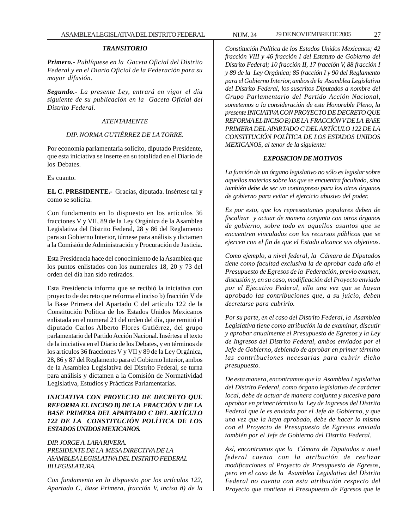#### *TRANSITORIO*

*Primero.- Publíquese en la Gaceta Oficial del Distrito Federal y en el Diario Oficial de la Federación para su mayor difusión.*

*Segundo.- La presente Ley, entrará en vigor el día siguiente de su publicación en la Gaceta Oficial del Distrito Federal.*

#### *ATENTAMENTE*

#### *DIP. NORMA GUTIÉRREZ DE LA TORRE.*

Por economía parlamentaria solicito, diputado Presidente, que esta iniciativa se inserte en su totalidad en el Diario de los Debates.

Es cuanto.

**EL C. PRESIDENTE.-** Gracias, diputada. Insértese tal y como se solicita.

Con fundamento en lo dispuesto en los artículos 36 fracciones V y VII, 89 de la Ley Orgánica de la Asamblea Legislativa del Distrito Federal, 28 y 86 del Reglamento para su Gobierno Interior, túrnese para análisis y dictamen a la Comisión de Administración y Procuración de Justicia.

Esta Presidencia hace del conocimiento de la Asamblea que los puntos enlistados con los numerales 18, 20 y 73 del orden del día han sido retirados.

Esta Presidencia informa que se recibió la iniciativa con proyecto de decreto que reforma el inciso b) fracción V de la Base Primera del Apartado C del artículo 122 de la Constitución Política de los Estados Unidos Mexicanos enlistada en el numeral 21 del orden del día, que remitió el diputado Carlos Alberto Flores Gutiérrez, del grupo parlamentario del Partido Acción Nacional. Insértese el texto de la iniciativa en el Diario de los Debates, y en términos de los artículos 36 fracciones V y VII y 89 de la Ley Orgánica, 28, 86 y 87 del Reglamento para el Gobierno Interior, ambos de la Asamblea Legislativa del Distrito Federal, se turna para análisis y dictamen a la Comisión de Normatividad Legislativa, Estudios y Prácticas Parlamentarias.

## *INICIATIVA CON PROYECTO DE DECRETO QUE REFORMA EL INCISO B) DE LA FRACCIÓN V DE LA BASE PRIMERA DEL APARTADO C DEL ARTÍCULO 122 DE LA CONSTITUCIÓN POLÍTICA DE LOS ESTADOS UNIDOS MEXICANOS.*

## *DIP. JORGE A. LARA RIVERA. PRESIDENTE DE LA MESA DIRECTIVA DE LA ASAMBLEA LEGISLATIVA DEL DISTRITO FEDERAL III LEGISLATURA.*

*Con fundamento en lo dispuesto por los artículos 122, Apartado C, Base Primera, fracción V, inciso ñ) de la* *Constitución Política de los Estados Unidos Mexicanos; 42 fracción VIII y 46 fracción I del Estatuto de Gobierno del Distrito Federal; 10 fracción II, 17 fracción V, 88 fracción I y 89 de la Ley Orgánica; 85 fracción I y 90 del Reglamento para el Gobierno Interior, ambos de la Asamblea Legislativa del Distrito Federal, los suscritos Diputados a nombre del Grupo Parlamentario del Partido Acción Nacional, sometemos a la consideración de este Honorable Pleno, la presente INICIATIVA CON PROYECTO DE DECRETO QUE REFORMA EL INCISO B) DE LA FRACCIÓN V DE LA BASE PRIMERA DEL APARTADO C DEL ARTÍCULO 122 DE LA CONSTITUCIÓN POLÍTICA DE LOS ESTADOS UNIDOS MEXICANOS, al tenor de la siguiente:*

#### *EXPOSICION DE MOTIVOS*

*La función de un órgano legislativo no sólo es legislar sobre aquellas materias sobre las que se encuentra facultado, sino también debe de ser un contrapreso para los otros órganos de gobierno para evitar el ejercicio abusivo del poder.*

*Es por esto, que los representantes populares deben de fiscalizar y actuar de manera conjunta con otros órganos de gobierno, sobre todo en aquellos asuntos que se encuentren vinculados con los recursos públicos que se ejercen con el fin de que el Estado alcance sus objetivos.*

*Como ejemplo, a nivel federal, la Cámara de Diputados tiene como facultad exclusiva la de aprobar cada año el Presupuesto de Egresos de la Federación, previo examen, discusión y, en su caso, modificación del Proyecto enviado por el Ejecutivo Federal, ello una vez que se hayan aprobado las contribuciones que, a su juicio, deben decretarse para cubrirlo.*

*Por su parte, en el caso del Distrito Federal, la Asamblea Legislativa tiene como atribución la de examinar, discutir y aprobar anualmente el Presupuesto de Egresos y la Ley de Ingresos del Distrito Federal, ambos enviados por el Jefe de Gobierno, debiendo de aprobar en primer término las contribuciones necesarias para cubrir dicho presupuesto.*

*De esta manera, encontramos que la Asamblea Legislativa del Distrito Federal, como órgano legislativo de carácter local, debe de actuar de manera conjunta y sucesiva para aprobar en primer término la Ley de Ingresos del Distrito Federal que le es enviada por el Jefe de Gobierno, y que una vez que la haya aprobado, debe de hacer lo mismo con el Proyecto de Presupuesto de Egresos enviado también por el Jefe de Gobierno del Distrito Federal.*

*Así, encontramos que la Cámara de Diputados a nivel federal cuenta con la atribución de realizar modificaciones al Proyecto de Presupuesto de Egresos, pero en el caso de la Asamblea Legislativa del Distrito Federal no cuenta con esta atribución respecto del Proyecto que contiene el Presupuesto de Egresos que le*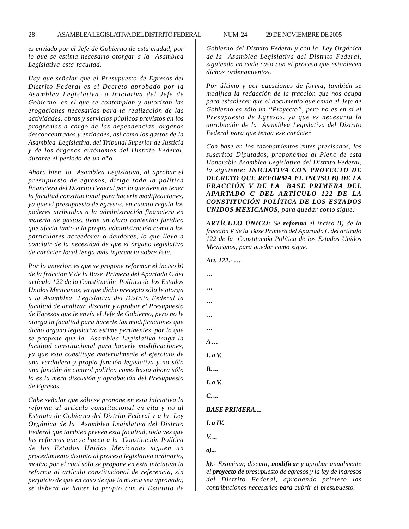*es enviado por el Jefe de Gobierno de esta ciudad, por lo que se estima necesario otorgar a la Asamblea Legislativa esta facultad.*

*Hay que señalar que el Presupuesto de Egresos del Distrito Federal es el Decreto aprobado por la Asamblea Legislativa, a iniciativa del Jefe de Gobierno, en el que se contemplan y autorizan las erogaciones necesarias para la realización de las actividades, obras y servicios públicos previstos en los programas a cargo de las dependencias, órganos desconcentrados y entidades, así como los gastos de la Asamblea Legislativa, del Tribunal Superior de Justicia y de los órganos autónomos del Distrito Federal, durante el periodo de un año.*

*Ahora bien, la Asamblea Legislativa, al aprobar el presupuesto de egresos, dirige toda la política financiera del Distrito Federal por lo que debe de tener la facultad constitucional para hacerle modificaciones, ya que el presupuesto de egresos, en cuanto regula los poderes atribuidos a la administración financiera en materia de gastos, tiene un claro contenido jurídico que afecta tanto a la propia administración como a los particulares acreedores o deudores, lo que lleva a concluir de la necesidad de que el órgano legislativo de carácter local tenga más injerencia sobre éste.*

*Por lo anterior, es que se propone reformar el inciso b) de la fracción V de la Base Primera del Apartado C del artículo 122 de la Constitución Política de los Estados Unidos Mexicanos, ya que dicho precepto sólo le otorga a la Asamblea Legislativa del Distrito Federal la facultad de analizar, discutir y aprobar el Presupuesto de Egresos que le envía el Jefe de Gobierno, pero no le otorga la facultad para hacerle las modificaciones que dicho órgano legislativo estime pertinentes, por lo que se propone que la Asamblea Legislativa tenga la facultad constitucional para hacerle modificaciones, ya que esto constituye materialmente el ejercicio de una verdadera y propia función legislativa y no sólo una función de control político como hasta ahora sólo lo es la mera discusión y aprobación del Presupuesto de Egresos.*

*Cabe señalar que sólo se propone en esta iniciativa la reforma al articulo constitucional en cita y no al Estatuto de Gobierno del Distrito Federal y a la Ley Orgánica de la Asamblea Legislativa del Distrito Federal que también prevén esta facultad, toda vez que las reformas que se hacen a la Constitución Política de los Estados Unidos Mexicanos siguen un procedimiento distinto al proceso legislativo ordinario, motivo por el cual sólo se propone en esta iniciativa la reforma al artículo constitucional de referencia, sin perjuicio de que en caso de que la misma sea aprobada, se deberá de hacer lo propio con el Estatuto de*

*Gobierno del Distrito Federal y con la Ley Orgánica de la Asamblea Legislativa del Distrito Federal, siguiendo en cada caso con el proceso que establecen dichos ordenamientos.*

*Por último y por cuestiones de forma, también se modifica la redacción de la fracción que nos ocupa para establecer que el documento que envía el Jefe de Gobierno es sólo un ''Proyecto'', pero no es en si el Presupuesto de Egresos, ya que es necesaria la aprobación de la Asamblea Legislativa del Distrito Federal para que tenga ese carácter.*

*Con base en los razonamientos antes precisados, los suscritos Diputados, proponemos al Pleno de esta Honorable Asamblea Legislativa del Distrito Federal, la siguiente: INICIATIVA CON PROYECTO DE DECRETO QUE REFORMA EL INCISO B) DE LA FRACCIÓN V DE LA BASE PRIMERA DEL APARTADO C DEL ARTÍCULO 122 DE LA CONSTITUCIÓN POLÍTICA DE LOS ESTADOS UNIDOS MEXICANOS, para quedar como sigue:*

*ARTÍCULO ÚNICO: Se reforma el inciso B) de la fracción V de la Base Primera del Apartado C del artículo 122 de la Constitución Política de los Estados Unidos Mexicanos, para quedar como sigue.*

*Art. 122.- … … … … … … A … I. a V. B. ... I. a V. C. ... BASE PRIMERA.... I. a IV. V. ... a)...*

*b).- Examinar, discutir, modificar y aprobar anualmente el proyecto de presupuesto de egresos y la ley de ingresos del Distrito Federal, aprobando primero las contribuciones necesarias para cubrir el presupuesto.*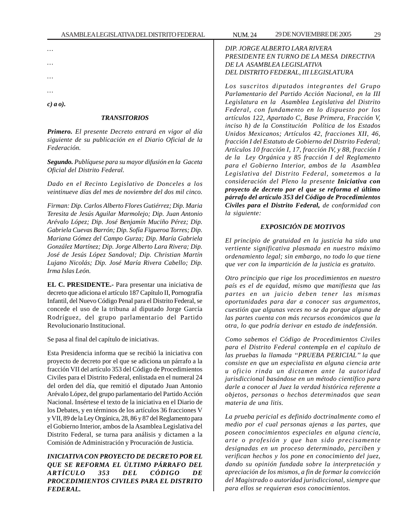*… … … …*

*c) a o).*

#### *TRANSITORIOS*

*Primero. El presente Decreto entrará en vigor al día siguiente de su publicación en el Diario Oficial de la Federación.*

*Segundo. Publíquese para su mayor difusión en la Gaceta Oficial del Distrito Federal.*

*Dado en el Recinto Legislativo de Donceles a los veintinueve días del mes de noviembre del dos mil cinco.*

*Firman: Dip. Carlos Alberto Flores Gutiérrez; Dip. Maria Teresita de Jesús Aguilar Marmolejo; Dip. Juan Antonio Arévalo López; Dip. José Benjamín Muciño Pérez; Dip. Gabriela Cuevas Barrón; Dip. Sofía Figueroa Torres; Dip. Mariana Gómez del Campo Gurza; Dip. María Gabriela González Martínez; Dip. Jorge Alberto Lara Rivera; Dip. José de Jesús López Sandoval; Dip. Christian Martín Lujano Nicolás; Dip. José María Rivera Cabello; Dip. Irma Islas León.*

**EL C. PRESIDENTE.-** Para presentar una iniciativa de decreto que adiciona el artículo 187 Capítulo II, Pornografía Infantil, del Nuevo Código Penal para el Distrito Federal, se concede el uso de la tribuna al diputado Jorge García Rodríguez, del grupo parlamentario del Partido Revolucionario Institucional.

Se pasa al final del capítulo de iniciativas.

Esta Presidencia informa que se recibió la iniciativa con proyecto de decreto por el que se adiciona un párrafo a la fracción VII del artículo 353 del Código de Procedimientos Civiles para el Distrito Federal, enlistada en el numeral 24 del orden del día, que remitió el diputado Juan Antonio Arévalo López, del grupo parlamentario del Partido Acción Nacional. Insértese el texto de la iniciativa en el Diario de los Debates, y en términos de los artículos 36 fracciones V y VII, 89 de la Ley Orgánica, 28, 86 y 87 del Reglamento para el Gobierno Interior, ambos de la Asamblea Legislativa del Distrito Federal, se turna para análisis y dictamen a la Comisión de Administración y Procuración de Justicia.

*INICIATIVA CON PROYECTO DE DECRETO POR EL QUE SE REFORMA EL ÚLTIMO PÁRRAFO DEL ARTÍCULO 353 DEL CÓDIGO DE PROCEDIMIENTOS CIVILES PARA EL DISTRITO FEDERAL.*

## *DIP. JORGE ALBERTO LARA RIVERA PRESIDENTE EN TURNO DE LA MESA DIRECTIVA DE LA ASAMBLEA LEGISLATIVA DEL DISTRITO FEDERAL, III LEGISLATURA*

*Los suscritos diputados integrantes del Grupo Parlamentario del Partido Acción Nacional, en la III Legislatura en la Asamblea Legislativa del Distrito Federal, con fundamento en lo dispuesto por los artículos 122, Apartado C, Base Primera, Fracción V, inciso h) de la Constitución Política de los Estados Unidos Mexicanos; Artículos 42, fracciones XII, 46, fracción I del Estatuto de Gobierno del Distrito Federal; Artículos 10 fracción I, 17, fracción IV, y 88, fracción I de la Ley Orgánica y 85 fracción I del Reglamento para el Gobierno Interior, ambos de la Asamblea Legislativa del Distrito Federal, sometemos a la consideración del Pleno la presente Iniciativa con proyecto de decreto por el que se reforma el último párrafo del artículo 353 del Código de Procedimientos Civiles para el Distrito Federal, de conformidad con la siguiente:*

#### *EXPOSICIÓN DE MOTIVOS*

*El principio de gratuidad en la justicia ha sido una vertiente significativa plasmada en nuestro máximo ordenamiento legal; sin embargo, no todo lo que tiene que ver con la impartición de la justicia es gratuito.*

*Otro principio que rige los procedimientos en nuestro país es el de equidad, mismo que manifiesta que las partes en un juicio deben tener las mismas oportunidades para dar a conocer sus argumentos, cuestión que algunas veces no se da porque alguna de las partes cuenta con más recursos económicos que la otra, lo que podría derivar en estado de indefensión.*

*Como sabemos el Código de Procedimientos Civiles para el Distrito Federal contempla en el capítulo de las pruebas la llamada ''PRUEBA PERICIAL'' la que consiste en que un especialista en alguna ciencia arte u oficio rinda un dictamen ante la autoridad jurisdiccional basándose en un método científico para darle a conocer al Juez la verdad histórica referente a objetos, personas o hechos determinados que sean materia de una litis.*

*La prueba pericial es definido doctrinalmente como el medio por el cual personas ajenas a las partes, que poseen conocimientos especiales en alguna ciencia, arte o profesión y que han sido precisamente designadas en un proceso determinado, perciben y verifican hechos y los pone en conocimiento del juez, dando su opinión fundada sobre la interpretación y apreciación de los mismos, a fin de formar la convicción del Magistrado o autoridad jurisdiccional, siempre que para ellos se requieran esos conocimientos.*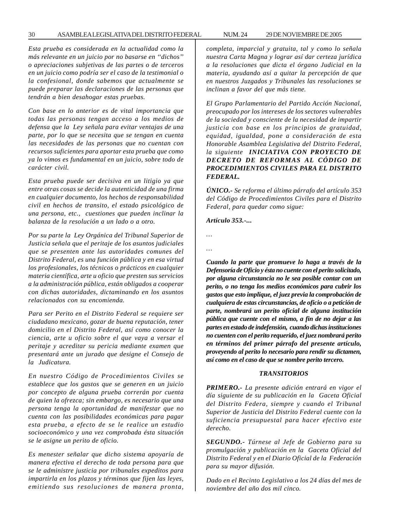#### 30 ASAMBLEA LEGISLATIVA DEL DISTRITO FEDERAL 29 DE NOVIEMBRE DE 2005 NUM. 24

*Esta prueba es considerada en la actualidad como la más relevante en un juicio por no basarse en ''dichos'' o apreciaciones subjetivas de las partes o de terceros en un juicio como podría ser el caso de la testimonial o la confesional, donde sabemos que actualmente se puede preparar las declaraciones de las personas que tendrán a bien desahogar estas pruebas.*

*Con base en lo anterior es de vital importancia que todas las personas tengan acceso a los medios de defensa que la Ley señala para evitar ventajas de una parte, por lo que se necesita que se tengan en cuenta las necesidades de las personas que no cuentan con recursos suficientes para aportar esta prueba que como ya lo vimos es fundamental en un juicio, sobre todo de carácter civil.*

*Esta prueba puede ser decisiva en un litigio ya que entre otras cosas se decide la autenticidad de una firma en cualquier documento, los hechos de responsabilidad civil en hechos de transito, el estado psicológico de una persona, etc., cuestiones que pueden inclinar la balanza de la resolución a un lado o a otro.*

*Por su parte la Ley Orgánica del Tribunal Superior de Justicia señala que el peritaje de los asuntos judiciales que se presenten ante las autoridades comunes del Distrito Federal, es una función pública y en esa virtud los profesionales, los técnicos o prácticos en cualquier materia científica, arte u oficio que presten sus servicios a la administración pública, están obligados a cooperar con dichas autoridades, dictaminando en los asuntos relacionados con su encomienda.*

*Para ser Perito en el Distrito Federal se requiere ser ciudadano mexicano, gozar de buena reputación, tener domicilio en el Distrito Federal, así como conocer la ciencia, arte u oficio sobre el que vaya a versar el peritaje y acreditar su pericia mediante examen que presentará ante un jurado que designe el Consejo de la Judicatura.*

*En nuestro Código de Procedimientos Civiles se establece que los gastos que se generen en un juicio por concepto de alguna prueba correrán por cuenta de quien la ofrezca; sin embargo, es necesario que una persona tenga la oportunidad de manifestar que no cuenta con las posibilidades económicas para pagar esta prueba, a efecto de se le realice un estudio socioeconómico y una vez comprobada ésta situación se le asigne un perito de oficio.*

*Es menester señalar que dicho sistema apoyaría de manera efectiva el derecho de toda persona para que se le administre justicia por tribunales expeditos para impartirla en los plazos y términos que fijen las leyes, emitiendo sus resoluciones de manera pronta,*

*completa, imparcial y gratuita, tal y como lo señala nuestra Carta Magna y lograr así dar certeza jurídica a la resoluciones que dicta el órgano Judicial en la materia, ayudando así a quitar la percepción de que en nuestros Juzgados y Tribunales las resoluciones se inclinan a favor del que más tiene.*

*El Grupo Parlamentario del Partido Acción Nacional, preocupado por los intereses de los sectores vulnerables de la sociedad y consciente de la necesidad de impartir justicia con base en los principios de gratuidad, equidad, igualdad, pone a consideración de esta Honorable Asamblea Legislativa del Distrito Federal, la siguiente INICIATIVA CON PROYECTO DE DECRETO DE REFORMAS AL CÓDIGO DE PROCEDIMIENTOS CIVILES PARA EL DISTRITO FEDERAL.*

*ÚNICO.- Se reforma el último párrafo del artículo 353 del Código de Procedimientos Civiles para el Distrito Federal, para quedar como sigue:*

*Artículo 353.-...*

- *…*
	- *…*

*Cuando la parte que promueve lo haga a través de la Defensoría de Oficio y ésta no cuente con el perito solicitado, por alguna circunstancia no le sea posible contar con un perito, o no tenga los medios económicos para cubrir los gastos que esto implique, el juez previa la comprobación de cualquiera de estas circunstancias, de oficio o a petición de parte, nombrará un perito oficial de alguna institución pública que cuente con el mismo, a fin de no dejar a las partes en estado de indefensión, cuando dichas instituciones no cuenten con el perito requerido, el juez nombrará perito en términos del primer párrafo del presente artículo, proveyendo al perito lo necesario para rendir su dictamen, así como en el caso de que se nombre perito tercero.*

#### *TRANSITORIOS*

*PRIMERO.- La presente adición entrará en vigor el día siguiente de su publicación en la Gaceta Oficial del Distrito Federa, siempre y cuando el Tribunal Superior de Justicia del Distrito Federal cuente con la suficiencia presupuestal para hacer efectivo este derecho.*

*SEGUNDO.- Túrnese al Jefe de Gobierno para su promulgación y publicación en la Gaceta Oficial del Distrito Federal y en el Diario Oficial de la Federación para su mayor difusión.*

*Dado en el Recinto Legislativo a los 24 días del mes de noviembre del año dos mil cinco.*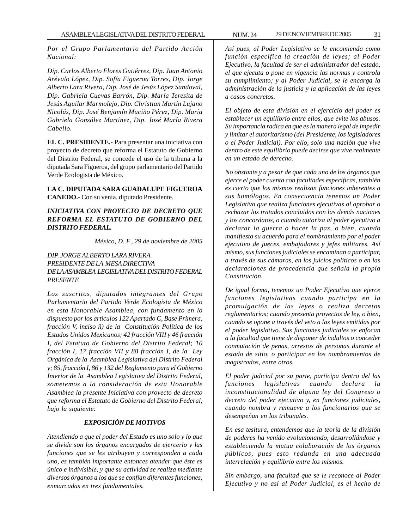*Por el Grupo Parlamentario del Partido Acción Nacional:*

*Dip. Carlos Alberto Flores Gutiérrez, Dip. Juan Antonio Arévalo López, Dip. Sofía Figueroa Torres, Dip. Jorge Alberto Lara Rivera, Dip. José de Jesús López Sandoval, Dip. Gabriela Cuevas Barrón, Dip. María Teresita de Jesús Aguilar Marmolejo, Dip. Christian Martín Lujano Nicolás, Dip. José Benjamín Muciño Pérez, Dip. María Gabriela González Martínez, Dip. José María Rivera Cabello.*

**EL C. PRESIDENTE.-** Para presentar una iniciativa con proyecto de decreto que reforma el Estatuto de Gobierno del Distrito Federal, se concede el uso de la tribuna a la diputada Sara Figueroa, del grupo parlamentario del Partido Verde Ecologista de México.

**LA C. DIPUTADA SARA GUADALUPE FIGUEROA CANEDO.-** Con su venia, diputado Presidente.

*INICIATIVA CON PROYECTO DE DECRETO QUE REFORMA EL ESTATUTO DE GOBIERNO DEL DISTRITO FEDERAL.*

*México, D. F., 29 de noviembre de 2005*

## *DIP. JORGE ALBERTO LARA RIVERA PRESIDENTE DE LA MESA DIRECTIVA DE LA ASAMBLEA LEGISLATIVA DEL DISTRITO FEDERAL PRESENTE*

*Los suscritos, diputados integrantes del Grupo Parlamentario del Partido Verde Ecologista de México en esta Honorable Asamblea, con fundamento en lo dispuesto por los artículos 122 Apartado C, Base Primera, fracción V, inciso ñ) de la Constitución Política de los Estados Unidos Mexicanos; 42 fracción VIII y 46 fracción I, del Estatuto de Gobierno del Distrito Federal; 10 fracción I, 17 fracción VII y 88 fracción I, de la Ley Orgánica de la Asamblea Legislativa del Distrito Federal y; 85, fracción I, 86 y 132 del Reglamento para el Gobierno Interior de la Asamblea Legislativa del Distrito Federal, sometemos a la consideración de esta Honorable Asamblea la presente Iniciativa con proyecto de decreto que reforma el Estatuto de Gobierno del Distrito Federal, bajo la siguiente:*

## *EXPOSICIÓN DE MOTIVOS*

*Atendiendo a que el poder del Estado es uno solo y lo que se divide son los órganos encargados de ejercerlo y las funciones que se les atribuyen y corresponden a cada uno, es también importante entonces atender que éste es único e indivisible, y que su actividad se realiza mediante diversos órganos a los que se confían diferentes funciones, enmarcadas en tres fundamentales.*

*Así pues, al Poder Legislativo se le encomienda como función especifica la creación de leyes; al Poder Ejecutivo, la facultad de ser el administrador del estado, el que ejecuta o pone en vigencia las normas y controla su cumplimiento; y al Poder Judicial, se le encarga la administración de la justicia y la aplicación de las leyes a casos concretos.*

*El objeto de esta división en el ejercicio del poder es establecer un equilibrio entre ellos, que evite los abusos. Su importancia radica en que es la manera legal de impedir y limitar el autoritarismo (del Presidente, los legisladores o el Poder Judicial). Por ello, solo una nación que vive dentro de este equilibrio puede decirse que vive realmente en un estado de derecho.*

*No obstante y a pesar de que cada uno de los órganos que ejerce el poder cuenta con facultades específicas, también es cierto que los mismos realizan funciones inherentes a sus homólogos. En consecuencia tenemos un Poder Legislativo que realiza funciones ejecutivas al aprobar o rechazar los tratados concluidos con las demás naciones y los concordatos, o cuando autoriza al poder ejecutivo a declarar la guerra o hacer la paz, o bien, cuando manifiesta su acuerdo para el nombramiento por el poder ejecutivo de jueces, embajadores y jefes militares. Así mismo, sus funciones judiciales se encaminan a participar, a través de sus cámaras, en los juicios políticos o en las declaraciones de procedencia que señala la propia Constitución.*

*De igual forma, tenemos un Poder Ejecutivo que ejerce funciones legislativas cuando participa en la promulgación de las leyes o realiza decretos reglamentarios; cuando presenta proyectos de ley, o bien, cuando se opone a través del veto a las leyes emitidas por el poder legislativo. Sus funciones judiciales se enfocan a la facultad que tiene de disponer de indultos o conceder conmutación de penas, arrestos de personas durante el estado de sitio, o participar en los nombramientos de magistrados, entre otros.*

*El poder judicial por su parte, participa dentro del las funciones legislativas cuando declara la inconstitucionalidad de alguna ley del Congreso o decreto del poder ejecutivo y, en funciones judiciales, cuando nombra y remueve a los funcionarios que se desempeñan en los tribunales.*

*En esa tesitura, entendemos que la teoría de la división de poderes ha venido evolucionando, desarrollándose y estableciendo la mutua colaboración de los órganos públicos, pues esto redunda en una adecuada interrelación y equilibrio entre los mismos.*

*Sin embargo, una facultad que se le reconoce al Poder Ejecutivo y no así al Poder Judicial, es el hecho de*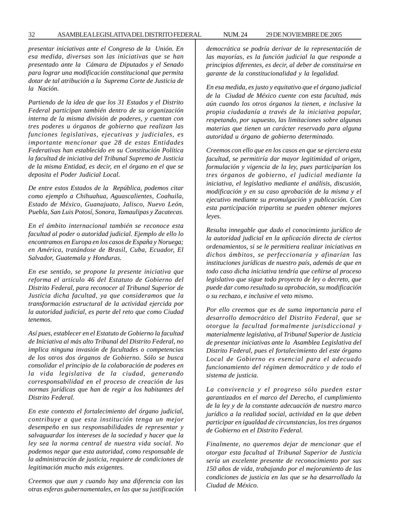*presentar iniciativas ante el Congreso de la Unión. En esa medida, diversas son las iniciativas que se han presentado ante la Cámara de Diputados y el Senado para lograr una modificación constitucional que permita dotar de tal atribución a la Suprema Corte de Justicia de la Nación.*

*Partiendo de la idea de que los 31 Estados y el Distrito Federal participan también dentro de su organización interna de la misma división de poderes, y cuentan con tres poderes u órganos de gobierno que realizan las funciones legislativas, ejecutivas y judiciales, es importante mencionar que 28 de estas Entidades Federativas han establecido en su Constitución Política la facultad de iniciativa del Tribunal Supremo de Justicia de la misma Entidad, es decir, en el órgano en el que se deposita el Poder Judicial Local.*

*De entre estos Estados de la República, podemos citar como ejemplo a Chihuahua, Aguascalientes, Coahuila, Estado de México, Guanajuato, Jalisco, Nuevo León, Puebla, San Luis Potosí, Sonora, Tamaulipas y Zacatecas.*

*En el ámbito internacional también se reconoce esta facultad al poder o autoridad judicial. Ejemplo de ello lo encontramos en Europa en los casos de España y Noruega; en América, tratándose de Brasil, Cuba, Ecuador, El Salvador, Guatemala y Honduras.*

*En ese sentido, se propone la presente iniciativa que reforma el artículo 46 del Estatuto de Gobierno del Distrito Federal, para reconocer al Tribunal Superior de Justicia dicha facultad, ya que consideramos que la transformación estructural de la actividad ejercida por la autoridad judicial, es parte del reto que como Ciudad tenemos.*

*Así pues, establecer en el Estatuto de Gobierno la facultad de Iniciativa al más alto Tribunal del Distrito Federal, no implica ninguna invasión de facultades o competencias de los otros dos órganos de Gobierno. Sólo se busca consolidar el principio de la colaboración de poderes en la vida legislativa de la ciudad, generando corresponsabilidad en el proceso de creación de las normas jurídicas que han de regir a los habitantes del Distrito Federal.*

*En este contexto el fortalecimiento del órgano judicial, contribuye a que esta institución tenga un mejor desempeño en sus responsabilidades de representar y salvaguardar los intereses de la sociedad y hacer que la ley sea la norma central de nuestra vida social. No podemos negar que esta autoridad, como responsable de la administración de justicia, requiere de condiciones de legitimación mucho más exigentes.*

*Creemos que aun y cuando hay una diferencia con las otras esferas gubernamentales, en las que su justificación* *democrática se podría derivar de la representación de las mayorías, es la función judicial la que responde a principios diferentes, es decir, al deber de constituirse en garante de la constitucionalidad y la legalidad.*

*En esa medida, es justo y equitativo que el órgano judicial de la Ciudad de México cuente con esta facultad, más aún cuando los otros órganos la tienen, e inclusive la propia ciudadanía a través de la iniciativa popular, respetando, por supuesto, las limitaciones sobre algunas materias que tienen un carácter reservado para alguna autoridad u órgano de gobierno determinado.*

*Creemos con ello que en los casos en que se ejerciera esta facultad, se permitiría dar mayor legitimidad al origen, formulación y vigencia de la ley, pues participarían los tres órganos de gobierno, el judicial mediante la iniciativa, el legislativo mediante el análisis, discusión, modificación y en su caso aprobación de la misma y el ejecutivo mediante su promulgación y publicación. Con esta participación tripartita se pueden obtener mejores leyes.*

*Resulta innegable que dado el conocimiento jurídico de la autoridad judicial en la aplicación directa de ciertos ordenamientos, si se le permitiera realizar iniciativas en dichos ámbitos, se perfeccionaría y afinarían las instituciones jurídicas de nuestro país, además de que en todo caso dicha iniciativa tendría que ceñirse al proceso legislativo que sigue todo proyecto de ley o decreto, que puede dar como resultado su aprobación, su modificación o su rechazo, e inclusive el veto mismo.*

*Por ello creemos que es de suma importancia para el desarrollo democrático del Distrito Federal, que se otorgue la facultad formalmente jurisdiccional y materialmente legislativa, al Tribunal Superior de Justicia de presentar iniciativas ante la Asamblea Legislativa del Distrito Federal, pues el fortalecimiento del este órgano Local de Gobierno es esencial para el adecuado funcionamiento del régimen democrático y de todo el sistema de justicia.*

*La convivencia y el progreso sólo pueden estar garantizados en el marco del Derecho, el cumplimiento de la ley y de la constante adecuación de nuestro marco jurídico a la realidad social, actividad en la que deben participar en igualdad de circunstancias, los tres órganos de Gobierno en el Distrito Federal.*

*Finalmente, no queremos dejar de mencionar que el otorgar esta facultad al Tribunal Superior de Justicia sería un excelente presente de reconocimiento por sus 150 años de vida, trabajando por el mejoramiento de las condiciones de justicia en las que se ha desarrollado la Ciudad de México.*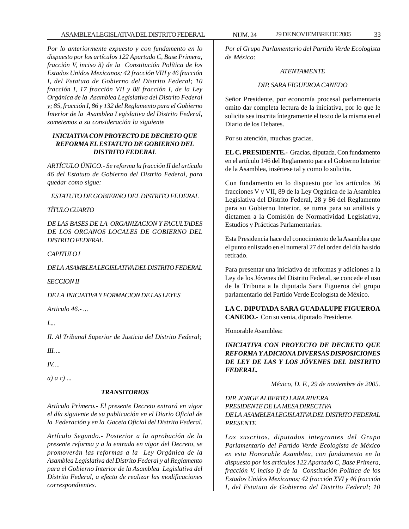*Por lo anteriormente expuesto y con fundamento en lo dispuesto por los artículos 122 Apartado C, Base Primera, fracción V, inciso ñ) de la Constitución Política de los Estados Unidos Mexicanos; 42 fracción VIII y 46 fracción I, del Estatuto de Gobierno del Distrito Federal; 10 fracción I, 17 fracción VII y 88 fracción I, de la Ley Orgánica de la Asamblea Legislativa del Distrito Federal y; 85, fracción I, 86 y 132 del Reglamento para el Gobierno Interior de la Asamblea Legislativa del Distrito Federal, sometemos a su consideración la siguiente*

#### *INICIATIVA CON PROYECTO DE DECRETO QUE REFORMA EL ESTATUTO DE GOBIERNO DEL DISTRITO FEDERAL*

*ARTÍCULO ÚNICO.- Se reforma la fracción II del artículo 46 del Estatuto de Gobierno del Distrito Federal, para quedar como sigue:*

*ESTATUTO DE GOBIERNO DEL DISTRITO FEDERAL*

## *TÍTULO CUARTO*

*DE LAS BASES DE LA ORGANIZACION Y FACULTADES DE LOS ORGANOS LOCALES DE GOBIERNO DEL DISTRITO FEDERAL*

## *CAPITULO I*

*DE LA ASAMBLEA LEGISLATIVA DEL DISTRITO FEDERAL*

*SECCION II*

*DE LA INICIATIVA Y FORMACION DE LAS LEYES*

*Articulo 46.- ...*

*I....*

*II. Al Tribunal Superior de Justicia del Distrito Federal;*

*III. ...*

*IV. ...*

*a) a c) ...*

## *TRANSITORIOS*

*Artículo Primero.- El presente Decreto entrará en vigor el día siguiente de su publicación en el Diario Oficial de la Federación y en la Gaceta Oficial del Distrito Federal.*

*Artículo Segundo.- Posterior a la aprobación de la presente reforma y a la entrada en vigor del Decreto, se promoverán las reformas a la Ley Orgánica de la Asamblea Legislativa del Distrito Federal y al Reglamento para el Gobierno Interior de la Asamblea Legislativa del Distrito Federal, a efecto de realizar las modificaciones correspondientes.*

*Por el Grupo Parlamentario del Partido Verde Ecologista de México:*

## *ATENTAMENTE*

## *DIP. SARA FIGUEROA CANEDO*

Señor Presidente, por economía procesal parlamentaria omito dar completa lectura de la iniciativa, por lo que le solicita sea inscrita íntegramente el texto de la misma en el Diario de los Debates.

Por su atención, muchas gracias.

**EL C. PRESIDENTE.-** Gracias, diputada. Con fundamento en el artículo 146 del Reglamento para el Gobierno Interior de la Asamblea, insértese tal y como lo solicita.

Con fundamento en lo dispuesto por los artículos 36 fracciones V y VII, 89 de la Ley Orgánica de la Asamblea Legislativa del Distrito Federal, 28 y 86 del Reglamento para su Gobierno Interior, se turna para su análisis y dictamen a la Comisión de Normatividad Legislativa, Estudios y Prácticas Parlamentarias.

Esta Presidencia hace del conocimiento de la Asamblea que el punto enlistado en el numeral 27 del orden del día ha sido retirado.

Para presentar una iniciativa de reformas y adiciones a la Ley de los Jóvenes del Distrito Federal, se concede el uso de la Tribuna a la diputada Sara Figueroa del grupo parlamentario del Partido Verde Ecologista de México.

**LA C. DIPUTADA SARA GUADALUPE FIGUEROA CANEDO.-** Con su venia, diputado Presidente.

Honorable Asamblea:

## *INICIATIVA CON PROYECTO DE DECRETO QUE REFORMA Y ADICIONA DIVERSAS DISPOSICIONES DE LEY DE LAS Y LOS JÓVENES DEL DISTRITO FEDERAL.*

*México, D. F., 29 de noviembre de 2005.*

## *DIP. JORGE ALBERTO LARA RIVERA PRESIDENTE DE LA MESA DIRECTIVA DE LA ASAMBLEA LEGISLATIVA DEL DISTRITO FEDERAL PRESENTE*

*Los suscritos, diputados integrantes del Grupo Parlamentario del Partido Verde Ecologista de México en esta Honorable Asamblea, con fundamento en lo dispuesto por los artículos 122 Apartado C, Base Primera, fracción V, inciso I) de la Constitución Política de los Estados Unidos Mexicanos; 42 fracción XVI y 46 fracción I, del Estatuto de Gobierno del Distrito Federal; 10*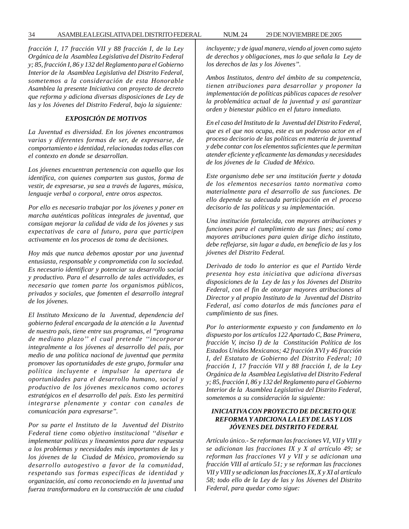*fracción I, 17 fracción VII y 88 fracción I, de la Ley Orgánica de la Asamblea Legislativa del Distrito Federal y; 85, fracción I, 86 y 132 del Reglamento para el Gobierno Interior de la Asamblea Legislativa del Distrito Federal, sometemos a la consideración de esta Honorable Asamblea la presente Iniciativa con proyecto de decreto que reforma y adiciona diversas disposiciones de Ley de las y los Jóvenes del Distrito Federal, bajo la siguiente:*

## *EXPOSICIÓN DE MOTIVOS*

*La Juventud es diversidad. En los jóvenes encontramos varias y diferentes formas de ser, de expresarse, de comportamiento e identidad, relacionadas todas ellas con el contexto en donde se desarrollan.*

*Los jóvenes encuentran pertenencia con aquello que los identifica, con quienes comparten sus gustos, forma de vestir, de expresarse, ya sea a través de lugares, música, lenguaje verbal o corporal, entre otros aspectos.*

*Por ello es necesario trabajar por los jóvenes y poner en marcha auténticas políticas integrales de juventud, que consigan mejorar la calidad de vida de los jóvenes y sus expectativas de cara al futuro, para que participen activamente en los procesos de toma de decisiones.*

*Hoy más que nunca debemos apostar por una juventud entusiasta, responsable y comprometida con la sociedad. Es necesario identificar y potenciar su desarrollo social y productivo. Para el desarrollo de tales actividades, es necesario que tomen parte los organismos públicos, privados y sociales, que fomenten el desarrollo integral de los jóvenes.*

*El Instituto Mexicano de la Juventud, dependencia del gobierno federal encargada de la atención a la Juventud de nuestro país, tiene entre sus programas, el ''programa de mediano plazo'' el cual pretende ''incorporar integralmente a los jóvenes al desarrollo del país, por medio de una política nacional de juventud que permita promover las oportunidades de este grupo, formular una política incluyente e impulsar la apertura de oportunidades para el desarrollo humano, social y productivo de los jóvenes mexicanos como actores estratégicos en el desarrollo del país. Esto les permitirá integrarse plenamente y contar con canales de comunicación para expresarse''.*

*Por su parte el Instituto de la Juventud del Distrito Federal tiene como objetivo institucional ''diseñar e implementar políticas y lineamientos para dar respuesta a los problemas y necesidades más importantes de las y los jóvenes de la Ciudad de México, promoviendo su desarrollo autogestivo a favor de la comunidad, respetando sus formas específicas de identidad y organización, así como reconociendo en la juventud una fuerza transformadora en la construcción de una ciudad* *incluyente; y de igual manera, viendo al joven como sujeto de derechos y obligaciones, mas lo que señala la Ley de los derechos de las y los Jóvenes''.*

*Ambos Institutos, dentro del ámbito de su competencia, tienen atribuciones para desarrollar y proponer la implementación de políticas públicas capaces de resolver la problemática actual de la juventud y así garantizar orden y bienestar público en el futuro inmediato.*

*En el caso del Instituto de la Juventud del Distrito Federal, que es el que nos ocupa, este es un poderoso actor en el proceso decisorio de las políticas en materia de juventud y debe contar con los elementos suficientes que le permitan atender eficiente y eficazmente las demandas y necesidades de los jóvenes de la Ciudad de México.*

*Este organismo debe ser una institución fuerte y dotada de los elementos necesarios tanto normativa como materialmente para el desarrollo de sus funciones. De ello depende su adecuada participación en el proceso decisorio de las políticas y su implementación.*

*Una institución fortalecida, con mayores atribuciones y funciones para el cumplimiento de sus fines; así como mayores atribuciones para quien dirige dicho instituto, debe reflejarse, sin lugar a duda, en beneficio de las y los jóvenes del Distrito Federal.*

*Derivado de todo lo anterior es que el Partido Verde presenta hoy esta iniciativa que adiciona diversas disposiciones de la Ley de las y los Jóvenes del Distrito Federal, con el fin de otorgar mayores atribuciones al Director y al propio Instituto de la Juventud del Distrito Federal, así como dotarlos de más funciones para el cumplimiento de sus fines.*

*Por lo anteriormente expuesto y con fundamento en lo dispuesto por los artículos 122 Apartado C, Base Primera, fracción V, inciso I) de la Constitución Política de los Estados Unidos Mexicanos; 42 fracción XVI y 46 fracción I, del Estatuto de Gobierno del Distrito Federal; 10 fracción I, 17 fracción VII y 88 fracción I, de la Ley Orgánica de la Asamblea Legislativa del Distrito Federal y; 85, fracción I, 86 y 132 del Reglamento para el Gobierno Interior de la Asamblea Legislativa del Distrito Federal, sometemos a su consideración la siguiente:*

#### *INICIATIVA CON PROYECTO DE DECRETO QUE REFORMA Y ADICIONA LA LEY DE LAS Y LOS JÓVENES DEL DISTRITO FEDERAL*

*Artículo único.- Se reforman las fracciones VI, VII y VIII y se adicionan las fracciones IX y X al artículo 49; se reforman las fracciones VI y VII y se adicionan una fracción VIII al artículo 51; y se reforman las fracciones VII y VIII y se adicionan las fracciones IX, X y XI al artículo 58; todo ello de la Ley de las y los Jóvenes del Distrito Federal, para quedar como sigue:*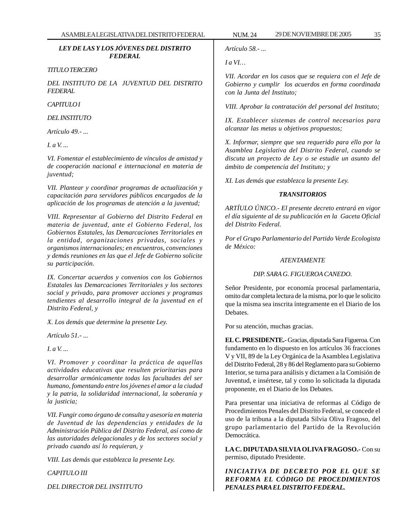## *LEY DE LAS Y LOS JÓVENES DEL DISTRITO FEDERAL*

#### *TITULO TERCERO*

*DEL INSTITUTO DE LA JUVENTUD DEL DISTRITO FEDERAL*

#### *CAPITULO I*

*DEL INSTITUTO*

*Artículo 49.- ...*

*I. a V. ...*

*VI. Fomentar el establecimiento de vínculos de amistad y de cooperación nacional e internacional en materia de juventud;*

*VII. Plantear y coordinar programas de actualización y capacitación para servidores públicos encargados de la aplicación de los programas de atención a la juventud;*

*VIII. Representar al Gobierno del Distrito Federal en materia de juventud, ante el Gobierno Federal, los Gobiernos Estatales, las Demarcaciones Territoriales en la entidad, organizaciones privadas, sociales y organismos internacionales; en encuentros, convenciones y demás reuniones en las que el Jefe de Gobierno solicite su participación.*

*IX. Concertar acuerdos y convenios con los Gobiernos Estatales las Demarcaciones Territoriales y los sectores social y privado, para promover acciones y programas tendientes al desarrollo integral de la juventud en el Distrito Federal, y*

*X. Los demás que determine la presente Ley.*

*Artículo 51.- ...*

*I. a V. ...*

*VI. Promover y coordinar la práctica de aquellas actividades educativas que resulten prioritarias para desarrollar armónicamente todas las facultades del ser humano, fomentando entre los jóvenes el amor a la ciudad y la patria, la solidaridad internacional, la soberanía y la justicia;*

*VII. Fungir como órgano de consulta y asesoría en materia de Juventud de las dependencias y entidades de la Administración Pública del Distrito Federal, así como de las autoridades delegacionales y de los sectores social y privado cuando así lo requieran, y*

*VIII. Las demás que establezca la presente Ley.*

*CAPITULO III*

*DEL DIRECTOR DEL INSTITUTO*

*Artículo 58.- ...*

*I a VI…*

*VII. Acordar en los casos que se requiera con el Jefe de Gobierno y cumplir los acuerdos en forma coordinada con la Junta del Instituto;*

*VIII. Aprobar la contratación del personal del Instituto;*

*IX. Establecer sistemas de control necesarios para alcanzar las metas u objetivos propuestos;*

*X. Informar, siempre que sea requerido para ello por la Asamblea Legislativa del Distrito Federal, cuando se discuta un proyecto de Ley o se estudie un asunto del ámbito de competencia del Instituto; y*

*XI. Las demás que establezca la presente Ley.*

## *TRANSITORIOS*

*ARTÍULO ÚNICO.- El presente decreto entrará en vigor el día siguiente al de su publicación en la Gaceta Oficial del Distrito Federal.*

*Por el Grupo Parlamentario del Partido Verde Ecologista de México:*

#### *ATENTAMENTE*

## *DIP. SARA G. FIGUEROA CANEDO.*

Señor Presidente, por economía procesal parlamentaria, omito dar completa lectura de la misma, por lo que le solicito que la misma sea inscrita íntegramente en el Diario de los Debates.

Por su atención, muchas gracias.

**EL C. PRESIDENTE.-** Gracias, diputada Sara Figueroa. Con fundamento en lo dispuesto en los artículos 36 fracciones V y VII, 89 de la Ley Orgánica de la Asamblea Legislativa del Distrito Federal, 28 y 86 del Reglamento para su Gobierno Interior, se turna para análisis y dictamen a la Comisión de Juventud, e insértese, tal y como lo solicitada la diputada proponente, en el Diario de los Debates.

Para presentar una iniciativa de reformas al Código de Procedimientos Penales del Distrito Federal, se concede el uso de la tribuna a la diputada Silvia Oliva Fragoso, del grupo parlamentario del Partido de la Revolución **Democrática** 

**LA C. DIPUTADA SILVIA OLIVA FRAGOSO.-** Con su permiso, diputado Presidente.

*INICIATIVA DE DECRETO POR EL QUE SE REFORMA EL CÓDIGO DE PROCEDIMIENTOS PENALES PARA EL DISTRITO FEDERAL.*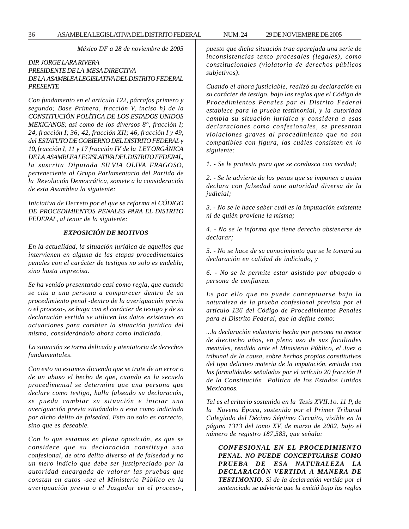36 ASAMBLEA LEGISLATIVA DEL DISTRITO FEDERAL 29 DE NOVIEMBRE DE 2005 NUM. 24

*México DF a 28 de noviembre de 2005*

## *DIP. JORGE LARA RIVERA PRESIDENTE DE LA MESA DIRECTIVA DE LA ASAMBLEA LEGISLATIVA DEL DISTRITO FEDERAL PRESENTE*

*Con fundamento en el artículo 122, párrafos primero y segundo; Base Primera, fracción V, inciso h) de la CONSTITUCIÓN POLÍTICA DE LOS ESTADOS UNIDOS MEXICANOS; así como de los diversos 8°, fracción I; 24, fracción I; 36; 42, fracción XII; 46, fracción I y 49, del ESTATUTO DE GOBIERNO DEL DISTRITO FEDERAL y 10, fracción I, 11 y 17 fracción IV de la LEY ORGÁNICA DE LA ASAMBLEA LEGISLATIVA DEL DISTRITO FEDERAL, la suscrita Diputada SILVIA OLIVA FRAGOSO, perteneciente al Grupo Parlamentario del Partido de la Revolución Democrática, somete a la consideración de esta Asamblea la siguiente:*

*Iniciativa de Decreto por el que se reforma el CÓDIGO DE PROCEDIMIENTOS PENALES PARA EL DISTRITO FEDERAL, al tenor de la siguiente:*

#### *EXPOSICIÓN DE MOTIVOS*

*En la actualidad, la situación jurídica de aquellos que intervienen en alguna de las etapas procedimentales penales con el carácter de testigos no solo es endeble, sino hasta imprecisa.*

*Se ha venido presentando casi como regla, que cuando se cita a una persona a comparecer dentro de un procedimiento penal -dentro de la averiguación previa o el proceso-, se haga con el carácter de testigo y de su declaración vertida se utilicen los datos existentes en actuaciones para cambiar la situación jurídica del mismo, considerándolo ahora como indiciado.*

*La situación se torna delicada y atentatoria de derechos fundamentales.*

*Con esto no estamos diciendo que se trate de un error o de un abuso el hecho de que, cuando en la secuela procedimental se determine que una persona que declare como testigo, halla falseado su declaración, se pueda cambiar su situación e iniciar una averiguación previa situándolo a esta como indiciada por dicho delito de falsedad. Esto no solo es correcto, sino que es deseable.*

*Con lo que estamos en plena oposición, es que se considere que su declaración constituya una confesional, de otro delito diverso al de falsedad y no un mero indicio que debe ser justipreciado por la autoridad encargada de valorar las pruebas que constan en autos -sea el Ministerio Público en la averiguación previa o el Juzgador en el proceso-,*

*puesto que dicha situación trae aparejada una serie de inconsistencias tanto procesales (legales), como constitucionales (violatoria de derechos públicos subjetivos).*

*Cuando el ahora justiciable, realizó su declaración en su carácter de testigo, bajo las reglas que el Código de Procedimientos Penales par el Distrito Federal establece para la prueba testimonial, y la autoridad cambia su situación jurídica y considera a esas declaraciones como confesionales, se presentan violaciones graves al procedimiento que no son compatibles con figura, las cuáles consisten en lo siguiente:*

*1. - Se le protesta para que se conduzca con verdad;*

*2. - Se le advierte de las penas que se imponen a quien declara con falsedad ante autoridad diversa de la judicial;*

*3. - No se le hace saber cuál es la imputación existente ni de quién proviene la misma;*

*4. - No se le informa que tiene derecho abstenerse de declarar;*

*5. - No se hace de su conocimiento que se le tomará su declaración en calidad de indiciado, y*

*6. - No se le permite estar asistido por abogado o persona de confianza.*

*Es por ello que no puede conceptuarse bajo la naturaleza de la prueba confesional prevista por el artículo 136 del Código de Procedimientos Penales para el Distrito Federal, que la define como:*

*...la declaración voluntaria hecha por persona no menor de dieciocho años, en pleno uso de sus facultades mentales, rendida ante el Ministerio Público, el Juez o tribunal de la causa, sobre hechos propios constitutivos del tipo delictivo materia de la imputación, emitida con las formalidades señaladas por el artículo 20 fracción II de la Constitución Política de los Estados Unidos Mexicanos.*

*Tal es el criterio sostenido en la Tesis XVII.1o. 11 P, de la Novena Época, sostenida por el Primer Tribunal Colegiado del Décimo Séptimo Circuito, visible en la página 1313 del tomo XV, de marzo de 2002, bajo el número de registro 187,583, que señala:*

*CONFESIONAL EN EL PROCEDIMIENTO PENAL. NO PUEDE CONCEPTUARSE COMO PRUEBA DE ESA NATURALEZA LA DECLARACIÓN VERTIDA A MANERA DE TESTIMONIO. Si de la declaración vertida por el sentenciado se advierte que la emitió bajo las reglas*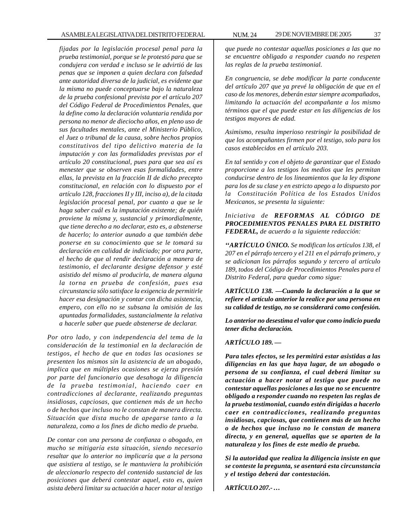*fijadas por la legislación procesal penal para la prueba testimonial, porque se le protestó para que se condujera con verdad e incluso se le advirtió de las penas que se imponen a quien declara con falsedad ante autoridad diversa de la judicial, es evidente que la misma no puede conceptuarse bajo la naturaleza de la prueba confesional prevista por el artículo 207 del Código Federal de Procedimientos Penales, que la define como la declaración voluntaria rendida por persona no menor de dieciocho años, en pleno uso de sus facultades mentales, ante el Ministerio Público, el Juez o tribunal de la causa, sobre hechos propios constitutivos del tipo delictivo materia de la imputación y con las formalidades previstas por el artículo 20 constitucional, pues para que sea así es menester que se observen esas formalidades, entre ellas, la prevista en la fracción II de dicho precepto constitucional, en relación con lo dispuesto por el artículo 128, fracciones II y III, inciso a), de la citada legislación procesal penal, por cuanto a que se le haga saber cuál es la imputación existente; de quién proviene la misma y, sustancial y primordialmente, que tiene derecho a no declarar, esto es, a abstenerse de hacerlo; lo anterior aunado a que también debe ponerse en su conocimiento que se le tomará su declaración en calidad de indiciado; por otra parte, el hecho de que al rendir declaración a manera de testimonio, el declarante designe defensor y esté asistido del mismo al producirla, de manera alguna la torna en prueba de confesión, pues esa circunstancia sólo satisface la exigencia de permitirle hacer esa designación y contar con dicha asistencia, empero, con ello no se subsana la omisión de las apuntadas formalidades, sustancialmente la relativa a hacerle saber que puede abstenerse de declarar.*

*Por otro lado, y con independencia del tema de la consideración de la testimonial en la declaración de testigos, el hecho de que en todas las ocasiones se presenten los mismos sin la asistencia de un abogado, implica que en múltiples ocasiones se ejerza presión por parte del funcionario que desahoga la diligencia de la prueba testimonial, haciendo caer en contradicciones al declarante, realizando preguntas insidiosas, capciosas, que contienen más de un hecho o de hechos que incluso no le constan de manera directa. Situación que dista mucho de apegarse tanto a la naturaleza, como a los fines de dicho medio de prueba.*

*De contar con una persona de confianza o abogado, en mucho se mitigaría esta situación, siendo necesario resaltar que lo anterior no implicaría que a la persona que asistiera al testigo, se le mantuviera la prohibición de aleccionarlo respecto del contenido sustancial de las posiciones que deberá contestar aquel, esto es, quien asista deberá limitar su actuación a hacer notar al testigo*

*que puede no contestar aquellas posiciones a las que no se encuentre obligado a responder cuando no respeten las reglas de la prueba testimonial.*

*En congruencia, se debe modificar la parte conducente del artículo 207 que ya prevé la obligación de que en el caso de los menores, deberán estar siempre acompañados, limitando la actuación del acompañante a los mismo términos que el que puede estar en las diligencias de los testigos mayores de edad.*

*Asimismo, resulta imperioso restringir la posibilidad de que los acompañantes firmen por el testigo, solo para los casos establecidos en el artículo 203.*

*En tal sentido y con el objeto de garantizar que el Estado proporcione a los testigos los medios que les permitan conducirse dentro de los lineamientos que la ley dispone para los de su clase y en estricto apego a lo dispuesto por la Constitución Política de los Estados Unidos Mexicanos, se presenta la siguiente:*

*Iniciativa de REFORMAS AL CÓDIGO DE PROCEDIMIENTOS PENALES PARA EL DISTRITO FEDERAL, de acuerdo a la siguiente redacción:*

*''ARTÍCULO ÚNICO. Se modifican los artículos 138, el 207 en el párrafo tercero y el 211 en el párrafo primero, y se adicionan los párrafos segundo y tercero al artículo 189, todos del Código de Procedimientos Penales para el Distrito Federal, para quedar como sigue:*

*ARTÍCULO 138. —Cuando la declaración a la que se refiere el artículo anterior la realice por una persona en su calidad de testigo, no se considerará como confesión.*

*Lo anterior no desestima el valor que como indicio pueda tener dicha declaración.*

*ARTÍCULO 189. —*

*Para tales efectos, se les permitirá estar asistidas a las diligencias en las que haya lugar, de un abogado o persona de su confianza, el cual deberá limitar su actuación a hacer notar al testigo que puede no contestar aquellas posiciones a las que no se encuentre obligado a responder cuando no respeten las reglas de la prueba testimonial, cuando estén dirigidas a hacerlo caer en contradicciones, realizando preguntas insidiosas, capciosas, que contienen más de un hecho o de hechos que incluso no le constan de manera directa, y en general, aquellas que se aparten de la naturaleza y los fines de este medio de prueba.*

*Si la autoridad que realiza la diligencia insiste en que se conteste la pregunta, se asentará esta circunstancia y el testigo deberá dar contestación.*

*ARTÍCULO 207.- …*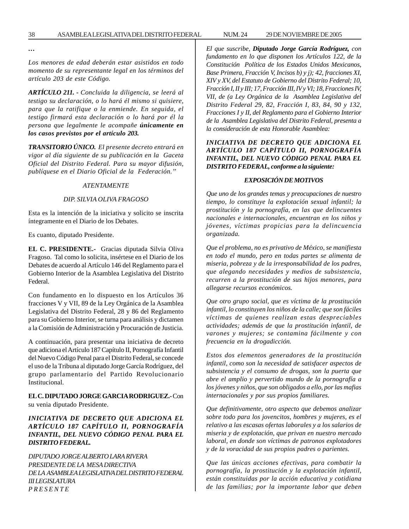*…*

*Los menores de edad deberán estar asistidos en todo momento de su representante legal en los términos del artículo 203 de este Código.*

*ARTÍCULO 211. - Concluida la diligencia, se leerá al testigo su declaración, o lo hará él mismo si quisiere, para que la ratifique o la enmiende. En seguida, el testigo firmará esta declaración o lo hará por él la persona que legalmente le acompañe únicamente en los casos previstos por el artículo 203.*

*TRANSITORIO ÚNICO. El presente decreto entrará en vigor al día siguiente de su publicación en la Gaceta Oficial del Distrito Federal. Para su mayor difusión, publíquese en el Diario Oficial de la Federación.''*

#### *ATENTAMENTE*

#### *DIP. SILVIA OLIVA FRAGOSO*

Esta es la intención de la iniciativa y solicito se inscrita íntegramente en el Diario de los Debates.

Es cuanto, diputado Presidente.

**EL C. PRESIDENTE.-** Gracias diputada Silvia Oliva Fragoso. Tal como lo solicita, insértese en el Diario de los Debates de acuerdo al Artículo 146 del Reglamento para el Gobierno Interior de la Asamblea Legislativa del Distrito Federal.

Con fundamento en lo dispuesto en los Artículos 36 fracciones V y VII, 89 de la Ley Orgánica de la Asamblea Legislativa del Distrito Federal, 28 y 86 del Reglamento para su Gobierno Interior, se turna para análisis y dictamen a la Comisión de Administración y Procuración de Justicia.

A continuación, para presentar una iniciativa de decreto que adiciona el Artículo 187 Capítulo II, Pornografía Infantil del Nuevo Código Penal para el Distrito Federal, se concede el uso de la Tribuna al diputado Jorge García Rodríguez, del grupo parlamentario del Partido Revolucionario Institucional.

# **EL C. DIPUTADO JORGE GARCIA RODRIGUEZ.-** Con su venia diputado Presidente.

# *INICIATIVA DE DECRETO QUE ADICIONA EL ARTÍCULO 187 CAPÍTULO II, PORNOGRAFÍA INFANTIL, DEL NUEVO CÓDIGO PENAL PARA EL DISTRITO FEDERAL.*

*DIPUTADO JORGE ALBERTO LARA RIVERA PRESIDENTE DE LA MESA DIRECTIVA DE LA ASAMBLEA LEGISLATIVA DEL DISTRITO FEDERAL III LEGISLATURA P R E S E N T E*

*El que suscribe, Diputado Jorge García Rodríguez, con fundamento en lo que disponen los Artículos 122, de la Constitución Política de los Estados Unidos Mexicanos, Base Primera, Fracción V, Incisos b) y j); 42, fracciones XI, XIV y XV, del Estatuto de Gobierno del Distrito Federal; 10, Fracción I, II y III; 17, Fracción III, IV y VI; 18, Fracciones IV, VII, de (a Ley Orgánica de la Asamblea Legislativa del Distrito Federal 29, 82, Fracción I, 83, 84, 90 y 132, Fracciones I y II, del Reglamento para el Gobierno Interior de la Asamblea Legislativa del Distrito Federal, presenta a la consideración de esta Honorable Asamblea:*

# *INICIATIVA DE DECRETO QUE ADICIONA EL ARTÍCULO 187 CAPÍTULO II, PORNOGRAFÍA INFANTIL, DEL NUEVO CÓDIGO PENAL PARA EL DISTRITO FEDERAL, conforme a la siguiente:*

#### *EXPOSICIÓN DE MOTIVOS*

*Que uno de los grandes temas y preocupaciones de nuestro tiempo, lo constituye la explotación sexual infantil; la prostitución y la pornografía, en las que delincuentes nacionales e internacionales, encuentran en los niños y jóvenes, víctimas propicias para la delincuencia organizada.*

*Que el problema, no es privativo de México, se manifiesta en todo el mundo, pero en todas partes se alimenta de miseria, pobreza y de la irresponsabilidad de los padres, que alegando necesidades y medios de subsistencia, recurren a la prostitución de sus hijos menores, para allegarse recursos económicos.*

*Que otro grupo social, que es víctima de la prostitución infantil, lo constituyen los niños de la calle; que son fáciles víctimas de quienes realizan estas despreciables actividades; además de que la prostitución infantil, de varones y mujeres; se contamina fácilmente y con frecuencia en la drogadicción.*

*Estos dos elementos generadores de la prostitución infantil, como son la necesidad de satisfacer aspectos de subsistencia y el consumo de drogas, son la puerta que abre el amplio y pervertido mundo de la pornografía a los jóvenes y niños, que son obligados a ello, por las mafias internacionales y por sus propios familiares.*

*Que definitivamente, otro aspecto que debemos analizar sobre todo para los jovencitos, hombres y mujeres, es el relativo a las escasas ofertas laborales y a los salarios de miseria y de explotación, que privan en nuestro mercado laboral, en donde son víctimas de patronos explotadores y de la voracidad de sus propios padres o parientes.*

*Que las únicas acciones efectivas, para combatir la pornografía, la prostitución y la explotación infantil, están constituidas por la acción educativa y cotidiana de las familias; por la importante labor que deben*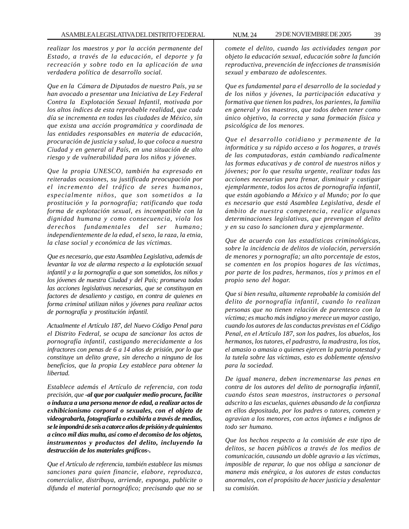*realizar los maestros y por la acción permanente del Estado, a través de la educación, el deporte y fa recreación y sobre todo en la aplicación de una verdadera política de desarrollo social.*

*Que en la Cámara de Diputados de nuestro País, ya se han avocado a presentar una Iniciativa de Ley Federal Contra la Explotación Sexual Infantil, motivada por los altos índices de esta reprobable realidad, que cada día se incrementa en todas las ciudades de México, sin que exista una acción programática y coordinada de las entidades responsables en materia de educación, procuración de justicia y salud, lo que coloca a nuestra Ciudad y en general al País, en una situación de alto riesgo y de vulnerabilidad para los niños y jóvenes.*

*Que la propia UNESCO, también ha expresado en reiteradas ocasiones, su justificada preocupación por el incremento del tráfico de seres humanos, especialmente niños, que son sometidos a la prostitución y la pornografía; ratificando que toda forma de explotación sexual, es incompatible con la dignidad humana y como consecuencia, viola los derechos fundamentales del ser humano; independientemente de la edad, el sexo, la raza, la etnia, la clase social y económica de las víctimas.*

*Que es necesario, que esta Asamblea Legislativa, además de levantar la voz de alarma respecto a la explotación sexual infantil y a la pornografía a que son sometidos, los niños y los jóvenes de nuestra Ciudad y del País; promueva todas las acciones legislativas necesarias, que se constituyan en factores de desaliento y castigo, en contra de quienes en forma criminal utilizan niños y jóvenes para realizar actos de pornografía y prostitución infantil.*

*Actualmente el Artículo 187, del Nuevo Código Penal para el Distrito Federal, se ocupa de sancionar los actos de pornografía infantil, castigando merecidamente a los infractores con penas de 6 a 14 años de prisión, por lo que constituye un delito grave, sin derecho a ninguno de los beneficios, que la propia Ley establece para obtener la libertad.*

*Establece además el Artículo de referencia, con toda precisión, que -al que por cualquier medio procure, facilite o induzca a una persona menor de edad, a realizar actos de exhibicionismo corporal o sexuales, con el objeto de videograbarla, fotografiarla o exhibirla a través de medios, se le impondrá de seis a catorce años de prisión y de quinientos a cinco mil días multa, así como el decomiso de los objetos, instrumentos y productos del delito, incluyendo la destrucción de los materiales gráficos-.*

*Que el Artículo de referencia, también establece las mismas sanciones para quien financie, elabore, reproduzca, comercialice, distribuya, arriende, exponga, publicite o difunda el material pornográfico; precisando que no se*

*comete el delito, cuando las actividades tengan por objeto la educación sexual, educación sobre la función reproductiva, prevención de infecciones de transmisión sexual y embarazo de adolescentes.*

*Que es fundamental para el desarrollo de la sociedad y de los niños y jóvenes, la participación educativa y formativa que tienen los padres, los parientes, la familia en general y los maestros, que todos deben tener como único objetivo, la correcta y sana formación física y psicológica de los menores.*

*Que el desarrollo cotidiano y permanente de la informática y su rápido acceso a los hogares, a través de las computadoras, están cambiando radicalmente las formas educativas y de control de nuestros niños y jóvenes; por lo que resulta urgente, realizar todas las acciones necesarias para frenar, disminuir y castigar ejemplarmente, todos los actos de pornografía infantil, que están agobiando a México y al Mundo; por lo que es necesario que está Asamblea Legislativa, desde el ámbito de nuestra competencia, realice algunas determinaciones legislativas, que prevengan el delito y en su caso lo sancionen dura y ejemplarmente.*

*Que de acuerdo con las estadísticas criminológicas, sobre la incidencia de delitos de violación, perversión de menores y pornografía; un alto porcentaje de estos, se comenten en los propios hogares de las víctimas, por parte de los padres, hermanos, tíos y primos en el propio seno del hogar.*

*Que si bien resulta, altamente reprobable la comisión del delito de pornografía infantil, cuando lo realizan personas que no tienen relación de parentesco con la víctima; es mucho más indigno y merece un mayor castigo, cuando los autores de las conductas previstas en el Código Penal, en el Artículo 187, son los padres, los abuelos, los hermanos, los tutores, el padrastro, la madrastra, los tíos, el amasio o amasia o quienes ejercen la patria potestad y la tutela sobre las víctimas, esto es doblemente ofensivo para la sociedad.*

*De igual manera, deben incrementarse las penas en contra de los autores del delito de pornografía infantil, cuando éstos sean maestros, instructores o personal adscrito a las escuelas, quienes abusando de la confianza en ellos depositada, por los padres o tutores, cometen y agravian a los menores, con actos infames e indignos de todo ser humano.*

*Que los hechos respecto a la comisión de este tipo de delitos, se hacen públicos a través de los medios de comunicación, causando un doble agravio a las víctimas, imposible de reparar, lo que nos obliga a sancionar de manera más enérgica, a los autores de estas conductas anormales, con el propósito de hacer justicia y desalentar su comisión.*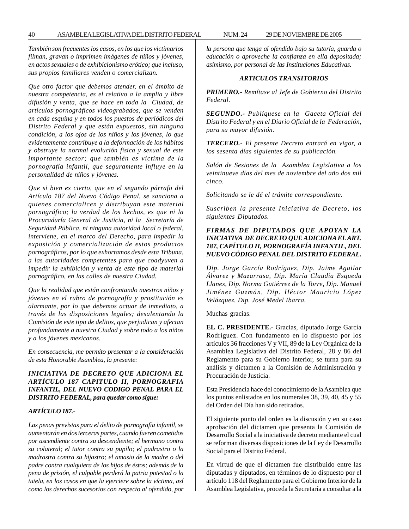*También son frecuentes los casos, en los que los victimarios filman, gravan o imprimen imágenes de niños y jóvenes, en actos sexuales o de exhibicionismo erótico; que incluso, sus propios familiares venden o comercializan.*

*Que otro factor que debemos atender, en el ámbito de nuestra competencia, es el relativo a la amplia y libre difusión y venta, que se hace en toda la Ciudad, de artículos pornográficos videograbados, que se venden en cada esquina y en todos los puestos de periódicos del Distrito Federal y que están expuestos, sin ninguna condición, a los ojos de los niños y los jóvenes, lo que evidentemente contribuye a la deformación de los hábitos y obstruye la normal evolución física y sexual de este importante sector; que también es víctima de la pornografía infantil, que seguramente influye en la personalidad de niños y jóvenes.*

*Que si bien es cierto, que en el segundo párrafo del Artículo 187 del Nuevo Código Penal, se sanciona a quienes comercialicen y distribuyan este material pornográfico; la verdad de los hechos, es que ni la Procuraduría General de Justicia, ni la Secretaría de Seguridad Pública, ni ninguna autoridad local o federal, interviene, en el marco del Derecho, para impedir la exposición y comercialización de estos productos pornográficos, por lo que exhortamos desde esta Tribuna, a las autoridades competentes para que coadyuven a impedir la exhibición y venta de este tipo de material pornográfico, en las calles de nuestra Ciudad.*

*Que la realidad que están confrontando nuestros niños y jóvenes en el rubro de pornografía y prostitución es alarmante, por lo que debemos actuar de inmediato, a través de las disposiciones legales; desalentando la Comisión de este tipo de delitos, que perjudican y afectan profundamente a nuestra Ciudad y sobre todo a los niños y a los jóvenes mexicanos.*

*En consecuencia, me permito presentar a la consideración de esta Honorable Asamblea, la presente:*

## *INICIATIVA DE DECRETO QUE ADICIONA EL ARTÍCULO 187 CAPITULO II, PORNOGRAFIA INFANTIL, DEL NUEVO CODIGO PENAL PARA EL DISTRITO FEDERAL, para quedar como sigue:*

#### *ARTÍCULO 187.-*

*Las penas previstas para el delito de pornografía infantil, se aumentarán en dos terceras partes, cuando fueren cometidos por ascendiente contra su descendiente; el hermano contra su colateral; el tutor contra su pupilo; el padrastro o la madrastra contra su hijastro; el amasio de la madre o del padre contra cualquiera de los hijos de éstos; además de la pena de prisión, el culpable perderá la patria potestad o la tutela, en los casos en que la ejerciere sobre la víctima, así como los derechos sucesorios con respecto al ofendido, por* *la persona que tenga al ofendido bajo su tutoría, guarda o educación o aproveche la confianza en ella depositada; asimismo, por personal de las Instituciones Educativas.*

#### *ARTICULOS TRANSITORIOS*

*PRIMERO.- Remítase al Jefe de Gobierno del Distrito Federal.*

*SEGUNDO.- Publíquese en la Gaceta Oficial del Distrito Federal y en el Diario Oficial de la Federación, para su mayor difusión.*

*TERCERO.- El presente Decreto entrará en vigor, a los sesenta días siguientes de su publicación.*

*Salón de Sesiones de la Asamblea Legislativa a los veintinueve días del mes de noviembre del año dos mil cinco.*

*Solicitando se le dé el trámite correspondiente.*

*Suscriben la presente Iniciativa de Decreto, los siguientes Diputados.*

# *FIRMAS DE DIPUTADOS QUE APOYAN LA INICIATIVA DE DECRETO QUE ADICIONA EL ART. 187, CAPÍTULO II, PORNOGRAFÍA INFANTIL, DEL NUEVO CÓDIGO PENAL DEL DISTRITO FEDERAL.*

*Dip. Jorge García Rodríguez, Dip. Jaime Aguilar Álvarez y Mazarrasa, Dip. María Claudia Esqueda Llanes, Dip. Norma Gutiérrez de la Torre, Dip. Manuel Jiménez Guzmán, Dip. Héctor Mauricio López Velázquez. Dip. José Medel Ibarra.*

Muchas gracias.

**EL C. PRESIDENTE.-** Gracias, diputado Jorge García Rodríguez. Con fundamento en lo dispuesto por los artículos 36 fracciones V y VII, 89 de la Ley Orgánica de la Asamblea Legislativa del Distrito Federal, 28 y 86 del Reglamento para su Gobierno Interior, se turna para su análisis y dictamen a la Comisión de Administración y Procuración de Justicia.

Esta Presidencia hace del conocimiento de la Asamblea que los puntos enlistados en los numerales 38, 39, 40, 45 y 55 del Orden del Día han sido retirados.

El siguiente punto del orden es la discusión y en su caso aprobación del dictamen que presenta la Comisión de Desarrollo Social a la iniciativa de decreto mediante el cual se reforman diversas disposiciones de la Ley de Desarrollo Social para el Distrito Federal.

En virtud de que el dictamen fue distribuido entre las diputadas y diputados, en términos de lo dispuesto por el artículo 118 del Reglamento para el Gobierno Interior de la Asamblea Legislativa, proceda la Secretaría a consultar a la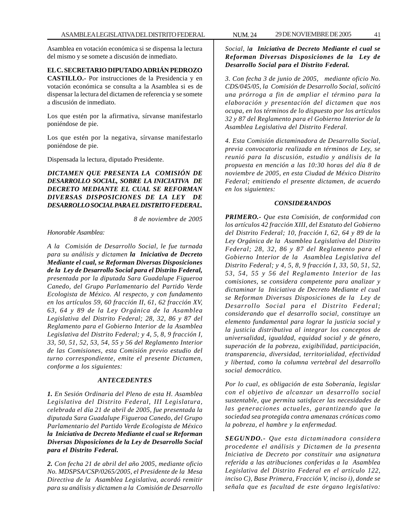Asamblea en votación económica si se dispensa la lectura del mismo y se somete a discusión de inmediato.

### **EL C. SECRETARIO DIPUTADO ADRIÁN PEDROZO**

**CASTILLO.-** Por instrucciones de la Presidencia y en votación económica se consulta a la Asamblea si es de dispensar la lectura del dictamen de referencia y se somete a discusión de inmediato.

Los que estén por la afirmativa, sírvanse manifestarlo poniéndose de pie.

Los que estén por la negativa, sírvanse manifestarlo poniéndose de pie.

Dispensada la lectura, diputado Presidente.

*DICTAMEN QUE PRESENTA LA COMISIÓN DE DESARROLLO SOCIAL, SOBRE LA INICIATIVA DE DECRETO MEDIANTE EL CUAL SE REFORMAN DIVERSAS DISPOSICIONES DE LA LEY DE DESARROLLO SOCIAL PARA EL DISTRITO FEDERAL.*

*8 de noviembre de 2005*

*Honorable Asamblea:*

*A la Comisión de Desarrollo Social, le fue turnada para su análisis y dictamen la Iniciativa de Decreto Mediante el cual, se Reforman Diversas Disposiciones de la Ley de Desarrollo Social para el Distrito Federal, presentada por la diputada Sara Guadalupe Figueroa Canedo, del Grupo Parlamentario del Partido Verde Ecologista de México. Al respecto, y con fundamento en los artículos 59, 60 fracción II, 61, 62 fracción XV, 63, 64 y 89 de la Ley Orgánica de la Asamblea Legislativa del Distrito Federal; 28, 32, 86 y 87 del Reglamento para el Gobierno Interior de la Asamblea Legislativa del Distrito Federal; y 4, 5, 8, 9 fracción I, 33, 50, 51, 52, 53, 54, 55 y 56 del Reglamento Interior de las Comisiones, esta Comisión previo estudio del turno correspondiente, emite el presente Dictamen, conforme a los siguientes:*

#### *ANTECEDENTES*

*1. En Sesión Ordinaria del Pleno de esta H. Asamblea Legislativa del Distrito Federal, III Legislatura, celebrada el día 21 de abril de 2005, fue presentada la diputada Sara Guadalupe Figueroa Canedo, del Grupo Parlamentario del Partido Verde Ecologista de México la Iniciativa de Decreto Mediante el cual se Reforman Diversas Disposiciones de la Ley de Desarrollo Social para el Distrito Federal.*

*2. Con fecha 21 de abril del año 2005, mediante oficio No. MDSPSA/CSP/0265/2005, el Presidente de la Mesa Directiva de la Asamblea Legislativa, acordó remitir para su análisis y dictamen a la Comisión de Desarrollo*

*Social, la Iniciativa de Decreto Mediante el cual se Reforman Diversas Disposiciones de la Ley de Desarrollo Social para el Distrito Federal.*

*3. Con fecha 3 de junio de 2005, mediante oficio No. CDS/045/05, la Comisión de Desarrollo Social, solicitó una prórroga a fin de ampliar el término para la elaboración y presentación del dictamen que nos ocupa, en los términos de lo dispuesto por los artículos 32 y 87 del Reglamento para el Gobierno Interior de la Asamblea Legislativa del Distrito Federal.*

*4. Esta Comisión dictaminadora de Desarrollo Social, previa convocatoria realizada en términos de Ley, se reunió para la discusión, estudio y análisis de la propuesta en mención a las 10:30 horas del día 8 de noviembre de 2005, en esta Ciudad de México Distrito Federal; emitiendo el presente dictamen, de acuerdo en los siguientes:*

#### *CONSIDERANDOS*

*PRIMERO.- Que esta Comisión, de conformidad con los artículos 42 fracción XIII, del Estatuto del Gobierno del Distrito Federal; 10, fracción I, 62, 64 y 89 de la Ley Orgánica de la Asamblea Legislativa del Distrito Federal; 28, 32, 86 y 87 del Reglamento para el Gobierno Interior de la Asamblea Legislativa del Distrito Federal; y 4, 5, 8, 9 fracción I, 33, 50, 51, 52, 53, 54, 55 y 56 del Reglamento Interior de las comisiones, se considera competente para analizar y dictaminar la Iniciativa de Decreto Mediante el cual se Reforman Diversas Disposiciones de la Ley de Desarrollo Social para el Distrito Federal; considerando que el desarrollo social, constituye un elemento fundamental para lograr la justicia social y la justicia distributiva al integrar los conceptos de universalidad, igualdad, equidad social y de género, superación de la pobreza, exigibilidad, participación, transparencia, diversidad, territorialidad, efectividad y libertad, como la columna vertebral del desarrollo social democrático.*

*Por lo cual, es obligación de esta Soberanía, legislar con el objetivo de alcanzar un desarrollo social sustentable, que permita satisfacer las necesidades de las generaciones actuales, garantizando que la sociedad sea protegida contra amenazas crónicas como la pobreza, el hambre y la enfermedad.*

*SEGUNDO.- Que esta dictaminadora considera procedente el análisis y Dictamen de la presenta Iniciativa de Decreto por constituir una asignatura referida a las atribuciones conferidas a la Asamblea Legislativa del Distrito Federal en el artículo 122, inciso C), Base Primera, Fracción V, inciso i), donde se señala que es facultad de este órgano legislativo:*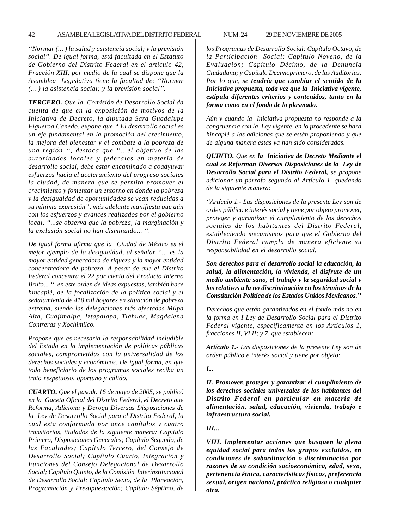*''Normar (... ) la salud y asistencia social; y la previsión social''. De igual forma, está facultada en el Estatuto de Gobierno del Distrito Federal en el artículo 42, Fracción XIII, por medio de la cual se dispone que la Asamblea Legislativa tiene la facultad de: ''Normar (... ) la asistencia social; y la previsión social''.*

*TERCERO. Que la Comisión de Desarrollo Social da cuenta de que en la exposición de motivos de la Iniciativa de Decreto, la diputada Sara Guadalupe Figueroa Canedo, expone que '' El desarrollo social es un eje fundamental en la promoción del crecimiento, la mejora del bienestar y el combate a la pobreza de una región '', destaca que ''...el objetivo de las autoridades locales y federales en materia de desarrollo social, debe estar encaminado a coadyuvar esfuerzos hacia el aceleramiento del progreso sociales la ciudad, de manera que se permita promover el crecimiento y fomentar un entorno en donde la pobreza y la desigualdad de oportunidades se vean reducidas a su mínima expresión'', más adelante manifiesta que aún con los esfuerzos y avances realizados por el gobierno local, ''...se observa que la pobreza, la marginación y la exclusión social no han disminuido... ''.*

*De igual forma afirma que la Ciudad de México es el mejor ejemplo de la desigualdad, al señalar ''... es la mayor entidad generadora de riqueza y la mayor entidad concentradora de pobreza. A pesar de que el Distrito Federal concentra el 22 por ciento del Producto Interno Bruto... '', en este orden de ideas expuestas, también hace hincapié, de la focalización de la política social y el señalamiento de 410 mil hogares en situación de pobreza extrema, siendo las delegaciones más afectadas Milpa Alta, Cuajimalpa, Iztapalapa, Tláhuac, Magdalena Contreras y Xochimilco.*

*Propone que es necesaria la responsabilidad ineludible del Estado en la implementación de políticas públicas sociales, comprometidas con la universalidad de los derechos sociales y económicos. De igual forma, en que todo beneficiario de los programas sociales reciba un trato respetuoso, oportuno y cálido.*

*CUARTO. Que el pasado 16 de mayo de 2005, se publicó en la Gaceta Oficial del Distrito Federal, el Decreto que Reforma, Adiciona y Deroga Diversas Disposiciones de la Ley de Desarrollo Social para el Distrito Federal, la cual esta conformada por once capítulos y cuatro transitorios, titulados de la siguiente manera: Capítulo Primero, Disposiciones Generales; Capítulo Segundo, de las Facultades; Capítulo Tercero, del Consejo de Desarrollo Social; Capítulo Cuarto, Integración y Funciones del Consejo Delegacional de Desarrollo Social; Capítulo Quinto, de la Comisión Interinstitucional de Desarrollo Social; Capítulo Sexto, de la Planeación, Programación y Presupuestación; Capítulo Séptimo, de*

*los Programas de Desarrollo Social; Capítulo Octavo, de la Participación Social; Capítulo Noveno, de la Evaluación; Capítulo Décimo, de la Denuncia Ciudadana; y Capítulo Decimoprimero, de las Auditorias. Por lo que, se tendría que cambiar el sentido de la Iniciativa propuesta, toda vez que la Iniciativa vigente, estipula diferentes criterios y contenidos, tanto en la forma como en el fondo de lo plasmado.*

*Aún y cuando la Iniciativa propuesta no responde a la congruencia con la Ley vigente, en lo procedente se hará hincapié a las adiciones que se están proponiendo y que de alguna manera estas ya han sido consideradas.*

*QUINTO. Que en la Iniciativa de Decreto Mediante el cual se Reforman Diversas Disposiciones de la Ley de Desarrollo Social para el Distrito Federal, se propone adicionar un párrafo segundo al Artículo 1, quedando de la siguiente manera:*

*''Artículo 1.- Las disposiciones de la presente Ley son de orden público e interés social y tiene por objeto promover, proteger y garantizar el cumplimiento de los derechos sociales de los habitantes del Distrito Federal, estableciendo mecanismos para que el Gobierno del Distrito Federal cumpla de manera eficiente su responsabilidad en el desarrollo social.*

*Son derechos para el desarrollo social la educación, la salud, la alimentación, la vivienda, el disfrute de un medio ambiente sano, el trabajo y la seguridad social y los relativos a la no discriminación en los términos de la Constitución Política de los Estados Unidos Mexicanos.''*

*Derechos que están garantizados en el fondo más no en la forma en I Ley de Desarrollo Social para el Distrito Federal vigente, específicamente en los Artículos 1, fracciones II, VI II; y 7, que establecen:*

*Artículo 1.- Las disposiciones de la presente Ley son de orden público e interés social y tiene por objeto:*

#### *I...*

*II. Promover, proteger y garantizar el cumplimiento de los derechos sociales universales de los habitantes del Distrito Federal en particular en materia de alimentación, salud, educación, vivienda, trabajo e infraestructura social.*

#### *III...*

*VIII. Implementar acciones que busquen la plena equidad social para todos los grupos excluidos, en condiciones de subordinación o discriminación por razones de su condición socioeconómica, edad, sexo, pertenencia étnica, características físicas, preferencia sexual, origen nacional, práctica religiosa o cualquier otra.*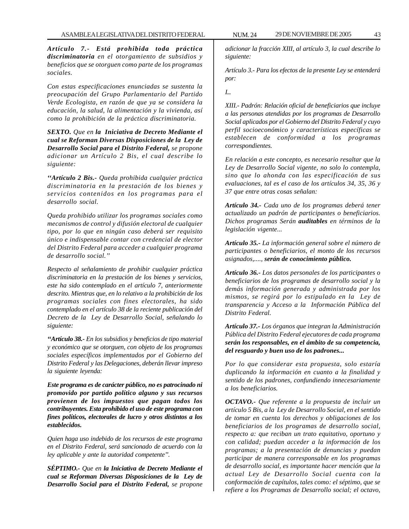*Artículo 7.- Está prohibida toda práctica discriminatoria en el otorgamiento de subsidios y beneficios que se otorguen como parte de los programas sociales.*

*Con estas especificaciones enunciadas se sustenta la preocupación del Grupo Parlamentario del Partido Verde Ecologista, en razón de que ya se considera la educación, la salud, la alimentación y la vivienda, así como la prohibición de la práctica discriminatoria.*

*SEXTO. Que en la Iniciativa de Decreto Mediante el cual se Reforman Diversas Disposiciones de la Ley de Desarrollo Social para el Distrito Federal, se propone adicionar un Artículo 2 Bis, el cual describe lo siguiente:*

*''Artículo 2 Bis.- Queda prohibida cualquier práctica discriminatoria en la prestación de los bienes y servicios contenidos en los programas para el desarrollo social.*

*Queda prohibido utilizar los programas sociales como mecanismos de control y difusión electoral de cualquier tipo, por lo que en ningún caso deberá ser requisito único e indispensable contar con credencial de elector del Distrito Federal para acceder a cualquier programa de desarrollo social.''*

*Respecto al señalamiento de prohibir cualquier práctica discriminatoria en la prestación de los bienes y servicios, este ha sido contemplado en el artículo 7, anteriormente descrito. Mientras que, en lo relativo a la prohibición de los programas sociales con fines electorales, ha sido contemplado en el artículo 38 de la reciente publicación del Decreto de la Ley de Desarrollo Social, señalando lo siguiente:*

*''Artículo 38.- En los subsidios y beneficios de tipo material y económico que se otorguen, con objeto de los programas sociales específicos implementados por el Gobierno del Distrito Federal y las Delegaciones, deberán llevar impreso la siguiente leyenda:*

*Este programa es de carácter público, no es patrocinado ni promovido por partido político alguno y sus recursos provienen de los impuestos que pagan todos los contribuyentes. Esta prohibido el uso de este programa con fines políticos, electorales de lucro y otros distintos a los establecidos.*

*Quien haga uso indebido de los recursos de este programa en el Distrito Federal, será sancionado de acuerdo con la ley aplicable y ante la autoridad competente''.*

*SÉPTIMO.- Que en la Iniciativa de Decreto Mediante el cual se Reforman Diversas Disposiciones de la Ley de Desarrollo Social para el Distrito Federal, se propone*

*adicionar la fracción XIII, al artículo 3, la cual describe lo siguiente:*

*Artículo 3.- Para los efectos de la presente Ley se entenderá por:*

*I...*

*XIII.- Padrón: Relación oficial de beneficiarios que incluye a las personas atendidas por los programas de Desarrollo Social aplicados por el Gobierno del Distrito Federal y cuyo perfil socioeconómico y características específicas se establecen de conformidad a los programas correspondientes.*

*En relación a este concepto, es necesario resaltar que la Ley de Desarrollo Social vigente, no solo lo contempla, sino que lo ahonda con las especificación de sus evaluaciones, tal es el caso de los artículos 34, 35, 36 y 37 que entre otras cosas señalan:*

*Artículo 34.- Cada uno de los programas deberá tener actualizado un padrón de participantes o beneficiarios. Dichos programas Serán auditables en términos de la legislación vigente...*

*Artículo 35.- La información general sobre el número de participantes o beneficiarios, el monto de los recursos asignados,...., serán de conocimiento público.*

*Artículo 36.- Los datos personales de los participantes o beneficiarios de los programas de desarrollo social y la demás información generada y administrada por los mismos, se regirá por lo estipulado en la Ley de transparencia y Acceso a la Información Pública del Distrito Federal.*

*Artículo 37.- Los órganos que integran la Administración Pública del Distrito Federal ejecutores de cada programa serán los responsables, en el ámbito de su competencia, del resguardo y buen uso de los padrones...*

*Por lo que considerar esta propuesta, solo estaría duplicando la información en cuanto a la finalidad y sentido de los padrones, confundiendo innecesariamente a los beneficiarios.*

*OCTAVO.- Que referente a la propuesta de incluir un artículo 5 Bis, a la Ley de Desarrollo Social, en el sentido de tomar en cuenta los derechos y obligaciones de los beneficiarios de los programas de desarrollo social, respecto a: que reciban un trato equitativo, oportuno y con calidad; puedan acceder a la información de los programas; a la presentación de denuncias y puedan participar de manera corresponsable en los programas de desarrollo social, es importante hacer mención que la actual Ley de Desarrollo Social cuenta con la conformación de capítulos, tales como: el séptimo, que se refiere a los Programas de Desarrollo social; el octavo,*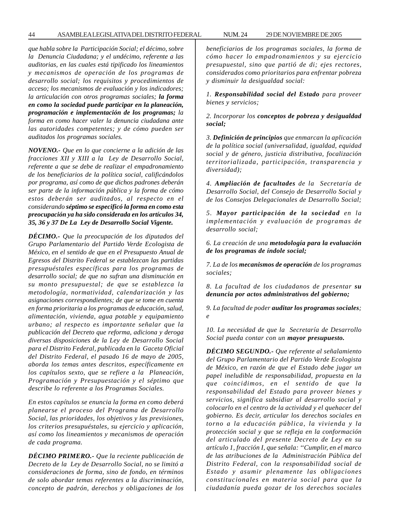44 ASAMBLEA LEGISLATIVA DEL DISTRITO FEDERAL NUM. 24 29 DE NOVIEMBRE DE 2005

*que habla sobre la Participación Social; el décimo, sobre la Denuncia Ciudadana; y el undécimo, referente a las auditorias, en las cuales está tipificado los lineamientos y mecanismos de operación de los programas de desarrollo social; los requisitos y procedimientos de acceso; los mecanismos de evaluación y los indicadores; la articulación con otros programas sociales; la forma en como la sociedad puede participar en la planeación, programación e implementación de los programas; la forma en como hacer valer la denuncia ciudadana ante las autoridades competentes; y de cómo pueden ser auditados los programas sociales.*

*NOVENO.- Que en lo que concierne a la adición de las fracciones XII y XIII a la Ley de Desarrollo Social, referente a que se debe de realizar el empadronamiento de los beneficiarios de la política social, calificándolos por programa, así como de que dichos padrones deberán ser parte de la información pública y la forma de cómo estos deberán ser auditados, al respecto en el considerando séptimo se especificó la forma en como esta preocupación ya ha sido considerada en los artículos 34, 35, 36 y 37 De La Ley de Desarrollo Social Vigente.*

*DÉCIMO.- Que la preocupación de los diputados del Grupo Parlamentario del Partido Verde Ecologista de México, en el sentido de que en el Presupuesto Anual de Egresos del Distrito Federal se establezcan las partidas presupuéstales específicas para los programas de desarrollo social; de que no sufran una disminución en su monto presupuestal; de que se establezca la metodología, normatividad, calendarización y las asignaciones correspondientes; de que se tome en cuenta en forma prioritaria a los programas de educación, salud, alimentación, vivienda, agua potable y equipamiento urbano; al respecto es importante señalar que la publicación del Decreto que reforma, adiciona y deroga diversas disposiciones de la Ley de Desarrollo Social para el Distrito Federal, publicada en la Gaceta Oficial del Distrito Federal, el pasado 16 de mayo de 2005, aborda los temas antes descritos, específicamente en los capítulos sexto, que se refiere a la Planeación, Programación y Presupuestación y el séptimo que describe lo referente a los Programas Sociales.*

*En estos capítulos se enuncia la forma en como deberá planearse el proceso del Programa de Desarrollo Social, las prioridades, los objetivos y las previsiones, los criterios presupuéstales, su ejercicio y aplicación, así como los lineamientos y mecanismos de operación de cada programa.*

*DÉCIMO PRIMERO.- Que la reciente publicación de Decreto de la Ley de Desarrollo Social, no se limitó a consideraciones de forma, sino de fondo, en términos de solo abordar temas referentes a la discriminación, concepto de padrón, derechos y obligaciones de los*

*beneficiarios de los programas sociales, la forma de cómo hacer lo empadronamientos y su ejercicio presupuestal, sino que partió de di; ejes rectores, considerados como prioritarios para enfrentar pobreza y disminuir la desigualdad social:*

*1. Responsabilidad social del Estado para proveer bienes y servicios;*

*2. Incorporar los conceptos de pobreza y desigualdad social;*

*3. Definición de principios que enmarcan la aplicación de la política social (universalidad, igualdad, equidad social y de género, justicia distributiva, focalización territorializada, participación, transparencia y diversidad);*

*4. Ampliación de facultades de la Secretaría de Desarrollo Social, del Consejo de Desarrollo Social y de los Consejos Delegacionales de Desarrollo Social;*

*5. Mayor participación de la sociedad en la implementación y evaluación de programas de desarrollo social;*

*6. La creación de una metodología para la evaluación de los programas de índole social;*

*7. La de los mecanismos de operación de los programas sociales;*

*8. La facultad de los ciudadanos de presentar su denuncia por actos administrativos del gobierno;*

*9. La facultad de poder auditar los programas sociales; e*

*10. La necesidad de que la Secretaría de Desarrollo Social pueda contar con un mayor presupuesto.*

*DÉCIMO SEGUNDO.- Que referente al señalamiento del Grupo Parlamentario del Partido Verde Ecologista de México, en razón de que el Estado debe jugar un papel ineludible de responsabilidad, propuesta en la que coincidimos, en el sentido de que la responsabilidad del Estado para proveer bienes y servicios, significa subsidiar al desarrollo social y colocarlo en el centro de la actividad y el quehacer del gobierno. Es decir, articular los derechos sociales en torno a la educación pública, la vivienda y la protección social y que se refleja en la conformación del articulado del presente Decreto de Ley en su artículo 1, fracción I, que señala: ''Cumplir, en el marco de las atribuciones de la Administración Pública del Distrito Federal, con la responsabilidad social de Estado y asumir plenamente las obligaciones constitucionales en materia social para que la ciudadanía pueda gozar de los derechos sociales*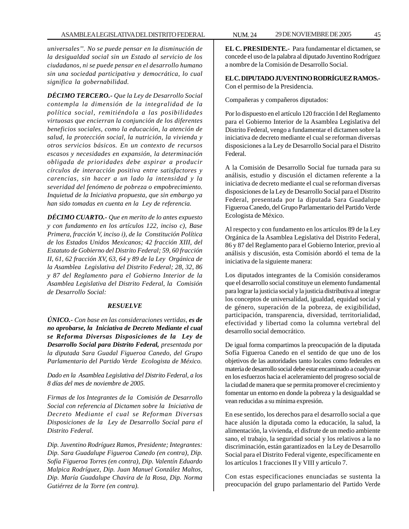*universales''. No se puede pensar en la disminución de la desigualdad social sin un Estado al servicio de los ciudadanos, ni se puede pensar en el desarrollo humano sin una sociedad participativa y democrática, lo cual significa la gobernabilidad.*

*DÉCIMO TERCERO.- Que la Ley de Desarrollo Social contempla la dimensión de la integralidad de la política social, remitiéndola a las posibilidades virtuosas que encierran la conjunción de los diferentes beneficios sociales, como la educación, la atención de salud, la protección social, la nutrición, la vivienda y otros servicios básicos. En un contexto de recursos escasos y necesidades en expansión, la determinación obligada de prioridades debe aspirar a producir círculos de interacción positiva entre satisfactores y carencias, sin hacer a un lado la intensidad y la severidad del fenómeno de pobreza o empobrecimiento. Inquietud de la Iniciativa propuesta, que sin embargo ya han sido tomadas en cuenta en la Ley de referencia.*

*DÉCIMO CUARTO.- Que en merito de lo antes expuesto y con fundamento en los artículos 122, inciso c), Base Primera, fracción V, inciso i), de la Constitución Política de los Estados Unidos Mexicanos; 42 fracción XIII, del Estatuto de Gobierno del Distrito Federal; 59, 60 fracción II, 61, 62 fracción XV, 63, 64 y 89 de la Ley Orgánica de la Asamblea Legislativa del Distrito Federal; 28, 32, 86 y 87 del Reglamento para el Gobierno Interior de la Asamblea Legislativa del Distrito Federal, la Comisión de Desarrollo Social:*

#### *RESUELVE*

*ÚNICO.- Con base en las consideraciones vertidas, es de no aprobarse, la Iniciativa de Decreto Mediante el cual se Reforma Diversas Disposiciones de la Ley de Desarrollo Social para Distrito Federal, presentada por la diputada Sara Guadal Figueroa Canedo, del Grupo Parlamentario del Partido Verde Ecologista de México.*

*Dado en la Asamblea Legislativa del Distrito Federal, a los 8 días del mes de noviembre de 2005.*

*Firmas de los Integrantes de la Comisión de Desarrollo Social con referencia al Dictamen sobre la Iniciativa de Decreto Mediante el cual se Reforman Diversas Disposiciones de la Ley de Desarrollo Social para el Distrito Federal.*

*Dip. Juventino Rodríguez Ramos, Presidente; Integrantes: Dip. Sara Guadalupe Figueroa Canedo (en contra), Dip. Sofía Figueroa Torres (en contra), Dip. Valentín Eduardo Malpica Rodríguez, Dip. Juan Manuel González Maltos, Dip. María Guadalupe Chavira de la Rosa, Dip. Norma Gutiérrez de la Torre (en contra).*

**EL C. PRESIDENTE.-** Para fundamentar el dictamen, se concede el uso de la palabra al diputado Juventino Rodríguez a nombre de la Comisión de Desarrollo Social.

**EL C. DIPUTADO JUVENTINO RODRÍGUEZ RAMOS.-** Con el permiso de la Presidencia.

Compañeras y compañeros diputados:

Por lo dispuesto en el artículo 120 fracción I del Reglamento para el Gobierno Interior de la Asamblea Legislativa del Distrito Federal, vengo a fundamentar el dictamen sobre la iniciativa de decreto mediante el cual se reforman diversas disposiciones a la Ley de Desarrollo Social para el Distrito Federal.

A la Comisión de Desarrollo Social fue turnada para su análisis, estudio y discusión el dictamen referente a la iniciativa de decreto mediante el cual se reforman diversas disposiciones de la Ley de Desarrollo Social para el Distrito Federal, presentada por la diputada Sara Guadalupe Figueroa Canedo, del Grupo Parlamentario del Partido Verde Ecologista de México.

Al respecto y con fundamento en los artículos 89 de la Ley Orgánica de la Asamblea Legislativa del Distrito Federal, 86 y 87 del Reglamento para el Gobierno Interior, previo al análisis y discusión, esta Comisión abordó el tema de la iniciativa de la siguiente manera:

Los diputados integrantes de la Comisión consideramos que el desarrollo social constituye un elemento fundamental para lograr la justicia social y la justicia distributiva al integrar los conceptos de universalidad, igualdad, equidad social y de género, superación de la pobreza, de exigibilidad, participación, transparencia, diversidad, territorialidad, efectividad y libertad como la columna vertebral del desarrollo social democrático.

De igual forma compartimos la preocupación de la diputada Sofía Figueroa Canedo en el sentido de que uno de los objetivos de las autoridades tanto locales como federales en materia de desarrollo social debe estar encaminado a coadyuvar en los esfuerzos hacia el aceleramiento del progreso social de la ciudad de manera que se permita promover el crecimiento y fomentar un entorno en donde la pobreza y la desigualdad se vean reducidas a su mínima expresión.

En ese sentido, los derechos para el desarrollo social a que hace alusión la diputada como la educación, la salud, la alimentación, la vivienda, el disfrute de un medio ambiente sano, el trabajo, la seguridad social y los relativos a la no discriminación, están garantizados en la Ley de Desarrollo Social para el Distrito Federal vigente, específicamente en los artículos 1 fracciones II y VIII y artículo 7.

Con estas especificaciones enunciadas se sustenta la preocupación del grupo parlamentario del Partido Verde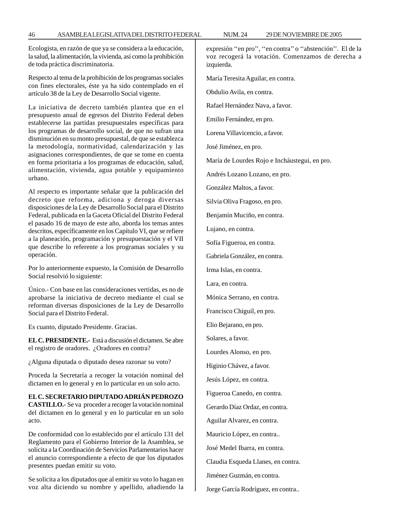Ecologista, en razón de que ya se considera a la educación, la salud, la alimentación, la vivienda, así como la prohibición de toda práctica discriminatoria.

Respecto al tema de la prohibición de los programas sociales con fines electorales, éste ya ha sido contemplado en el artículo 38 de la Ley de Desarrollo Social vigente.

La iniciativa de decreto también plantea que en el presupuesto anual de egresos del Distrito Federal deben establecerse las partidas presupuestales específicas para los programas de desarrollo social, de que no sufran una disminución en su monto presupuestal, de que se establezca la metodología, normatividad, calendarización y las asignaciones correspondientes, de que se tome en cuenta en forma prioritaria a los programas de educación, salud, alimentación, vivienda, agua potable y equipamiento urbano.

Al respecto es importante señalar que la publicación del decreto que reforma, adiciona y deroga diversas disposiciones de la Ley de Desarrollo Social para el Distrito Federal, publicada en la Gaceta Oficial del Distrito Federal el pasado 16 de mayo de este año, aborda los temas antes descritos, específicamente en los Capítulo VI, que se refiere a la planeación, programación y presupuestación y el VII que describe lo referente a los programas sociales y su operación.

Por lo anteriormente expuesto, la Comisión de Desarrollo Social resolvió lo siguiente:

Único.- Con base en las consideraciones vertidas, es no de aprobarse la iniciativa de decreto mediante el cual se reforman diversas disposiciones de la Ley de Desarrollo Social para el Distrito Federal.

Es cuanto, diputado Presidente. Gracias.

**EL C. PRESIDENTE.-** Está a discusión el dictamen. Se abre el registro de oradores. ¿Oradores en contra?

¿Alguna diputada o diputado desea razonar su voto?

Proceda la Secretaría a recoger la votación nominal del dictamen en lo general y en lo particular en un solo acto.

**EL C. SECRETARIO DIPUTADO ADRIÁN PEDROZO CASTILLO.-** Se va proceder a recoger la votación nominal del dictamen en lo general y en lo particular en un solo acto.

De conformidad con lo establecido por el artículo 131 del Reglamento para el Gobierno Interior de la Asamblea, se solicita a la Coordinación de Servicios Parlamentarios hacer el anuncio correspondiente a efecto de que los diputados presentes puedan emitir su voto.

Se solicita a los diputados que al emitir su voto lo hagan en voz alta diciendo su nombre y apellido, añadiendo la expresión ''en pro'', ''en contra'' o ''abstención''. El de la voz recogerá la votación. Comenzamos de derecha a izquierda.

María Teresita Aguilar, en contra.

Obdulio Avila, en contra.

Rafael Hernández Nava, a favor.

Emilio Fernández, en pro.

Lorena Villavicencio, a favor.

José Jiménez, en pro.

María de Lourdes Rojo e Incháustegui, en pro.

Andrés Lozano Lozano, en pro.

González Maltos, a favor.

Silvia Oliva Fragoso, en pro.

Benjamín Muciño, en contra.

Lujano, en contra.

Sofía Figueroa, en contra.

Gabriela González, en contra.

Irma Islas, en contra.

Lara, en contra.

Mónica Serrano, en contra.

Francisco Chiguil, en pro.

Elio Bejarano, en pro.

Solares, a favor.

Lourdes Alonso, en pro.

Higinio Chávez, a favor.

Jesús López, en contra.

Figueroa Canedo, en contra.

Gerardo Díaz Ordaz, en contra.

Aguilar Alvarez, en contra.

Mauricio López, en contra..

José Medel Ibarra, en contra.

Claudia Esqueda Llanes, en contra.

Jiménez Guzmán, en contra.

Jorge García Rodríguez, en contra..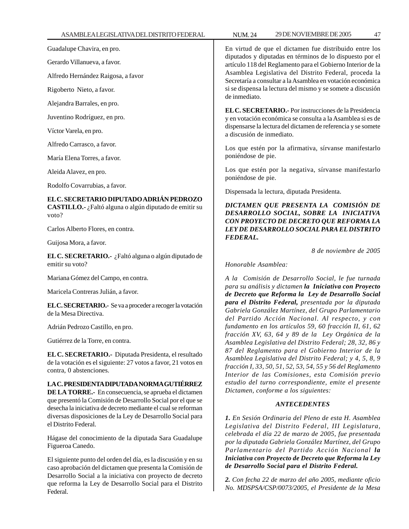Guadalupe Chavira, en pro.

Gerardo Villanueva, a favor.

Alfredo Hernández Raigosa, a favor

Rigoberto Nieto, a favor.

Alejandra Barrales, en pro.

Juventino Rodríguez, en pro.

Víctor Varela, en pro.

Alfredo Carrasco, a favor.

María Elena Torres, a favor.

Aleida Alavez, en pro.

Rodolfo Covarrubias, a favor.

**EL C. SECRETARIO DIPUTADO ADRIÁN PEDROZO CASTILLO.-** ¿Faltó alguna o algún diputado de emitir su voto?

Carlos Alberto Flores, en contra.

Guijosa Mora, a favor.

**EL C. SECRETARIO.-** ¿Faltó alguna o algún diputado de emitir su voto?

Mariana Gómez del Campo, en contra.

Maricela Contreras Julián, a favor.

**EL C. SECRETARIO.-** Se va a proceder a recoger la votación de la Mesa Directiva.

Adrián Pedrozo Castillo, en pro.

Gutiérrez de la Torre, en contra.

**EL C. SECRETARIO.-** Diputada Presidenta, el resultado de la votación es el siguiente: 27 votos a favor, 21 votos en contra, 0 abstenciones.

**LA C. PRESIDENTA DIPUTADA NORMA GUTIÉRREZ DE LA TORRE.-** En consecuencia, se aprueba el dictamen que presentó la Comisión de Desarrollo Social por el que se desecha la iniciativa de decreto mediante el cual se reforman diversas disposiciones de la Ley de Desarrollo Social para el Distrito Federal.

Hágase del conocimiento de la diputada Sara Guadalupe Figueroa Canedo.

El siguiente punto del orden del día, es la discusión y en su caso aprobación del dictamen que presenta la Comisión de Desarrollo Social a la iniciativa con proyecto de decreto que reforma la Ley de Desarrollo Social para el Distrito Federal.

En virtud de que el dictamen fue distribuido entre los diputados y diputadas en términos de lo dispuesto por el artículo 118 del Reglamento para el Gobierno Interior de la Asamblea Legislativa del Distrito Federal, proceda la Secretaría a consultar a la Asamblea en votación económica si se dispensa la lectura del mismo y se somete a discusión de inmediato.

**EL C. SECRETARIO.-** Por instrucciones de la Presidencia y en votación económica se consulta a la Asamblea si es de dispensarse la lectura del dictamen de referencia y se somete a discusión de inmediato.

Los que estén por la afirmativa, sírvanse manifestarlo poniéndose de pie.

Los que estén por la negativa, sírvanse manifestarlo poniéndose de pie.

Dispensada la lectura, diputada Presidenta.

*DICTAMEN QUE PRESENTA LA COMISIÓN DE DESARROLLO SOCIAL, SOBRE LA INICIATIVA CON PROYECTO DE DECRETO QUE REFORMA LA LEY DE DESARROLLO SOCIAL PARA EL DISTRITO FEDERAL.*

*8 de noviembre de 2005*

*Honorable Asamblea:*

*A la Comisión de Desarrollo Social, le fue turnada para su análisis y dictamen la Iniciativa con Proyecto de Decreto que Reforma la Ley de Desarrollo Social para el Distrito Federal, presentada por la diputada Gabriela González Martínez, del Grupo Parlamentario del Partido Acción Nacional. Al respecto, y con fundamento en los artículos 59, 60 fracción II, 61, 62 fracción XV, 63, 64 y 89 de la Ley Orgánica de la Asamblea Legislativa del Distrito Federal; 28, 32, 86 y 87 del Reglamento para el Gobierno Interior de la Asamblea Legislativa del Distrito Federal; y 4, 5, 8, 9 fracción I, 33, 50, 51, 52, 53, 54, 55 y 56 del Reglamento Interior de las Comisiones, esta Comisión previo estudio del turno correspondiente, emite el presente Dictamen, conforme a los siguientes:*

### *ANTECEDENTES*

*1. En Sesión Ordinaria del Pleno de esta H. Asamblea Legislativa del Distrito Federal, III Legislatura, celebrada el día 22 de marzo de 2005, fue presentada por la diputada Gabriela González Martínez, del Grupo Parlamentario del Partido Acción Nacional la Iniciativa con Proyecto de Decreto que Reforma la Ley de Desarrollo Social para el Distrito Federal.*

*2. Con fecha 22 de marzo del año 2005, mediante oficio No. MDSPSA/CSP/0073/2005, el Presidente de la Mesa*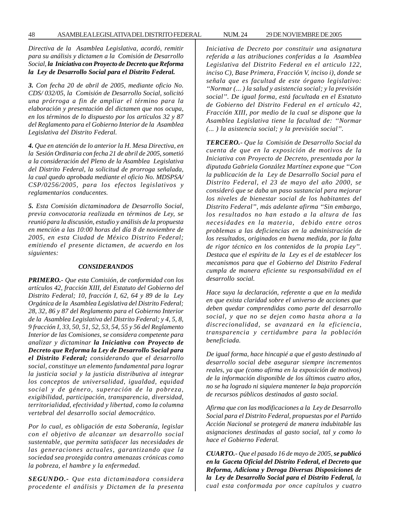*Directiva de la Asamblea Legislativa, acordó, remitir para su análisis y dictamen a la Comisión de Desarrollo Social, la Iniciativa con Proyecto de Decreto que Reforma la Ley de Desarrollo Social para el Distrito Federal.*

*3. Con fecha 20 de abril de 2005, mediante oficio No. CDS/ 032/05, la Comisión de Desarrollo Social, solicitó una prórroga a fin de ampliar el término para la elaboración y presentación del dictamen que nos ocupa, en los términos de lo dispuesto por los artículos 32 y 87 del Reglamento para el Gobierno Interior de la Asamblea Legislativa del Distrito Federal.*

*4. Que en atención de lo anterior la H. Mesa Directiva, en la Sesión Ordinaria con fecha 21 de abril de 2005, sometió a la consideración del Pleno de la Asamblea Legislativa del Distrito Federal, la solicitud de prorroga señalada, la cual quedo aprobada mediante el oficio No. MDSPSA/ CSP/0256/2005, para los efectos legislativos y reglamentarios conducentes.*

*5. Esta Comisión dictaminadora de Desarrollo Social, previa convocatoria realizada en términos de Ley, se reunió para la discusión, estudio y análisis de la propuesta en mención a las 10:00 horas del día 8 de noviembre de 2005, en esta Ciudad de México Distrito Federal; emitiendo el presente dictamen, de acuerdo en los siguientes:*

#### *CONSIDERANDOS*

*PRIMERO.- Que esta Comisión, de conformidad con los artículos 42, fracción XIII, del Estatuto del Gobierno del Distrito Federal; 10, fracción I, 62, 64 y 89 de la Ley Orgánica de la Asamblea Legislativa del Distrito Federal; 28, 32, 86 y 87 del Reglamento para el Gobierno Interior de la Asamblea Legislativa del Distrito Federal; y 4, 5, 8, 9 fracción I, 33, 50, 51, 52, 53, 54, 55 y 56 del Reglamento Interior de las Comisiones, se considera competente para analizar y dictaminar la Iniciativa con Proyecto de Decreto que Reforma la Ley de Desarrollo Social para el Distrito Federal; considerando que el desarrollo social, constituye un elemento fundamental para lograr la justicia social y la justicia distributiva al integrar los conceptos de universalidad, igualdad, equidad social y de género, superación de la pobreza, exigibilidad, participación, transparencia, diversidad, territorialidad, efectividad y libertad, como la columna vertebral del desarrollo social democrático.*

*Por lo cual, es obligación de esta Soberanía, legislar con el objetivo de alcanzar un desarrollo social sustentable, que permita satisfacer las necesidades de las generaciones actuales, garantizando que la sociedad sea protegida contra amenazas crónicas como la pobreza, el hambre y la enfermedad.*

*SEGUNDO.- Que esta dictaminadora considera procedente el análisis y Dictamen de la presenta* *Iniciativa de Decreto por constituir una asignatura referida a las atribuciones conferidas a la Asamblea Legislativa del Distrito Federal en el articulo 122, inciso C), Base Primera, Fracción V, inciso i), donde se señala que es facultad de este órgano legislativo: ''Normar (... ) la salud y asistencia social; y la previsión social''. De igual forma, está facultada en el Estatuto de Gobierno del Distrito Federal en el artículo 42, Fracción XIII, por medio de la cual se dispone que la Asamblea Legislativa tiene la facultad de: ''Normar (... ) la asistencia social; y la previsión social''.*

*TERCERO.- Que la Comisión de Desarrollo Social da cuenta de que en la exposición de motivos de la Iniciativa con Proyecto de Decreto, presentada por la diputada Gabriela González Martínez expone que ''Con la publicación de la Ley de Desarrollo Social para el Distrito Federal, el 23 de mayo del año 2000, se consideró que se daba un paso sustancial para mejorar los niveles de bienestar social de los habitantes del Distrito Federal'', más adelante afirma ''Sin embargo, los resultados no han estado a la altura de las necesidades en la materia, debido entre otros problemas a las deficiencias en la administración de los resultados, originados en buena medida, por la falta de rigor técnico en los contenidos de la propia Ley''. Destaca que el espíritu de la Ley es el de establecer los mecanismos para que el Gobierno del Distrito Federal cumpla de manera eficiente su responsabilidad en el desarrollo social.*

*Hace suya la declaración, referente a que en la medida en que exista claridad sobre el universo de acciones que deben quedar comprendidas como parte del desarrollo social, y que no se dejen como hasta ahora a la discrecionalidad, se avanzará en la eficiencia, transparencia y certidumbre para la población beneficiada.*

*De igual forma, hace hincapié a que el gasto destinado al desarrollo social debe asegurar siempre incrementos reales, ya que (como afirma en la exposición de motivos) de la información disponible de los últimos cuatro años, no se ha logrado ni siquiera mantener la baja proporción de recursos públicos destinados al gasto social.*

*Afirma que con las modificaciones a la Ley de Desarrollo Social para el Distrito Federal, propuestas por el Partido Acción Nacional se protegerá de manera indubitable las asignaciones destinadas al gasto social, tal y como lo hace el Gobierno Federal.*

*CUARTO.- Que el pasado 16 de mayo de 2005, se publicó en la Gaceta Oficial del Distrito Federal, el Decreto que Reforma, Adiciona y Deroga Diversas Disposiciones de la Ley de Desarrollo Social para el Distrito Federal, la cual esta conformada por once capítulos y cuatro*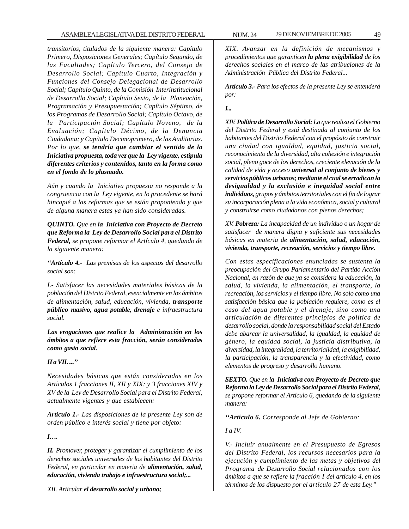*transitorios, titulados de la siguiente manera: Capítulo Primero, Disposiciones Generales; Capítulo Segundo, de las Facultades; Capítulo Tercero, del Consejo de Desarrollo Social; Capítulo Cuarto, Integración y Funciones del Consejo Delegacional de Desarrollo Social; Capítulo Quinto, de la Comisión Interinstitucional de Desarrollo Social; Capítulo Sexto, de la Planeación, Programación y Presupuestación; Capítulo Séptimo, de los Programas de Desarrollo Social; Capítulo Octavo, de la Participación Social; Capítulo Noveno, de la Evaluación; Capítulo Décimo, de la Denuncia Ciudadana; y Capítulo Decimoprimero, de las Auditorias. Por lo que, se tendría que cambiar el sentido de la Iniciativa propuesta, toda vez que la Ley vigente, estipula diferentes criterios y contenidos, tanto en la forma como en el fondo de lo plasmado.*

*Aún y cuando la Iniciativa propuesta no responde a la congruencia con la Ley vigente, en lo procedente se hará hincapié a las reformas que se están proponiendo y que de alguna manera estas ya han sido consideradas.*

*QUINTO. Que en la Iniciativa con Proyecto de Decreto que Reforma la Ley de Desarrollo Social para el Distrito Federal, se propone reformar el Artículo 4, quedando de la siguiente manera:*

*''Artículo 4.- Las premisas de los aspectos del desarrollo social son:*

*I.- Satisfacer las necesidades materiales básicas de la población del Distrito Federal, esencialmente en los ámbitos de alimentación, salud, educación, vivienda, transporte público masivo, agua potable, drenaje e infraestructura social.*

*Las erogaciones que realice la Administración en los ámbitos a que refiere esta fracción, serán consideradas como gasto social.*

# *II a VII. ...''*

*Necesidades básicas que están consideradas en los Artículos 1 fracciones II, XII y XIX; y 3 fracciones XIV y XV de la Ley de Desarrollo Social para el Distrito Federal, actualmente vigentes y que establecen:*

*Artículo 1.- Las disposiciones de la presente Ley son de orden público e interés social y tiene por objeto:*

*I….*

*II. Promover, proteger y garantizar el cumplimiento de los derechos sociales universales de los habitantes del Distrito Federal, en particular en materia de alimentación, salud, educación, vivienda trabajo e infraestructura social;...*

*XII. Articular el desarrollo social y urbano;*

*XIX. Avanzar en la definición de mecanismos y procedimientos que garanticen la plena exigibilidad de los derechos sociales en el marco de las atribuciones de la Administración Pública del Distrito Federal...*

*Artículo 3.- Para los efectos de la presente Ley se entenderá por:*

*I...*

*XIV. Política de Desarrollo Social: La que realiza el Gobierno del Distrito Federal y está destinada al conjunto de los habitantes del Distrito Federal con el propósito de construir una ciudad con igualdad, equidad, justicia social, reconocimiento de la diversidad, alta cohesión e integración social, pleno goce de los derechos, creciente elevación de la calidad de vida y acceso universal al conjunto de bienes y servicios públicos urbanos; mediante el cual se erradican la desigualdad y la exclusión e inequidad social entre individuos, grupos y ámbitos territoriales con el fin de lograr su incorporación plena a la vida económica, social y cultural y construirse como ciudadanos con plenos derechos;*

*XV. Pobreza: La incapacidad de un individuo o un hogar de satisfacer de manera digna y suficiente sus necesidades básicas en materia de alimentación, salud, educación, vivienda, transporte, recreación, servicios y tiempo libre.*

*Con estas especificaciones enunciadas se sustenta la preocupación del Grupo Parlamentario del Partido Acción Nacional, en razón de que ya se considera la educación, la salud, la vivienda, la alimentación, el transporte, la recreación, los servicios y el tiempo libre. No solo como una satisfacción básica que la población requiere, como es el caso del agua potable y el drenaje, sino como una articulación de diferentes principios de política de desarrollo social, donde la responsabilidad social del Estado debe abarcar la universalidad, la igualdad, la equidad de género, la equidad social, la justicia distributiva, la diversidad, la integralidad, la territorialidad, la exigibilidad, la participación, la transparencia y la efectividad, como elementos de progreso y desarrollo humano.*

*SEXTO. Que en la Iniciativa con Proyecto de Decreto que Reforma la Ley de Desarrollo Social para el Distrito Federal, se propone reformar el Artículo 6, quedando de la siguiente manera:*

*''Artículo 6. Corresponde al Jefe de Gobierno:*

*I a IV.*

*V.- Incluir anualmente en el Presupuesto de Egresos del Distrito Federal, los recursos necesarios para la ejecución y cumplimiento de las metas y objetivos del Programa de Desarrollo Social relacionados con los ámbitos a que se refiere la fracción I del artículo 4, en los términos de los dispuesto por el artículo 27 de esta Ley.''*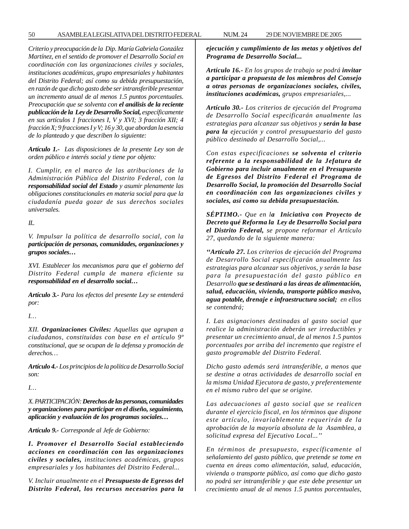50 ASAMBLEA LEGISLATIVA DEL DISTRITO FEDERAL NUM. 24 29 DE NOVIEMBRE DE 2005

*Criterio y preocupación de la Dip. María Gabriela González Martínez, en el sentido de promover el Desarrollo Social en coordinación con las organizaciones civiles y sociales, instituciones académicas, grupo empresariales y habitantes del Distrito Federal; así como su debida presupuestación, en razón de que dicho gasto debe ser intransferible presentar un incremento anual de al menos 1.5 puntos porcentuales. Preocupación que se solventa con el análisis de la reciente publicación de la Ley de Desarrollo Social, específicamente en sus artículos 1 fracciones I, V y XVI; 3 fracción XII; 4 fracción X; 9 fracciones I y V; 16 y 30, que abordan la esencia de lo planteado y que describen lo siguiente:*

*Artículo 1.- Las disposiciones de la presente Ley son de orden público e interés social y tiene por objeto:*

*I. Cumplir, en el marco de las atribuciones de la Administración Pública del Distrito Federal, con la responsabilidad social del Estado y asumir plenamente las obligaciones constitucionales en materia social para que la ciudadanía pueda gozar de sus derechos sociales universales.*

*II..*

*V. Impulsar la política de desarrollo social, con la participación de personas, comunidades, organizaciones y grupos sociales…*

*XVI. Establecer los mecanismos para que el gobierno del Distrito Federal cumpla de manera eficiente su responsabilidad en el desarrollo social…*

*Artículo 3.- Para los efectos del presente Ley se entenderá por:*

*I…*

*XII. Organizaciones Civiles: Aquellas que agrupan a ciudadanos, constituidas con base en el artículo 9º constitucional, que se ocupan de la defensa y promoción de derechos…*

*Artículo 4.- Los principios de la política de Desarrollo Social son:*

*I…*

*X. PARTICIPACIÓN: Derechos de las personas, comunidades y organizaciones para participar en el diseño, seguimiento, aplicación y evaluación de los programas sociales…*

*Artículo 9.- Corresponde al Jefe de Gobierno:*

*I. Promover el Desarrollo Social estableciendo acciones en coordinación con las organizaciones civiles y sociales, instituciones académicas, grupos empresariales y los habitantes del Distrito Federal...*

*V. Incluir anualmente en el Presupuesto de Egresos del Distrito Federal, los recursos necesarios para la* *ejecución y cumplimiento de las metas y objetivos del Programa de Desarrollo Social...*

*Artículo 16.- En los grupos de trabajo se podrá invitar a participar a propuesta de los miembros del Consejo a otras personas de organizaciones sociales, civiles, instituciones académicas, grupos empresariales,...*

*Artículo 30.- Los criterios de ejecución del Programa de Desarrollo Social especificarán anualmente las estrategias para alcanzar sus objetivos y serán la base para la ejecución y control presupuestario del gasto público destinado al Desarrollo Social,...*

*Con estas especificaciones se solventa el criterio referente a la responsabilidad de la Jefatura de Gobierno para incluir anualmente en el Presupuesto de Egresos del Distrito Federal el Programa de Desarrollo Social, la promoción del Desarrollo Social en coordinación con las organizaciones civiles y sociales, así como su debida presupuestación.*

*SÉPTIMO.- Que en la Iniciativa con Proyecto de Decreto qué Reforma la Ley de Desarrollo Social para el Distrito Federal, se propone reformar el Artículo 27, quedando de la siguiente manera:*

*''Artículo 27. Los criterios de ejecución del Programa de Desarrollo Social especificarán anualmente las estrategias para alcanzar sus objetivos, y serán la base para la presupuestación del gasto público en Desarrollo que se destinará a las áreas de alimentación, salud, educación, vivienda, transporte público masivo, agua potable, drenaje e infraestructura social; en ellos se contendrá;*

*I. Las asignaciones destinadas al gasto social que realice la administración deberán ser irreductibles y presentar un crecimiento anual, de al menos 1.5 puntos porcentuales por arriba del incremento que registre el gasto programable del Distrito Federal.*

*Dicho gasto además será intransferible, a menos que se destine a otras actividades de desarrollo social en la misma Unidad Ejecutora de gasto, y preferentemente en el mismo rubro del que se origine.*

*Las adecuaciones al gasto social que se realicen durante el ejercicio fiscal, en los términos que dispone este artículo, invariablemente requerirán de la aprobación de la mayoría absoluta de la Asamblea, a solicitud expresa del Ejecutivo Local...''*

*En términos de presupuesto, específicamente al señalamiento del gasto público, que pretende se tome en cuenta en áreas como alimentación, salud, educación, vivienda o transporte público, así como que dicho gasto no podrá ser intransferible y que este debe presentar un crecimiento anual de al menos 1.5 puntos porcentuales,*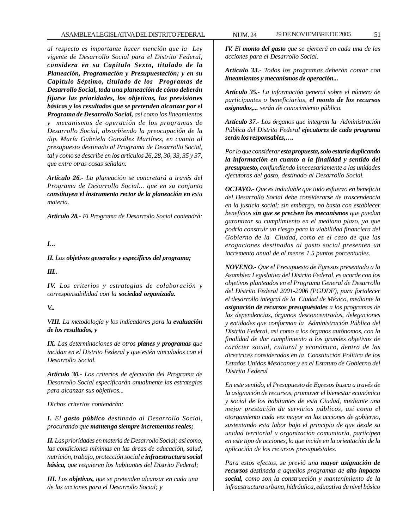*al respecto es importante hacer mención que la Ley vigente de Desarrollo Social para el Distrito Federal, considera en su Capítulo Sexto, titulado de la Planeación, Programación y Presupuestación; y en su Capítulo Séptimo, titulado de los Programas de Desarrollo Social, toda una planeación de cómo deberán fijarse las prioridades, los objetivos, las previsiones básicas y los resultados que se pretenden alcanzar por el Programa de Desarrollo Social, así como los lineamientos y mecanismos de operación de los programas de Desarrollo Social, absorbiendo la preocupación de la dip. María Gabriela González Martínez, en cuanto al presupuesto destinado al Programa de Desarrollo Social, tal y como se describe en los artículos 26, 28, 30, 33, 35 y 37, que entre otras cosas señalan:*

*Artículo 26.- La planeación se concretará a través del Programa de Desarrollo Social... que en su conjunto constituyen el instrumento rector de la planeación en esta materia.*

*Artículo 28.- El Programa de Desarrollo Social contendrá:*

# *I. ..*

*II. Los objetivos generales y específicos del programa;*

#### *III..*

*IV. Los criterios y estrategias de colaboración y corresponsabilidad con la sociedad organizada.*

# *V...*

*VIII. La metodología y los indicadores para la evaluación de los resultados, y*

*IX. Las determinaciones de otros planes y programas que incidan en el Distrito Federal y que estén vinculados con el Desarrollo Social.*

*Artículo 30.- Los criterios de ejecución del Programa de Desarrollo Social especificarán anualmente las estrategias para alcanzar sus objetivos...*

*Dichos criterios contendrán:*

*I. El gasto público destinado al Desarrollo Social, procurando que mantenga siempre incrementos reales;*

*II. Las prioridades en materia de Desarrollo Social; así como, las condiciones mínimas en las áreas de educación, salud, nutrición, trabajo, protección social e infraestructura social básica, que requieren los habitantes del Distrito Federal;*

*III. Los objetivos, que se pretenden alcanzar en cada una de las acciones para el Desarrollo Social; y*

*IV. El monto del gasto que se ejercerá en cada una de las acciones para el Desarrollo Social.*

*Artículo 33.- Todos los programas deberán contar con lineamientos y mecanismos de operación...*

*Artículo 35.- La información general sobre el número de participantes o beneficiarios, el monto de los recursos asignados,... serán de conocimiento público.*

*Artículo 37.- Los órganos que integran la Administración Pública del Distrito Federal ejecutores de cada programa serán los responsables,….*

*Por lo que considerar esta propuesta, solo estaría duplicando la información en cuanto a la finalidad y sentido del presupuesto, confundiendo innecesariamente a las unidades ejecutoras del gasto, destinado al Desarrollo Social.*

*OCTAVO.- Que es indudable que todo esfuerzo en beneficio del Desarrollo Social debe considerarse de trascendencia en la justicia social; sin embargo, no basta con establecer beneficios sin que se precisen los mecanismos que puedan garantizar su cumplimiento en el mediano plazo, ya que podría construir un riesgo para la viabilidad financiera del Gobierno de la Ciudad, como es el caso de que las erogaciones destinadas al gasto social presenten un incremento anual de al menos 1.5 puntos porcentuales.*

*NOVENO.- Que el Presupuesto de Egresos presentado a la Asamblea Legislativa del Distrito Federal, es acorde con los objetivos planteados en el Programa General de Desarrollo del Distrito Federal 2001-2006 (PGDDF), para fortalecer el desarrollo integral de la Ciudad de México, mediante la asignación de recursos presupuéstales a los programas de las dependencias, órganos desconcentrados, delegaciones y entidades que conforman la Administración Pública del Distrito Federal, así como a los órganos autónomos, con la finalidad de dar cumplimiento a los grandes objetivos de carácter social, cultural y económico, dentro de las directrices consideradas en la Constitución Política de los Estados Unidos Mexicanos y en el Estatuto de Gobierno del Distrito Federal*

*En este sentido, el Presupuesto de Egresos busca a través de la asignación de recursos, promover el bienestar económico y social de los habitantes de esta Ciudad, mediante una mejor prestación de servicios públicos, así como el otorgamiento cada vez mayor en las acciones de gobierno, sustentando esta labor bajo el principio de que desde su unidad territorial u organización comunitaria, participen en este tipo de acciones, lo que incide en la orientación de la aplicación de los recursos presupuéstales.*

*Para estos efectos, se previó una mayor asignación de recursos destinada a aquellos programas de alto impacto social, como son la construcción y mantenimiento de la infraestructura urbana, hidráulica, educativa de nivel básico*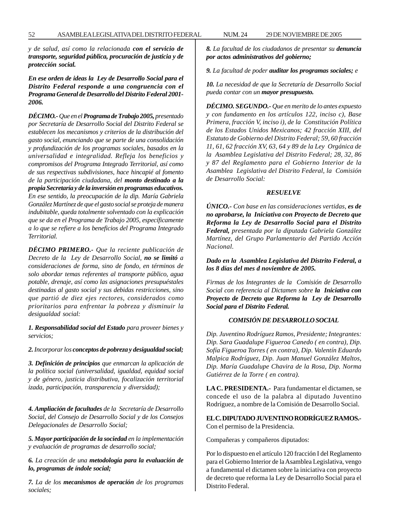*y de salud, así como la relacionada con el servicio de transporte, seguridad pública, procuración de justicia y de protección social.*

*En ese orden de ideas la Ley de Desarrollo Social para el Distrito Federal responde a una congruencia con el Programa General de Desarrollo del Distrito Federal 2001- 2006.*

*DÉCIMO.- Que en el Programa de Trabajo 2005, presentado por Secretaría de Desarrollo Social del Distrito Federal se establecen los mecanismos y criterios de la distribución del gasto social, enunciando que se parte de una consolidación y profundización de los programas sociales, basados en la universalidad e integralidad. Refleja los beneficios y compromisos del Programa Integrado Territorial, así como de sus respectivas subdivisiones, hace hincapié al fomento de la participación ciudadana, del monto destinado a la propia Secretaría y de la inversión en programas educativos. En ese sentido, la preocupación de la dip. María Gabriela González Martínez de que el gasto social se proteja de manera indubitable, queda totalmente solventado con la explicación que se da en el Programa de Trabajo 2005, específicamente a lo que se refiere a los beneficios del Programa Integrado Territorial.*

*DÉCIMO PRIMERO.- Que la reciente publicación de Decreto de la Ley de Desarrollo Social, no se limitó a consideraciones de forma, sino de fondo, en términos de solo abordar temas referentes al transporte público, agua potable, drenaje, así como las asignaciones presupuéstales destinadas al gasto social y sus debidas restricciones, sino que partió de diez ejes rectores, considerados como prioritarios para enfrentar la pobreza y disminuir la desigualdad social:*

*1. Responsabilidad social del Estado para proveer bienes y servicios;*

*2. Incorporar los conceptos de pobreza y desigualdad social;*

*3. Definición de principios que enmarcan la aplicación de la política social (universalidad, igualdad, equidad social y de género, justicia distributiva, focalización territorial izada, participación, transparencia y diversidad);*

*4. Ampliación de facultades de la Secretaría de Desarrollo Social, del Consejo de Desarrollo Social y de los Consejos Delegacionales de Desarrollo Social;*

*5. Mayor participación de la sociedad en la implementación y evaluación de programas de desarrollo social;*

*6. La creación de una metodología para la evaluación de lo, programas de índole social;*

*7. La de los mecanismos de operación de los programas sociales;*

*8. La facultad de los ciudadanos de presentar su denuncia por actos administrativos del gobierno;*

*9. La facultad de poder auditar los programas sociales; e*

*10. La necesidad de que la Secretaría de Desarrollo Social pueda contar con un mayor presupuesto.*

*DÉCIMO. SEGUNDO.- Que en merito de lo antes expuesto y con fundamento en los artículos 122, inciso c), Base Primera, fracción V, inciso i), de la Constitución Política de los Estados Unidos Mexicanos; 42 fracción XIII, del Estatuto de Gobierno del Distrito Federal; 59, 60 fracción 11, 61, 62 fracción XV, 63, 64 y 89 de la Ley Orgánica de la Asamblea Legislativa del Distrito Federal; 28, 32, 86 y 87 del Reglamento para el Gobierno Interior de la Asamblea Legislativa del Distrito Federal, la Comisión de Desarrollo Social:*

#### *RESUELVE*

*ÚNICO.- Con base en las consideraciones vertidas, es de no aprobarse, la Iniciativa con Proyecto de Decreto que Reforma la Ley de Desarrollo Social para el Distrito Federal, presentada por la diputada Gabriela González Martínez, del Grupo Parlamentario del Partido Acción Nacional.*

*Dado en la Asamblea Legislativa del Distrito Federal, a los 8 días del mes d noviembre de 2005.*

*Firmas de los Integrantes de la Comisión de Desarrollo Social con referencia al Dictamen sobre la Iniciativa con Proyecto de Decreto que Reforma la Ley de Desarrollo Social para el Distrito Federal.*

# *COMISIÓN DE DESARROLLO SOCIAL*

*Dip. Juventino Rodríguez Ramos, Presidente; Integrantes: Dip. Sara Guadalupe Figueroa Canedo ( en contra), Dip. Sofía Figueroa Torres ( en contra), Dip. Valentín Eduardo Malpica Rodríguez, Dip. Juan Manuel González Maltos, Dip. María Guadalupe Chavira de la Rosa, Dip. Norma Gutiérrez de la Torre ( en contra).*

**LA C. PRESIDENTA.-** Para fundamentar el dictamen, se concede el uso de la palabra al diputado Juventino Rodríguez, a nombre de la Comisión de Desarrollo Social.

**EL C. DIPUTADO JUVENTINO RODRÍGUEZ RAMOS.-** Con el permiso de la Presidencia.

Compañeras y compañeros diputados:

Por lo dispuesto en el artículo 120 fracción I del Reglamento para el Gobierno Interior de la Asamblea Legislativa, vengo a fundamental el dictamen sobre la iniciativa con proyecto de decreto que reforma la Ley de Desarrollo Social para el Distrito Federal.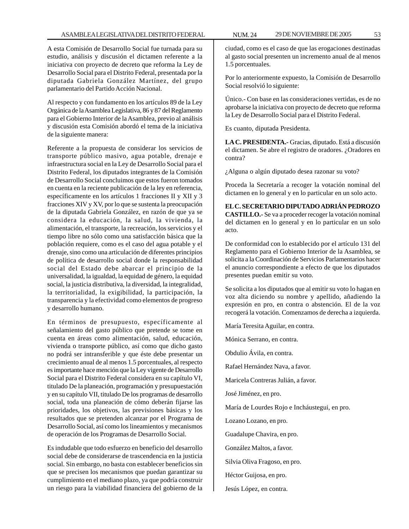A esta Comisión de Desarrollo Social fue turnada para su estudio, análisis y discusión el dictamen referente a la iniciativa con proyecto de decreto que reforma la Ley de Desarrollo Social para el Distrito Federal, presentada por la diputada Gabriela González Martínez, del grupo parlamentario del Partido Acción Nacional.

Al respecto y con fundamento en los artículos 89 de la Ley Orgánica de la Asamblea Legislativa, 86 y 87 del Reglamento para el Gobierno Interior de la Asamblea, previo al análisis y discusión esta Comisión abordó el tema de la iniciativa de la siguiente manera:

Referente a la propuesta de considerar los servicios de transporte público masivo, agua potable, drenaje e infraestructura social en la Ley de Desarrollo Social para el Distrito Federal, los diputados integrantes de la Comisión de Desarrollo Social concluimos que estos fueron tomados en cuenta en la reciente publicación de la ley en referencia, específicamente en los artículos 1 fracciones II y XII y 3 fracciones XIV y XV, por lo que se sustenta la preocupación de la diputada Gabriela González, en razón de que ya se considera la educación, la salud, la vivienda, la alimentación, el transporte, la recreación, los servicios y el tiempo libre no sólo como una satisfacción básica que la población requiere, como es el caso del agua potable y el drenaje, sino como una articulación de diferentes principios de política de desarrollo social donde la responsabilidad social del Estado debe abarcar el principio de la universalidad, la igualdad, la equidad de género, la equidad social, la justicia distributiva, la diversidad, la integralidad, la territorialidad, la exigibilidad, la participación, la transparencia y la efectividad como elementos de progreso y desarrollo humano.

En términos de presupuesto, específicamente al señalamiento del gasto público que pretende se tome en cuenta en áreas como alimentación, salud, educación, vivienda o transporte público, así como que dicho gasto no podrá ser intransferible y que éste debe presentar un crecimiento anual de al menos 1.5 porcentuales, al respecto es importante hace mención que la Ley vigente de Desarrollo Social para el Distrito Federal considera en su capítulo VI, titulado De la planeación, programación y presupuestación y en su capítulo VII, titulado De los programas de desarrollo social, toda una planeación de cómo deberán fijarse las prioridades, los objetivos, las previsiones básicas y los resultados que se pretenden alcanzar por el Programa de Desarrollo Social, así como los lineamientos y mecanismos de operación de los Programas de Desarrollo Social.

Es indudable que todo esfuerzo en beneficio del desarrollo social debe de considerarse de trascendencia en la justicia social. Sin embargo, no basta con establecer beneficios sin que se precisen los mecanismos que puedan garantizar su cumplimiento en el mediano plazo, ya que podría construir un riesgo para la viabilidad financiera del gobierno de la

ciudad, como es el caso de que las erogaciones destinadas al gasto social presenten un incremento anual de al menos 1.5 porcentuales.

Por lo anteriormente expuesto, la Comisión de Desarrollo Social resolvió lo siguiente:

Único.- Con base en las consideraciones vertidas, es de no aprobarse la iniciativa con proyecto de decreto que reforma la Ley de Desarrollo Social para el Distrito Federal.

Es cuanto, diputada Presidenta.

**LA C. PRESIDENTA.-** Gracias, diputado. Está a discusión el dictamen. Se abre el registro de oradores. ¿Oradores en contra?

¿Alguna o algún diputado desea razonar su voto?

Proceda la Secretaría a recoger la votación nominal del dictamen en lo general y en lo particular en un solo acto.

**EL C. SECRETARIO DIPUTADO ADRIÁN PEDROZO CASTILLO.-** Se va a proceder recoger la votación nominal del dictamen en lo general y en lo particular en un solo acto.

De conformidad con lo establecido por el artículo 131 del Reglamento para el Gobierno Interior de la Asamblea, se solicita a la Coordinación de Servicios Parlamentarios hacer el anuncio correspondiente a efecto de que los diputados presentes puedan emitir su voto.

Se solicita a los diputados que al emitir su voto lo hagan en voz alta diciendo su nombre y apellido, añadiendo la expresión en pro, en contra o abstención. El de la voz recogerá la votación. Comenzamos de derecha a izquierda.

María Teresita Aguilar, en contra.

Mónica Serrano, en contra.

Obdulio Ávila, en contra.

Rafael Hernández Nava, a favor.

Maricela Contreras Julián, a favor.

José Jiménez, en pro.

María de Lourdes Rojo e Incháustegui, en pro.

Lozano Lozano, en pro.

Guadalupe Chavira, en pro.

González Maltos, a favor.

Silvia Oliva Fragoso, en pro.

Héctor Guijosa, en pro.

Jesús López, en contra.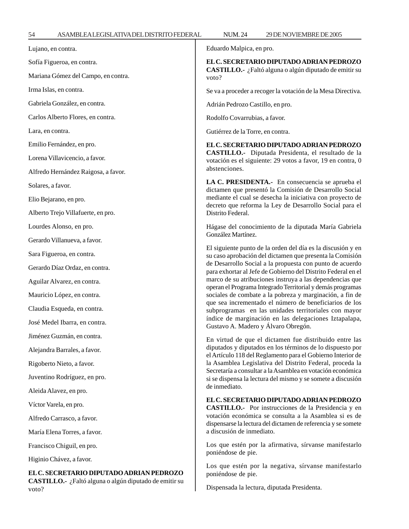Lujano, en contra.

Sofía Figueroa, en contra.

Mariana Gómez del Campo, en contra.

Irma Islas, en contra.

Gabriela González, en contra.

Carlos Alberto Flores, en contra.

Lara, en contra.

Emilio Fernández, en pro.

Lorena Villavicencio, a favor.

Alfredo Hernández Raigosa, a favor.

Solares, a favor.

Elio Bejarano, en pro.

Alberto Trejo Villafuerte, en pro.

Lourdes Alonso, en pro.

Gerardo Villanueva, a favor.

Sara Figueroa, en contra.

Gerardo Díaz Ordaz, en contra.

Aguilar Alvarez, en contra.

Mauricio López, en contra.

Claudia Esqueda, en contra.

José Medel Ibarra, en contra.

Jiménez Guzmán, en contra.

Alejandra Barrales, a favor.

Rigoberto Nieto, a favor.

Juventino Rodríguez, en pro.

Aleida Alavez, en pro.

Víctor Varela, en pro.

Alfredo Carrasco, a favor.

María Elena Torres, a favor.

Francisco Chiguil, en pro.

Higinio Chávez, a favor.

**EL C. SECRETARIO DIPUTADO ADRIAN PEDROZO CASTILLO.-** ¿Faltó alguna o algún diputado de emitir su voto?

Eduardo Malpica, en pro.

**EL C. SECRETARIO DIPUTADO ADRIAN PEDROZO CASTILLO.-** ¿Faltó alguna o algún diputado de emitir su voto?

Se va a proceder a recoger la votación de la Mesa Directiva.

Adrián Pedrozo Castillo, en pro.

Rodolfo Covarrubias, a favor.

Gutiérrez de la Torre, en contra.

**EL C. SECRETARIO DIPUTADO ADRIAN PEDROZO CASTILLO.-** Diputada Presidenta, el resultado de la votación es el siguiente: 29 votos a favor, 19 en contra, 0 abstenciones.

**LA C. PRESIDENTA.-** En consecuencia se aprueba el dictamen que presentó la Comisión de Desarrollo Social mediante el cual se desecha la iniciativa con proyecto de decreto que reforma la Ley de Desarrollo Social para el Distrito Federal.

Hágase del conocimiento de la diputada María Gabriela González Martínez.

El siguiente punto de la orden del día es la discusión y en su caso aprobación del dictamen que presenta la Comisión de Desarrollo Social a la propuesta con punto de acuerdo para exhortar al Jefe de Gobierno del Distrito Federal en el marco de su atribuciones instruya a las dependencias que operan el Programa Integrado Territorial y demás programas sociales de combate a la pobreza y marginación, a fin de que sea incrementado el número de beneficiarios de los subprogramas en las unidades territoriales con mayor índice de marginación en las delegaciones Iztapalapa, Gustavo A. Madero y Álvaro Obregón.

En virtud de que el dictamen fue distribuido entre las diputados y diputados en los términos de lo dispuesto por el Artículo 118 del Reglamento para el Gobierno Interior de la Asamblea Legislativa del Distrito Federal, proceda la Secretaría a consultar a la Asamblea en votación económica si se dispensa la lectura del mismo y se somete a discusión de inmediato.

**EL C. SECRETARIO DIPUTADO ADRIAN PEDROZO**

**CASTILLO.-** Por instrucciones de la Presidencia y en votación económica se consulta a la Asamblea si es de dispensarse la lectura del dictamen de referencia y se somete a discusión de inmediato.

Los que estén por la afirmativa, sírvanse manifestarlo poniéndose de pie.

Los que estén por la negativa, sírvanse manifestarlo poniéndose de pie.

Dispensada la lectura, diputada Presidenta.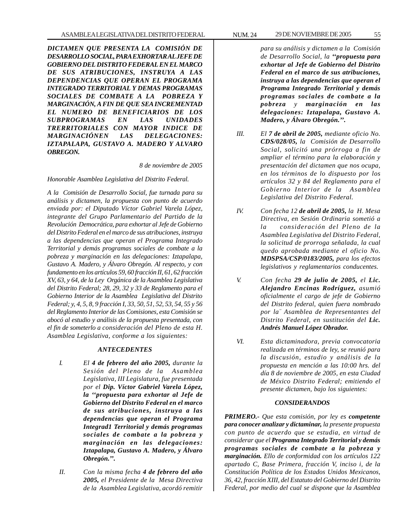*DICTAMEN QUE PRESENTA LA COMISIÓN DE DESARROLLO SOCIAL, PARA EXHORTAR AL JEFE DE GOBIERNO DEL DISTRITO FEDERAL EN EL MARCO DE SUS ATRIBUCIONES, INSTRUYA A LAS DEPENDENCIAS QUE OPERAN EL PROGRAMA INTEGRADO TERRITORIAL Y DEMAS PROGRAMAS SOCIALES DE COMBATE A LA POBREZA Y MARGINACIÓN, A FIN DE QUE SEA INCREMENTAD EL NUMERO DE BENEFICIARIOS DE LOS SUBPROGRAMAS EN LAS UNIDADES TRERRITORIALES CON MAYOR INDICE DE MARGINACIÓNEN LAS DELEGACIONES: IZTAPALAPA, GUSTAVO A. MADERO Y ALVARO OBREGON.*

*8 de noviembre de 2005*

*Honorable Asamblea Legislativa del Distrito Federal.*

*A la Comisión de Desarrollo Social, fue turnada para su análisis y dictamen, la propuesta con punto de acuerdo enviada por: el Diputado Víctor Gabriel Varela López, integrante del Grupo Parlamentario del Partido de la Revolución Democrática, para exhortar al Jefe de Gobierno del Distrito Federal en el marco de sus atribuciones, instruya a las dependencias que operan el Programa Integrado Territorial y demás programas sociales de combate a la pobreza y marginación en las delegaciones: Iztapalapa, Gustavo A. Madero, y Álvaro Obregón. Al respecto, y con fundamento en los artículos 59, 60 fracción II, 61, 62 fracción XV, 63, y 64, de la Ley Orgánica de la Asamblea Legislativa del Distrito Federal; 28, 29, 32 y 33 de Reglamento para el Gobierno Interior de la Asamblea Legislativa del Distrito Federal; y, 4, 5, 8, 9 fracción I, 33, 50, 51, 52, 53, 54, 55 y 56 del Reglamento Interior de las Comisiones, esta Comisión se abocó al estudio y análisis de la propuesta presentada, con el fin de someterlo a consideración del Pleno de esta H. Asamblea Legislativa, conforme a los siguientes:*

# *ANTECEDENTES*

- *I. El 4 de febrero del año 2005, durante la Sesión del Pleno de la Asamblea Legislativa, III Legislatura, fue presentada por el Dip. Víctor Gabriel Varela López, la ''propuesta para exhortar al Jefe de Gobierno del Distrito Federal en el marco de sus atribuciones, instruya a las dependencias que operan el Programa Integrad1 Territorial y demás programas sociales de combate a la pobreza y marginación en las delegaciones: Iztapalapa, Gustavo A. Madero, y Álvaro Obregón.''.*
- *II. Con la misma fecha 4 de febrero del año 2005, el Presidente de la Mesa Directiva de la Asamblea Legislativa, acordó remitir*

*para su análisis y dictamen a la Comisión de Desarrollo Social, la ''propuesta para exhortar al Jefe de Gobierno del Distrito Federal en el marco de sus atribuciones, instruya a las dependencias que operan el Programa Integrado Territorial y demás programas sociales de combate a la pobreza y marginación en las delegaciones: Iztapalapa, Gustavo A. Madero, y Álvaro Obregón.''.*

- *III. El 7 de abril de 2005, mediante oficio No. CDS/028/05, la Comisión de Desarrollo Social, solicitó una prórroga a fin de ampliar el término para la elaboración y presentación del dictamen que nos ocupa, en los términos de lo dispuesto por los artículos 32 y 84 del Reglamento para el Gobierno Interior de la Asamblea Legislativa del Distrito Federal.*
- *IV. Con fecha 12 de abril de 2005, la H. Mesa Directiva, en Sesión Ordinaria sometió a la consideración del Pleno de la Asamblea Legislativa del Distrito Federal, la solicitud de prorroga señalada, la cual quedo aprobada mediante el oficio No. MDSPSA/CSP/0183/2005, para los efectos legislativos y reglamentarios conducentes.*
- *V. Con fecha 29 de julio de 2005, el Lic. Alejandro Encinas Rodríguez, asumió oficialmente el cargo de jefe de Gobierno del Distrito federal, quien fuera nombrado por la'' Asamblea de Representantes del Distrito Federal, en sustitución del Lic. Andrés Manuel López Obrador.*
- *VI. Esta dictaminadora, previa convocatoria realizada en términos de ley, se reunió para la discusión, estudio y análisis de la propuesta en mención a las 10:00 hrs. del día 8 de noviembre de 2005, en esta Ciudad de México Distrito Federal; emitiendo el presente dictamen, bajo los siguientes:*

# *CONSIDERANDOS*

*PRIMERO.- Que esta comisión, por ley es competente para conocer analizar y dictaminar, la presente propuesta con punto de acuerdo que se estudia, en virtud de considerar que el Programa Integrado Territorial y demás programas sociales de combate a la pobreza y marginación. Ello de conformidad con los artículos 122 apartado C, Base Primera, fracción V, inciso i, de la Constitución Política de los Estados Unidos Mexicanos, 36, 42, fracción XIII, del Estatuto del Gobierno del Distrito Federal, por medio del cual se dispone que la Asamblea*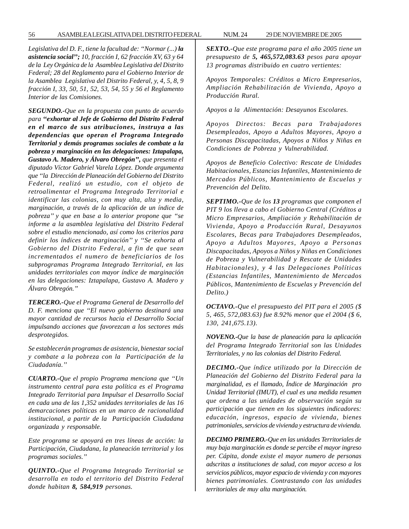*Legislativa del D. F., tiene la facultad de: ''Normar (...) la asistencia social''; 10, fracción I, 62 fracción XV, 63 y 64 de la Ley Orgánica de la Asamblea Legislativa del Distrito Federal; 28 del Reglamento para el Gobierno Interior de la Asamblea Legislativa del Distrito Federal, y, 4, 5, 8, 9 fracción I, 33, 50, 51, 52, 53, 54, 55 y 56 el Reglamento Interior de las Comisiones.*

*SEGUNDO.-Que en la propuesta con punto de acuerdo para ''exhortar al Jefe de Gobierno del Distrito Federal en el marco de sus atribuciones, instruya a las dependencias que operan el Programa Integrado Territorial y demás programas sociales de combate a la pobreza y marginación en las delegaciones: Iztapalapa, Gustavo A. Madero, y Álvaro Obregón'', que presenta el diputado Víctor Gabriel Varela López. Donde argumenta que ''la Dirección de Planeación del Gobierno del Distrito Federal, realizó un estudio, con el objeto de retroalimentar el Programa Integrado Territorial e identificar las colonias, con muy alta, alta y media, marginación, a través de la aplicación de un índice de pobreza'' y que en base a lo anterior propone que ''se informe a la asamblea legislativa del Distrito Federal sobre el estudio mencionado, así como los criterios para definir los índices de marginación'' y ''Se exhorta al Gobierno del Distrito Federal, a fin de que sean incrementados el numero de beneficiarios de los subprogramas Programa Integrado Territorial, en las unidades territoriales con mayor índice de marginación en las delegaciones: Iztapalapa, Gustavo A. Madero y Álvaro Obregón.''*

*TERCERO.-Que el Programa General de Desarrollo del D. F. menciona que ''El nuevo gobierno destinará una mayor cantidad de recursos hacia el Desarrollo Social impulsando acciones que favorezcan a los sectores más desprotegidos.*

*Se establecerán programas de asistencia, bienestar social y combate a la pobreza con la Participación de la Ciudadanía.''*

*CUARTO.-Que el propio Programa menciona que ''Un instrumento central para esta política es el Programa Integrado Territorial para Impulsar el Desarrollo Social en cada una de las 1,352 unidades territoriales de las 16 demarcaciones políticas en un marco de racionalidad institucional, a partir de la Participación Ciudadana organizada y responsable.*

*Este programa se apoyará en tres líneas de acción: la Participación, Ciudadana, la planeación territorial y los programas sociales.''*

*QUINTO.-Que el Programa Integrado Territorial se desarrolla en todo el territorio del Distrito Federal donde habitan 8, 584,919 personas.*

*SEXTO.-Que este programa para el año 2005 tiene un presupuesto de 5, 465,572,083.63 pesos para apoyar 13 programas distribuido en cuatro vertientes:*

*Apoyos Temporales: Créditos a Micro Empresarios, Ampliación Rehabilitación de Vivienda, Apoyo a Producción Rural.*

*Apoyos a la Alimentación: Desayunos Escolares.*

*Apoyos Directos: Becas para Trabajadores Desempleados, Apoyo a Adultos Mayores, Apoyo a Personas Discapacitadas, Apoyos a Niños y Niñas en Condiciones de Pobreza y Vulnerabilidad.*

*Apoyos de Beneficio Colectivo: Rescate de Unidades Habitacionales, Estancias Infantiles, Mantenimiento de Mercados Públicos, Mantenimiento de Escuelas y Prevención del Delito.*

*SEPTIMO.-Que de los 13 programas que componen el PIT 9 los lleva a cabo el Gobierno Central (Créditos a Micro Empresarios, Ampliación y Rehabilitación de Vivienda, Apoyo a Producción Rural, Desayunos Escolares, Becas para Trabajadores Desempleados, Apoyo a Adultos Mayores, Apoyo a Personas Discapacitadas, Apoyos a Niños y Niñas en Condiciones de Pobreza y Vulnerabilidad y Rescate de Unidades Habitacionales), y 4 las Delegaciones Políticas (Estancias Infantiles, Mantenimiento de Mercados Públicos, Mantenimiento de Escuelas y Prevención del Delito.)*

*OCTAVO.-Que el presupuesto del PIT para el 2005 (\$ 5, 465, 572,083.63) fue 8.92% menor que el 2004 (\$ 6, 130, 241,675.13).*

*NOVENO.-Que la base de planeación para la aplicación del Programa Integrado Territorial son las Unidades Territoriales, y no las colonias del Distrito Federal.*

*DECIMO.-Que índice utilizado por la Dirección de Planeación del Gobierno del Distrito Federal para la marginalidad, es el llamado, Índice de Marginación pro Unidad Territorial (IMUT), el cual es una medida resumen que ordena a las unidades de observación según su participación que tienen en los siguientes indicadores: educación, ingresos, espacio de vivienda, bienes patrimoniales, servicios de vivienda y estructura de vivienda.*

*DECIMO PRIMERO.-Que en las unidades Territoriales de muy baja marginación es donde se percibe el mayor ingreso per. Cápita, donde existe el mayor numero de personas adscritas a instituciones de salud, con mayor acceso a los servicios públicos, mayor espacio de vivienda y con mayores bienes patrimoniales. Contrastando con las unidades territoriales de muy alta marginación.*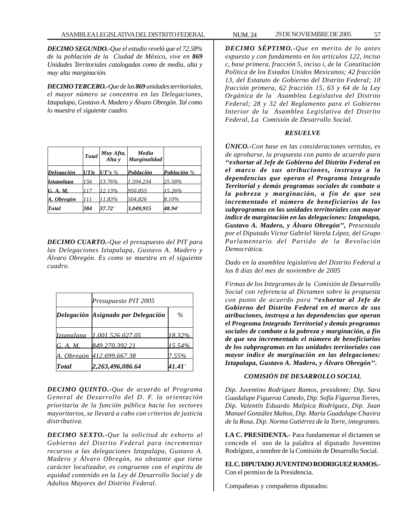*DECIMO SEGUNDO.-Que el estudio reveló que el 72.58% de la población de la Ciudad de México, vive en 869 Unidades Territoriales catalogadas como de media, alta y muy alta marginación.*

*DECIMO TERCERO.-Que de las 869 unidades territoriales, el mayor número se concentra en las Delegaciones, Iztapalapa, Gustavo A. Madero y Álvaro Obregón. Tal como lo muestra el siguiente cuadro.*

|                   |         | Total Muy Afta,<br>Alta y | Media<br>Marginalidad |             |
|-------------------|---------|---------------------------|-----------------------|-------------|
| Delegación        | $UT$ )s | $UT's\%$                  | Población             | Población % |
| <i>Iztapalapa</i> | 156     | 13.76%                    | 1,594,234             | 25.58%      |
| G. A. M.          | 117     | 12.13%                    | 950.855               | $15.26\%$   |
| A. Obregón        | 111     | 11.83%                    | 504,826               | 8.10%       |
| Total             | 384     | 37.72'                    | 3,049,915             | 48.94'      |

*DECIMO CUARTO.-Que el presupuesto del PIT para las Delegaciones Iztapalapa, Gustavo A. Madero y Álvaro Obregón. Es como se muestra en el siguiente cuadro.*

|                   | Presupuesto PIT 2005               |           |  |
|-------------------|------------------------------------|-----------|--|
|                   | Delegación Asignado por Delegación | $\%$      |  |
| <i>Iztapalapa</i> | 1.001.526.027.05                   | 18.32%    |  |
| G. A. M.          | 849.270.392.21                     | $15.54\%$ |  |
|                   | A. Obregón 412.699.667.38          | 7.55%     |  |
| <b>Total</b>      | 2,263,496,086.64                   | 41.41'    |  |

*DECIMO QUINTO.-Que de acuerdo al Programa General de Desarrollo del D. F. la orientación prioritaria de la función pública hacia los sectores mayoritarios, se llevará a cabo con criterios de justicia distributiva.*

*DECIMO SEXTO.-Que la solicitud de exhorto al Gobierno del Distrito Federal para incrementar recursos a las delegaciones Iztapalapa, Gustavo A. Madero y Álvaro Obregón, no obstante que tiene carácter localizador, es congruente con el espíritu de equidad contenido en la Ley dé Desarrollo Social y de Adultos Mayores del Distrito Federal.*

*DECIMO SÉPTIMO.-Que en merito de lo antes expuesto y con fundamento en los artículos 122, inciso c, base primera, fracción 5, inciso i, de la Constitución Política de los Estados Unidos Mexicanos; 42 fracción 13, del Estatuto de Gobierno del Distrito Federal; 10 fracción primera, 62 fracción 15, 63 y 64 de la Ley Orgánica de la Asamblea Legislativa del Distrito Federal; 28 y 32 del Reglamento para el Gobierno Interior de la Asamblea Legislativa del Distrito Federal, La Comisión de Desarrollo Social.*

### *RESUELVE*

*ÚNICO.-Con base en las consideraciones vertidas, es de aprobarse, la propuesta con punto de acuerdo para ''exhortar al Jefe de Gobierno del Distrito Federal en el marco de sus atribuciones, instruya a la dependencias que operan el Programa Integrado Territorial y demás programas sociales de combate a la pobreza y marginación, a fin de que sea incrementado el número de beneficiarios de los subprogramas en las unidades territoriales con mayor índice de marginación en las delegaciones: Iztapalapa, Gustavo A. Madero, y Álvaro Obregón'', Presentada por el Diputado Víctor Gabriel Varela López, del Grupo Parlamentario del Partido de la Revolución Democrática.*

*Dado en la asamblea legislativa del Distrito Federal a los 8 días del mes de noviembre de 2005*

*Firmas de los Integrantes de la Comisión de Desarrollo Social con referencia al Dictamen sobre la propuesta con punto de acuerdo para ''exhortar al Jefe de Gobierno del Distrito Federal en el marco de sus atribuciones, instruya a las dependencias que operan el Programa Integrado Territorial y demás programas sociales de combate a la pobreza y marginación, a fin de que sea incrementado el número de beneficiarios de los subprogramas en las unidades territoriales con mayor índice de marginación en las delegaciones: Iztapalapa, Gustavo A. Madero, y Álvaro Obregón''.*

# *COMISIÓN DE DESARROLLO SOCIAL*

*Dip. Juventino Rodríguez Ramos, presidente; Dip. Sara Guadalupe Figueroa Canedo, Dip. Sofía Figueroa Torres, Dip. Valentín Eduardo Malpica Rodríguez, Dip. Juan Manuel González Maltos, Dip. María Guadalupe Chavira de la Rosa, Dip. Norma Gutiérrez de la Torre, integrantes.*

**LA C. PRESIDENTA.-** Para fundamentar el dictamen se concede el uso de la palabra al diputado Juventino Rodríguez, a nombre de la Comisión de Desarrollo Social.

**EL C. DIPUTADO JUVENTINO RODRIGUEZ RAMOS.-** Con el permiso de la Presidencia.

Compañeras y compañeros diputados: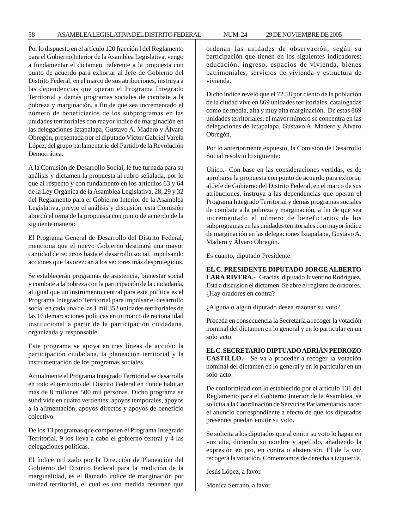58 ASAMBLEA LEGISLATIVA DEL DISTRITO FEDERAL NUM. 24 29 DE NOVIEMBRE DE 2005

Por lo dispuesto en el artículo 120 fracción I del Reglamento para el Gobierno Interior de la Asamblea Legislativa, vengo a fundamentar el dictamen, referente a la propuesta con punto de acuerdo para exhortar al Jefe de Gobierno del Distrito Federal, en el marco de sus atribuciones, instruya a las dependencias que operan el Programa Integrado Territorial y demás programas sociales de combate a la pobreza y marginación, a fin de que sea incrementado el número de beneficiarios de los subprogramas en las unidades territoriales con mayor índice de marginación en las delegaciones Iztapalapa, Gustavo A. Madero y Álvaro Obregón, presentada por el diputado Víctor Gabriel Varela López, del grupo parlamentario del Partido de la Revolución Democrática.

A la Comisión de Desarrollo Social, le fue turnada para su análisis y dictamen la propuesta al rubro señalada, por lo que al respecto y con fundamento en los artículos 63 y 64 de la Ley Orgánica de la Asamblea Legislativa, 28, 29 y 32 del Reglamento para el Gobierno Interior de la Asamblea Legislativa, previo el análisis y discusión, esta Comisión abordó el tema de la propuesta con punto de acuerdo de la siguiente manera:

El Programa General de Desarrollo del Distrito Federal, menciona que el nuevo Gobierno destinará una mayor cantidad de recursos hasta el desarrollo social, impulsando acciones que favorezcan a los sectores más desprotegidos.

Se establecerán programas de asistencia, bienestar social y combate a la pobreza con la participación de la ciudadanía, al igual que un instrumento central para esta política es el Programa Integrado Territorial para impulsar el desarrollo social en cada una de las 1 mil 352 unidades territoriales de las 16 demarcaciones políticas en un marco de racionalidad institucional a partir de la participación ciudadana, organizada y responsable.

Este programa se apoya en tres líneas de acción: la participación ciudadana, la planeación territorial y la instrumentación de los programas sociales.

Actualmente el Programa Integrado Territorial se desarrolla en todo el territorio del Distrito Federal en donde habitan más de 8 millones 500 mil personas. Dicho programa se subdivide en cuatro vertientes: apoyos temporales, apoyos a la alimentación, apoyos directos y apoyos de beneficio colectivo.

De los 13 programas que componen el Programa Integrado Territorial, 9 los lleva a cabo el gobierno central y 4 las delegaciones políticas.

El índice utilizado por la Dirección de Planeación del Gobierno del Distrito Federal para la medición de la marginalidad, es el llamado índice de marginación por unidad territorial, el cual es una medida resumen que

ordenan las unidades de observación, según su participación que tienen en los siguientes indicadores: educación, ingreso, espacios de vivienda, bienes patrimoniales, servicios de vivienda y estructura de vivienda.

Dicho índice reveló que el 72.58 por ciento de la población de la ciudad vive en 869 unidades territoriales, catalogadas como de media, alta y muy alta marginación. De estas 869 unidades territoriales, el mayor número se concentra en las delegaciones de Iztapalapa, Gustavo A. Madero y Álvaro Obregón.

Por lo anteriormente expuesto, la Comisión de Desarrollo Social resolvió lo siguiente:

Único.- Con base en las consideraciones vertidas, es de aprobarse la propuesta con punto de acuerdo para exhortar al Jefe de Gobierno del Distrito Federal, en el marco de sus atribuciones, instruya a las dependencias que operan el Programa Integrado Territorial y demás programas sociales de combate a la pobreza y marginación, a fin de que sea incrementado el número de beneficiarios de los subprogramas en las unidades territoriales con mayor índice de marginación en las delegaciones Iztapalapa, Gustavo A. Madero y Álvaro Obregón.

Es cuanto, diputado Presidente.

**EL C. PRESIDENTE DIPUTADO JORGE ALBERTO LARA RIVERA.-** Gracias, diputado Juventino Rodríguez. Está a discusión el dictamen. Se abre el registro de oradores. ¿Hay oradores en contra?

¿Alguna o algún diputado desea razonar su voto?

Proceda en consecuencia la Secretaría a recoger la votación nominal del dictamen en lo general y en lo particular en un solo acto.

**EL C. SECRETARIO DIPTUADO ADRIÁN PEDROZO CASTILLO.-** Se va a proceder a recoger la votación nominal del dictamen en lo general y en lo particular en un solo acto.

De conformidad con lo establecido por el artículo 131 del Reglamento para el Gobierno Interior de la Asamblea, se solicita a la Coordinación de Servicios Parlamentarios hacer el anuncio correspondiente a efecto de que los diputados presentes puedan emitir su voto.

Se solicita a los diputados que al emitir su voto lo hagan en voz alta, diciendo su nombre y apellido, añadiendo la expresión en pro, en contra o abstención. El de la voz recogerá la votación. Comenzamos de derecha a izquierda.

Jesús López, a favor.

Mónica Serrano, a favor.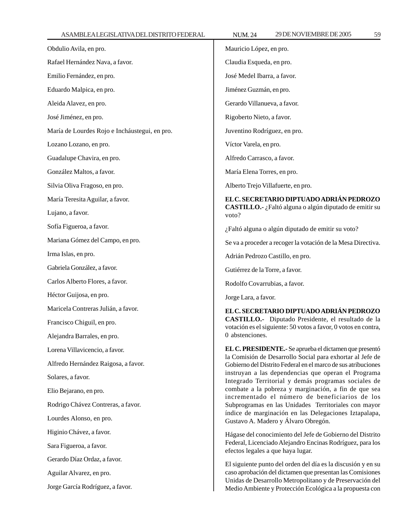| Obdulio Avila, en pro.                        | Mauricio López, en pro.                                                                                                                                                                                                                                        |  |
|-----------------------------------------------|----------------------------------------------------------------------------------------------------------------------------------------------------------------------------------------------------------------------------------------------------------------|--|
| Rafael Hernández Nava, a favor.               | Claudia Esqueda, en pro.                                                                                                                                                                                                                                       |  |
| Emilio Fernández, en pro.                     | José Medel Ibarra, a favor.                                                                                                                                                                                                                                    |  |
| Eduardo Malpica, en pro.                      | Jiménez Guzmán, en pro.                                                                                                                                                                                                                                        |  |
| Aleida Alavez, en pro.                        | Gerardo Villanueva, a favor.                                                                                                                                                                                                                                   |  |
| José Jiménez, en pro.                         | Rigoberto Nieto, a favor.                                                                                                                                                                                                                                      |  |
| María de Lourdes Rojo e Incháustegui, en pro. | Juventino Rodríguez, en pro.                                                                                                                                                                                                                                   |  |
| Lozano Lozano, en pro.                        | Víctor Varela, en pro.                                                                                                                                                                                                                                         |  |
| Guadalupe Chavira, en pro.                    | Alfredo Carrasco, a favor.                                                                                                                                                                                                                                     |  |
| González Maltos, a favor.                     | María Elena Torres, en pro.                                                                                                                                                                                                                                    |  |
| Silvia Oliva Fragoso, en pro.                 | Alberto Trejo Villafuerte, en pro.                                                                                                                                                                                                                             |  |
| María Teresita Aguilar, a favor.              | EL C. SECRETARIO DIPTUADO ADRIÁN PEDROZO<br>CASTILLO.- ¿Faltó alguna o algún diputado de emitir su<br>voto?                                                                                                                                                    |  |
| Lujano, a favor.                              |                                                                                                                                                                                                                                                                |  |
| Sofía Figueroa, a favor.                      | ¿Faltó alguna o algún diputado de emitir su voto?                                                                                                                                                                                                              |  |
| Mariana Gómez del Campo, en pro.              | Se va a proceder a recoger la votación de la Mesa Directiva.                                                                                                                                                                                                   |  |
| Irma Islas, en pro.                           | Adrián Pedrozo Castillo, en pro.                                                                                                                                                                                                                               |  |
| Gabriela González, a favor.                   | Gutiérrez de la Torre, a favor.                                                                                                                                                                                                                                |  |
| Carlos Alberto Flores, a favor.               | Rodolfo Covarrubias, a favor.                                                                                                                                                                                                                                  |  |
| Héctor Guijosa, en pro.                       | Jorge Lara, a favor.                                                                                                                                                                                                                                           |  |
| Maricela Contreras Julián, a favor.           | EL C. SECRETARIO DIPTUADO ADRIÁN PEDROZO                                                                                                                                                                                                                       |  |
| Francisco Chiguil, en pro.                    | CASTILLO.- Diputado Presidente, el resultado de la<br>votación es el siguiente: 50 votos a favor, 0 votos en contra,                                                                                                                                           |  |
| Alejandra Barrales, en pro.                   | 0 abstenciones.                                                                                                                                                                                                                                                |  |
| Lorena Villavicencio, a favor.                | EL C. PRESIDENTE.- Se aprueba el dictamen que presentó                                                                                                                                                                                                         |  |
| Alfredo Hernández Raigosa, a favor.           | la Comisión de Desarrollo Social para exhortar al Jefe de<br>Gobierno del Distrito Federal en el marco de sus atribuciones                                                                                                                                     |  |
| Solares, a favor.                             | instruyan a las dependencias que operan el Programa<br>Integrado Territorial y demás programas sociales de                                                                                                                                                     |  |
| Elio Bejarano, en pro.                        | combate a la pobreza y marginación, a fin de que sea<br>incrementado el número de beneficiarios de los<br>Subprogramas en las Unidades Territoriales con mayor<br>índice de marginación en las Delegaciones Iztapalapa,<br>Gustavo A. Madero y Álvaro Obregón. |  |
| Rodrigo Chávez Contreras, a favor.            |                                                                                                                                                                                                                                                                |  |
| Lourdes Alonso, en pro.                       |                                                                                                                                                                                                                                                                |  |
| Higinio Chávez, a favor.                      | Hágase del conocimiento del Jefe de Gobierno del Distrito                                                                                                                                                                                                      |  |
| Sara Figueroa, a favor.                       | Federal, Licenciado Alejandro Encinas Rodríguez, para los<br>efectos legales a que haya lugar.                                                                                                                                                                 |  |
| Gerardo Díaz Ordaz, a favor.                  | El siguiente punto del orden del día es la discusión y en su<br>caso aprobación del dictamen que presentan las Comisiones                                                                                                                                      |  |
| Aguilar Alvarez, en pro.                      |                                                                                                                                                                                                                                                                |  |
| Jorge García Rodríguez, a favor.              | Unidas de Desarrollo Metropolitano y de Preservación del<br>Medio Ambiente y Protección Ecológica a la propuesta con                                                                                                                                           |  |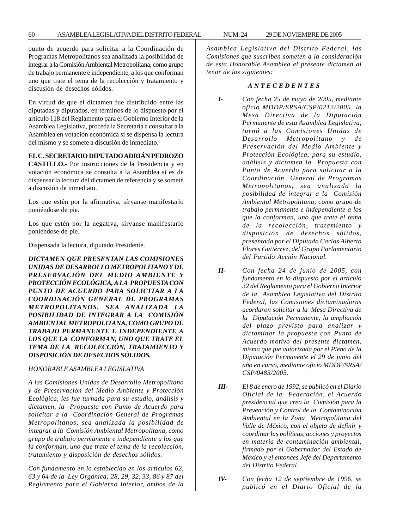punto de acuerdo para solicitar a la Coordinación de Programas Metropolitanos sea analizada la posibilidad de integrar a la Comisión Ambiental Metropolitana, como grupo de trabajo permanente e independiente, a los que conforman uno que trate el tema de la recolección y tratamiento y discusión de desechos sólidos.

En virtud de que el dictamen fue distribuido entre las diputadas y diputados, en términos de lo dispuesto por el artículo 118 del Reglamento para el Gobierno Interior de la Asamblea Legislativa, proceda la Secretaría a consultar a la Asamblea en votación económica si se dispensa la lectura del mismo y se somete a discusión de inmediato.

# **EL C. SECRETARIO DIPUTADO ADRIÁN PEDROZO**

**CASTILLO.-** Por instrucciones de la Presidencia y en votación económica se consulta a la Asamblea si es de dispensar la lectura del dictamen de referencia y se somete a discusión de inmediato.

Los que estén por la afirmativa, sírvanse manifestarlo poniéndose de pie.

Los que estén por la negativa, sírvanse manifestarlo poniéndose de pie.

Dispensada la lectura, diputado Presidente.

*DICTAMEN QUE PRESENTAN LAS COMISIONES UNIDAS DE DESARROLLO METROPOLITANO Y DE PRESERVACIÓN DEL MEDIO AMBIENTE Y PROTECCIÓN ECOLÓGICA, A LA PROPUESTA CON PUNTO DE ACUERDO PARA SOLICITAR A LA COORDINACIÓN GENERAL DE PROGRAMAS METROPOLITANOS, SEA ANALIZADA LA POSIBILIDAD DE INTEGRAR A LA COMISIÓN AMBIENTAL METROPOLITANA, COMO GRUPO DE TRABAJO PERMANENTE E INDEPENDIENTE A LOS QUE LA CONFORMAN, UNO QUE TRATE EL TEMA DE LA RECOLECCIÓN, TRATAMIENTO Y DISPOSICIÓN DE DESECHOS SÓLIDOS.*

#### *HONORABLE ASAMBLEA LEGISLATIVA*

*A las Comisiones Unidas de Desarrollo Metropolitano y de Preservación del Medio Ambiente y Protección Ecológica, les fue turnada para su estudio, análisis y dictamen, la Propuesta con Punto de Acuerdo para solicitar a la Coordinación General de Programas Metropolitanos, sea analizada la posibilidad de integrar a la Comisión Ambiental Metropolitana, como grupo de trabajo permanente e independiente a los que la conforman, uno que trate el tema de la recolección, tratamiento y disposición de desechos sólidos.*

*Con fundamento en lo establecido en los artículos 62, 63 y 64 de la Ley Orgánica; 28, 29, 32, 33, 86 y 87 del Reglamento para el Gobierno Interior, ambos de la* *Asamblea Legislativa del Distrito Federal, las Comisiones que suscriben someten a la consideración de esta Honorable Asamblea el presente dictamen al tenor de los siguientes:*

#### *A N T E C E D E N T E S*

- *I- Con fecha 25 de mayo de 2005, mediante oficio MDDP/SRSA/CSP/0212/2005, la Mesa Directiva de la Diputación Permanente de esta Asamblea Legislativa, turnó a las Comisiones Unidas de Desarrollo Metropolitano y de Preservación del Medio Ambiente y Protección Ecológica, para su estudio, análisis y dictamen la Propuesta con Punto de Acuerdo para solicitar a la Coordinación General de Programas Metropolitanos, sea analizada la posibilidad de integrar a la Comisión Ambiental Metropolitana, como grupo de trabajo permanente e independiente a los que la conforman, uno que trate el tema de la recolección, tratamiento y disposición de desechos sólidos, presentada por el Diputado Carlos Alberto Flores Gutiérrez, del Grupo Parlamentario del Partido Acción Nacional.*
- *II- Con fecha 24 de junio de 2005, con fundamento en lo dispuesto por el artículo 32 del Reglamento para el Gobierno Interior de la Asamblea Legislativa del Distrito Federal, las Comisiones dictaminadoras acordaron solicitar a la Mesa Directiva de la Diputación Permanente, la ampliación del plazo previsto para analizar y dictaminar la propuesta con Punto de Acuerdo motivo del presente dictamen, misma que fue autorizada por el Pleno de la Diputación Permanente el 29 de junio del año en curso, mediante oficio MDDP/SRSA/ CSP/0483/2005.*
- *III- El 8 de enero de 1992, se publicó en el Diario Oficial de la Federación, el Acuerdo presidencial que creo la Comisión para la Prevención y Control de la Contaminación Ambiental en la Zona Metropolitana del Valle de México, con el objeto de definir y coordinar las políticas, acciones y proyectos en materia de contaminación ambiental, firmado por el Gobernador del Estado de México y el entonces Jefe del Departamento del Distrito Federal.*
- *IV- Con fecha 12 de septiembre de 1996, se publicó en el Diario Oficial de la*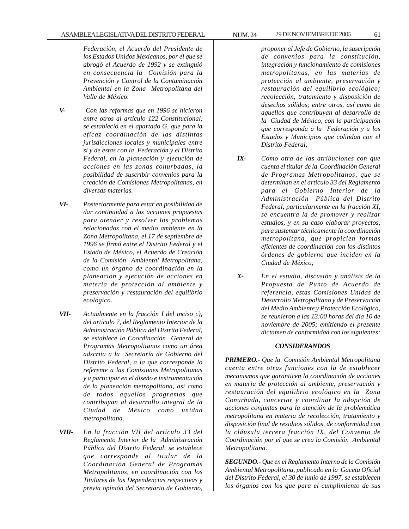*Federación, el Acuerdo del Presidente de los Estados Unidos Mexicanos, por el que se abrogó el Acuerdo de 1992 y se extinguió en consecuencia la Comisión para la Prevención y Control de la Contaminación Ambiental en la Zona Metropolitana del Valle de México.*

- *V- Con las reformas que en 1996 se hicieron entre otros al artículo 122 Constitucional, se estableció en el apartado G, que para la eficaz coordinación de las distintas jurisdicciones locales y municipales entre sí y de estas con la Federación y el Distrito Federal, en la planeación y ejecución de acciones en las zonas conurbadas, la posibilidad de suscribir convenios para la creación de Comisiones Metropolitanas, en diversas materias.*
- *VI- Posteriormente para estar en posibilidad de dar continuidad a las acciones propuestas para atender y resolver los problemas relacionados con el medio ambiente en la Zona Metropolitana, el 17 de septiembre de 1996 se firmó entre el Distrito Federal y el Estado de México, el Acuerdo de Creación de la Comisión Ambiental Metropolitana, como un órgano de coordinación en la planeación y ejecución de acciones en materia de protección al ambiente y preservación y restauración del equilibrio ecológico.*
- *VII- Actualmente en la fracción I del inciso c), del artículo 7, del Reglamento Interior de la Administración Pública del Distrito Federal, se establece la Coordinación General de Programas Metropolitanos como un área adscrita a la Secretaría de Gobierno del Distrito Federal, a la que corresponde lo referente a las Comisiones Metropolitanas y a participar en el diseño e instrumentación de la planeación metropolitana, así como de todos aquellos programas que contribuyan al desarrollo integral de la Ciudad de México como unidad metropolitana.*
- *VIII- En la fracción VII del artículo 33 del Reglamento Interior de la Administración Pública del Distrito Federal, se establece que corresponde al titular de la Coordinación General de Programas Metropolitanos, en coordinación con los Titulares de las Dependencias respectivas y previa opinión del Secretario de Gobierno,*

*proponer al Jefe de Gobierno, la suscripción de convenios para la constitución, integración y funcionamiento de comisiones metropolitanas, en las materias de protección al ambiente, preservación y restauración del equilibrio ecológico; recolección, tratamiento y disposición de desechos sólidos; entre otros, así como de aquellos que contribuyan al desarrollo de la Ciudad de México, con la participación que corresponda a la Federación y a los Estados y Municipios que colindan con el Distrito Federal;*

- *IX- Como otra de las atribuciones con que cuenta el titular de la Coordinación General de Programas Metropolitanos, que se determinan en el articulo 33 del Reglamento para el Gobierno Interior de la Administración Pública del Distrito Federal, particularmente en la fracción XI, se encuentra la de promover y realizar estudios, y en su caso elaborar proyectos, para sustentar técnicamente la coordinación metropolitana, que propicien formas eficientes de coordinación con los distintos órdenes de gobierno que inciden en la Ciudad de México;*
- *X- En el estudio, discusión y análisis de la Propuesta de Punto de Acuerdo de referencia, estas Comisiones Unidas de Desarrollo Metropolitano y de Preservación del Medio Ambiente y Protección Ecológica, se reunieron a las 13:00 horas del día 10 de noviembre de 2005; emitiendo el presente dictamen de conformidad con los siguientes:*

### *CONSIDERANDOS*

*PRIMERO.- Que la Comisión Ambiental Metropolitana cuenta entre otras funciones con la de establecer mecanismos que garanticen la coordinación de acciones en materia de protección al ambiente, preservación y restauración del equilibrio ecológico en la Zona Conurbada, concertar y coordinar la adopción de acciones conjuntas para la atención de la problemática metropolitana en materia de recolección, tratamiento y disposición final de residuos sólidos, de conformidad con la cláusula tercera fracción IX, del Convenio de Coordinación por el que se crea la Comisión Ambiental Metropolitana.*

*SEGUNDO.- Que en el Reglamento Interno de la Comisión Ambiental Metropolitana, publicado en la Gaceta Oficial del Distrito Federal, el 30 de junio de 1997, se establecen los órganos con los que para el cumplimiento de sus*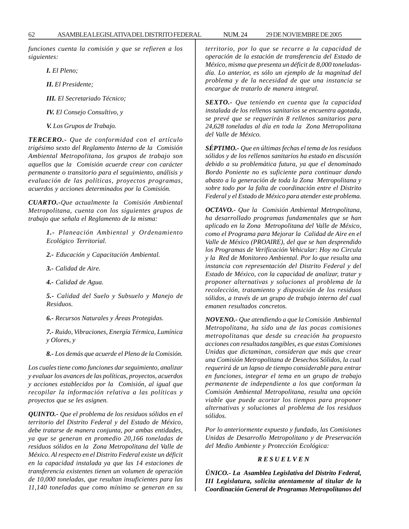*funciones cuenta la comisión y que se refieren a los siguientes:*

*I. El Pleno;*

*II. El Presidente;*

*III. El Secretariado Técnico;*

*IV. El Consejo Consultivo, y*

*V. Los Grupos de Trabajo.*

*TERCERO.- Que de conformidad con el artículo trigésimo sexto del Reglamento Interno de la Comisión Ambiental Metropolitana, los grupos de trabajo son aquellos que la Comisión acuerde crear con carácter permanente o transitorio para el seguimiento, análisis y evaluación de las políticas, proyectos programas, acuerdos y acciones determinados por la Comisión.*

*CUARTO.-Que actualmente la Comisión Ambiental Metropolitana, cuenta con los siguientes grupos de trabajo que señala el Reglamento de la misma:*

> *1.- Planeación Ambiental y Ordenamiento Ecológico Territorial.*

*2.- Educación y Capacitación Ambiental.*

*3.- Calidad de Aire.*

*4.- Calidad de Agua.*

*5.- Calidad del Suelo y Subsuelo y Manejo de Residuos.*

*6.- Recursos Naturales y Áreas Protegidas.*

*7.- Ruido, Vibraciones, Energía Térmica, Lumínica y Olores, y*

*8.- Los demás que acuerde el Pleno de la Comisión.*

*Los cuales tiene como funciones dar seguimiento, analizar y evaluar los avances de las políticas, proyectos, acuerdos y acciones establecidos por la Comisión, al igual que recopilar la información relativa a las políticas y proyectos que se les asignen.*

*QUINTO.- Que el problema de los residuos sólidos en el territorio del Distrito Federal y del Estado de México, debe tratarse de manera conjunta, por ambas entidades, ya que se generan en promedio 20,166 toneladas de residuos sólidos en la Zona Metropolitana del Valle de México. Al respecto en el Distrito Federal existe un déficit en la capacidad instalada ya que las 14 estaciones de transferencia existentes tienen un volumen de operación de 10,000 toneladas, que resultan insuficientes para las 11,140 toneladas que como mínimo se generan en su* *territorio, por lo que se recurre a la capacidad de operación de la estación de transferencia del Estado de México, misma que presenta un déficit de 8,000 toneladasdía. Lo anterior, es sólo un ejemplo de la magnitud del problema y de la necesidad de que una instancia se encargue de tratarlo de manera integral.*

*SEXTO.- Que teniendo en cuenta que la capacidad instalada de los rellenos sanitarios se encuentra agotada, se prevé que se requerirán 8 rellenos sanitarios para 24,628 toneladas al día en toda la Zona Metropolitana del Valle de México.*

*SÉPTIMO.- Que en últimas fechas el tema de los residuos sólidos y de los rellenos sanitarios ha estado en discusión debido a su problemática futura, ya que el denominado Bordo Poniente no es suficiente para continuar dando abasto a la generación de toda la Zona Metropolitana y sobre todo por la falta de coordinación entre el Distrito Federal y el Estado de México para atender este problema.*

*OCTAVO.- Que la Comisión Ambiental Metropolitana, ha desarrollado programas fundamentales que se han aplicado en la Zona Metropolitana del Valle de México, como el Programa para Mejorar la Calidad de Aire en el Valle de México (PROAIRE), del que se han desprendido los Programas de Verificación Vehicular: Hoy no Circula y la Red de Monitoreo Ambiental. Por lo que resulta una instancia con representación del Distrito Federal y del Estado de México, con la capacidad de analizar, tratar y proponer alternativas y soluciones al problema de la recolección, tratamiento y disposición de los residuos sólidos, a través de un grupo de trabajo interno del cual emanen resultados concretos.*

*NOVENO.- Que atendiendo a que la Comisión Ambiental Metropolitana, ha sido una de las pocas comisiones metropolitanas que desde su creación ha propuesto acciones con resultados tangibles, es que estas Comisiones Unidas que dictaminan, consideran que más que crear una Comisión Metropolitana de Desechos Sólidos, la cual requerirá de un lapso de tiempo considerable para entrar en funciones, integrar el tema en un grupo de trabajo permanente de independiente a los que conforman la Comisión Ambiental Metropolitana, resulta una opción viable que puede acortar los tiempos para proponer alternativas y soluciones al problema de los residuos sólidos.*

*Por lo anteriormente expuesto y fundado, las Comisiones Unidas de Desarrollo Metropolitano y de Preservación del Medio Ambiente y Protección Ecológica:*

### *R E S U E L V E N*

*ÚNICO.- La Asamblea Legislativa del Distrito Federal, III Legislatura, solicita atentamente al titular de la Coordinación General de Programas Metropolitanos del*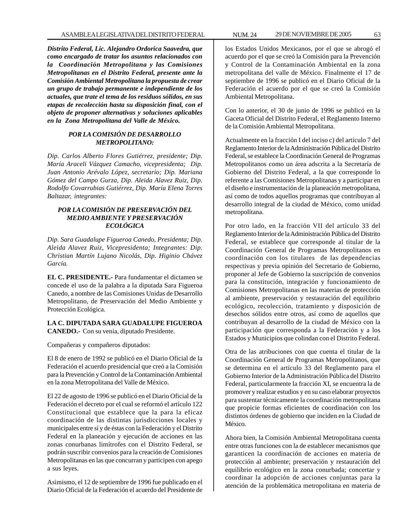*Distrito Federal, Lic. Alejandro Ordorica Saavedra, que como encargado de tratar los asuntos relacionados con la Coordinación Metropolitana y las Comisiones Metropolitanas en el Distrito Federal, presente ante la Comisión Ambiental Metropolitana la propuesta de crear un grupo de trabajo permanente e independiente de los actuales, que trate el tema de los residuos sólidos, en sus etapas de recolección hasta su disposición final, con el objeto de proponer alternativas y soluciones aplicables en la Zona Metropolitana del Valle de México.*

### *POR LA COMISIÓN DE DESARROLLO METROPOLITANO:*

*Dip. Carlos Alberto Flores Gutiérrez, presidente; Dip. María Araceli Vázquez Camacho, vicepresidenta; Dip. Juan Antonio Arévalo López, secretario; Dip. Mariana Gómez del Campo Gurza, Dip. Aleida Alavez Ruiz, Dip. Rodolfo Covarrubias Gutiérrez, Dip. María Elena Torres Baltazar, integrantes:*

### *POR LA COMISIÓN DE PRESERVACIÓN DEL MEDIO AMBIENTE Y PRESERVACIÓN ECOLÓGICA*

*Dip. Sara Guadalupe Figueroa Canedo, Presidenta; Dip. Aleida Alavez Ruiz, Vicepresidenta; Integrantes: Dip. Christian Martín Lujano Nicolás, Dip. Higinio Chávez García.*

**EL C. PRESIDENTE.-** Para fundamentar el dictamen se concede el uso de la palabra a la diputada Sara Figueroa Canedo, a nombre de las Comisiones Unidas de Desarrollo Metropolitano, de Preservación del Medio Ambiente y Protección Ecológica.

**LA C. DIPUTADA SARA GUADALUPE FIGUEROA CANEDO.-** Con su venia, diputado Presidente.

Compañeras y compañeros diputados:

El 8 de enero de 1992 se publicó en el Diario Oficial de la Federación el acuerdo presidencial que creó a la Comisión para la Prevención y Control de la Contaminación Ambiental en la zona Metropolitana del Valle de México.

El 22 de agosto de 1996 se publicó en el Diario Oficial de la Federación el decreto por el cual se reformó el artículo 122 Constitucional que establece que la para la eficaz coordinación de las distintas jurisdicciones locales y municipales entre sí y de éstas con la Federación y el Distrito Federal en la planeación y ejecución de acciones en las zonas conurbanas limítrofes con el Distrito Federal, se podrán suscribir convenios para la creación de Comisiones Metropolitanas en las que concurran y participen con apego a sus leyes.

Asimismo, el 12 de septiembre de 1996 fue publicado en el Diario Oficial de la Federación el acuerdo del Presidente de los Estados Unidos Mexicanos, por el que se abrogó el acuerdo por el que se creó la Comisión para la Prevención y Control de la Contaminación Ambiental en la zona metropolitana del valle de México. Finalmente el 17 de septiembre de 1996 se publicó en el Diario Oficial de la Federación el acuerdo por el que se creó la Comisión Ambiental Metropolitana.

Con lo anterior, el 30 de junio de 1996 se publicó en la Gaceta Oficial del Distrito Federal, el Reglamento Interno de la Comisión Ambiental Metropolitana.

Actualmente en la fracción I del inciso c) del artículo 7 del Reglamento Interior de la Administración Pública del Distrito Federal, se establece la Coordinación General de Programas Metropolitanos como un área adscrita a la Secretaría de Gobierno del Distrito Federal, a la que corresponde lo referente a las Comisiones Metropolitanas y a participar en el diseño e instrumentación de la planeación metropolitana, así como de todos aquellos programas que contribuyan al desarrollo integral de la ciudad de México, como unidad metropolitana.

Por otro lado, en la fracción VII del artículo 33 del Reglamento Interior de la Administración Pública del Distrito Federal, se establece que corresponde al titular de la Coordinación General de Programas Metropolitanos en coordinación con los titulares de las dependencias respectivas y previa opinión del Secretario de Gobierno, proponer al Jefe de Gobierno la suscripción de convenios para la constitución, integración y funcionamiento de Comisiones Metropolitanas en las materias de protección al ambiente, preservación y restauración del equilibrio ecológico, recolección, tratamiento y disposición de desechos sólidos entre otros, así como de aquellos que contribuyan al desarrollo de la ciudad de México con la participación que corresponda a la Federación y a los Estados y Municipios que colindan con el Distrito Federal.

Otra de las atribuciones con que cuenta el titular de la Coordinación General de Programas Metropolitanos, que se determina en el artículo 33 del Reglamento para el Gobierno Interior de la Administración Pública del Distrito Federal, particularmente la fracción XI, se encuentra la de promover y realizar estudios y en su caso elaborar proyectos para sustentar técnicamente la coordinación metropolitana que propicie formas eficientes de coordinación con los distintos órdenes de gobierno que inciden en la Ciudad de México.

Ahora bien, la Comisión Ambiental Metropolitana cuenta entre otras funciones con la de establecer mecanismos que garanticen la coordinación de acciones en materia de protección al ambiente; preservación y restauración del equilibrio ecológico en la zona conurbada; concertar y coordinar la adopción de acciones conjuntas para la atención de la problemática metropolitana en materia de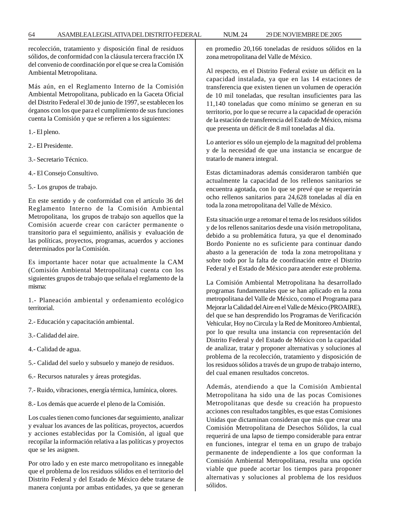recolección, tratamiento y disposición final de residuos sólidos, de conformidad con la cláusula tercera fracción IX del convenio de coordinación por el que se crea la Comisión Ambiental Metropolitana.

Más aún, en el Reglamento Interno de la Comisión Ambiental Metropolitana, publicado en la Gaceta Oficial del Distrito Federal el 30 de junio de 1997, se establecen los órganos con los que para el cumplimiento de sus funciones cuenta la Comisión y que se refieren a los siguientes:

1.- El pleno.

- 2.- El Presidente.
- 3.- Secretario Técnico.
- 4.- El Consejo Consultivo.
- 5.- Los grupos de trabajo.

En este sentido y de conformidad con el artículo 36 del Reglamento Interno de la Comisión Ambiental Metropolitana, los grupos de trabajo son aquellos que la Comisión acuerde crear con carácter permanente o transitorio para el seguimiento, análisis y evaluación de las políticas, proyectos, programas, acuerdos y acciones determinados por la Comisión.

Es importante hacer notar que actualmente la CAM (Comisión Ambiental Metropolitana) cuenta con los siguientes grupos de trabajo que señala el reglamento de la misma:

1.- Planeación ambiental y ordenamiento ecológico territorial.

- 2.- Educación y capacitación ambiental.
- 3.- Calidad del aire.
- 4.- Calidad de agua.
- 5.- Calidad del suelo y subsuelo y manejo de residuos.
- 6.- Recursos naturales y áreas protegidas.
- 7.- Ruido, vibraciones, energía térmica, lumínica, olores.
- 8.- Los demás que acuerde el pleno de la Comisión.

Los cuales tienen como funciones dar seguimiento, analizar y evaluar los avances de las políticas, proyectos, acuerdos y acciones establecidas por la Comisión, al igual que recopilar la información relativa a las políticas y proyectos que se les asignen.

Por otro lado y en este marco metropolitano es innegable que el problema de los residuos sólidos en el territorio del Distrito Federal y del Estado de México debe tratarse de manera conjunta por ambas entidades, ya que se generan en promedio 20,166 toneladas de residuos sólidos en la zona metropolitana del Valle de México.

Al respecto, en el Distrito Federal existe un déficit en la capacidad instalada, ya que en las 14 estaciones de transferencia que existen tienen un volumen de operación de 10 mil toneladas, que resultan insuficientes para las 11,140 toneladas que como mínimo se generan en su territorio, por lo que se recurre a la capacidad de operación de la estación de transferencia del Estado de México, misma que presenta un déficit de 8 mil toneladas al día.

Lo anterior es sólo un ejemplo de la magnitud del problema y de la necesidad de que una instancia se encargue de tratarlo de manera integral.

Estas dictaminadoras además consideraron también que actualmente la capacidad de los rellenos sanitarios se encuentra agotada, con lo que se prevé que se requerirán ocho rellenos sanitarios para 24,628 toneladas al día en toda la zona metropolitana del Valle de México.

Esta situación urge a retomar el tema de los residuos sólidos y de los rellenos sanitarios desde una visión metropolitana, debido a su problemática futura, ya que el denominado Bordo Poniente no es suficiente para continuar dando abasto a la generación de toda la zona metropolitana y sobre todo por la falta de coordinación entre el Distrito Federal y el Estado de México para atender este problema.

La Comisión Ambiental Metropolitana ha desarrollado programas fundamentales que se han aplicado en la zona metropolitana del Valle de México, como el Programa para Mejorar la Calidad del Aire en el Valle de México (PROAIRE), del que se han desprendido los Programas de Verificación Vehicular, Hoy no Circula y la Red de Monitoreo Ambiental, por lo que resulta una instancia con representación del Distrito Federal y del Estado de México con la capacidad de analizar, tratar y proponer alternativas y soluciones al problema de la recolección, tratamiento y disposición de los residuos sólidos a través de un grupo de trabajo interno, del cual emanen resultados concretos.

Además, atendiendo a que la Comisión Ambiental Metropolitana ha sido una de las pocas Comisiones Metropolitanas que desde su creación ha propuesto acciones con resultados tangibles, es que estas Comisiones Unidas que dictaminan consideran que más que crear una Comisión Metropolitana de Desechos Sólidos, la cual requerirá de una lapso de tiempo considerable para entrar en funciones, integrar el tema en un grupo de trabajo permanente de independiente a los que conforman la Comisión Ambiental Metropolitana, resulta una opción viable que puede acortar los tiempos para proponer alternativas y soluciones al problema de los residuos sólidos.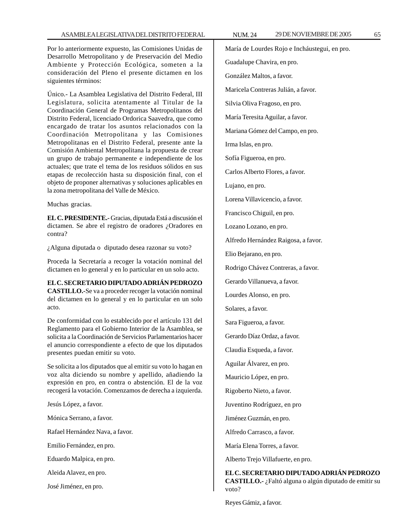Por lo anteriormente expuesto, las Comisiones Unidas de Desarrollo Metropolitano y de Preservación del Medio Ambiente y Protección Ecológica, someten a la consideración del Pleno el presente dictamen en los siguientes términos:

Único.- La Asamblea Legislativa del Distrito Federal, III Legislatura, solicita atentamente al Titular de la Coordinación General de Programas Metropolitanos del Distrito Federal, licenciado Ordorica Saavedra, que como encargado de tratar los asuntos relacionados con la Coordinación Metropolitana y las Comisiones Metropolitanas en el Distrito Federal, presente ante la Comisión Ambiental Metropolitana la propuesta de crear un grupo de trabajo permanente e independiente de los actuales; que trate el tema de los residuos sólidos en sus etapas de recolección hasta su disposición final, con el objeto de proponer alternativas y soluciones aplicables en la zona metropolitana del Valle de México.

Muchas gracias.

**EL C. PRESIDENTE.-** Gracias, diputada Está a discusión el dictamen. Se abre el registro de oradores ¿Oradores en contra?

¿Alguna diputada o diputado desea razonar su voto?

Proceda la Secretaría a recoger la votación nominal del dictamen en lo general y en lo particular en un solo acto.

# **EL C. SECRETARIO DIPUTADO ADRIÁN PEDROZO**

**CASTILLO.-**Se va a proceder recoger la votación nominal del dictamen en lo general y en lo particular en un solo acto.

De conformidad con lo establecido por el artículo 131 del Reglamento para el Gobierno Interior de la Asamblea, se solicita a la Coordinación de Servicios Parlamentarios hacer el anuncio correspondiente a efecto de que los diputados presentes puedan emitir su voto.

Se solicita a los diputados que al emitir su voto lo hagan en voz alta diciendo su nombre y apellido, añadiendo la expresión en pro, en contra o abstención. El de la voz recogerá la votación. Comenzamos de derecha a izquierda.

Jesús López, a favor.

Mónica Serrano, a favor.

Rafael Hernández Nava, a favor.

Emilio Fernández, en pro.

Eduardo Malpica, en pro.

Aleida Alavez, en pro.

José Jiménez, en pro.

María de Lourdes Rojo e Incháustegui, en pro. Guadalupe Chavira, en pro. González Maltos, a favor. Maricela Contreras Julián, a favor. Silvia Oliva Fragoso, en pro. María Teresita Aguilar, a favor. Mariana Gómez del Campo, en pro. Irma Islas, en pro. Sofía Figueroa, en pro. Carlos Alberto Flores, a favor. Lujano, en pro. Lorena Villavicencio, a favor. Francisco Chiguil, en pro. Lozano Lozano, en pro.

Alfredo Hernández Raigosa, a favor.

Elio Bejarano, en pro.

Rodrigo Chávez Contreras, a favor.

Gerardo Villanueva, a favor.

Lourdes Alonso, en pro.

Solares, a favor.

Sara Figueroa, a favor.

Gerardo Díaz Ordaz, a favor.

Claudia Esqueda, a favor.

Aguilar Álvarez, en pro.

Mauricio López, en pro.

Rigoberto Nieto, a favor.

Juventino Rodríguez, en pro

Jiménez Guzmán, en pro.

Alfredo Carrasco, a favor.

María Elena Torres, a favor.

Alberto Trejo Villafuerte, en pro.

**EL C. SECRETARIO DIPUTADO ADRIÁN PEDROZO CASTILLO.-** ¿Faltó alguna o algún diputado de emitir su voto?

Reyes Gámiz, a favor.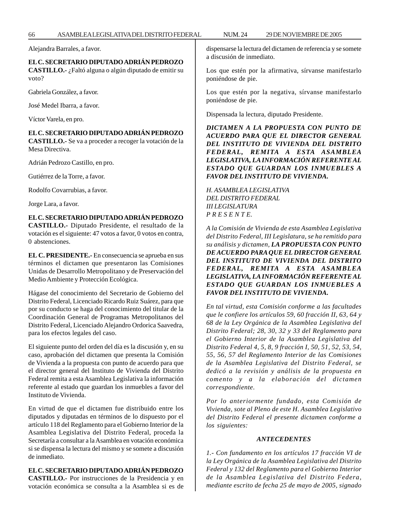Alejandra Barrales, a favor.

## **EL C. SECRETARIO DIPUTADO ADRIÁN PEDROZO**

**CASTILLO.-** ¿Faltó alguna o algún diputado de emitir su voto?

Gabriela González, a favor.

José Medel Ibarra, a favor.

Víctor Varela, en pro.

**EL C. SECRETARIO DIPUTADO ADRIÁN PEDROZO CASTILLO.-** Se va a proceder a recoger la votación de la Mesa Directiva.

Adrián Pedrozo Castillo, en pro.

Gutiérrez de la Torre, a favor.

Rodolfo Covarrubias, a favor.

Jorge Lara, a favor.

# **EL C. SECRETARIO DIPUTADO ADRIÁN PEDROZO**

**CASTILLO.-** Diputado Presidente, el resultado de la votación es el siguiente: 47 votos a favor, 0 votos en contra, 0 abstenciones.

**EL C. PRESIDENTE.-** En consecuencia se aprueba en sus términos el dictamen que presentaron las Comisiones Unidas de Desarrollo Metropolitano y de Preservación del Medio Ambiente y Protección Ecológica.

Hágase del conocimiento del Secretario de Gobierno del Distrito Federal, Licenciado Ricardo Ruiz Suárez, para que por su conducto se haga del conocimiento del titular de la Coordinación General de Programas Metropolitanos del Distrito Federal, Licenciado Alejandro Ordorica Saavedra, para los efectos legales del caso.

El siguiente punto del orden del día es la discusión y, en su caso, aprobación del dictamen que presenta la Comisión de Vivienda a la propuesta con punto de acuerdo para que el director general del Instituto de Vivienda del Distrito Federal remita a esta Asamblea Legislativa la información referente al estado que guardan los inmuebles a favor del Instituto de Vivienda.

En virtud de que el dictamen fue distribuido entre los diputados y diputadas en términos de lo dispuesto por el artículo 118 del Reglamento para el Gobierno Interior de la Asamblea Legislativa del Distrito Federal, proceda la Secretaría a consultar a la Asamblea en votación económica si se dispensa la lectura del mismo y se somete a discusión de inmediato.

# **EL C. SECRETARIO DIPUTADO ADRIÁN PEDROZO**

**CASTILLO.-** Por instrucciones de la Presidencia y en votación económica se consulta a la Asamblea si es de dispensarse la lectura del dictamen de referencia y se somete a discusión de inmediato.

Los que estén por la afirmativa, sírvanse manifestarlo poniéndose de pie.

Los que estén por la negativa, sírvanse manifestarlo poniéndose de pie.

Dispensada la lectura, diputado Presidente.

*DICTAMEN A LA PROPUESTA CON PUNTO DE ACUERDO PARA QUE EL DIRECTOR GENERAL DEL INSTITUTO DE VIVIENDA DEL DISTRITO FEDERAL, REMITA A ESTA ASAMBLEA LEGISLATIVA, LA INFORMACIÓN REFERENTE AL ESTADO QUE GUARDAN LOS INMUEBLES A FAVOR DEL INSTITUTO DE VIVIENDA.*

*H. ASAMBLEA LEGISLATIVA DEL DISTRITO FEDERAL III LEGISLATURA P R E S E N T E.*

*A la Comisión de Vivienda de esta Asamblea Legislativa del Distrito Federal, III Legislatura, se ha remitido para su análisis y dictamen, LA PROPUESTA CON PUNTO DE ACUERDO PARA QUE EL DIRECTOR GENERAL DEL INSTITUTO DE VIVIENDA DEL DISTRITO FEDERAL, REMITA A ESTA ASAMBLEA LEGISLATIVA, LA INFORMACIÓN REFERENTE AL ESTADO QUE GUARDAN LOS INMUEBLES A FAVOR DEL INSTITUTO DE VIVIENDA.*

*En tal virtud, esta Comisión conforme a las facultades que le confiere los artículos 59, 60 fracción II, 63, 64 y 68 de la Ley Orgánica de la Asamblea Legislativa del Distrito Federal; 28, 30, 32 y 33 del Reglamento para el Gobierno Interior de la Asamblea Legislativa del Distrito Federal 4, 5, 8, 9 fracción I, 50, 51, 52, 53, 54, 55, 56, 57 del Reglamento Interior de las Comisiones de la Asamblea Legislativa del Distrito Federal, se dedicó a la revisión y análisis de la propuesta en comento y a la elaboración del dictamen correspondiente.*

*Por lo anteriormente fundado, esta Comisión de Vivienda, sote al Pleno de este H. Asamblea Legislativo del Distrito Federal el presente dictamen conforme a los siguientes:*

#### *ANTECEDENTES*

*1.- Con fundamento en los artículos 17 fracción VI de la Ley Orgánica de la Asamblea Legislativa del Distrito Federal y 132 del Reglamento para el Gobierno Interior de la Asamblea Legislativa del Distrito Federa, mediante escrito de fecha 25 de mayo de 2005, signado*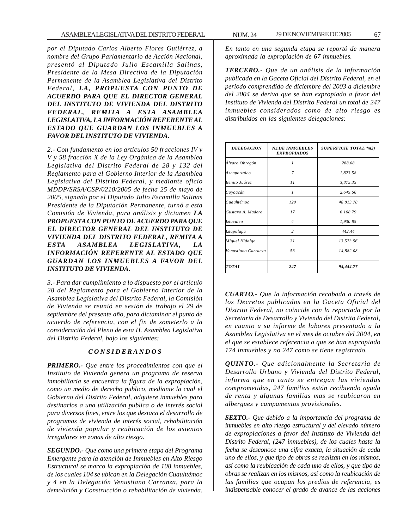*por el Diputado Carlos Alberto Flores Gutiérrez, a nombre del Grupo Parlamentario de Acción Nacional, presentó al Diputado Julio Escamilla Salinas, Presidente de la Mesa Directiva de la Diputación Permanente de la Asamblea Legislativa del Distrito Federal, LA, PROPUESTA CON PUNTO DE ACUERDO PARA QUE EL DIRECTOR GENERAL DEL INSTITUTO DE VIVIENDA DEL DISTRITO FEDERAL, REMITA A ESTA ASAMBLEA LEGISLATIVA, LA INFORMACIÓN REFERENTE AL ESTADO QUE GUARDAN LOS INMUEBLES A FAVOR DEL INSTITUTO DE VIVIENDA.*

*2.- Con fundamento en los artículos 50 fracciones IV y V y 58 fracción X de la Ley Orgánica de la Asamblea Legislativa del Distrito Federal de 28 y 132 del Reglamento para el Gobierno Interior de la Asamblea Legislativa del Distrito Federal, y mediante oficio MDDP/SRSA/CSP/0210/2005 de fecha 25 de mayo de 2005, signado por el Diputado Julio Escamilla Salinas Presidente de la Diputación Permanente, turnó a esta Comisión de Vivienda, para análisis y dictamen LA PROPUESTA CON PUNTO DE ACUERDO PARA QUE EL DIRECTOR GENERAL DEL INSTITUTO DE VIVIENDA DEL DISTRITO FEDERAL, REMITA A ESTA ASAMBLEA LEGISLATIVA, LA INFORMACIÓN REFERENTE AL ESTADO QUE GUARDAN LOS INMUEBLES A FAVOR DEL INSTITUTO DE VIVIENDA.*

*3.- Para dar cumplimiento a lo dispuesto por el artículo 28 del Reglamento para el Gobierno Interior de la Asamblea Legislativa del Distrito Federal, la Comisión de Vivienda se reunió en sesión de trabajo el 29 de septiembre del presente año, para dictaminar el punto de acuerdo de referencia, con el fin de someterlo a la consideración del Pleno de esta H. Asamblea Legislativa del Distrito Federal, bajo los siguientes:*

### *C O N S I D E R A N D O S*

*PRIMERO.- Que entre los procedimientos con que el Instituto de Vivienda genera un programa de reserva inmobiliaria se encuentra la figura de la expropiación, como un medio de derecho publico, mediante la cual el Gobierno del Distrito Federal, adquiere inmuebles para destinarlos a una utilización publica o de interés social para diversos fines, entre los que destaca el desarrollo de programas de vivienda de interés social, rehabilitación de vivienda popular y reubicación de los asientos irregulares en zonas de alto riesgo.*

*SEGUNDO.- Que como una primera etapa del Programa Emergente para la atención de Inmuebles en Alto Riesgo Estructural se marco la expropiación de 108 inmuebles, de los cuales 104 se ubican en la Delegación Cuauhtémoc y 4 en la Delegación Venustiano Carranza, para la demolición y Construcción o rehabilitación de vivienda.*

*En tanto en una segunda etapa se reportó de manera aproximada la expropiación de 67 inmuebles.*

*TERCERO.- Que de un análisis de la información publicada en la Gaceta Oficial del Distrito Federal, en el periodo comprendido de diciembre del 2003 a diciembre del 2004 se deriva que se han expropiado a favor del Instituto de Vivienda del Distrito Federal un total de 247 inmuebles considerados como de alto riesgo es distribuidos en las siguientes delegaciones:*

| <b>DELEGACION</b>   | <b>N£DE INMUEBLES</b><br><b>EXPROPIADOS</b> | <b>SUPERFICIE TOTAL *m2)</b> |
|---------------------|---------------------------------------------|------------------------------|
| Álvaro Obregón      | 1                                           | 288.68                       |
| Azcapotzalco        | 7                                           | 1,823.58                     |
| Benito Juárez       | 11                                          | 3,875.35                     |
| Coyoacán            | $\mathcal I$                                | 2,645.66                     |
| Cuauhtémoc          | 120                                         | 48,813.78                    |
| Gustavo A. Madero   | 17                                          | 6,168.79                     |
| Iztacalco           | $\overline{4}$                              | 1,930.85                     |
| Iztapalapa          | $\overline{c}$                              | 442.44                       |
| Miguel Hidalgo      | 31                                          | 13,573.56                    |
| Venustiano Carranza | 53                                          | 14,882.08                    |
| TOTAL               | 247                                         | 94,444.77                    |

*CUARTO.- Que la información recabada a través de los Decretos publicados en la Gaceta Oficial del Distrito Federal, no coincide con la reportada por la Secretaria de Desarrollo y Vivienda del Distrito Federal, en cuanto a su informe de labores presentado a la Asamblea Legislativa en el mes de octubre del 2004, en el que se establece referencia a que se han expropiado 174 inmuebles y no 247 como se tiene registrado.*

*QUINTO.- Que adicionalmente la Secretaria de Desarrollo Urbano y Vivienda del Distrito Federal, informa que en tanto se entregan las viviendas comprometidas, 247 familias están recibiendo ayuda de renta y algunas familias mas se reubicaron en albergues y campamentos provisionales.*

*SEXTO.- Que debido a la importancia del programa de inmuebles en alto riesgo estructural y del elevado número de expropiaciones a favor del Instituto de Vivienda del Distrito Federal, (247 inmuebles), de los cuales hasta la fecha se desconoce una cifra exacta, la situación de cada uno de ellos, y que tipo de obras se realizan en los mismos, así como la reubicación de cada uno de ellos, y que tipo de obras se realizan en los mismos, así como la reubicación de las familias que ocupan los predios de referencia, es indispensable conocer el grado de avance de las acciones*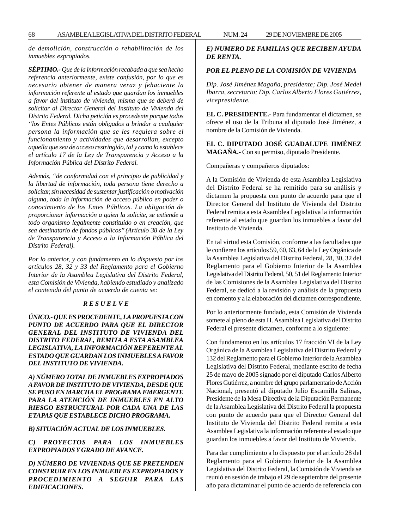*de demolición, construcción o rehabilitación de los inmuebles expropiados.*

*SÉPTIMO.- Que de la información recabada a que sea hecho referencia anteriormente, existe confusión, por lo que es necesario obtener de manera veraz y fehaciente la información referente al estado que guardan los inmuebles a favor del instituto de vivienda, misma que se deberá de solicitar al Director General del Instituto de Vivienda del Distrito Federal. Dicha petición es procedente porque todos ''los Entes Públicos están obligados a brindar a cualquier persona la información que se les requiera sobre el funcionamiento y actividades que desarrollan, excepto aquella que sea de acceso restringido, tal y como lo establece el artículo 17 de la Ley de Transparencia y Acceso a la Información Pública del Distrito Federal.*

*Además, ''de conformidad con el principio de publicidad y la libertad de información, toda persona tiene derecho a solicitar, sin necesidad de sustentar justificación o motivación alguna, toda la información de acceso público en poder o conocimiento de los Entes Públicos. La obligación de proporcionar información a quien la solicite, se extiende a todo organismo legalmente constituido o en creación, que sea destinatario de fondos públicos'' (Artículo 38 de la Ley de Transparencia y Acceso a la Información Pública del Distrito Federal).*

*Por lo anterior, y con fundamento en lo dispuesto por los artículos 28, 32 y 33 del Reglamento para el Gobierno Interior de la Asamblea Legislativa del Distrito Federal, esta Comisión de Vivienda, habiendo estudiado y analizado el contenido del punto de acuerdo de cuenta se:*

#### *R E S U E L V E*

*ÚNICO.- QUE ES PROCEDENTE, LA PROPUESTA CON PUNTO DE ACUERDO PARA QUE EL DIRECTOR GENERAL DEL INSTITUTO DE VIVIENDA DEL DISTRITO FEDERAL, REMITA A ESTA ASAMBLEA LEGISLATIVA, LA INFORMACIÓN REFERENTE AL ESTADO QUE GUARDAN LOS INMUEBLES A FAVOR DEL INSTITUTO DE VIVIENDA.*

*A) NÚMERO TOTAL DE INMUEBLES EXPROPIADOS A FAVOR DE INSTITUTO DE VIVIENDA, DESDE QUE SE PUSO EN MARCHA EL PROGRAMA EMERGENTE PARA LA ATENCIÓN DE INMUEBLES EN ALTO RIESGO ESTRUCTURAL POR CADA UNA DE LAS ETAPAS QUE ESTABLECE DICHO PROGRAMA.*

*B) SITUACIÓN ACTUAL DE LOS INMUEBLES.*

*C) PROYECTOS PARA LOS INMUEBLES EXPROPIADOS Y GRADO DE AVANCE.*

*D) NÚMERO DE VIVIENDAS QUE SE PRETENDEN CONSTRUIR EN LOS INMUEBLES EXPROPIADOS Y PROCEDIMIENTO A SEGUIR PARA LAS EDIFICACIONES.*

# *E) NUMERO DE FAMILIAS QUE RECIBEN AYUDA DE RENTA.*

### *POR EL PLENO DE LA COMISIÓN DE VIVIENDA*

*Dip. José Jiménez Magaña, presidente; Dip. José Medel Ibarra, secretario; Dip. Carlos Alberto Flores Gutiérrez, vicepresidente.*

**EL C. PRESIDENTE.-** Para fundamentar el dictamen, se ofrece el uso de la Tribuna al diputado José Jiménez, a nombre de la Comisión de Vivienda.

**EL C. DIPUTADO JOSÉ GUADALUPE JIMÉNEZ MAGAÑA.-** Con su permiso, diputado Presidente.

Compañeras y compañeros diputados:

A la Comisión de Vivienda de esta Asamblea Legislativa del Distrito Federal se ha remitido para su análisis y dictamen la propuesta con punto de acuerdo para que el Director General del Instituto de Vivienda del Distrito Federal remita a esta Asamblea Legislativa la información referente al estado que guardan los inmuebles a favor del Instituto de Vivienda.

En tal virtud esta Comisión, conforme a las facultades que le confieren los artículos 59, 60, 63, 64 de la Ley Orgánica de la Asamblea Legislativa del Distrito Federal, 28, 30, 32 del Reglamento para el Gobierno Interior de la Asamblea Legislativa del Distrito Federal, 50, 51 del Reglamento Interior de las Comisiones de la Asamblea Legislativa del Distrito Federal, se dedicó a la revisión y análisis de la propuesta en comento y a la elaboración del dictamen correspondiente.

Por lo anteriormente fundado, esta Comisión de Vivienda somete al pleno de esta H. Asamblea Legislativa del Distrito Federal el presente dictamen, conforme a lo siguiente:

Con fundamento en los artículos 17 fracción VI de la Ley Orgánica de la Asamblea Legislativa del Distrito Federal y 132 del Reglamento para el Gobierno Interior de la Asamblea Legislativa del Distrito Federal, mediante escrito de fecha 25 de mayo de 2005 signado por el diputado Carlos Alberto Flores Gutiérrez, a nombre del grupo parlamentario de Acción Nacional, presentó al diputado Julio Escamilla Salinas, Presidente de la Mesa Directiva de la Diputación Permanente de la Asamblea Legislativa del Distrito Federal la propuesta con punto de acuerdo para que el Director General del Instituto de Vivienda del Distrito Federal remita a esta Asamblea Legislativa la información referente al estado que guardan los inmuebles a favor del Instituto de Vivienda.

Para dar cumplimiento a lo dispuesto por el artículo 28 del Reglamento para el Gobierno Interior de la Asamblea Legislativa del Distrito Federal, la Comisión de Vivienda se reunió en sesión de trabajo el 29 de septiembre del presente año para dictaminar el punto de acuerdo de referencia con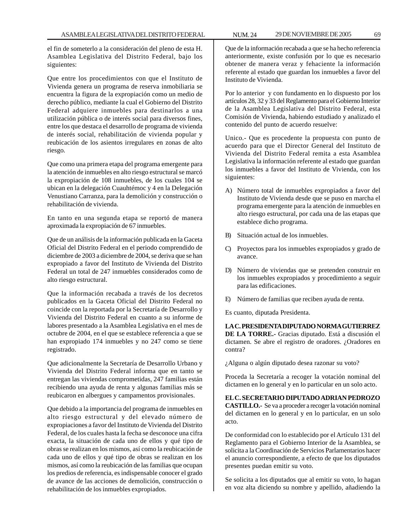el fin de someterlo a la consideración del pleno de esta H. Asamblea Legislativa del Distrito Federal, bajo los siguientes:

Que entre los procedimientos con que el Instituto de Vivienda genera un programa de reserva inmobiliaria se encuentra la figura de la expropiación como un medio de derecho público, mediante la cual el Gobierno del Distrito Federal adquiere inmuebles para destinarlos a una utilización pública o de interés social para diversos fines, entre los que destaca el desarrollo de programa de vivienda de interés social, rehabilitación de vivienda popular y reubicación de los asientos irregulares en zonas de alto riesgo.

Que como una primera etapa del programa emergente para la atención de inmuebles en alto riesgo estructural se marcó la expropiación de 108 inmuebles, de los cuales 104 se ubican en la delegación Cuauhtémoc y 4 en la Delegación Venustiano Carranza, para la demolición y construcción o rehabilitación de vivienda.

En tanto en una segunda etapa se reportó de manera aproximada la expropiación de 67 inmuebles.

Que de un análisis de la información publicada en la Gaceta Oficial del Distrito Federal en el periodo comprendido de diciembre de 2003 a diciembre de 2004, se deriva que se han expropiado a favor del Instituto de Vivienda del Distrito Federal un total de 247 inmuebles considerados como de alto riesgo estructural.

Que la información recabada a través de los decretos publicados en la Gaceta Oficial del Distrito Federal no coincide con la reportada por la Secretaría de Desarrollo y Vivienda del Distrito Federal en cuanto a su informe de labores presentado a la Asamblea Legislativa en el mes de octubre de 2004, en el que se establece referencia a que se han expropiado 174 inmuebles y no 247 como se tiene registrado.

Que adicionalmente la Secretaría de Desarrollo Urbano y Vivienda del Distrito Federal informa que en tanto se entregan las viviendas comprometidas, 247 familias están recibiendo una ayuda de renta y algunas familias más se reubicaron en albergues y campamentos provisionales.

Que debido a la importancia del programa de inmuebles en alto riesgo estructural y del elevado número de expropiaciones a favor del Instituto de Vivienda del Distrito Federal, de los cuales hasta la fecha se desconoce una cifra exacta, la situación de cada uno de ellos y qué tipo de obras se realizan en los mismos, así como la reubicación de cada uno de ellos y qué tipo de obras se realizan en los mismos, así como la reubicación de las familias que ocupan los predios de referencia, es indispensable conocer el grado de avance de las acciones de demolición, construcción o rehabilitación de los inmuebles expropiados.

Que de la información recabada a que se ha hecho referencia anteriormente, existe confusión por lo que es necesario obtener de manera veraz y fehaciente la información referente al estado que guardan los inmuebles a favor del Instituto de Vivienda.

Por lo anterior y con fundamento en lo dispuesto por los artículos 28, 32 y 33 del Reglamento para el Gobierno Interior de la Asamblea Legislativa del Distrito Federal, esta Comisión de Vivienda, habiendo estudiado y analizado el contenido del punto de acuerdo resuelve:

Unico.- Que es procedente la propuesta con punto de acuerdo para que el Director General del Instituto de Vivienda del Distrito Federal remita a esta Asamblea Legislativa la información referente al estado que guardan los inmuebles a favor del Instituto de Vivienda, con los siguientes:

- A) Número total de inmuebles expropiados a favor del Instituto de Vivienda desde que se puso en marcha el programa emergente para la atención de inmuebles en alto riesgo estructural, por cada una de las etapas que establece dicho programa.
- B) Situación actual de los inmuebles.
- C) Proyectos para los inmuebles expropiados y grado de avance.
- D) Número de viviendas que se pretenden construir en los inmuebles expropiados y procedimiento a seguir para las edificaciones.
- E) Número de familias que reciben ayuda de renta.

Es cuanto, diputada Presidenta.

**LA C. PRESIDENTA DIPUTADO NORMA GUTIERREZ DE LA TORRE.-** Gracias diputado. Está a discusión el dictamen. Se abre el registro de oradores. ¿Oradores en contra?

¿Alguna o algún diputado desea razonar su voto?

Proceda la Secretaría a recoger la votación nominal del dictamen en lo general y en lo particular en un solo acto.

**EL C. SECRETARIO DIPUTADO ADRIAN PEDROZO CASTILLO.-** Se va a proceder a recoger la votación nominal del dictamen en lo general y en lo particular, en un solo acto.

De conformidad con lo establecido por el Artículo 131 del Reglamento para el Gobierno Interior de la Asamblea, se solicita a la Coordinación de Servicios Parlamentarios hacer el anuncio correspondiente, a efecto de que los diputados presentes puedan emitir su voto.

Se solicita a los diputados que al emitir su voto, lo hagan en voz alta diciendo su nombre y apellido, añadiendo la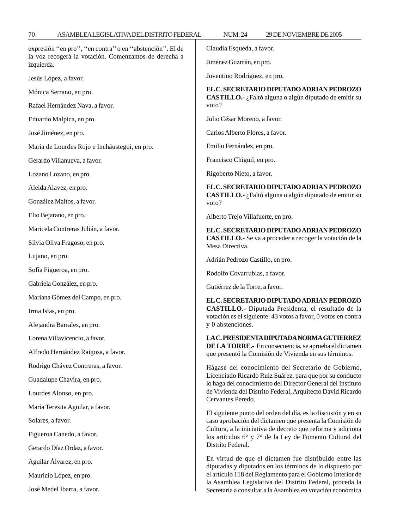| expresión "en pro", "en contra" o en "abstención". El de           | Claudia Esqueda, a favor.                                                                                                                                                                                                                                                                                    |  |
|--------------------------------------------------------------------|--------------------------------------------------------------------------------------------------------------------------------------------------------------------------------------------------------------------------------------------------------------------------------------------------------------|--|
| la voz recogerá la votación. Comenzamos de derecha a<br>izquierda. | Jiménez Guzmán, en pro.                                                                                                                                                                                                                                                                                      |  |
| Jesús López, a favor.                                              | Juventino Rodríguez, en pro.                                                                                                                                                                                                                                                                                 |  |
| Mónica Serrano, en pro.                                            | EL C. SECRETARIO DIPUTADO ADRIAN PEDROZO<br>CASTILLO.- ¿Faltó alguna o algún diputado de emitir su<br>voto?                                                                                                                                                                                                  |  |
| Rafael Hernández Nava, a favor.                                    |                                                                                                                                                                                                                                                                                                              |  |
| Eduardo Malpica, en pro.                                           | Julio César Moreno, a favor.                                                                                                                                                                                                                                                                                 |  |
| José Jiménez, en pro.                                              | Carlos Alberto Flores, a favor.                                                                                                                                                                                                                                                                              |  |
| María de Lourdes Rojo e Incháustegui, en pro.                      | Emilio Fernández, en pro.                                                                                                                                                                                                                                                                                    |  |
| Gerardo Villanueva, a favor.                                       | Francisco Chiguil, en pro.                                                                                                                                                                                                                                                                                   |  |
| Lozano Lozano, en pro.                                             | Rigoberto Nieto, a favor.                                                                                                                                                                                                                                                                                    |  |
| Aleida Alavez, en pro.                                             | EL C. SECRETARIO DIPUTADO ADRIAN PEDROZO<br>CASTILLO.- ¿Faltó alguna o algún diputado de emitir su<br>voto?                                                                                                                                                                                                  |  |
| González Maltos, a favor.                                          |                                                                                                                                                                                                                                                                                                              |  |
| Elio Bejarano, en pro.                                             | Alberto Trejo Villafuerte, en pro.                                                                                                                                                                                                                                                                           |  |
| Maricela Contreras Julián, a favor.                                | EL C. SECRETARIO DIPUTADO ADRIAN PEDROZO<br>CASTILLO.- Se va a proceder a recoger la votación de la<br>Mesa Directiva.                                                                                                                                                                                       |  |
| Silvia Oliva Fragoso, en pro.                                      |                                                                                                                                                                                                                                                                                                              |  |
| Lujano, en pro.                                                    | Adrián Pedrozo Castillo, en pro.                                                                                                                                                                                                                                                                             |  |
| Sofía Figueroa, en pro.                                            | Rodolfo Covarrubias, a favor.                                                                                                                                                                                                                                                                                |  |
| Gabriela González, en pro.                                         | Gutiérrez de la Torre, a favor.                                                                                                                                                                                                                                                                              |  |
| Mariana Gómez del Campo, en pro.                                   | EL C. SECRETARIO DIPUTADO ADRIAN PEDROZO                                                                                                                                                                                                                                                                     |  |
| Irma Islas, en pro.                                                | CASTILLO.- Diputada Presidenta, el resultado de la                                                                                                                                                                                                                                                           |  |
| Alejandra Barrales, en pro.                                        | votación es el siguiente: 43 votos a favor, 0 votos en contra<br>y 0 abstenciones.                                                                                                                                                                                                                           |  |
| Lorena Villavicencio, a favor.                                     | LA C. PRESIDENTA DIPUTADA NORMA GUTIERREZ                                                                                                                                                                                                                                                                    |  |
| Alfredo Hernández Raigosa, a favor.                                | <b>DE LA TORRE.-</b> En consecuencia, se aprueba el dictamen<br>que presentó la Comisión de Vivienda en sus términos.                                                                                                                                                                                        |  |
| Rodrigo Chávez Contreras, a favor.                                 | Hágase del conocimiento del Secretario de Gobierno,                                                                                                                                                                                                                                                          |  |
| Guadalupe Chavira, en pro.                                         | Licenciado Ricardo Ruiz Suárez, para que por su conducto<br>lo haga del conocimiento del Director General del Instituto<br>de Vivienda del Distrito Federal, Arquitecto David Ricardo                                                                                                                        |  |
| Lourdes Alonso, en pro.                                            |                                                                                                                                                                                                                                                                                                              |  |
| María Teresita Aguilar, a favor.                                   | Cervantes Peredo.                                                                                                                                                                                                                                                                                            |  |
| Solares, a favor.                                                  | El siguiente punto del orden del día, es la discusión y en su<br>caso aprobación del dictamen que presenta la Comisión de<br>Cultura, a la iniciativa de decreto que reforma y adiciona<br>los artículos 6° y 7° de la Ley de Fomento Cultural del                                                           |  |
| Figueroa Canedo, a favor.                                          |                                                                                                                                                                                                                                                                                                              |  |
| Gerardo Díaz Ordaz, a favor.                                       | Distrito Federal.                                                                                                                                                                                                                                                                                            |  |
| Aguilar Álvarez, en pro.                                           | En virtud de que el dictamen fue distribuido entre las<br>diputadas y diputados en los términos de lo dispuesto por<br>el artículo 118 del Reglamento para el Gobierno Interior de<br>la Asamblea Legislativa del Distrito Federal, proceda la<br>Secretaría a consultar a la Asamblea en votación económica |  |
| Mauricio López, en pro.                                            |                                                                                                                                                                                                                                                                                                              |  |
| José Medel Ibarra, a favor.                                        |                                                                                                                                                                                                                                                                                                              |  |

 $70$  ASAMBLEA LEGISLATIVA DEL DISTRITO FEDERAL NUM. 24 29 DE NOVIEMBRE DE 2005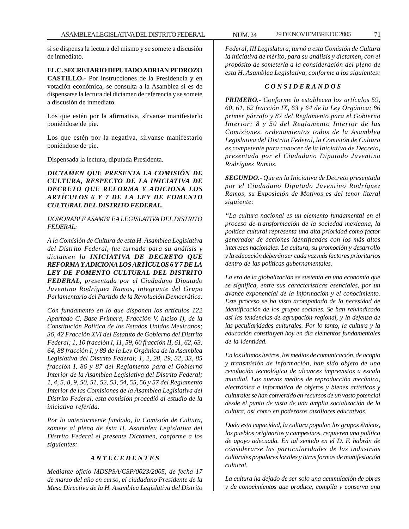si se dispensa la lectura del mismo y se somete a discusión de inmediato.

#### **EL C. SECRETARIO DIPUTADO ADRIAN PEDROZO**

**CASTILLO.-** Por instrucciones de la Presidencia y en votación económica, se consulta a la Asamblea si es de dispensarse la lectura del dictamen de referencia y se somete a discusión de inmediato.

Los que estén por la afirmativa, sírvanse manifestarlo poniéndose de pie.

Los que estén por la negativa, sírvanse manifestarlo poniéndose de pie.

Dispensada la lectura, diputada Presidenta.

*DICTAMEN QUE PRESENTA LA COMISIÓN DE CULTURA, RESPECTO DE LA INICIATIVA DE DECRETO QUE REFORMA Y ADICIONA LOS ARTÍCULOS 6 Y 7 DE LA LEY DE FOMENTO CULTURAL DEL DISTRITO FEDERAL.*

*HONORABLE ASAMBLEA LEGISLATIVA DEL DISTRITO FEDERAL:*

*A la Comisión de Cultura de esta H. Asamblea Legislativa del Distrito Federal, fue turnada para su análisis y dictamen la INICIATIVA DE DECRETO QUE REFORMA Y ADICIONA LOS ARTÍCULOS 6 Y 7 DE LA LEY DE FOMENTO CULTURAL DEL DISTRITO FEDERAL, presentada por el Ciudadano Diputado Juventino Rodríguez Ramos, integrante del Grupo Parlamentario del Partido de la Revolución Democrática.*

*Con fundamento en lo que disponen los artículos 122 Apartado C, Base Primera, Fracción V, Inciso I), de la Constitución Política de los Estados Unidos Mexicanos; 36, 42 Fracción XVI del Estatuto de Gobierno del Distrito Federal; 1, 10 fracción I, 11, 59, 60 fracción II, 61, 62, 63, 64, 88 fracción I, y 89 de la Ley Orgánica de la Asamblea Legislativa del Distrito Federal; 1, 2, 28, 29, 32, 33, 85 fracción I, 86 y 87 del Reglamento para el Gobierno Interior de la Asamblea Legislativa del Distrito Federal; 1, 4, 5, 8, 9, 50, 51, 52, 53, 54, 55, 56 y 57 del Reglamento Interior de las Comisiones de la Asamblea Legislativa del Distrito Federal, esta comisión procedió al estudio de la iniciativa referida.*

*Por lo anteriormente fundado, la Comisión de Cultura, somete al pleno de ésta H. Asamblea Legislativa del Distrito Federal el presente Dictamen, conforme a los siguientes:*

#### *A N T E C E D E N T E S*

*Mediante oficio MDSPSA/CSP/0023/2005, de fecha 17 de marzo del año en curso, el ciudadano Presidente de la Mesa Directiva de la H. Asamblea Legislativa del Distrito*

*Federal, III Legislatura, turnó a esta Comisión de Cultura la iniciativa de mérito, para su análisis y dictamen, con el propósito de someterla a la consideración del pleno de esta H. Asamblea Legislativa, conforme a los siguientes:*

#### *C O N S I D E R A N D O S*

*PRIMERO.- Conforme lo establecen los artículos 59, 60, 61, 62 fracción IX, 63 y 64 de la Ley Orgánica; 86 primer párrafo y 87 del Reglamento para el Gobierno Interior; 8 y 50 del Reglamento Interior de las Comisiones, ordenamientos todos de la Asamblea Legislativa del Distrito Federal, la Comisión de Cultura es competente para conocer de la Iniciativa de Decreto, presentada por el Ciudadano Diputado Juventino Rodríguez Ramos.*

*SEGUNDO.- Que en la Iniciativa de Decreto presentada por el Ciudadano Diputado Juventino Rodríguez Ramos, su Exposición de Motivos es del tenor literal siguiente:*

*''La cultura nacional es un elemento fundamental en el proceso de transformación de la sociedad mexicana, la política cultural representa una alta prioridad como factor generador de acciones identificadas con los más altos intereses nacionales. La cultura, su promoción y desarrollo y la educación deberán ser cada vez más factores prioritarios dentro de las políticas gubernamentales.*

*La era de la globalización se sustenta en una economía que se significa, entre sus características esenciales, por un avance exponencial de la información y el conocimiento. Este proceso se ha visto acompañado de la necesidad de identificación de los grupos sociales. Se han reivindicado así las tendencias de agrupación regional, y la defensa de las peculiaridades culturales. Por lo tanto, la cultura y la educación constituyen hoy en día elementos fundamentales de la identidad.*

*En los últimos lustros, los medios de comunicación, de acopio y transmisión de información, han sido objeto de una revolución tecnológica de alcances imprevistos a escala mundial. Los nuevos medios de reproducción mecánica, electrónica e informática de objetos y bienes artísticos y culturales se han convertido en recursos de un vasto potencial desde el punto de vista de una amplia socialización de la cultura, así como en poderosos auxiliares educativos.*

*Dada esta capacidad, la cultura popular, los grupos étnicos, los pueblos originarios y campesinos, requieren una política de apoyo adecuada. En tal sentido en el D. F. habrán de considerarse las particularidades de las industrias culturales populares locales y otras formas de manifestación cultural.*

*La cultura ha dejado de ser solo una acumulación de obras y de conocimientos que produce, compila y conserva una*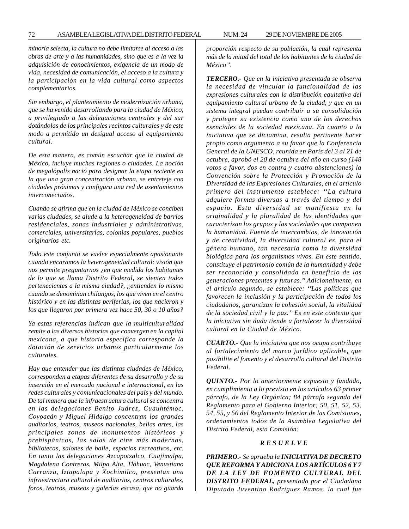*minoría selecta, la cultura no debe limitarse al acceso a las obras de arte y a las humanidades, sino que es a la vez la adquisición de conocimientos, exigencia de un modo de vida, necesidad de comunicación, el acceso a la cultura y la participación en la vida cultural como aspectos complementarios.*

*Sin embargo, el planteamiento de modernización urbana, que se ha venido desarrollando para la ciudad de México, a privilegiado a las delegaciones centrales y del sur dotándolas de los principales recintos culturales y de este modo a permitido un desigual acceso al equipamiento cultural.*

*De esta manera, es común escuchar que la ciudad de México, incluye muchas regiones o ciudades. La noción de megalópolis nació para designar la etapa reciente en la que una gran concentración urbana, se entreteje con ciudades próximas y configura una red de asentamientos interconectados.*

*Cuando se afirma que en la ciudad de México se conciben varias ciudades, se alude a la heterogeneidad de barrios residenciales, zonas industriales y administrativas, comerciales, universitarias, colonias populares, pueblos originarios etc.*

*Todo este conjunto se vuelve especialmente apasionante cuando encaramos la heterogeneidad cultural: visión que nos permite preguntarnos ¿en que medida los habitantes de lo que se llama Distrito Federal, se sienten todos pertenecientes a la misma ciudad?, ¿entienden lo mismo cuando se denominan chilangos, los que viven en el centro histórico y en las distintas periferias, los que nacieron y los que llegaron por primera vez hace 50, 30 o 10 años?*

*Ya estas referencias indican que la multiculturalidad remite a las diversas historias que convergen en la capital mexicana, a que historia específica corresponde la dotación de servicios urbanos particularmente los culturales.*

*Hay que entender que las distintas ciudades de México, corresponden a etapas diferentes de su desarrollo y de su inserción en el mercado nacional e internacional, en las redes culturales y comunicacionales del país y del mundo. De tal manera que la infraestructura cultural se concentra en las delegaciones Benito Juárez, Cuauhtémoc, Coyoacán y Miguel Hidalgo concentran los grandes auditorios, teatros, museos nacionales, bellas artes, las principales zonas de monumentos históricos y prehispánicos, las salas de cine más modernas, bibliotecas, salones de baile, espacios recreativos, etc. En tanto las delegaciones Azcapotzalco, Cuajimalpa, Magdalena Contreras, Milpa Alta, Tláhuac, Venustiano Carranza, Iztapalapa y Xochimilco, presentan una infraestructura cultural de auditorios, centros culturales, foros, teatros, museos y galerías escasa, que no guarda* *proporción respecto de su población, la cual representa más de la mitad del total de los habitantes de la ciudad de México''.*

*TERCERO.- Que en la iniciativa presentada se observa la necesidad de vincular la funcionalidad de las expresiones culturales con la distribución equitativa del equipamiento cultural urbano de la ciudad, y que en un sistema integral puedan contribuir a su consolidación y proteger su existencia como uno de los derechos esenciales de la sociedad mexicana. En cuanto a la iniciativa que se dictamina, resulta pertinente hacer propio como argumento a su favor que la Conferencia General de la UNESCO, reunida en París del 3 al 21 de octubre, aprobó el 20 de octubre del año en curso (148 votos a favor, dos en contra y cuatro abstenciones) la Convención sobre la Protección y Promoción de la Diversidad de las Expresiones Culturales, en el artículo primero del instrumento establece: ''La cultura adquiere formas diversas a través del tiempo y del espacio. Esta diversidad se manifiesta en la originalidad y la pluralidad de las identidades que caracterizan los grupos y las sociedades que componen la humanidad. Fuente de intercambios, de innovación y de creatividad, la diversidad cultural es, para el género humano, tan necesaria como la diversidad biológica para los organismos vivos. En este sentido, constituye el patrimonio común de la humanidad y debe ser reconocida y consolidada en beneficio de las generaciones presentes y futuras.'' Adicionalmente, en el artículo segundo, se establece: ''Las políticas que favorecen la inclusión y la participación de todos los ciudadanos, garantizan la cohesión social, la vitalidad de la sociedad civil y la paz.'' Es en este contexto que la iniciativa sin duda tiende a fortalecer la diversidad cultural en la Ciudad de México.*

*CUARTO.- Que la iniciativa que nos ocupa contribuye al fortalecimiento del marco jurídico aplicable, que posibilite el fomento y el desarrollo cultural del Distrito Federal.*

*QUINTO.- Por lo anteriormente expuesto y fundado, en cumplimiento a lo previsto en los artículos 63 primer párrafo, de la Ley Orgánica; 84 párrafo segundo del Reglamento para el Gobierno Interior; 50, 51, 52, 53, 54, 55, y 56 del Reglamento Interior de las Comisiones, ordenamientos todos de la Asamblea Legislativa del Distrito Federal, esta Comisión:*

#### *R E S U E L V E*

*PRIMERO.- Se aprueba la INICIATIVA DE DECRETO QUE REFORMA Y ADICIONA LOS ARTÍCULOS 6 Y 7 DE LA LEY DE FOMENTO CULTURAL DEL DISTRITO FEDERAL, presentada por el Ciudadano Diputado Juventino Rodríguez Ramos, la cual fue*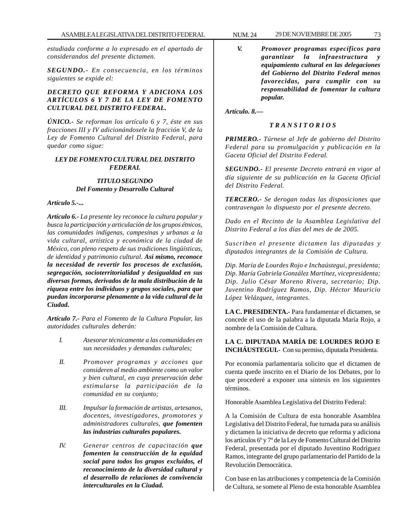*estudiada conforme a lo expresado en el apartado de considerandos del presente dictamen.*

*SEGUNDO.- En consecuencia, en los términos siguientes se expide el:*

# *DECRETO QUE REFORMA Y ADICIONA LOS ARTÍCULOS 6 Y 7 DE LA LEY DE FOMENTO CULTURAL DEL DISTRITO FEDERAL.*

*ÚNICO.- Se reforman los artículo 6 y 7, éste en sus fracciones III y IV adicionándosele la fracción V, de la Ley de Fomento Cultural del Distrito Federal, para quedar como sigue:*

# *LEY DE FOMENTO CULTURAL DEL DISTRITO FEDERAL*

# *TITULO SEGUNDO Del Fomento y Desarrollo Cultural*

*Artículo 5.-...*

*Artículo 6.- La presente ley reconoce la cultura popular y busca la participación y articulación de los grupos étnicos, las comunidades indígenas, campesinas y urbanas a la vida cultural, artística y económica de la ciudad de México, con pleno respeto de sus tradiciones lingüísticas, de identidad y patrimonio cultural. Así mismo, reconoce la necesidad de revertir los procesos de exclusión, segregación, socioterritorialidad y desigualdad en sus diversas formas, derivados de la mala distribución de la riqueza entre los individuos y grupos sociales, para que puedan incorporarse plenamente a la vida cultural de la Ciudad.*

*Artículo 7.- Para el Fomento de la Cultura Popular, las autoridades culturales deberán:*

- *I. Asesorar técnicamente a las comunidades en sus necesidades y demandas culturales;*
- *II. Promover programas y acciones que consideren al medio ambiente como un valor y bien cultural, en cuya preservación debe estimularse la participación de la comunidad en su conjunto;*
- *III. Impulsar la formación de artistas, artesanos, docentes, investigadores, promotores y administradores culturales, que fomenten las industrias culturales populares.*
- *IV. Generar centros de capacitación que fomenten la construcción de la equidad social para todos los grupos excluidos, el reconocimiento de la diversidad cultural y el desarrollo de relaciones de convivencia interculturales en la Ciudad.*

*V. Promover programas específicos para garantizar la infraestructura y equipamiento cultural en las delegaciones del Gobierno del Distrito Federal menos favorecidas, para cumplir con su responsabilidad de fomentar la cultura popular.*

*Artículo. 8.—*

### *T R A N S I T O R I O S*

*PRIMERO.- Túrnese al Jefe de gobierno del Distrito Federal para su promulgación y publicación en la Gaceta Oficial del Distrito Federal.*

*SEGUNDO.- El presente Decreto entrará en vigor al día siguiente de su publicación en la Gaceta Oficial del Distrito Federal.*

*TERCERO.- Se derogan todas las disposiciones que contravengan lo dispuesto por el presente decreto.*

*Dado en el Recinto de la Asamblea Legislativa del Distrito Federal a los días del mes de de 2005.*

*Suscriben el presente dictamen las diputadas y diputados integrantes de la Comisión de Cultura.*

*Dip. María de Lourdes Rojo e Inchaústegui, presidenta; Dip. María Gabriela González Martínez, vicepresidenta; Dip. Julio César Moreno Rivera, secretario; Dip. Juventino Rodríguez Ramos, Dip. Héctor Mauricio López Velázquez, integrantes.*

**LA C. PRESIDENTA.-** Para fundamentar el dictamen, se concede el uso de la palabra a la diputada María Rojo, a nombre de la Comisión de Cultura.

# **LA C. DIPUTADA MARÍA DE LOURDES ROJO E INCHÁUSTEGUI.-** Con su permiso, diputada Presidenta.

Por economía parlamentaria solicito que el dictamen de cuenta quede inscrito en el Diario de los Debates, por lo que procederé a exponer una síntesis en los siguientes términos.

Honorable Asamblea Legislativa del Distrito Federal:

A la Comisión de Cultura de esta honorable Asamblea Legislativa del Distrito Federal, fue turnada para su análisis y dictamen la iniciativa de decreto que reforma y adiciona los artículos 6º y 7º de la Ley de Fomento Cultural del Distrito Federal, presentada por el diputado Juventino Rodríguez Ramos, integrante del grupo parlamentario del Partido de la Revolución Democrática.

Con base en las atribuciones y competencia de la Comisión de Cultura, se somete al Pleno de esta honorable Asamblea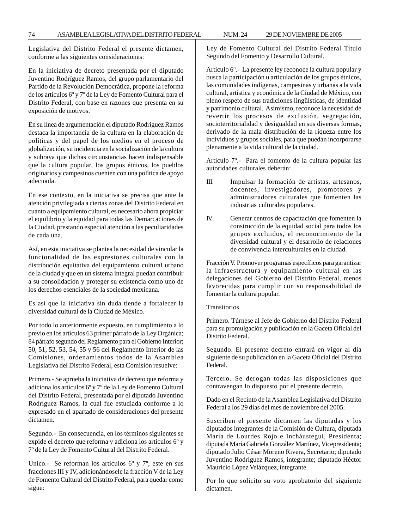Legislativa del Distrito Federal el presente dictamen, conforme a las siguientes consideraciones:

En la iniciativa de decreto presentada por el diputado Juventino Rodríguez Ramos, del grupo parlamentario del Partido de la Revolución Democrática, propone la reforma de los artículos 6º y 7º de la Ley de Fomento Cultural para el Distrito Federal, con base en razones que presenta en su exposición de motivos.

En su línea de argumentación el diputado Rodríguez Ramos destaca la importancia de la cultura en la elaboración de políticas y del papel de los medios en el proceso de globalización, su incidencia en la socialización de la cultura y subraya que dichas circunstancias hacen indispensable que la cultura popular, los grupos étnicos, los pueblos originarios y campesinos cuenten con una política de apoyo adecuada.

En ese contexto, en la iniciativa se precisa que ante la atención privilegiada a ciertas zonas del Distrito Federal en cuanto a equipamiento cultural, es necesario ahora propiciar el equilibrio y la equidad para todas las Demarcaciones de la Ciudad, prestando especial atención a las peculiaridades de cada una.

Así, en esta iniciativa se plantea la necesidad de vincular la funcionalidad de las expresiones culturales con la distribución equitativa del equipamiento cultural urbano de la ciudad y que en un sistema integral puedan contribuir a su consolidación y proteger su existencia como uno de los derechos esenciales de la sociedad mexicana.

Es así que la iniciativa sin duda tiende a fortalecer la diversidad cultural de la Ciudad de México.

Por todo lo anteriormente expuesto, en cumplimiento a lo previo en los artículos 63 primer párrafo de la Ley Orgánica; 84 párrafo segundo del Reglamento para el Gobierno Interior; 50, 51, 52, 53, 54, 55 y 56 del Reglamento Interior de las Comisiones, ordenamientos todos de la Asamblea Legislativa del Distrito Federal, esta Comisión resuelve:

Primero.- Se aprueba la iniciativa de decreto que reforma y adiciona los artículos 6º y 7º de la Ley de Fomento Cultural del Distrito Federal, presentada por el diputado Juventino Rodríguez Ramos, la cual fue estudiada conforme a lo expresado en el apartado de consideraciones del presente dictamen.

Segundo.- En consecuencia, en los términos siguientes se expide el decreto que reforma y adiciona los artículos 6º y 7º de la Ley de Fomento Cultural del Distrito Federal.

Unico.- Se reforman los artículos 6º y 7º, este en sus fracciones III y IV, adicionándosele la fracción V de la Ley de Fomento Cultural del Distrito Federal, para quedar como sigue:

Ley de Fomento Cultural del Distrito Federal Título Segundo del Fomento y Desarrollo Cultural.

Artículo 6º.- La presente ley reconoce la cultura popular y busca la participación u articulación de los grupos étnicos, las comunidades indígenas, campesinas y urbanas a la vida cultural, artística y económica de la Ciudad de México, con pleno respeto de sus tradiciones lingüísticas, de identidad y patrimonio cultural. Asimismo, reconoce la necesidad de revertir los procesos de exclusión, segregación, socioterritorialidad y desigualdad en sus diversas formas, derivado de la mala distribución de la riqueza entre los individuos y grupos sociales, para que puedan incorporarse plenamente a la vida cultural de la ciudad.

Artículo 7º.- Para el fomento de la cultura popular las autoridades culturales deberán:

- III. Impulsar la formación de artistas, artesanos, docentes, investigadores, promotores y administradores culturales que fomenten las industrias culturales populares.
- IV. Generar centros de capacitación que fomenten la construcción de la equidad social para todos los grupos excluidos, el reconocimiento de la diversidad cultural y el desarrollo de relaciones de convivencia interculturales en la ciudad.

Fracción V. Promover programas específicos para garantizar la infraestructura y equipamiento cultural en las delegaciones del Gobierno del Distrito Federal, menos favorecidas para cumplir con su responsabilidad de fomentar la cultura popular.

Transitorios.

Primero. Túrnese al Jefe de Gobierno del Distrito Federal para su promulgación y publicación en la Gaceta Oficial del Distrito Federal.

Segundo. El presente decreto entrará en vigor al día siguiente de su publicación en la Gaceta Oficial del Distrito Federal.

Tercero. Se derogan todas las disposiciones que contravengan lo dispuesto por el presente decreto.

Dado en el Recinto de la Asamblea Legislativa del Distrito Federal a los 29 días del mes de noviembre del 2005.

Suscriben el presente dictamen las diputadas y los diputados integrantes de la Comisión de Cultura, diputada María de Lourdes Rojo e Incháustegui, Presidenta; diputada María Gabriela González Martínez, Vicepresidenta; diputado Julio César Moreno Rivera, Secretario; diputado Juventino Rodríguez Ramos, integrante; diputado Héctor Mauricio López Velázquez, integrante.

Por lo que solicito su voto aprobatorio del siguiente dictamen.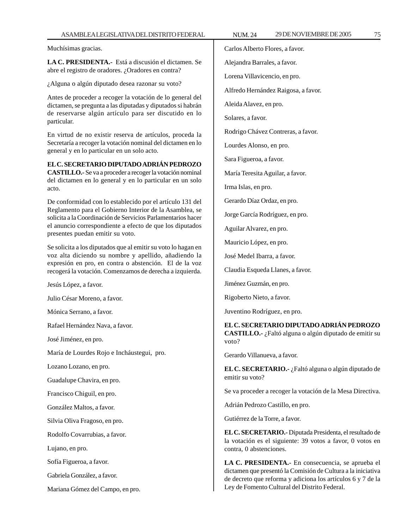Muchísimas gracias.

**LA C. PRESIDENTA.-** Está a discusión el dictamen. Se abre el registro de oradores. ¿Oradores en contra?

¿Alguna o algún diputado desea razonar su voto?

Antes de proceder a recoger la votación de lo general del dictamen, se pregunta a las diputadas y diputados si habrán de reservarse algún artículo para ser discutido en lo particular.

En virtud de no existir reserva de artículos, proceda la Secretaría a recoger la votación nominal del dictamen en lo general y en lo particular en un solo acto.

**EL C. SECRETARIO DIPUTADO ADRIÁN PEDROZO CASTILLO.-** Se va a proceder a recoger la votación nominal del dictamen en lo general y en lo particular en un solo acto.

De conformidad con lo establecido por el artículo 131 del Reglamento para el Gobierno Interior de la Asamblea, se solicita a la Coordinación de Servicios Parlamentarios hacer el anuncio correspondiente a efecto de que los diputados presentes puedan emitir su voto.

Se solicita a los diputados que al emitir su voto lo hagan en voz alta diciendo su nombre y apellido, añadiendo la expresión en pro, en contra o abstención. El de la voz recogerá la votación. Comenzamos de derecha a izquierda.

Jesús López, a favor.

Julio César Moreno, a favor.

Mónica Serrano, a favor.

Rafael Hernández Nava, a favor.

José Jiménez, en pro.

María de Lourdes Rojo e Incháustegui, pro.

Lozano Lozano, en pro.

Guadalupe Chavira, en pro.

Francisco Chiguil, en pro.

González Maltos, a favor.

Silvia Oliva Fragoso, en pro.

Rodolfo Covarrubias, a favor.

Lujano, en pro.

Sofía Figueroa, a favor.

Gabriela González, a favor.

Mariana Gómez del Campo, en pro.

Carlos Alberto Flores, a favor.

Alejandra Barrales, a favor.

Lorena Villavicencio, en pro.

Alfredo Hernández Raigosa, a favor.

Aleida Alavez, en pro.

Solares, a favor.

Rodrigo Chávez Contreras, a favor.

Lourdes Alonso, en pro.

Sara Figueroa, a favor.

María Teresita Aguilar, a favor.

Irma Islas, en pro.

Gerardo Díaz Ordaz, en pro.

Jorge García Rodríguez, en pro.

Aguilar Alvarez, en pro.

Mauricio López, en pro.

José Medel Ibarra, a favor.

Claudia Esqueda Llanes, a favor.

Jiménez Guzmán, en pro.

Rigoberto Nieto, a favor.

Juventino Rodríguez, en pro.

**EL C. SECRETARIO DIPUTADO ADRIÁN PEDROZO CASTILLO.-** ¿Faltó alguna o algún diputado de emitir su voto?

Gerardo Villanueva, a favor.

**EL C. SECRETARIO.-** ¿Faltó alguna o algún diputado de emitir su voto?

Se va proceder a recoger la votación de la Mesa Directiva.

Adrián Pedrozo Castillo, en pro.

Gutiérrez de la Torre, a favor.

**EL C. SECRETARIO.-** Diputada Presidenta, el resultado de la votación es el siguiente: 39 votos a favor, 0 votos en contra, 0 abstenciones.

**LA C. PRESIDENTA.-** En consecuencia, se aprueba el dictamen que presentó la Comisión de Cultura a la iniciativa de decreto que reforma y adiciona los artículos 6 y 7 de la Ley de Fomento Cultural del Distrito Federal.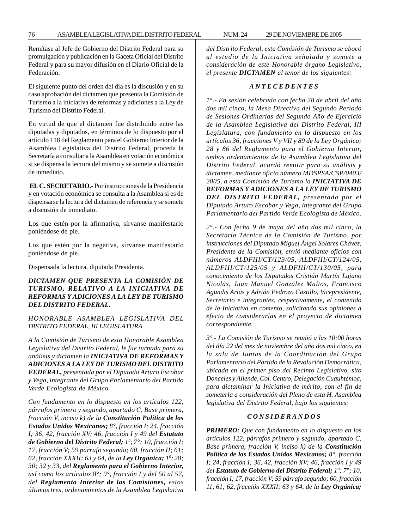Remítase al Jefe de Gobierno del Distrito Federal para su promulgación y publicación en la Gaceta Oficial del Distrito Federal y para su mayor difusión en el Diario Oficial de la Federación.

El siguiente punto del orden del día es la discusión y en su caso aprobación del dictamen que presenta la Comisión de Turismo a la iniciativa de reformas y adiciones a la Ley de Turismo del Distrito Federal.

En virtud de que el dictamen fue distribuido entre las diputadas y diputados, en términos de lo dispuesto por el artículo 118 del Reglamento para el Gobierno Interior de la Asamblea Legislativa del Distrito Federal, proceda la Secretaría a consultar a la Asamblea en votación económica si se dispensa la lectura del mismo y se somete a discusión de inmediato.

**EL C. SECRETARIO.-** Por instrucciones de la Presidencia y en votación económica se consulta a la Asamblea si es de dispensarse la lectura del dictamen de referencia y se somete a discusión de inmediato.

Los que estén por la afirmativa, sírvanse manifestarlo poniéndose de pie.

Los que estén por la negativa, sírvanse manifestarlo poniéndose de pie.

Dispensada la lectura, diputada Presidenta.

# *DICTAMEN QUE PRESENTA LA COMISIÓN DE TURISMO, RELATIVO A LA INICIATIVA DE REFORMAS Y ADICIONES A LA LEY DE TURISMO DEL DISTRITO FEDERAL.*

*HONORABLE ASAMBLEA LEGISLATIVA DEL DISTRITO FEDERAL, III LEGISLATURA.*

*A la Comisión de Turismo de esta Honorable Asamblea Legislativa del Distrito Federal, le fue turnada para su análisis y dictamen la INICIATIVA DE REFORMAS Y ADICIONES A LA LEY DE TURISMO DEL DISTRITO FEDERAL, presentada por el Diputado Arturo Escobar y Vega, integrante del Grupo Parlamentario del Partido Verde Ecologista de México.*

*Con fundamento en lo dispuesto en los artículos 122, párrafos primero y segundo, apartado C, Base primera, fracción V, inciso k) de la Constitución Política de los Estados Unidos Mexicanos; 8°, fracción I; 24, fracción I; 36, 42, fracción XV; 46, fracción I y 49 del Estatuto de Gobierno del Distrito Federal; 10 ; 7°; 10, fracción I; 17, fracción V; 59 párrafo segundo; 60, fracción II; 61; 62, fracción XXXII; 63 y 64, de la Ley Orgánica; 10 ; 28; 30; 32 y 33, del Reglamento para el Gobierno Interior, así como los artículos 8°; 9°, fracción I y del 50 al 57, del Reglamento Interior de las Comisiones, estos últimos tres, ordenamientos de la Asamblea Legislativa*

*del Distrito Federal, esta Comisión de Turismo se abocó al estudio de la Iniciativa señalada y somete a consideración de este Honorable órgano Legislativo, el presente DICTAMEN al tenor de los siguientes:*

#### *A N T E C E D E N T E S*

*1°.- En sesión celebrada con fecha 28 de abril del año dos mil cinco, la Mesa Directiva del Segundo Período de Sesiones Ordinarias del Segundo Año de Ejercicio de la Asamblea Legislativa del Distrito Federal, III Legislatura, con fundamento en lo dispuesto en los artículos 36, fracciones V y VII y 89 de la Ley Orgánica; 28 y 86 del Reglamento para el Gobierno Interior, ambos ordenamientos de la Asamblea Legislativa del Distrito Federal, acordó remitir para su análisis y dictamen, mediante oficio número MDSPSA/CSP/0403/ 2005, a esta Comisión de Turismo la INICIATIVA DE REFORMAS Y ADICIONES A LA LEY DE TURISMO DEL DISTRITO FEDERAL, presentada por el Diputado Arturo Escobar y Vega, integrante del Grupo Parlamentario del Partido Verde Ecologista de México.*

*2°.- Con fecha 9 de mayo del año dos mil cinco, la Secretaría Técnica de la Comisión de Turismo, por instrucciones del Diputado Miguel Ángel Solares Chávez, Presidente de la Comisión, envió mediante oficios con números ALDFIII/CT/123/05, ALDFIII/CT/124/05, ALDFIII/CT/125/05 y ALDFIII/CT/130/05, para conocimiento de los Diputados Cristián Martín Lujano Nicolás, Juan Manuel González Maltos, Francisco Agundis Arias y Adrián Pedrozo Castillo, Vicepresidente, Secretario e integrantes, respectivamente, el contenido de la Iniciativa en comento, solicitando sus opiniones a efecto de considerarlas en el proyecto de dictamen correspondiente.*

*3°.- La Comisión de Turismo se reunió a las 10:00 horas del día 22 del mes de noviembre del año dos mil cinco, en la sala de Juntas de la Coordinación del Grupo Parlamentario del Partido de la Revolución Democrática, ubicada en el primer piso del Recinto Legislativo, sito Donceles y Allende, Col. Centro, Delegación Cuauhtémoc, para dictaminar la Iniciativa de mérito, con el fin de someterla a consideración del Pleno de esta H. Asamblea legislativa del Distrito Federal, bajo los siguientes:*

#### *C O N S I D E R A N D O S*

*PRIMERO: Que con fundamento en lo dispuesto en los artículos 122, párrafos primero y segundo, apartado C, Base primera, fracción V, inciso k) de la Constitución Política de los Estados Unidos Mexicanos; 8°, fracción I; 24, fracción I; 36, 42, fracción XV; 46, fracción I y 49 del Estatuto de Gobierno del Distrito Federal; 1º; 7°; 10, fracción I; 17, fracción V; 59 párrafo segundo; 60, fracción 11, 61; 62, fracción XXXII; 63 y 64, de la Ley Orgánica;*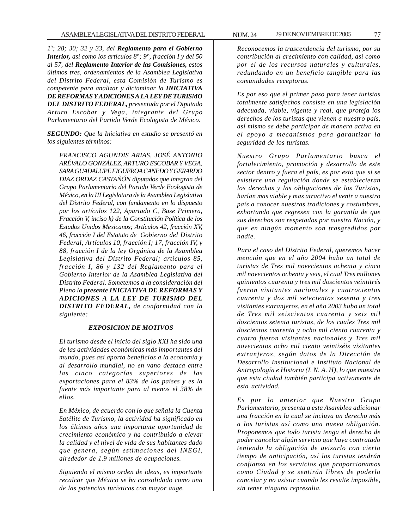*10 ; 28; 30; 32 y 33, del Reglamento para el Gobierno Interior, así como los artículos 8°; 9°, fracción I y del 50 al 57, del Reglamento Interior de las Comisiones, estos últimos tres, ordenamientos de la Asamblea Legislativa del Distrito Federal, esta Comisión de Turismo es competente para analizar y dictaminar la INICIATIVA DE REFORMAS Y ADICIONES A LA LEY DE TURISMO DEL DISTRITO FEDERAL, presentada por el Diputado Arturo Escobar y Vega, integrante del Grupo Parlamentario del Partido Verde Ecologista de México.*

*SEGUNDO: Que la Iniciativa en estudio se presentó en los siguientes términos:*

*FRANCISCO AGUNDIS ARIAS, JOSÉ ANTONIO ARÉVALO GONZÁLEZ, ARTURO ESCOBAR Y VEGA, SARA GUADALUPE FIGUEROA CANEDO Y GERARDO DIAZ ORDAZ CASTAÑÓN diputados que integran del Grupo Parlamentario del Partido Verde Ecologista de México, en la III Legislatura de la Asamblea Legislativa del Distrito Federal, con fundamento en lo dispuesto por los artículos 122, Apartado C, Base Primera, Fracción V, inciso k) de la Constitución Política de los Estados Unidos Mexicanos; Artículos 42, fracción XV, 46, fracción I del Estatuto de Gobierno del Distrito Federal; Artículos 10, fracción I; 17, fracción IV, y 88, fracción I de la ley Orgánica de la Asamblea Legislativa del Distrito Federal; artículos 85, fracción I, 86 y 132 del Reglamento para el Gobierno Interior de la Asamblea Legislativa del Distrito Federal. Sometemos a la consideración del Pleno la presente INICIATIVA DE REFORMAS Y ADICIONES A LA LEY DE TURISMO DEL DISTRITO FEDERAL, de conformidad con la siguiente:*

### *EXPOSICION DE MOTIVOS*

*El turismo desde el inicio del siglo XXI ha sido una de las actividades económicas más importantes del mundo, pues así aporta beneficios a la economía y al desarrollo mundial, no en vano destaca entre las cinco categorías superiores de las exportaciones para el 83% de los países y es la fuente más importante para al menos el 38% de ellos.*

*En México, de acuerdo con lo que señala la Cuenta Satélite de Turismo, la actividad ha significado en los últimos años una importante oportunidad de crecimiento económico y ha contribuido a elevar la calidad y el nivel de vida de sus habitantes dado que genera, según estimaciones del INEGI, alrededor de 1.9 millones de ocupaciones.*

*Siguiendo el mismo orden de ideas, es importante recalcar que México se ha consolidado como una de las potencias turísticas con mayor auge.*

*Reconocemos la trascendencia del turismo, por su contribución al crecimiento con calidad, así como por el de los recursos naturales y culturales, redundando en un beneficio tangible para las comunidades receptoras.*

*Es por eso que el primer paso para tener turistas totalmente satisfechos consiste en una legislación adecuada, viable, vigente y real, que proteja los derechos de los turistas que vienen a nuestro país, así mismo se debe participar de manera activa en el apoyo a mecanismos para garantizar la seguridad de los turistas.*

*Nuestro Grupo Parlamentario busca el fortalecimiento, promoción y desarrollo de este sector dentro y fuera el país, es por esto que si se existiere una regulación donde se establecieran los derechos y las obligaciones de los Turistas, harían mas viable y mas atractivo el venir a nuestro país a conocer nuestras tradiciones y costumbres, exhortando que regresen con la garantía de que sus derechos son respetados por nuestra Nación, y que en ningún momento son trasgredidos por nadie.*

*Para el caso del Distrito Federal, queremos hacer mención que en el año 2004 hubo un total de turistas de Tres mil novecientos ochenta y cinco mil novecientos ochenta y seis, el cual Tres millones quinientos cuarenta y tres mil doscientos veintitrés fueron visitantes nacionales y cuatrocientos cuarenta y dos mil setecientos sesenta y tres visitantes extranjeros, en el año 2003 hubo un total de Tres mil seiscientos cuarenta y seis mil doscientos setenta turistas, de los cuales Tres mil doscientos cuarenta y ocho mil ciento cuarenta y cuatro fueron visitantes nacionales y Tres mil novecientos ocho mil ciento veintiséis visitantes extranjeros, según datos de la Dirección de Desarrollo Institucional e Instituto Nacional de Antropología e Historia (I. N. A. H), lo que muestra que esta ciudad también participa activamente de esta actividad.*

*Es por lo anterior que Nuestro Grupo Parlamentario, presenta a esta Asamblea adicionar una fracción en la cual se incluya un derecho más a los turistas así como una nueva obligación. Proponemos que todo turista tenga el derecho de poder cancelar algún servicio que haya contratado teniendo la obligación de avisarlo con cierto tiempo de anticipación, así los turistas tendrán confianza en los servicios que proporcionamos como Ciudad y se sentirán libres de poderlo cancelar y no asistir cuando les resulte imposible, sin tener ninguna represalia.*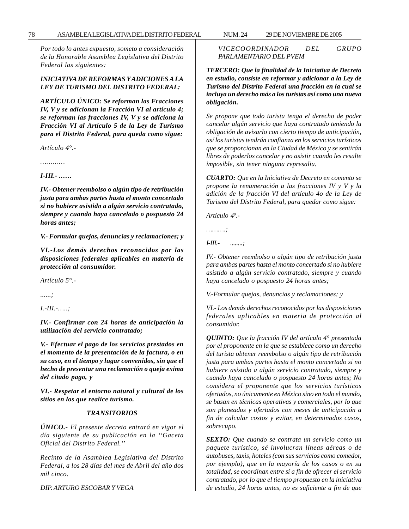*Por todo lo antes expuesto, someto a consideración de la Honorable Asamblea Legislativa del Distrito Federal las siguientes:*

# *INICIATIVA DE REFORMAS Y ADICIONES A LA LEY DE TURISMO DEL DISTRITO FEDERAL:*

*ARTÍCULO ÚNICO: Se reforman las Fracciones IV, V y se adicionan la Fracción VI al artículo 4; se reforman las fracciones IV, V y se adiciona la Fracción VI al Artículo 5 de la Ley de Turismo para el Distrito Federal, para queda como sigue:*

*Artículo 4°.-*

*…………*

*I-III.- ……*

*IV.- Obtener reembolso o algún tipo de retribución justa para ambas partes hasta el monto concertado si no hubiere asistido a algún servicio contratado, siempre y cuando haya cancelado o pospuesto 24 horas antes;*

*V.- Formular quejas, denuncias y reclamaciones; y*

*VI.-Los demás derechos reconocidos por las disposiciones federales aplicables en materia de protección al consumidor.*

*Artículo 5°.-*

*......;*

*I.-III.-…..;*

*IV.- Confirmar con 24 horas de anticipación la utilización del servicio contratado;*

*V.- Efectuar el pago de los servicios prestados en el momento de la presentación de la factura, o en su caso, en el tiempo y lugar convenidos, sin que el hecho de presentar una reclamación o queja exima del citado pago, y*

*VI.- Respetar el entorno natural y cultural de los sitios en los que realice turismo.*

# *TRANSITORIOS*

*ÚNICO.- El presente decreto entrará en vigor el día siguiente de su publicación en la ''Gaceta Oficial del Distrito Federal.''*

*Recinto de la Asamblea Legislativa del Distrito Federal, a los 28 días del mes de Abril del año dos mil cinco.*

*DIP. ARTURO ESCOBAR Y VEGA*

*VICECOORDINADOR DEL GRUPO PARLAMENTARIO DEL PVEM*

*TERCERO: Que la finalidad de la Iniciativa de Decreto en estudio, consiste en reformar y adicionar a la Ley de Turismo del Distrito Federal una fracción en la cual se incluya un derecho más a los turistas así como una nueva obligación.*

*Se propone que todo turista tenga el derecho de poder cancelar algún servicio que haya contratado teniendo la obligación de avisarlo con cierto tiempo de anticipación, así los turistas tendrán confianza en los servicios turísticos que se proporcionan en la Ciudad de México y se sentirán libres de poderlos cancelar y no asistir cuando les resulte imposible, sin tener ninguna represalia.*

*CUARTO: Que en la Iniciativa de Decreto en comento se propone la renumeración a las fracciones IV y V y la adición de la fracción VI del artículo 4o de la Ley de Turismo del Distrito Federal, para quedar como sigue:*

*Artículo 40 .-*

*……….;*

*I-III.- ........;*

*IV.- Obtener reembolso o algún tipo de retribución justa para ambas partes hasta el monto concertado si no hubiere asistido a algún servicio contratado, siempre y cuando haya cancelado o pospuesto 24 horas antes;*

*V.-Formular quejas, denuncias y reclamaciones; y*

*VI.- Los demás derechos reconocidos por las disposiciones federales aplicables en materia de protección al consumidor.*

*QUINTO: Que la fracción IV del artículo 4° presentada por el proponente en la que se establece como un derecho del turista obtener reembolso o algún tipo de retribución justa para ambas partes hasta el monto concertado si no hubiere asistido a algún servicio contratado, siempre y cuando haya cancelado o pospuesto 24 horas antes; No considera el proponente que los servicios turísticos ofertados, no únicamente en México sino en todo el mundo, se basan en técnicas operativas y comerciales, por lo que son planeados y ofertados con meses de anticipación a fin de calcular costos y evitar, en determinados casos, sobrecupo.*

*SEXTO: Que cuando se contrata un servicio como un paquete turístico, sé involucran líneas aéreas o de autobuses, taxis, hoteles (con sus servicios como comedor, por ejemplo), que en la mayoría de los casos o en su totalidad, se coordinan entre sí a fin de ofrecer el servicio contratado, por lo que el tiempo propuesto en la iniciativa de estudio, 24 horas antes, no es suficiente a fin de que*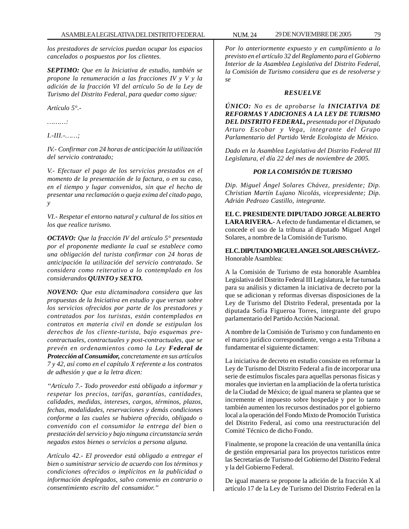*los prestadores de servicios puedan ocupar los espacios cancelados o pospuestos por los clientes.*

*SEPTIMO: Que en la Iniciativa de estudio, también se propone la renumeración a las fracciones IV y V y la adición de la fracción VI del artículo 5o de la Ley de Turismo del Distrito Federal, para quedar como sigue:*

*Artículo 5°.-*

*………:*

*I.-III.-……;*

*IV.- Confirmar con 24 horas de anticipación la utilización del servicio contratado;*

*V.- Efectuar el pago de los servicios prestados en el momento de la presentación de la factura, o en su caso, en el tiempo y lugar convenidos, sin que el hecho de presentar una reclamación o queja exima del citado pago, y*

*VI.- Respetar el entorno natural y cultural de los sitios en los que realice turismo.*

*OCTAVO: Que la fracción IV del artículo 5° presentada por el proponente mediante la cual se establece como una obligación del turista confirmar con 24 horas de anticipación la utilización del servicio contratado. Se considera como reiterativo a lo contemplado en los considerandos QUINTO y SEXTO.*

*NOVENO: Que esta dictaminadora considera que las propuestas de la Iniciativa en estudio y que versan sobre los servicios ofrecidos por parte de los prestadores y contratados por los turistas, están contemplados en contratos en materia civil en donde se estipulan los derechos de los cliente-turista, bajo esquemas precontractuales, contractuales y post-contractuales, que se prevén en ordenamientos como la Ley Federal de Protección al Consumidor, concretamente en sus artículos 7 y 42, así como en el capítulo X referente a los contratos de adhesión y que a la letra dicen:*

*''Artículo 7.- Todo proveedor está obligado a informar y respetar los precios, tarifas, garantías, cantidades, calidades, medidas, intereses, cargos, términos, plazos, fechas, modalidades, reservaciones y demás condiciones conforme a las cuales se hubiera ofrecido, obligado o convenido con el consumidor la entrega del bien o prestación del servicio y bajo ninguna circunstancia serán negados estos bienes o servicios a persona alguna.*

*Artículo 42.- El proveedor está obligado a entregar el bien o suministrar servicio de acuerdo con los términos y condiciones ofrecidos o implícitos en la publicidad o información desplegados, salvo convenio en contrario o consentimiento escrito del consumidor.''*

*Por lo anteriormente expuesto y en cumplimiento a lo previsto en el artículo 32 del Reglamento para el Gobierno Interior de la Asamblea Legislativa del Distrito Federal, la Comisión de Turismo considera que es de resolverse y se*

#### *RESUELVE*

*ÚNICO: No es de aprobarse la INICIATIVA DE REFORMAS Y ADICIONES A LA LEY DE TURISMO DEL DISTRITO FEDERAL, presentada por el Diputado Arturo Escobar y Vega, integrante del Grupo Parlamentario del Partido Verde Ecologista de México.*

*Dado en la Asamblea Legislativa del Distrito Federal III Legislatura, el día 22 del mes de noviembre de 2005.*

# *POR LA COMISIÓN DE TURISMO*

*Dip. Miguel Ángel Solares Chávez, presidente; Dip. Christian Martín Lujano Nicolás, vicepresidente; Dip. Adrián Pedrozo Castillo, integrante.*

**EL C. PRESIDENTE DIPUTADO JORGE ALBERTO LARA RIVERA.-** A efecto de fundamentar el dictamen, se concede el uso de la tribuna al diputado Miguel Angel Solares, a nombre de la Comisión de Turismo.

**EL C. DIPUTADO MIGUEL ANGEL SOLARES CHÁVEZ.-** Honorable Asamblea:

A la Comisión de Turismo de esta honorable Asamblea Legislativa del Distrito Federal III Legislatura, le fue turnada para su análisis y dictamen la iniciativa de decreto por la que se adicionan y reformas diversas disposiciones de la Ley de Turismo del Distrito Federal, presentada por la diputada Sofía Figueroa Torres, integrante del grupo parlamentario del Partido Acción Nacional.

A nombre de la Comisión de Turismo y con fundamento en el marco jurídico correspondiente, vengo a esta Tribuna a fundamentar el siguiente dictamen:

La iniciativa de decreto en estudio consiste en reformar la Ley de Turismo del Distrito Federal a fin de incorporar una serie de estímulos fiscales para aquellas personas físicas y morales que inviertan en la ampliación de la oferta turística de la Ciudad de México; de igual manera se plantea que se incremente el impuesto sobre hospedaje y por lo tanto también aumenten los recursos destinados por el gobierno local a la operación del Fondo Mixto de Promoción Turística del Distrito Federal, así como una reestructuración del Comité Técnico de dicho Fondo.

Finalmente, se propone la creación de una ventanilla única de gestión empresarial para los proyectos turísticos entre las Secretarías de Turismo del Gobierno del Distrito Federal y la del Gobierno Federal.

De igual manera se propone la adición de la fracción X al artículo 17 de la Ley de Turismo del Distrito Federal en la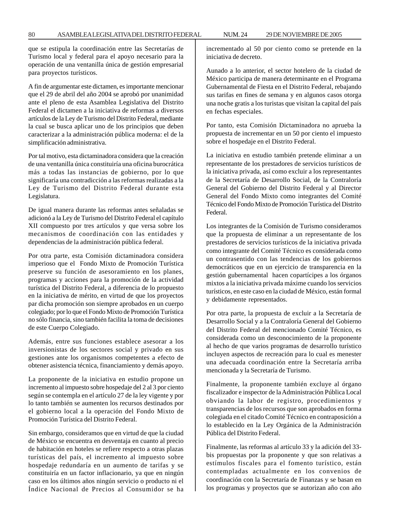que se estipula la coordinación entre las Secretarías de Turismo local y federal para el apoyo necesario para la operación de una ventanilla única de gestión empresarial para proyectos turísticos.

A fin de argumentar este dictamen, es importante mencionar que el 29 de abril del año 2004 se aprobó por unanimidad ante el pleno de esta Asamblea Legislativa del Distrito Federal el dictamen a la iniciativa de reformas a diversos artículos de la Ley de Turismo del Distrito Federal, mediante la cual se busca aplicar uno de los principios que deben caracterizar a la administración pública moderna: el de la simplificación administrativa.

Por tal motivo, esta dictaminadora considera que la creación de una ventanilla única constituiría una oficina burocrática más a todas las instancias de gobierno, por lo que significaría una contradicción a las reformas realizadas a la Ley de Turismo del Distrito Federal durante esta Legislatura.

De igual manera durante las reformas antes señaladas se adicionó a la Ley de Turismo del Distrito Federal el capítulo XII compuesto por tres artículos y que versa sobre los mecanismos de coordinación con las entidades y dependencias de la administración pública federal.

Por otra parte, esta Comisión dictaminadora considera imperioso que el Fondo Mixto de Promoción Turística preserve su función de asesoramiento en los planes, programas y acciones para la promoción de la actividad turística del Distrito Federal, a diferencia de lo propuesto en la iniciativa de mérito, en virtud de que los proyectos par dicha promoción son siempre aprobados en un cuerpo colegiado; por lo que el Fondo Mixto de Promoción Turística no sólo financia, sino también facilita la toma de decisiones de este Cuerpo Colegiado.

Además, entre sus funciones establece asesorar a los inversionistas de los sectores social y privado en sus gestiones ante los organismos competentes a efecto de obtener asistencia técnica, financiamiento y demás apoyo.

La proponente de la iniciativa en estudio propone un incremento al impuesto sobre hospedaje del 2 al 3 por ciento según se contempla en el artículo 27 de la ley vigente y por lo tanto también se aumenten los recursos destinados por el gobierno local a la operación del Fondo Mixto de Promoción Turística del Distrito Federal.

Sin embargo, consideramos que en virtud de que la ciudad de México se encuentra en desventaja en cuanto al precio de habitación en hoteles se refiere respecto a otras plazas turísticas del país, el incremento al impuesto sobre hospedaje redundaría en un aumento de tarifas y se constituiría en un factor inflacionario, ya que en ningún caso en los últimos años ningún servicio o producto ni el Índice Nacional de Precios al Consumidor se ha incrementado al 50 por ciento como se pretende en la iniciativa de decreto.

Aunado a lo anterior, el sector hotelero de la ciudad de México participa de manera determinante en el Programa Gubernamental de Fiesta en el Distrito Federal, rebajando sus tarifas en fines de semana y en algunos casos otorga una noche gratis a los turistas que visitan la capital del país en fechas especiales.

Por tanto, esta Comisión Dictaminadora no aprueba la propuesta de incrementar en un 50 por ciento el impuesto sobre el hospedaje en el Distrito Federal.

La iniciativa en estudio también pretende eliminar a un representante de los prestadores de servicios turísticos de la iniciativa privada, así como excluir a los representantes de la Secretaría de Desarrollo Social, de la Contraloría General del Gobierno del Distrito Federal y al Director General del Fondo Mixto como integrantes del Comité Técnico del Fondo Mixto de Promoción Turística del Distrito Federal.

Los integrantes de la Comisión de Turismo consideramos que la propuesta de eliminar a un representante de los prestadores de servicios turísticos de la iniciativa privada como integrante del Comité Técnico es considerada como un contrasentido con las tendencias de los gobiernos democráticos que en un ejercicio de transparencia en la gestión gubernamental hacen copartícipes a los órganos mixtos a la iniciativa privada máxime cuando los servicios turísticos, en este caso en la ciudad de México, están formal y debidamente representados.

Por otra parte, la propuesta de excluir a la Secretaría de Desarrollo Social y a la Contraloría General del Gobierno del Distrito Federal del mencionado Comité Técnico, es considerada como un desconocimiento de la proponente al hecho de que varios programas de desarrollo turístico incluyen aspectos de recreación para lo cual es menester una adecuada coordinación entre la Secretaría arriba mencionada y la Secretaría de Turismo.

Finalmente, la proponente también excluye al órgano fiscalizador e inspector de la Administración Pública Local obviando la labor de registro, procedimientos y transparencias de los recursos que son aprobados en forma colegiada en el citado Comité Técnico en contraposición a lo establecido en la Ley Orgánica de la Administración Pública del Distrito Federal.

Finalmente, las reformas al artículo 33 y la adición del 33 bis propuestas por la proponente y que son relativas a estímulos fiscales para el fomento turístico, están contempladas actualmente en los convenios de coordinación con la Secretaría de Finanzas y se basan en los programas y proyectos que se autorizan año con año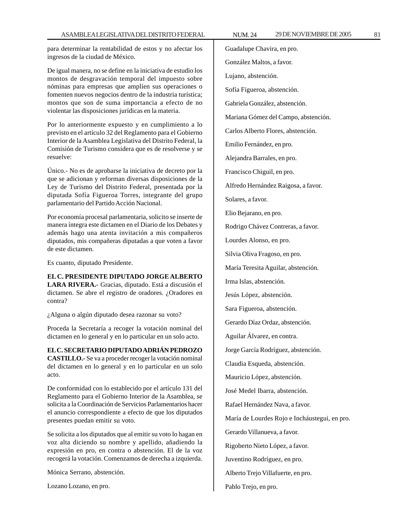para determinar la rentabilidad de estos y no afectar los ingresos de la ciudad de México.

De igual manera, no se define en la iniciativa de estudio los montos de desgravación temporal del impuesto sobre nóminas para empresas que amplíen sus operaciones o fomenten nuevos negocios dentro de la industria turística; montos que son de suma importancia a efecto de no violentar las disposiciones jurídicas en la materia.

Por lo anteriormente expuesto y en cumplimiento a lo previsto en el artículo 32 del Reglamento para el Gobierno Interior de la Asamblea Legislativa del Distrito Federal, la Comisión de Turismo considera que es de resolverse y se resuelve:

Único.- No es de aprobarse la iniciativa de decreto por la que se adicionan y reforman diversas disposiciones de la Ley de Turismo del Distrito Federal, presentada por la diputada Sofía Figueroa Torres, integrante del grupo parlamentario del Partido Acción Nacional.

Por economía procesal parlamentaria, solicito se inserte de manera íntegra este dictamen en el Diario de los Debates y además hago una atenta invitación a mis compañeros diputados, mis compañeras diputadas a que voten a favor de este dictamen.

Es cuanto, diputado Presidente.

**EL C. PRESIDENTE DIPUTADO JORGE ALBERTO LARA RIVERA.-** Gracias, diputado. Está a discusión el dictamen. Se abre el registro de oradores. ¿Oradores en contra?

¿Alguna o algún diputado desea razonar su voto?

Proceda la Secretaría a recoger la votación nominal del dictamen en lo general y en lo particular en un solo acto.

**EL C. SECRETARIO DIPUTADO ADRIÁN PEDROZO CASTILLO.-** Se va a proceder recoger la votación nominal del dictamen en lo general y en lo particular en un solo acto.

De conformidad con lo establecido por el artículo 131 del Reglamento para el Gobierno Interior de la Asamblea, se solicita a la Coordinación de Servicios Parlamentarios hacer el anuncio correspondiente a efecto de que los diputados presentes puedan emitir su voto.

Se solicita a los diputados que al emitir su voto lo hagan en voz alta diciendo su nombre y apellido, añadiendo la expresión en pro, en contra o abstención. El de la voz recogerá la votación. Comenzamos de derecha a izquierda.

Mónica Serrano, abstención.

Lozano Lozano, en pro.

Guadalupe Chavira, en pro. González Maltos, a favor. Lujano, abstención. Sofía Figueroa, abstención. Gabriela González, abstención. Mariana Gómez del Campo, abstención. Carlos Alberto Flores, abstención. Emilio Fernández, en pro. Alejandra Barrales, en pro. Francisco Chiguil, en pro. Alfredo Hernández Raigosa, a favor. Solares, a favor. Elio Bejarano, en pro. Rodrigo Chávez Contreras, a favor. Lourdes Alonso, en pro. Silvia Oliva Fragoso, en pro. María Teresita Aguilar, abstención. Irma Islas, abstención. Jesús López, abstención. Sara Figueroa, abstención. Gerardo Díaz Ordaz, abstención. Aguilar Álvarez, en contra. Jorge García Rodríguez, abstención. Claudia Esqueda, abstención. Mauricio López, abstención. José Medel Ibarra, abstención. Rafael Hernández Nava, a favor. María de Lourdes Rojo e Incháustegui, en pro. Gerardo Villanueva, a favor. Rigoberto Nieto López, a favor. Juventino Rodríguez, en pro. Alberto Trejo Villafuerte, en pro. Pablo Trejo, en pro.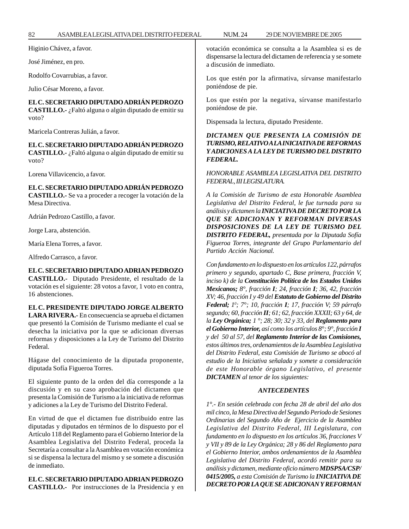José Jiménez, en pro.

Rodolfo Covarrubias, a favor.

Julio César Moreno, a favor.

**EL C. SECRETARIO DIPUTADO ADRIÁN PEDROZO**

**CASTILLO.-** ¿Faltó alguna o algún diputado de emitir su voto?

Maricela Contreras Julián, a favor.

**EL C. SECRETARIO DIPUTADO ADRIÁN PEDROZO**

**CASTILLO.-** ¿Faltó alguna o algún diputado de emitir su voto?

Lorena Villavicencio, a favor.

**EL C. SECRETARIO DIPUTADO ADRIÁN PEDROZO**

**CASTILLO.-** Se va a proceder a recoger la votación de la Mesa Directiva.

Adrián Pedrozo Castillo, a favor.

Jorge Lara, abstención.

María Elena Torres, a favor.

Alfredo Carrasco, a favor.

**EL C. SECRETARIO DIPUTADO ADRIAN PEDROZO CASTILLO.-** Diputado Presidente, el resultado de la votación es el siguiente: 28 votos a favor, 1 voto en contra, 16 abstenciones.

**EL C. PRESIDENTE DIPUTADO JORGE ALBERTO LARA RIVERA.-** En consecuencia se aprueba el dictamen que presentó la Comisión de Turismo mediante el cual se desecha la iniciativa por la que se adicionan diversas reformas y disposiciones a la Ley de Turismo del Distrito Federal.

Hágase del conocimiento de la diputada proponente, diputada Sofía Figueroa Torres.

El siguiente punto de la orden del día corresponde a la discusión y en su caso aprobación del dictamen que presenta la Comisión de Turismo a la iniciativa de reformas y adiciones a la Ley de Turismo del Distrito Federal.

En virtud de que el dictamen fue distribuido entre las diputadas y diputados en términos de lo dispuesto por el Artículo 118 del Reglamento para el Gobierno Interior de la Asamblea Legislativa del Distrito Federal, proceda la Secretaría a consultar a la Asamblea en votación económica si se dispensa la lectura del mismo y se somete a discusión de inmediato.

# **EL C. SECRETARIO DIPUTADO ADRIAN PEDROZO**

**CASTILLO.-** Por instrucciones de la Presidencia y en

votación económica se consulta a la Asamblea si es de dispensarse la lectura del dictamen de referencia y se somete a discusión de inmediato.

Los que estén por la afirmativa, sírvanse manifestarlo poniéndose de pie.

Los que estén por la negativa, sírvanse manifestarlo poniéndose de pie.

Dispensada la lectura, diputado Presidente.

# *DICTAMEN QUE PRESENTA LA COMISIÓN DE TURISMO, RELATIVO A LA INICIATIVA DE REFORMAS Y ADICIONES A LA LEY DE TURISMO DEL DISTRITO FEDERAL.*

*HONORABLE ASAMBLEA LEGISLATIVA DEL DISTRITO FEDERAL, III LEGISLATURA.*

*A la Comisión de Turismo de esta Honorable Asamblea Legislativa del Distrito Federal, le fue turnada para su análisis y dictamen la INICIATIVA DE DECRETO POR LA QUE SE ADICIONAN Y REFORMAN DIVERSAS DISPOSICIONES DE LA LEY DE TURISMO DEL DISTRITO FEDERAL, presentada por la Diputada Sofía Figueroa Torres, integrante del Grupo Parlamentario del Partido Acción Nacional.*

*Con fundamento en lo dispuesto en los artículos 122, párrafos primero y segundo, apartado C, Base primera, fracción V, inciso k) de la Constitución Política de los Estados Unidos Mexicanos; 8°, fracción I; 24, fracción I; 36, 42, fracción XV; 46, fracción I y 49 del Estatuto de Gobierno del Distrito Federal; 10 ; 7°; 10, fracción I; 17, fracción V; 59 párrafo segundo; 60, fracción II; 61; 62, fracción XXXII; 63 y 64, de la Ley Orgánica; 1 °; 28; 30; 32 y 33, del Reglamento para el Gobierno Interior, así como los artículos 8°; 9°, fracción I y del 50 al 57, del Reglamento Interior de las Comisiones, estos últimos tres, ordenamientos de la Asamblea Legislativa del Distrito Federal, esta Comisión de Turismo se abocó al estudio de la Iniciativa señalada y somete a consideración de este Honorable órgano Legislativo, el presente DICTAMEN al tenor de los siguientes:*

# *ANTECEDENTES*

*1°.- En sesión celebrada con fecha 28 de abril del año dos mil cinco, la Mesa Directiva del Segundo Periodo de Sesiones Ordinarias del Segundo Año de Ejercicio de la Asamblea Legislativa del Distrito Federal, III Legislatura, con fundamento en lo dispuesto en los artículos 36, fracciones V y VII y 89 de la Ley Orgánica; 28 y 86 del Reglamento para el Gobierno Interior, ambos ordenamientos de la Asamblea Legislativa del Distrito Federal, acordó remitir para su análisis y dictamen, mediante oficio número MDSPSA/CSP/ 0415/2005, a esta Comisión de Turismo la INICIATIVA DE DECRETO POR LA QUE SE ADICIONAN Y REFORMAN*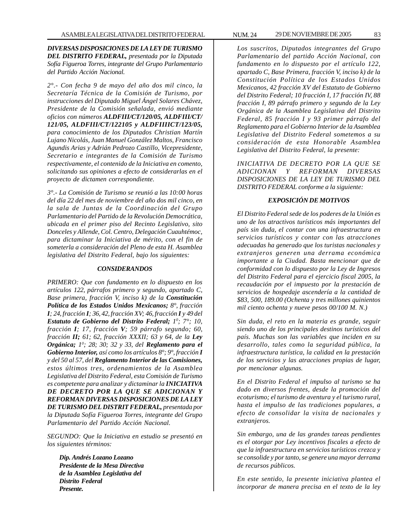*DIVERSAS DISPOSICIONES DE LA LEY DE TURISMO DEL DISTRITO FEDERAL, presentada por la Diputada Sofía Figueroa Torres, integrante del Grupo Parlamentario del Partido Acción Nacional.*

*2°.- Con fecha 9 de mayo del año dos mil cinco, la Secretaría Técnica de la Comisión de Turismo, por instrucciones del Diputado Miguel Ángel Solares Chávez, Presidente de la Comisión señalada, envió mediante oficios con números ALDFIII/CT/120/05, ALDFIII/CT/ 121/05, ALDFIII/CT/122105 y ALDFIIIICT/123/05, para conocimiento de los Diputados Christian Martín Lujano Nicolás, Juan Manuel González Maltos, Francisco Agundis Arias y Adrián Pedrozo Castillo, Vicepresidente, Secretario e integrantes de la Comisión de Turismo respectivamente, el contenido de la Iniciativa en comento, solicitando sus opiniones a efecto de considerarlas en el proyecto de dictamen correspondiente.*

*3°.- La Comisión de Turismo se reunió a las 10:00 horas del día 22 del mes de noviembre del año dos mil cinco, en la sala de Juntas de la Coordinación del Grupo Parlamentario del Partido de la Revolución Democrática, ubicada en el primer piso del Recinto Legislativo, sito Donceles y Allende, Col. Centro, Delegación Cuauhtémoc, para dictaminar la Iniciativa de mérito, con el fin de someterla a consideración del Pleno de esta H. Asamblea legislativa del Distrito Federal, bajo los siguientes:*

#### *CONSIDERANDOS*

*PRIMERO: Que con fundamento en lo dispuesto en los artículos 122, párrafos primero y segundo, apartado C, Base primera, fracción V, inciso k) de la Constitución Política de los Estados Unidos Mexicanos; 8°, fracción I; 24, fracción I; 36, 42, fracción XV; 46, fracción I y 49 del Estatuto de Gobierno del Distrito Federal; 10 ; 7°; 10, fracción I; 17, fracción V; 59 párrafo segundo; 60, fracción II; 61; 62, fracción XXXII; 63 y 64, de la Ley Orgánica; 10 ; 28; 30; 32 y 33, del Reglamento para el Gobierno Interior, así como los artículos 8°; 9°, fracción I y del 50 al 57, del Reglamento Interior de las Comisiones, estos últimos tres, ordenamientos de la Asamblea Legislativa del Distrito Federal, esta Comisión de Turismo es competente para analizar y dictaminar la INICIATIVA DE DECRETO POR LA QUE SE ADICIONAN Y REFORMAN DIVERSAS DISPOSICIONES DE LA LEY DE TURISMO DEL DISTRIT FEDERAL, presentada por la Diputada Sofía Figueroa Torres, integrante del Grupo Parlamentario del Partido Acción Nacional.*

*SEGUNDO: Que la Iniciativa en estudio se presentó en los siguientes términos:*

*Dip. Andrés Lozano Lozano Presidente de la Mesa Directiva de la Asamblea Legislativa del Distrito Federal Presente.*

*Los suscritos, Diputados integrantes del Grupo Parlamentario del partido Acción Nacional, con fundamento en lo dispuesto por el artículo 122, apartado C, Base Primera, fracción V, inciso k) de la Constitución Política de los Estados Unidos Mexicanos, 42 fracción XV del Estatuto de Gobierno del Distrito Federal; 10 fracción I, 17 fracción IV, 88 fracción I, 89 párrafo primero y segundo de la Ley Orgánica de la Asamblea Legislativa del Distrito Federal, 85 fracción I y 93 primer párrafo del Reglamento para el Gobierno Interior de la Asamblea Legislativa del Distrito Federal sometemos a su consideración de esta Honorable Asamblea Legislativa del Distrito Federal, la presente:*

*INICIATIVA DE DECRETO POR LA QUE SE ADICIONAN Y REFORMAN DIVERSAS DISPOSICIONES DE LA LEY DE TURISMO DEL DISTRITO FEDERAL conforme a la siguiente:*

#### *EXPOSICIÓN DE MOTIVOS*

*El Distrito Federal sede de los poderes de la Unión es uno de los atractivos turísticos más importantes del país sin duda, el contar con una infraestructura en servicios turísticos y contar con las atracciones adecuadas ha generado que los turistas nacionales y extranjeros generen una derrama económica importante a la Ciudad. Basta mencionar que de conformidad con lo dispuesto por la Ley de Ingresos del Distrito Federal para el ejercicio fiscal 2005, la recaudación por el impuesto por la prestación de servicios de hospedaje ascendería a la cantidad de \$83, 500, 189.00 (Ochenta y tres millones quinientos mil ciento ochenta y nueve pesos 00/100 M. N.)*

*Sin duda, el reto en la materia es grande, seguir siendo uno de los principales destinos turísticos del país. Muchas son las variables que inciden en su desarrollo, tales como la seguridad pública, la infraestructura turística, la calidad en la prestación de los servicios y las atracciones propias de lugar, por mencionar algunas.*

*En el Distrito Federal el impulso al turismo se ha dado en diversos frentes, desde la promoción del ecoturismo; el turismo de aventura y el turismo rural, hasta el impulso de las tradiciones populares, a efecto de consolidar la visita de nacionales y extranjeros.*

*Sin embargo, una de las grandes tareas pendientes es el otorgar por Ley incentivos fiscales a efecto de que la infraestructura en servicios turísticos crezca y se consolide y por tanto, se genere una mayor derrama de recursos públicos.*

*En este sentido, la presente iniciativa plantea el incorporar de manera precisa en el texto de la ley*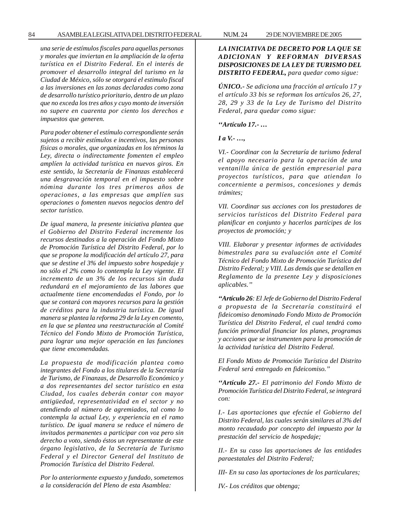*una serie de estímulos fiscales para aquellas personas y morales que inviertan en la ampliación de la oferta turística en el Distrito Federal. En el interés de promover el desarrollo integral del turismo en la Ciudad de México, sólo se otorgará el estimulo fiscal a las inversiones en las zonas declaradas como zona de desarrollo turístico prioritario, dentro de un plazo que no exceda los tres años y cuyo monto de inversión no supere en cuarenta por ciento los derechos e impuestos que generen.*

*Para poder obtener el estímulo correspondiente serán sujetos a recibir estímulos e incentivos, las personas físicas o morales, que organizadas en los términos la Ley, directa o indirectamente fomenten el empleo amplíen la actividad turística en nuevos giros. En este sentido, la Secretaría de Finanzas establecerá una desgravación temporal en el impuesto sobre nómina durante los tres primeros años de operaciones, a las empresas que amplíen sus operaciones o fomenten nuevos negocios dentro del sector turístico.*

*De igual manera, la presente iniciativa plantea que el Gobierno del Distrito Federal incremente los recursos destinados a la operación del Fondo Mixto de Promoción Turística del Distrito Federal, por lo que se propone la modificación del artículo 27, para que se destine el 3% del impuesto sobre hospedaje y no sólo el 2% como lo contempla la Ley vigente. El incremento de un 3% de los recursos sin duda redundará en el mejoramiento de las labores que actualmente tiene encomendadas el Fondo, por lo que se contará con mayores recursos para la gestión de créditos para la industria turística. De igual manera se plantea la reforma 29 de la Ley en comento, en la que se plantea una reestructuración al Comité Técnico del Fondo Mixto de Promoción Turística, para lograr una mejor operación en las funciones que tiene encomendadas.*

*La propuesta de modificación plantea como integrantes del Fondo a los titulares de la Secretaría de Turismo, de Finanzas, de Desarrollo Económico y a dos representantes del sector turístico en esta Ciudad, los cuales deberán contar con mayor antigüedad, representatividad en el sector y no atendiendo al número de agremiados, tal como lo contempla la actual Ley, y experiencia en el ramo turístico. De igual manera se reduce el número de invitados permanentes a participar con voz pero sin derecho a voto, siendo éstos un representante de este órgano legislativo, de la Secretaría de Turismo Federal y el Director General del Instituto de Promoción Turística del Distrito Federal.*

*Por lo anteriormente expuesto y fundado, sometemos a la consideración del Pleno de esta Asamblea:*

# *LA INICIATIVA DE DECRETO POR LA QUE SE ADICIONAN Y REFORMAN DIVERSAS DISPOSICIONES DE LA LEY DE TURISMO DEL DISTRITO FEDERAL, para quedar como sigue:*

*ÚNICO.- Se adiciona una fracción al artículo 17 y el artículo 33 bis se reforman los artículos 26, 27, 28, 29 y 33 de la Ley de Turismo del Distrito Federal, para quedar como sigue:*

*''Artículo 17.- …*

*I a V.- …,*

*VI.- Coordinar con la Secretaría de turismo federal el apoyo necesario para la operación de una ventanilla única de gestión empresarial para proyectos turísticos, para que atiendan lo concerniente a permisos, concesiones y demás trámites;*

*VII. Coordinar sus acciones con los prestadores de servicios turísticos del Distrito Federal para planificar en conjunto y hacerlos partícipes de los proyectos de promoción; y*

*VIII. Elaborar y presentar informes de actividades bimestrales para su evaluación ante el Comité Técnico del Fondo Mixto de Promoción Turística del Distrito Federal; y VIII. Las demás que se detallen en Reglamento de la presente Ley y disposiciones aplicables.''*

*''Artículo 26: El Jefe de Gobierno del Distrito Federal a propuesta de la Secretaría constituirá el fideicomiso denominado Fondo Mixto de Promoción Turística del Distrito Federal, el cual tendrá como función primordial financiar los planes, programas y acciones que se instrumenten para la promoción de la actividad turística del Distrito Federal.*

*El Fondo Mixto de Promoción Turística del Distrito Federal será entregado en fideicomiso.''*

*''Artículo 27.- El patrimonio del Fondo Mixto de Promoción Turística del Distrito Federal, se integrará con:*

*I.- Las aportaciones que efectúe el Gobierno del Distrito Federal, las cuales serán similares al 3% del monto recaudado por concepto del impuesto por la prestación del servicio de hospedaje;*

*II.- En su caso las aportaciones de las entidades paraestatales del Distrito Federal;*

*III- En su caso las aportaciones de los particulares;*

*IV.- Los créditos que obtenga;*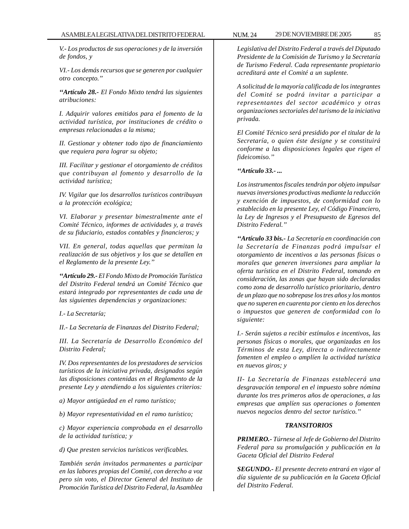*V.- Los productos de sus operaciones y de la inversión de fondos, y*

*VI.- Los demás recursos que se generen por cualquier otro concepto.''*

*''Artículo 28.- El Fondo Mixto tendrá las siguientes atribuciones:*

*I. Adquirir valores emitidos para el fomento de la actividad turística, por instituciones de crédito o empresas relacionadas a la misma;*

*II. Gestionar y obtener todo tipo de financiamiento que requiera para lograr su objeto;*

*III. Facilitar y gestionar el otorgamiento de créditos que contribuyan al fomento y desarrollo de la actividad turística;*

*IV. Vigilar que los desarrollos turísticos contribuyan a la protección ecológica;*

*VI. Elaborar y presentar bimestralmente ante el Comité Técnico, informes de actividades y, a través de su fiduciario, estados contables y financieros; y*

*VII. En general, todas aquellas que permitan la realización de sus objetivos y los que se detallen en el Reglamento de la presente Ley.''*

*''Artículo 29.- El Fondo Mixto de Promoción Turística del Distrito Federal tendrá un Comité Técnico que estará integrado por representantes de cada una de las siguientes dependencias y organizaciones:*

*I.- La Secretaría;*

*II.- La Secretaría de Finanzas del Distrito Federal;*

*III. La Secretaría de Desarrollo Económico del Distrito Federal;*

*IV. Dos representantes de los prestadores de servicios turísticos de la iniciativa privada, designados según las disposiciones contenidas en el Reglamento de la presente Ley y atendiendo a los siguientes criterios:*

*a) Mayor antigüedad en el ramo turístico;*

*b) Mayor representatividad en el ramo turístico;*

*c) Mayor experiencia comprobada en el desarrollo de la actividad turística; y*

*d) Que presten servicios turísticos verificables.*

*También serán invitados permanentes a participar en las labores propias del Comité, con derecho a voz pero sin voto, el Director General del Instituto de Promoción Turística del Distrito Federal, la Asamblea*

*Legislativa del Distrito Federal a través del Diputado Presidente de la Comisión de Turismo y la Secretaría de Turismo Federal. Cada representante propietario acreditará ante el Comité a un suplente.*

*A solicitud de la mayoría calificada de los integrantes del Comité se podrá invitar a participar a representantes del sector académico y otras organizaciones sectoriales del turismo de la iniciativa privada.*

*El Comité Técnico será presidido por el titular de la Secretaría, o quien éste designe y se constituirá conforme a las disposiciones legales que rigen el fideicomiso.''*

#### *''Artículo 33.- ...*

*Los instrumentos fiscales tendrán por objeto impulsar nuevas inversiones productivas mediante la reducción y exención de impuestos, de conformidad con lo establecido en la presente Ley, el Código Financiero, la Ley de Ingresos y el Presupuesto de Egresos del Distrito Federal.''*

*''Artículo 33 bis.- La Secretaría en coordinación con la Secretaría de Finanzas podrá impulsar el otorgamiento de incentivos a las personas físicas o morales que generen inversiones para ampliar la oferta turística en el Distrito Federal, tomando en consideración, las zonas que hayan sido declaradas como zona de desarrollo turístico prioritario, dentro de un plazo que no sobrepase los tres años y los montos que no superen en cuarenta por ciento en los derechos o impuestos que generen de conformidad con lo siguiente:*

*I.- Serán sujetos a recibir estímulos e incentivos, las personas físicas o morales, que organizadas en los Términos de esta Ley, directa o indirectamente fomenten el empleo o amplíen la actividad turística en nuevos giros; y*

*II- La Secretaría de Finanzas establecerá una desgravación temporal en el impuesto sobre nómina durante los tres primeros años de operaciones, a las empresas que amplíen sus operaciones o fomenten nuevos negocios dentro del sector turístico.''*

### *TRANSITORIOS*

*PRIMERO.- Túrnese al Jefe de Gobierno del Distrito Federal para su promulgación y publicación en la Gaceta Oficial del Distrito Federal*

*SEGUNDO.- El presente decreto entrará en vigor al día siguiente de su publicación en la Gaceta Oficial del Distrito Federal.*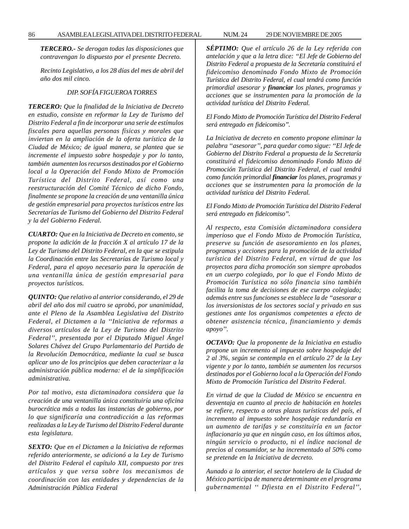*TERCERO.- Se derogan todas las disposiciones que contravengan lo dispuesto por el presente Decreto.*

*Recinto Legislativo, a los 28 días del mes de abril del año dos mil cinco.*

# *DIP. SOFÍA FIGUEROA TORRES*

*TERCERO: Que la finalidad de la Iniciativa de Decreto en estudio, consiste en reformar la Ley de Turismo del Distrito Federal a fin de incorporar una serie de estímulos fiscales para aquellas personas físicas y morales que inviertan en la ampliación de la oferta turística de la Ciudad de México; de igual manera, se plantea que se incremente el impuesto sobre hospedaje y por lo tanto, también aumenten los recursos destinados por el Gobierno local a la Operación del Fondo Mixto de Promoción Turística del Distrito Federal, así como una reestructuración del Comité Técnico de dicho Fondo, finalmente se propone la creación de una ventanilla única de gestión empresarial para proyectos turísticos entre las Secretarías de Turismo del Gobierno del Distrito Federal y la del Gobierno Federal.*

*CUARTO: Que en la Iniciativa de Decreto en comento, se propone la adición de la fracción X al artículo 17 de la Ley de Turismo del Distrito Federal, en la que se estipula la Coordinación entre las Secretarías de Turismo local y Federal, para el apoyo necesario para la operación de una ventanilla única de gestión empresarial para proyectos turísticos.*

*QUINTO: Que relativo al anterior considerando, el 29 de abril del año dos mil cuatro se aprobó, por unanimidad, ante el Pleno de la Asamblea Legislativa del Distrito Federal, el Dictamen a la ''Iniciativa de reformas a diversos artículos de la Ley de Turismo del Distrito Federal'', presentada por el Diputado Miguel Ángel Solares Chávez del Grupo Parlamentario del Partido de la Revolución Democrática, mediante la cual se busca aplicar uno de los principios que deben caracterizar a la administración pública moderna: el de la simplificación administrativa.*

*Por tal motivo, esta dictaminadora considera que la creación de una ventanilla única constituiría una oficina burocrática más a todas las instancias de gobierno, por lo que significaría una contradicción a las reformas realizadas a la Ley de Turismo del Distrito Federal durante esta legislatura.*

*SEXTO: Que en el Dictamen a la Iniciativa de reformas referido anteriormente, se adicionó a la Ley de Turismo del Distrito Federal el capítulo XII, compuesto por tres artículos y que versa sobre los mecanismos de coordinación con las entidades y dependencias de la Administración Pública Federal*

*SÉPTIMO: Que el artículo 26 de la Ley referida con antelación y que a la letra dice: ''El Jefe de Gobierno del Distrito Federal a propuesta de la Secretaría constituirá el fideicomiso denominado Fondo Mixto de Promoción Turística del Distrito Federal, el cual tendrá como función primordial asesorar y financiar los planes, programas y acciones que se instrumenten para la promoción de la actividad turística del Distrito Federal.*

*El Fondo Mixto de Promoción Turística del Distrito Federal será entregado en fideicomiso''.*

*La Iniciativa de decreto en comento propone eliminar la palabra ''asesorar'', para quedar como sigue: ''El Jefe de Gobierno del Distrito Federal a propuesta de la Secretaría constituirá el fideicomiso denominado Fondo Mixto dé Promoción Turística del Distrito Federal, el cual tendrá como función primordial financiar los planes, programas y acciones que se instrumenten para la promoción de la actividad turística del Distrito Federal.*

*El Fondo Mixto de Promoción Turística del Distrito Federal será entregado en fideicomiso''.*

*Al respecto, esta Comisión dictaminadora considera imperioso que el Fondo Mixto de Promoción Turística, preserve su función de asesoramiento en los planes, programas y acciones para la promoción de la actividad turística del Distrito Federal, en virtud de que los proyectos para dicha promoción son siempre aprobados en un cuerpo colegiado, por lo que el Fondo Mixto de Promoción Turística no sólo financia sino también facilita la toma de decisiones de ese cuerpo colegiado; además entre sus funciones se establece la de ''asesorar a los inversionistas de los sectores social y privado en sus gestiones ante los organismos competentes a efecto de obtener asistencia técnica, financiamiento y demás apoyo''.*

*OCTAVO: Que la proponente de la Iniciativa en estudio propone un incremento al impuesto sobre hospedaje del 2 al 3%, según se contempla en el artículo 27 de la Ley vigente y por lo tanto, también se aumenten los recursos destinados por el Gobierno local a la Operación del Fondo Mixto de Promoción Turística del Distrito Federal.*

*En virtud de que la Ciudad de México se encuentra en desventaja en cuanto al precio de habitación en hoteles se refiere, respecto a otras plazas turísticas del país, el incremento al impuesto sobre hospedaje redundaría en un aumento de tarifas y se constituiría en un factor inflacionario ya que en ningún caso, en los últimos años, ningún servicio o producto, ni el índice nacional de precios al consumidor, se ha incrementado al 50% como se pretende en la Iniciativa de decreto.*

*Aunado a lo anterior, el sector hotelero de la Ciudad de México participa de manera determinante en el programa gubernamental '' Dfiesta en el Distrito Federal'',*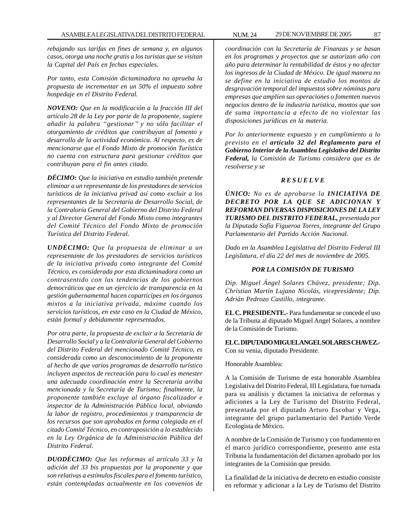*rebajando sus tarifas en fines de semana y, en algunos casos, otorga una noche gratis a los turistas que se visitan la Capital del País en fechas especiales.*

*Por tanto, esta Comisión dictaminadora no aprueba la propuesta de incrementar en un 50% el impuesto sobre hospedaje en el Distrito Federal.*

*NOVENO: Que en la modificación a la fracción III del artículo 28 de la Ley por parte de la proponente, sugiere añadir la palabra ''gestionar'' y no sólo facilitar el otorgamiento de créditos que contribuyan al fomento y desarrollo de la actividad económica. Al respecto, es de mencionarse que el Fondo Mixto de promoción Turística no cuenta con estructura para gestionar créditos que contribuyan para el fin antes citado.*

*DÉCIMO: Que la iniciativa en estudio también pretende eliminar a un representante de los prestadores de servicios turísticos de la iniciativa privad así como excluir a los representantes de la Secretaría de Desarrollo Social, de la Contraloría General del Gobierno del Distrito Federal y al Director General del Fondo Mixto como integrantes del Comité Técnico del Fondo Mixto de promoción Turística del Distrito Federal.*

*UNDÉCIMO: Que la propuesta de eliminar a un representante de los prestadores de servicios turísticos de la iniciativa privada como integrante del Comité Técnico, es considerada por esta dictaminadora como un contrasentido con las tendencias de los gobiernos democráticos que en un ejercicio de transparencia en la gestión gubernamental hacen copartícipes en los órganos mixtos a la iniciativa privada, máxime cuando los servicios turísticos, en este caso en la Ciudad de México, están formal y debidamente representados.*

*Por otra parte, la propuesta de excluir a la Secretaría de Desarrollo Social y a la Contraloría General del Gobierno del Distrito Federal del mencionado Comité Técnico, es considerada como un desconocimiento de la proponente al hecho de que varios programas de desarrollo turístico incluyen aspectos de recreación para lo cual es menester una adecuada coordinación entre la Secretaría arriba mencionada y la Secretaría de Turismo; finalmente, la proponente también excluye al órgano fiscalizador e inspector de la Administración Pública local, obviando la labor de registro, procedimientos y transparencia de los recursos que son aprobados en forma colegiada en el citado Comité Técnico, en contraposición a lo establecido en la Ley Orgánica de la Administración Pública del Distrito Federal.*

*DUODÉCIMO: Que las reformas al artículo 33 y la adición del 33 bis propuestas por la proponente y que son relativas a estímulos fiscales para el fomento turístico, están contempladas actualmente en los convenios de*

*coordinación con la Secretaría de Finanzas y se basan en los programas y proyectos que se autorizan año con año para determinar la rentabilidad de éstos y no afectar los ingresos de la Ciudad de México. De igual manera no se define en la iniciativa de estudio los montos de desgravación temporal del impuestos sobre nóminas para empresas que amplíen sus operaciones o fomenten nuevos negocios dentro de la industria turística, montos que son de suma importancia a efecto de no violentar las disposiciones jurídicas en la materia.*

*Por lo anteriormente expuesto y en cumplimiento a lo previsto en el artículo 32 del Reglamento para el Gobierno Interior de la Asamblea Legislativa del Distrito Federal, la Comisión de Turismo considera que es de resolverse y se*

# *R E S U E L V E*

*ÚNICO: No es de aprobarse la INICIATIVA DE DECRETO POR LA QUE SE ADICIONAN Y REFORMAN DIVERSAS DISPOSICIONES DE LA LEY TURISMO DEL DISTRITO FEDERAL, presentada por la Diputada Sofía Figueroa Torres, integrante del Grupo Parlamentario del Partido Acción Nacional.*

*Dado en la Asamblea Legislativa del Distrito Federal III Legislatura, el día 22 del mes de noviembre de 2005.*

### *POR LA COMISIÓN DE TURISMO*

*Dip. Miguel Ángel Solares Chávez, presidente; Dip. Christian Martín Lujano Nicolás, vicepresidente; Dip. Adrián Pedrozo Castillo, integrante.*

**EL C. PRESIDENTE.-** Para fundamentar se concede el uso de la Tribuna al diputado Miguel Angel Solares, a nombre de la Comisión de Turismo.

**EL C. DIPUTADO MIGUEL ANGEL SOLARES CHAVEZ.-** Con su venia, diputado Presidente.

Honorable Asamblea:

A la Comisión de Turismo de esta honorable Asamblea Legislativa del Distrito Federal, III Legislatura, fue turnada para su análisis y dictamen la iniciativa de reformas y adiciones a la Ley de Turismo del Distrito Federal, presentada por el diputado Arturo Escobar y Vega, integrante del grupo parlamentario del Partido Verde Ecologista de México.

A nombre de la Comisión de Turismo y con fundamento en el marco jurídico correspondiente, presento ante esta Tribuna la fundamentación del dictamen aprobado por los integrantes de la Comisión que presido.

La finalidad de la iniciativa de decreto en estudio consiste en reformar y adicionar a la Ley de Turismo del Distrito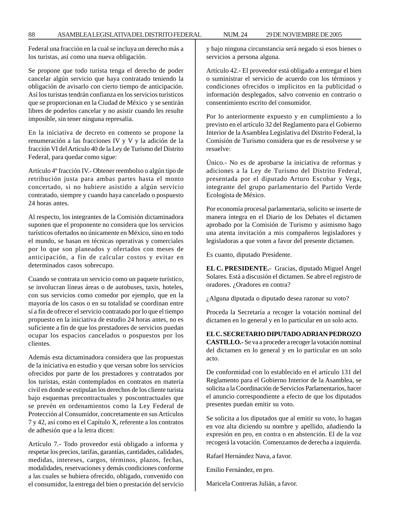Federal una fracción en la cual se incluya un derecho más a los turistas, así como una nueva obligación.

Se propone que todo turista tenga el derecho de poder cancelar algún servicio que haya contratado teniendo la obligación de avisarlo con cierto tiempo de anticipación. Así los turistas tendrán confianza en los servicios turísticos que se proporcionan en la Ciudad de México y se sentirán libres de poderlos cancelar y no asistir cuando les resulte imposible, sin tener ninguna represalia.

En la iniciativa de decreto en comento se propone la renumeración a las fracciones IV y V y la adición de la fracción VI del Artículo 40 de la Ley de Turismo del Distrito Federal, para quedar como sigue:

Artículo 4º fracción IV.- Obtener reembolso o algún tipo de retribución justa para ambas partes hasta el monto concertado, si no hubiere asistido a algún servicio contratado, siempre y cuando haya cancelado o pospuesto 24 horas antes.

Al respecto, los integrantes de la Comisión dictaminadora suponen que el proponente no considera que los servicios turísticos ofertados no únicamente en México, sino en todo el mundo, se basan en técnicas operativas y comerciales por lo que son planeados y ofertados con meses de anticipación, a fin de calcular costos y evitar en determinados casos sobrecupo.

Cuando se contrata un servicio como un paquete turístico, se involucran líneas áreas o de autobuses, taxis, hoteles, con sus servicios como comedor por ejemplo, que en la mayoría de los casos o en su totalidad se coordinan entre sí a fin de ofrecer el servicio contratado por lo que el tiempo propuesto en la iniciativa de estudio 24 horas antes, no es suficiente a fin de que los prestadores de servicios puedan ocupar los espacios cancelados o pospuestos por los clientes.

Además esta dictaminadora considera que las propuestas de la iniciativa en estudio y que versan sobre los servicios ofrecidos por parte de los prestadores y contratados por los turistas, están contemplados en contratos en materia civil en donde se estipulan los derechos de los cliente turista bajo esquemas precontractuales y poscontractuales que se prevén en ordenamientos como la Ley Federal de Protección al Consumidor, concretamente en sus Artículos 7 y 42, así como en el Capítulo X, referente a los contratos de adhesión que a la letra dicen:

Artículo 7.- Todo proveedor está obligado a informa y respetar los precios, tarifas, garantías, cantidades, calidades, medidas, intereses, cargos, términos, plazos, fechas, modalidades, reservaciones y demás condiciones conforme a las cuales se hubiera ofrecido, obligado, convenido con el consumidor, la entrega del bien o prestación del servicio y bajo ninguna circunstancia será negado si esos bienes o servicios a persona alguna.

Artículo 42.- El proveedor está obligado a entregar el bien o suministrar el servicio de acuerdo con los términos y condiciones ofrecidos o implícitos en la publicidad o información desplegados, salvo convenio en contrario o consentimiento escrito del consumidor.

Por lo anteriormente expuesto y en cumplimiento a lo previsto en el artículo 32 del Reglamento para el Gobierno Interior de la Asamblea Legislativa del Distrito Federal, la Comisión de Turismo considera que es de resolverse y se resuelve:

Único.- No es de aprobarse la iniciativa de reformas y adiciones a la Ley de Turismo del Distrito Federal, presentada por el diputado Arturo Escobar y Vega, integrante del grupo parlamentario del Partido Verde Ecologista de México.

Por economía procesal parlamentaria, solicito se inserte de manera íntegra en el Diario de los Debates el dictamen aprobado por la Comisión de Turismo y asimismo hago una atenta invitación a mis compañeros legisladores y legisladoras a que voten a favor del presente dictamen.

Es cuanto, diputado Presidente.

**EL C. PRESIDENTE.-** Gracias, diputado Miguel Angel Solares. Está a discusión el dictamen. Se abre el registro de oradores. ¿Oradores en contra?

¿Alguna diputada o diputado desea razonar su voto?

Proceda la Secretaría a recoger la votación nominal del dictamen en lo general y en lo particular en un solo acto.

**EL C. SECRETARIO DIPUTADO ADRIAN PEDROZO CASTILLO.-** Se va a proceder a recoger la votación nominal del dictamen en lo general y en lo particular en un solo acto.

De conformidad con lo establecido en el artículo 131 del Reglamento para el Gobierno Interior de la Asamblea, se solicita a la Coordinación de Servicios Parlamentarios, hacer el anuncio correspondiente a efecto de que los diputados presentes puedan emitir su voto.

Se solicita a los diputados que al emitir su voto, lo hagan en voz alta diciendo su nombre y apellido, añadiendo la expresión en pro, en contra o en abstención. El de la voz recogerá la votación. Comenzamos de derecha a izquierda.

Rafael Hernández Nava, a favor.

Emilio Fernández, en pro.

Maricela Contreras Julián, a favor.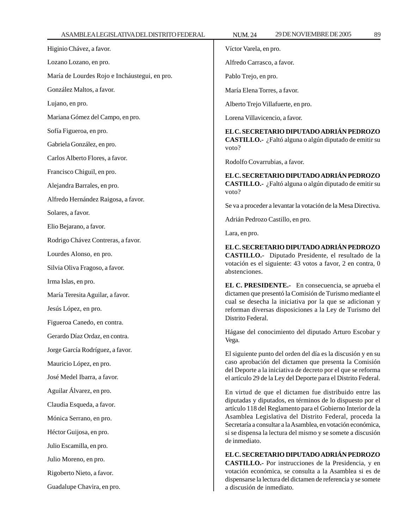| Higinio Chávez, a favor.                      | Víctor Varela, en pro.                                                                                                         |
|-----------------------------------------------|--------------------------------------------------------------------------------------------------------------------------------|
| Lozano Lozano, en pro.                        | Alfredo Carrasco, a favor.                                                                                                     |
| María de Lourdes Rojo e Incháustegui, en pro. | Pablo Trejo, en pro.                                                                                                           |
| González Maltos, a favor.                     | María Elena Torres, a favor.                                                                                                   |
| Lujano, en pro.                               | Alberto Trejo Villafuerte, en pro.                                                                                             |
| Mariana Gómez del Campo, en pro.              | Lorena Villavicencio, a favor.                                                                                                 |
| Sofía Figueroa, en pro.                       | EL C. SECRETARIO DIPUTADO ADRIÁN PEDROZO                                                                                       |
| Gabriela González, en pro.                    | CASTILLO.- ¿Faltó alguna o algún diputado de emitir su<br>voto?                                                                |
| Carlos Alberto Flores, a favor.               | Rodolfo Covarrubias, a favor.                                                                                                  |
| Francisco Chiguil, en pro.                    | EL C. SECRETARIO DIPUTADO ADRIÁN PEDROZO                                                                                       |
| Alejandra Barrales, en pro.                   | CASTILLO.- ¿Faltó alguna o algún diputado de emitir su<br>voto?                                                                |
| Alfredo Hernández Raigosa, a favor.           |                                                                                                                                |
| Solares, a favor.                             | Se va a proceder a levantar la votación de la Mesa Directiva.                                                                  |
| Elio Bejarano, a favor.                       | Adrián Pedrozo Castillo, en pro.                                                                                               |
| Rodrigo Chávez Contreras, a favor.            | Lara, en pro.                                                                                                                  |
| Lourdes Alonso, en pro.                       | EL C. SECRETARIO DIPUTADO ADRIÁN PEDROZO<br>CASTILLO.- Diputado Presidente, el resultado de la                                 |
| Silvia Oliva Fragoso, a favor.                | votación es el siguiente: 43 votos a favor, 2 en contra, 0<br>abstenciones.                                                    |
| Irma Islas, en pro.                           | EL C. PRESIDENTE.- En consecuencia, se aprueba el                                                                              |
| María Teresita Aguilar, a favor.              | dictamen que presentó la Comisión de Turismo mediante el                                                                       |
| Jesús López, en pro.                          | cual se desecha la iniciativa por la que se adicionan y<br>reforman diversas disposiciones a la Ley de Turismo del             |
| Figueroa Canedo, en contra.                   | Distrito Federal.                                                                                                              |
| Gerardo Díaz Ordaz, en contra.                | Hágase del conocimiento del diputado Arturo Escobar y<br>Vega.                                                                 |
| Jorge García Rodríguez, a favor.              | El siguiente punto del orden del día es la discusión y en su                                                                   |
| Mauricio López, en pro.                       | caso aprobación del dictamen que presenta la Comisión                                                                          |
| José Medel Ibarra, a favor.                   | del Deporte a la iniciativa de decreto por el que se reforma<br>el artículo 29 de la Ley del Deporte para el Distrito Federal. |
| Aguilar Álvarez, en pro.                      | En virtud de que el dictamen fue distribuido entre las                                                                         |
| Claudia Esqueda, a favor.                     | diputadas y diputados, en términos de lo dispuesto por el<br>artículo 118 del Reglamento para el Gobierno Interior de la       |
| Mónica Serrano, en pro.                       | Asamblea Legislativa del Distrito Federal, proceda la                                                                          |
| Héctor Guijosa, en pro.                       | Secretaría a consultar a la Asamblea, en votación económica,<br>si se dispensa la lectura del mismo y se somete a discusión    |
| Julio Escamilla, en pro.                      | de inmediato.                                                                                                                  |
| Julio Moreno, en pro.                         | EL C. SECRETARIO DIPUTADO ADRIÁN PEDROZO<br>CASTILLO.- Por instrucciones de la Presidencia, y en                               |
| Rigoberto Nieto, a favor.                     | votación económica, se consulta a la Asamblea si es de                                                                         |
| Guadalupe Chavira, en pro.                    | dispensarse la lectura del dictamen de referencia y se somete<br>a discusión de inmediato.                                     |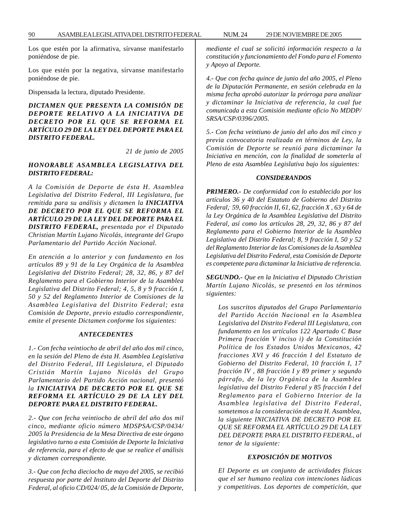Los que estén por la afirmativa, sírvanse manifestarlo poniéndose de pie.

Los que estén por la negativa, sírvanse manifestarlo poniéndose de pie.

Dispensada la lectura, diputado Presidente.

*DICTAMEN QUE PRESENTA LA COMISIÓN DE DEPORTE RELATIVO A LA INICIATIVA DE DECRETO POR EL QUE SE REFORMA EL ARTÍCULO 29 DE LA LEY DEL DEPORTE PARA EL DISTRITO FEDERAL.*

*21 de junio de 2005*

# *HONORABLE ASAMBLEA LEGISLATIVA DEL DISTRITO FEDERAL:*

*A la Comisión de Deporte de ésta H. Asamblea Legislativa del Distrito Federal, III Legislatura, fue remitida para su análisis y dictamen la INICIATIVA DE DECRETO POR EL QUE SE REFORMA EL ARTÍCULO 29 DE LA LEY DEL DEPORTE PARA EL DISTRITO FEDERAL, presentada por el Diputado Christian Martín Lujano Nicolás, integrante del Grupo Parlamentario del Partido Acción Nacional.*

*En atención a lo anterior y con fundamento en los artículos 89 y 91 de la Ley Orgánica de la Asamblea Legislativa del Distrito Federal; 28, 32, 86, y 87 del Reglamento para el Gobierno Interior de la Asamblea Legislativa del Distrito Federal; 4, 5, 8 y 9 fracción I, 50 y 52 del Reglamento Interior de Comisiones de la Asamblea Legislativa del Distrito Federal; esta Comisión de Deporte, previo estudio correspondiente, emite el presente Dictamen conforme los siguientes:*

#### *ANTECEDENTES*

*1.- Con fecha veintiocho de abril del año dos mil cinco, en la sesión del Pleno de ésta H. Asamblea Legislativa del Distrito Federal, III Legislatura, el Diputado Cristián Martín Lujano Nicolás del Grupo Parlamentario del Partido Acción nacional, presentó la INICIATIVA DE DECRETO POR EL QUE SE REFORMA EL ARTÍCULO 29 DE LA LEY DEL DEPORTE PARA EL DISTRITO FEDERAL.*

*2.- Que con fecha veintiocho de abril del año dos mil cinco, mediante oficio número MDSPSA/CSP/0434/ 2005 la Presidencia de la Mesa Directiva de este órgano legislativo turno a esta Comisión de Deporte la Iniciativa de referencia, para el efecto de que se realice el análisis y dictamen correspondiente.*

*3.- Que con fecha dieciocho de mayo del 2005, se recibió respuesta por parte del Instituto del Deporte del Distrito Federal, al oficio CD/024/ 05, de la Comisión de Deporte,*

*mediante el cual se solicitó información respecto a la constitución y funcionamiento del Fondo para el Fomento y Apoyo al Deporte.*

*4.- Que con fecha quince de junio del año 2005, el Pleno de la Diputación Permanente, en sesión celebrada en la misma fecha aprobó autorizar la prórroga para analizar y dictaminar la Iniciativa de referencia, la cual fue comunicada a esta Comisión mediante oficio No MDDP/ SRSA/CSP/0396/2005.*

*5.- Con fecha veintiuno de junio del año dos mil cinco y previa convocatoria realizada en términos de Ley, la Comisión de Deporte se reunió para dictaminar la Iniciativa en mención, con la finalidad de someterla al Pleno de esta Asamblea Legislativa bajo los siguientes:*

# *CONSIDERANDOS*

*PRIMERO.- De conformidad con lo establecido por los artículos 36 y 40 del Estatuto de Gobierno del Distrito Federal,- 59, 60 fracción II, 61, 62, fracción X , 63 y 64 de la Ley Orgánica de la Asamblea Legislativa del Distrito Federal, así como los artículos 28, 29, 32, 86 y 87 del Reglamento para el Gobierno Interior de la Asamblea Legislativa del Distrito Federal; 8, 9 fracción I, 50 y 52 del Reglamento Interior de las Comisiones de la Asamblea Legislativa del Distrito Federal, esta Comisión de Deporte es competente para dictaminar la Iniciativa de referencia.*

*SEGUNDO.- Que en la Iniciativa el Diputado Christian Martín Lujano Nicolás, se presentó en los términos siguientes:*

*Los suscritos diputados del Grupo Parlamentario del Partido Acción Nacional en la Asamblea Legislativa del Distrito Federal III Legislatura, con fundamento en los artículos 122 Apartado C Base Primera fracción V inciso i) de la Constitución Política de los Estados Unidos Mexicanos, 42 fracciones XVI y 46 fracción I del Estatuto de Gobierno del Distrito Federal, 10 fracción I, 17 fracción IV , 88 fracción I y 89 primer y segundo párrafo, de la ley Orgánica de la Asamblea legislativa del Distrito Federal y 85 fracción I del Reglamento para el Gobierno Interior de la Asamblea legislativa del Distrito Federal, sometemos a la consideración de esta H. Asamblea, la siguiente INICIATIVA DE DECRETO POR EL QUE SE REFORMA EL ARTÍCULO 29 DE LA LEY DEL DEPORTE PARA EL DISTRITO FEDERAL, al tenor de la siguiente:*

#### *EXPOSICIÓN DE MOTIVOS*

*El Deporte es un conjunto de actividades físicas que el ser humano realiza con intenciones lúdicas y competitivas. Los deportes de competición, que*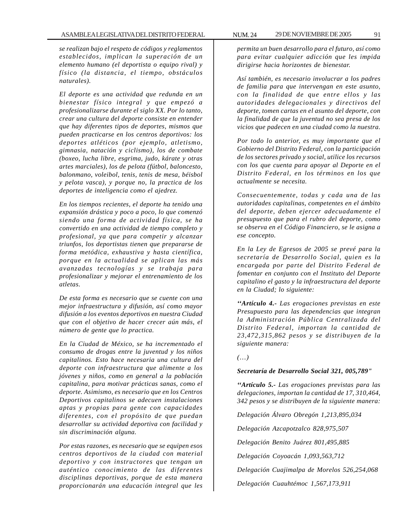*se realizan bajo el respeto de códigos y reglamentos establecidos, implican la superación de un elemento humano (el deportista o equipo rival) y físico (la distancia, el tiempo, obstáculos naturales).*

*El deporte es una actividad que redunda en un bienestar físico integral y que empezó a profesionalizarse durante el siglo XX. Por lo tanto, crear una cultura del deporte consiste en entender que hay diferentes tipos de deportes, mismos que pueden practicarse en los centros deportivos: los deportes atléticos (por ejemplo, atletismo, gimnasia, natación y ciclismo), los de combate (boxeo, lucha libre, esgrima, judo, kárate y otras artes marciales), los de pelota (fútbol, baloncesto, balonmano, voleibol, tenis, tenis de mesa, béisbol y pelota vasca), y porque no, la practica de los deportes de inteligencia como el ajedrez.*

*En los tiempos recientes, el deporte ha tenido una expansión drástica y poco a poco, lo que comenzó siendo una forma de actividad física, se ha convertido en una actividad de tiempo completo y profesional, ya que para competir y alcanzar triunfos, los deportistas tienen que prepararse de forma metódica, exhaustiva y hasta científica, porque en la actualidad se aplican las más avanzadas tecnologías y se trabaja para profesionalizar y mejorar el entrenamiento de los atletas.*

*De esta forma es necesario que se cuente con una mejor infraestructura y difusión, así como mayor difusión a los eventos deportivos en nuestra Ciudad que con el objetivo de hacer crecer aún más, el número de gente que lo practica.*

*En la Ciudad de México, se ha incrementado el consumo de drogas entre la juventud y los niños capitalinos. Esto hace necesaria una cultura del deporte con infraestructura que alimente a los jóvenes y niños, como en general a la población capitalina, para motivar prácticas sanas, como el deporte. Asimismo, es necesario que en los Centros Deportivos capitalinos se adecuen instalaciones aptas y propias para gente con capacidades diferentes, con el propósito de que puedan desarrollar su actividad deportiva con facilidad y sin discriminación alguna.*

*Por estas razones, es necesario que se equipen esos centros deportivos de la ciudad con material deportivo y con instructores que tengan un auténtico conocimiento de las diferentes disciplinas deportivas, porque de esta manera proporcionarán una educación integral que les*

*permita un buen desarrollo para el futuro, así como para evitar cualquier adicción que les impida dirigirse hacia horizontes de bienestar.*

*Así también, es necesario involucrar a los padres de familia para que intervengan en este asunto, con la finalidad de que entre ellos y las autoridades delegacionales y directivos del deporte, tomen cartas en el asunto del deporte, con la finalidad de que la juventud no sea presa de los vicios que padecen en una ciudad como la nuestra.*

*Por todo lo anterior, es muy importante que el Gobierno del Distrito Federal, con la participación de los sectores privado y social, utilice los recursos con los que cuenta para apoyar al Deporte en el Distrito Federal, en los términos en los que actualmente se necesita.*

*Consecuentemente, todas y cada una de las autoridades capitalinas, competentes en el ámbito del deporte, deben ejercer adecuadamente el presupuesto que para el rubro del deporte, como se observa en el Código Financiero, se le asigna a ese concepto.*

*En la Ley de Egresos de 2005 se prevé para la secretaría de Desarrollo Social, quien es la encargada por parte del Distrito Federal de fomentar en conjunto con el Instituto del Deporte capitalino el gasto y la infraestructura del deporte en la Ciudad; lo siguiente:*

*''Artículo 4.- Las erogaciones previstas en este Presupuesto para las dependencias que integran la Administración Pública Centralizada del Distrito Federal, importan la cantidad de 23,472,315,862 pesos y se distribuyen de la siguiente manera:*

### *(…)*

### *Secretaría de Desarrollo Social 321, 005,789"*

*''Artículo 5.- Las erogaciones previstas para las delegaciones, importan la cantidad de 17, 310,464, 342 pesos y se distribuyen de la siguiente manera:*

*Delegación Álvaro Obregón 1,213,895,034*

*Delegación Azcapotzalco 828,975,507*

*Delegación Benito Juárez 801,495,885*

*Delegación Coyoacán 1,093,563,712*

*Delegación Cuajimalpa de Morelos 526,254,068*

*Delegación Cuauhtémoc 1,567,173,911*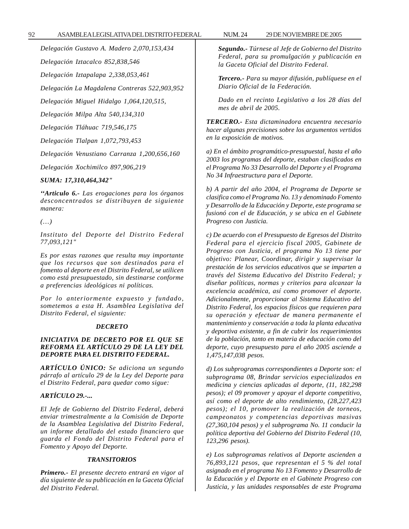# *Delegación Gustavo A. Madero 2,070,153,434*

*Delegación Iztacalco 852,838,546*

*Delegación Iztapalapa 2,338,053,461*

*Delegación La Magdalena Contreras 522,903,952*

*Delegación Miguel Hidalgo 1,064,120,515,*

*Delegación Milpa Alta 540,134,310*

*Delegación Tláhuac 719,546,175*

*Delegación Tlalpan 1,072,793,453*

*Delegación Venustiano Carranza 1,200,656,160*

*Delegación Xochimilco 897,906,219*

### *SUMA: 17,310,464,342"*

*''Articulo 6.- Las erogaciones para los órganos desconcentrados se distribuyen de siguiente manera:*

*(…)*

*Instituto del Deporte del Distrito Federal 77,093,121"*

*Es por estas razones que resulta muy importante que los recursos que son destinados para el fomento al deporte en el Distrito Federal, se utilicen como está presupuestado, sin destinarse conforme a preferencias ideológicas ni políticas.*

*Por lo anteriormente expuesto y fundado, sometemos a esta H. Asamblea Legislativa del Distrito Federal, el siguiente:*

### *DECRETO*

# *INICIATIVA DE DECRETO POR EL QUE SE REFORMA EL ARTÍCULO 29 DE LA LEY DEL DEPORTE PARA EL DISTRITO FEDERAL.*

*ARTÍCULO ÚNICO: Se adiciona un segundo párrafo al artículo 29 de la Ley del Deporte para el Distrito Federal, para quedar como sigue:*

# *ARTÍCULO 29.-...*

*El Jefe de Gobierno del Distrito Federal, deberá enviar trimestralmente a la Comisión de Deporte de la Asamblea Legislativa del Distrito Federal, un informe detallado del estado financiero que guarda el Fondo del Distrito Federal para el Fomento y Apoyo del Deporte.*

### *TRANSITORIOS*

*Primero.- El presente decreto entrará en vigor al día siguiente de su publicación en la Gaceta Oficial del Distrito Federal.*

*Segundo.- Túrnese al Jefe de Gobierno del Distrito Federal, para su promulgación y publicación en la Gaceta Oficial del Distrito Federal.*

*Tercero.- Para su mayor difusión, publíquese en el Diario Oficial de la Federación.*

*Dado en el recinto Legislativo a los 28 días del mes de abril de 2005.*

*TERCERO.- Esta dictaminadora encuentra necesario hacer algunas precisiones sobre los argumentos vertidos en la exposición de motivos.*

*a) En el ámbito programático-presupuestal, hasta el año 2003 los programas del deporte, estaban clasificados en el Programa No 33 Desarrollo del Deporte y el Programa No 34 Infraestructura para el Deporte.*

*b) A partir del año 2004, el Programa de Deporte se clasifica como el Programa No. 13 y denominado Fomento y Desarrollo de la Educación y Deporte, este programa se fusionó con el de Educación, y se ubica en el Gabinete Progreso con Justicia.*

*c) De acuerdo con el Presupuesto de Egresos del Distrito Federal para el ejercicio fiscal 2005, Gabinete de Progreso con Justicia, el programa No 13 tiene por objetivo: Planear, Coordinar, dirigir y supervisar la prestación de los servicios educativos que se imparten a través del Sistema Educativo del Distrito Federal; y diseñar políticas, normas y criterios para alcanzar la excelencia académica, así como promover el deporte. Adicionalmente, proporcionar al Sistema Educativo del Distrito Federal, los espacios físicos que requieren para su operación y efectuar de manera permanente el mantenimiento y conservación a toda la planta educativa y deportiva existente, a fin de cubrir los requerimientos de la población, tanto en materia de educación como del deporte, cuyo presupuesto para el año 2005 asciende a 1,475,147,038 pesos.*

*d) Los subprogramas correspondientes a Deporte son: el subprograma 08, Brindar servicios especializados en medicina y ciencias aplicadas al deporte, (11, 182,298 pesos); el 09 promover y apoyar el deporte competitivo, así como el deporte de alto rendimiento, (28,227,423 pesos); el 10, promover la realización de torneos, campeonatos y competencias deportivas masivas (27,360,104 pesos) y el subprograma No. 11 conducir la política deportiva del Gobierno del Distrito Federal (10, 123,296 pesos).*

*e) Los subprogramas relativos al Deporte ascienden a 76,893,121 pesos, que representan el 5 % del total asignado en el programa No 13 Fomento y Desarrollo de la Educación y el Deporte en el Gabinete Progreso con Justicia, y las unidades responsables de este Programa*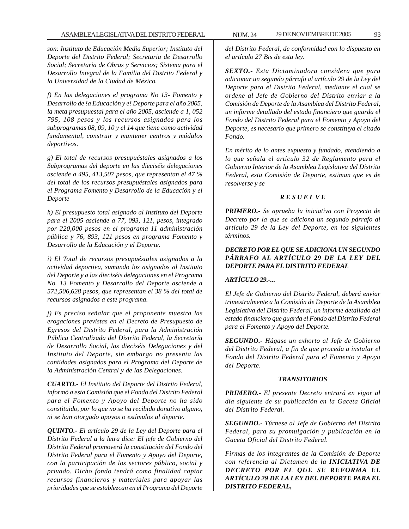*son: Instituto de Educación Media Superior; Instituto del Deporte del Distrito Federal; Secretaria de Desarrollo Social; Secretaria de Obras y Servicios; Sistema para el Desarrollo Integral de la Familia del Distrito Federal y la Universidad de la Ciudad de México.*

*f) En las delegaciones el programa No 13- Fomento y Desarrollo de !a Educación y e! Deporte para el año 2005, la meta presupuestal para el año 2005, asciende a 1, 052 795, 108 pesos y los recursos asignados para los subprogramas 08, 09, 10 y el 14 que tiene como actividad fundamental, construir y mantener centros y módulos deportivos.*

*g) El total de recursos presupuéstales asignados a los Subprogramas del deporte en las dieciséis delegaciones asciende a 495, 413,507 pesos, que representan el 47 % del total de los recursos presupuéstales asignados para el Programa Fomento y Desarrollo de la Educación y el Deporte*

*h) El presupuesto total asignado al Instituto del Deporte para el 2005 asciende a 77, 093, 121, pesos, integrado por 220,000 pesos en el programa 11 administración pública y 76, 893, 121 pesos en programa Fomento y Desarrollo de la Educación y el Deporte.*

*i) El Total de recursos presupuéstales asignados a la actividad deportiva, sumando los asignados al Instituto del Deporte y a las dieciséis delegaciones en el Programa No. 13 Fomento y Desarrollo del Deporte asciende a 572,506,628 pesos, que representan el 38 % del total de recursos asignados a este programa.*

*j) Es preciso señalar que el proponente muestra las erogaciones previstas en el Decreto de Presupuesto de Egresos del Distrito Federal, para la Administración Pública Centralizada del Distrito Federal, la Secretaría de Desarrollo Social, las dieciséis Delegaciones y del Instituto del Deporte, sin embargo no presenta las cantidades asignadas para el Programa del Deporte de la Administración Central y de las Delegaciones.*

*CUARTO.- El Instituto del Deporte del Distrito Federal, informó a esta Comisión que el Fondo del Distrito Federal para el Fomento y Apoyo del Deporte no ha sido constituido, por lo que no se ha recibido donativo alguno, ni se han otorgado apoyos o estímulos al deporte.*

*QUINTO.- El artículo 29 de la Ley del Deporte para el Distrito Federal a la letra dice: El jefe de Gobierno del Distrito Federal promoverá la constitución del Fondo del Distrito Federal para el Fomento y Apoyo del Deporte, con la participación de los sectores público, social y privado. Dicho fondo tendrá como finalidad captar recursos financieros y materiales para apoyar las prioridades que se establezcan en el Programa del Deporte*

*del Distrito Federal, de conformidad con lo dispuesto en el artículo 27 Bis de esta ley.*

*SEXTO.- Esta Dictaminadora considera que para adicionar un segundo párrafo al artículo 29 de la Ley del Deporte para el Distrito Federal, mediante el cual se ordene al Jefe de Gobierno del Distrito enviar a la Comisión de Deporte de la Asamblea del Distrito Federal, un informe detallado del estado financiero que guarda el Fondo del Distrito Federal para el Fomento y Apoyo del Deporte, es necesario que primero se constituya el citado Fondo.*

*En mérito de lo antes expuesto y fundado, atendiendo a lo que señala el artículo 32 de Reglamento para el Gobierno Interior de la Asamblea Legislativa del Distrito Federal, esta Comisión de Deporte, estiman que es de resolverse y se*

# *R E S U E L V E*

*PRIMERO.- Se aprueba la iniciativa con Proyecto de Decreto por la que se adiciona un segundo párrafo al artículo 29 de la Ley del Deporte, en los siguientes términos.*

# *DECRETO POR EL QUE SE ADICIONA UN SEGUNDO PÁRRAFO AL ARTÍCULO 29 DE LA LEY DEL DEPORTE PARA EL DISTRITO FEDERAL*

# *ARTÍCULO 29.-...*

*El Jefe de Gobierno del Distrito Federal, deberá enviar trimestralmente a la Comisión de Deporte de la Asamblea Legislativa del Distrito Federal, un informe detallado del estado financiero que guarda el Fondo del Distrito Federal para el Fomento y Apoyo del Deporte.*

*SEGUNDO.- Hágase un exhorto al Jefe de Gobierno del Distrito Federal, a fin de que proceda a instalar el Fondo del Distrito Federal para el Fomento y Apoyo del Deporte.*

### *TRANSITORIOS*

*PRIMERO.- El presente Decreto entrará en vigor al día siguiente de su publicación en la Gaceta Oficial del Distrito Federal.*

*SEGUNDO.- Túrnese al Jefe de Gobierno del Distrito Federal, para su promulgación y publicación en la Gaceta Oficial del Distrito Federal.*

*Firmas de los integrantes de la Comisión de Deporte con referencia al Dictamen de la INICIATIVA DE DECRETO POR EL QUE SE REFORMA EL ARTÍCULO 29 DE LA LEY DEL DEPORTE PARA EL DISTRITO FEDERAL,*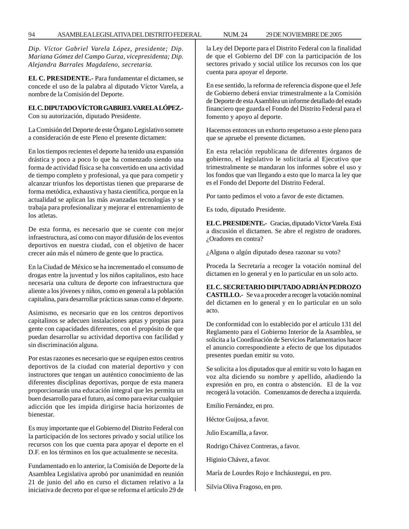*Dip. Víctor Gabriel Varela López, presidente; Dip. Mariana Gómez del Campo Gurza, vicepresidenta; Dip. Alejandra Barrales Magdaleno, secretaria.*

**EL C. PRESIDENTE.-** Para fundamentar el dictamen, se concede el uso de la palabra al diputado Víctor Varela, a nombre de la Comisión del Deporte.

# **EL C. DIPUTADO VÍCTOR GABRIEL VARELA LÓPEZ.-**

Con su autorización, diputado Presidente.

La Comisión del Deporte de este Órgano Legislativo somete a consideración de este Pleno el presente dictamen:

En los tiempos recientes el deporte ha tenido una expansión drástica y poco a poco lo que ha comenzado siendo una forma de actividad física se ha convertido en una actividad de tiempo completo y profesional, ya que para competir y alcanzar triunfos los deportistas tienen que prepararse de forma metódica, exhaustiva y hasta científica, porque en la actualidad se aplican las más avanzadas tecnologías y se trabaja para profesionalizar y mejorar el entrenamiento de los atletas.

De esta forma, es necesario que se cuente con mejor infraestructura, así como con mayor difusión de los eventos deportivos en nuestra ciudad, con el objetivo de hacer crecer aún más el número de gente que lo practica.

En la Ciudad de México se ha incrementado el consumo de drogas entre la juventud y los niños capitalinos, esto hace necesaria una cultura de deporte con infraestructura que aliente a los jóvenes y niños, como en general a la población capitalina, para desarrollar prácticas sanas como el deporte.

Asimismo, es necesario que en los centros deportivos capitalinos se adecuen instalaciones aptas y propias para gente con capacidades diferentes, con el propósito de que puedan desarrollar su actividad deportiva con facilidad y sin discriminación alguna.

Por estas razones es necesario que se equipen estos centros deportivos de la ciudad con material deportivo y con instructores que tengan un auténtico conocimiento de las diferentes disciplinas deportivas, porque de esta manera proporcionarán una educación integral que les permita un buen desarrollo para el futuro, así como para evitar cualquier adicción que les impida dirigirse hacia horizontes de bienestar.

Es muy importante que el Gobierno del Distrito Federal con la participación de los sectores privado y social utilice los recursos con los que cuenta para apoyar el deporte en el D.F. en los términos en los que actualmente se necesita.

Fundamentado en lo anterior, la Comisión de Deporte de la Asamblea Legislativa aprobó por unanimidad en reunión 21 de junio del año en curso el dictamen relativo a la iniciativa de decreto por el que se reforma el artículo 29 de la Ley del Deporte para el Distrito Federal con la finalidad de que el Gobierno del DF con la participación de los sectores privado y social utilice los recursos con los que cuenta para apoyar el deporte.

En ese sentido, la reforma de referencia dispone que el Jefe de Gobierno deberá enviar trimestralmente a la Comisión de Deporte de esta Asamblea un informe detallado del estado financiero que guarda el Fondo del Distrito Federal para el fomento y apoyo al deporte.

Hacemos entonces un exhorto respetuoso a este pleno para que se apruebe el presente dictamen.

En esta relación republicana de diferentes órganos de gobierno, el legislativo le solicitaría al Ejecutivo que trimestralmente se mandaran los informes sobre el uso y los fondos que van llegando a esto que lo marca la ley que es el Fondo del Deporte del Distrito Federal.

Por tanto pedimos el voto a favor de este dictamen.

Es todo, diputado Presidente.

**EL C. PRESIDENTE.-** Gracias, diputado Víctor Varela. Está a discusión el dictamen. Se abre el registro de oradores. ¿Oradores en contra?

¿Alguna o algún diputado desea razonar su voto?

Proceda la Secretaría a recoger la votación nominal del dictamen en lo general y en lo particular en un solo acto.

**EL C. SECRETARIO DIPUTADO ADRIÁN PEDROZO CASTILLO.-** Se va a proceder a recoger la votación nominal del dictamen en lo general y en lo particular en un solo acto.

De conformidad con lo establecido por el artículo 131 del Reglamento para el Gobierno Interior de la Asamblea, se solicita a la Coordinación de Servicios Parlamentarios hacer el anuncio correspondiente a efecto de que los diputados presentes puedan emitir su voto.

Se solicita a los diputados que al emitir su voto lo hagan en voz alta diciendo su nombre y apellido, añadiendo la expresión en pro, en contra o abstención. El de la voz recogerá la votación. Comenzamos de derecha a izquierda.

Emilio Fernández, en pro.

Héctor Guijosa, a favor.

Julio Escamilla, a favor.

Rodrigo Chávez Contreras, a favor.

Higinio Chávez, a favor.

María de Lourdes Rojo e Incháustegui, en pro.

Silvia Oliva Fragoso, en pro.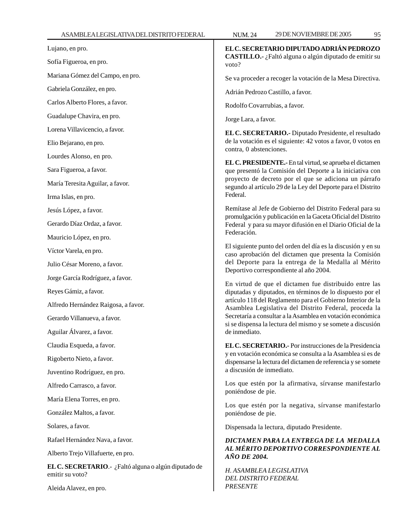Lujano, en pro. Sofía Figueroa, en pro. Mariana Gómez del Campo, en pro.

Gabriela González, en pro.

Carlos Alberto Flores, a favor.

Guadalupe Chavira, en pro.

Lorena Villavicencio, a favor.

Elio Bejarano, en pro.

Lourdes Alonso, en pro.

Sara Figueroa, a favor.

María Teresita Aguilar, a favor.

Irma Islas, en pro.

Jesús López, a favor.

Gerardo Díaz Ordaz, a favor.

Mauricio López, en pro.

Víctor Varela, en pro.

Julio César Moreno, a favor.

Jorge García Rodríguez, a favor.

Reyes Gámiz, a favor.

Alfredo Hernández Raigosa, a favor.

Gerardo Villanueva, a favor.

Aguilar Álvarez, a favor.

Claudia Esqueda, a favor.

Rigoberto Nieto, a favor.

Juventino Rodríguez, en pro.

Alfredo Carrasco, a favor.

María Elena Torres, en pro.

González Maltos, a favor.

Solares, a favor.

Rafael Hernández Nava, a favor.

Alberto Trejo Villafuerte, en pro.

**EL C. SECRETARIO**.- ¿Faltó alguna o algún diputado de emitir su voto?

Aleida Alavez, en pro.

**EL C. SECRETARIO DIPUTADO ADRIÁN PEDROZO**

**CASTILLO.-** ¿Faltó alguna o algún diputado de emitir su voto?

Se va proceder a recoger la votación de la Mesa Directiva.

Adrián Pedrozo Castillo, a favor.

Rodolfo Covarrubias, a favor.

Jorge Lara, a favor.

**EL C. SECRETARIO.-** Diputado Presidente, el resultado de la votación es el siguiente: 42 votos a favor, 0 votos en contra, 0 abstenciones.

**EL C. PRESIDENTE.-** En tal virtud, se aprueba el dictamen que presentó la Comisión del Deporte a la iniciativa con proyecto de decreto por el que se adiciona un párrafo segundo al artículo 29 de la Ley del Deporte para el Distrito Federal.

Remítase al Jefe de Gobierno del Distrito Federal para su promulgación y publicación en la Gaceta Oficial del Distrito Federal y para su mayor difusión en el Diario Oficial de la Federación.

El siguiente punto del orden del día es la discusión y en su caso aprobación del dictamen que presenta la Comisión del Deporte para la entrega de la Medalla al Mérito Deportivo correspondiente al año 2004.

En virtud de que el dictamen fue distribuido entre las diputadas y diputados, en términos de lo dispuesto por el artículo 118 del Reglamento para el Gobierno Interior de la Asamblea Legislativa del Distrito Federal, proceda la Secretaría a consultar a la Asamblea en votación económica si se dispensa la lectura del mismo y se somete a discusión de inmediato.

**EL C. SECRETARIO.-** Por instrucciones de la Presidencia y en votación económica se consulta a la Asamblea si es de dispensarse la lectura del dictamen de referencia y se somete a discusión de inmediato.

Los que estén por la afirmativa, sírvanse manifestarlo poniéndose de pie.

Los que estén por la negativa, sírvanse manifestarlo poniéndose de pie.

Dispensada la lectura, diputado Presidente.

# *DICTAMEN PARA LA ENTREGA DE LA MEDALLA AL MÉRITO DEPORTIVO CORRESPONDIENTE AL AÑO DE 2004.*

*H. ASAMBLEA LEGISLATIVA DEL DISTRITO FEDERAL PRESENTE*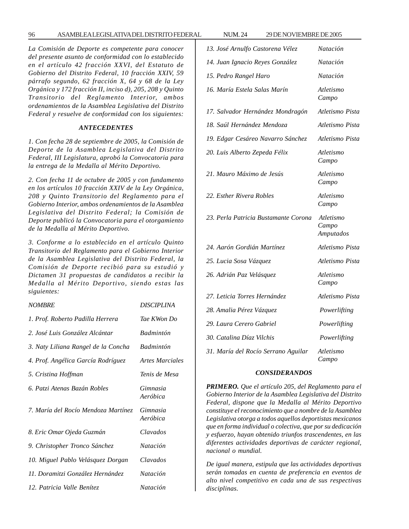#### 96 ASAMBLEA LEGISLATIVA DEL DISTRITO FEDERAL NUM. 24 29 DE NOVIEMBRE DE 2005

*La Comisión de Deporte es competente para conocer del presente asunto de conformidad con lo establecido en el artículo 42 fracción XXVI, del Estatuto de Gobierno del Distrito Federal, 10 fracción XXIV, 59 párrafo segundo, 62 fracción X, 64 y 68 de la Ley Orgánica y 172 fracción II, inciso d), 205, 208 y Quinto Transitorio del Reglamento Interior, ambos ordenamientos de la Asamblea Legislativa del Distrito Federal y resuelve de conformidad con los siguientes:*

#### *ANTECEDENTES*

*1. Con fecha 28 de septiembre de 2005, la Comisión de Deporte de la Asamblea Legislativa del Distrito Federal, III Legislatura, aprobó la Convocatoria para la entrega de la Medalla al Mérito Deportivo.*

*2. Con fecha 11 de octubre de 2005 y con fundamento en los artículos 10 fracción XXIV de la Ley Orgánica, 208 y Quinto Transitorio del Reglamento para el Gobierno Interior, ambos ordenamientos de la Asamblea Legislativa del Distrito Federal; la Comisión de Deporte publicó la Convocatoria para el otorgamiento de la Medalla al Mérito Deportivo.*

*3. Conforme a lo establecido en el artículo Quinto Transitorio del Reglamento para el Gobierno Interior de la Asamblea Legislativa del Distrito Federal, la Comisión de Deporte recibió para su estudió y Dictamen 31 propuestas de candidatos a recibir la Medalla al Mérito Deportivo, siendo estas las siguientes:*

| <b>NOMBRE</b>                       | <b>DISCIPLINA</b>    |
|-------------------------------------|----------------------|
| 1. Prof. Roberto Padilla Herrera    | Tae KWon Do          |
| 2. José Luis González Alcántar      | <i>Badmintón</i>     |
| 3. Naty Liliana Rangel de la Concha | <b>Badmintón</b>     |
| 4. Prof. Angélica García Rodríguez  | Artes Marciales      |
| 5. Cristina Hoffman                 | Tenis de Mesa        |
| 6. Patzi Atenas Bazán Robles        | Gimnasia<br>Aeróbica |
| 7. María del Rocío Mendoza Martínez | Gimnasia<br>Aeróbica |
| 8. Eric Omar Ojeda Guzmán           | Clavados             |
| 9. Christopher Tronco Sánchez       | <i>Natación</i>      |
| 10. Miguel Pablo Velásquez Dorgan   | Clavados             |
| 11. Doramitzi González Hernández    | <i>Natación</i>      |
| 12. Patricia Valle Benítez          | Natación             |

| 13. José Arnulfo Castorena Vélez     | Natación                               |
|--------------------------------------|----------------------------------------|
| 14. Juan Ignacio Reyes González      | Natación                               |
| 15. Pedro Rangel Haro                | Natación                               |
| 16. María Estela Salas Marín         | Atletismo<br>Campo                     |
| 17. Salvador Hernández Mondragón     | Atletismo Pista                        |
| 18. Saúl Hernández Mendoza           | Atletismo Pista                        |
| 19. Edgar Cesáreo Navarro Sánchez    | Atletismo Pista                        |
| 20. Luis Alberto Zepeda Félix        | Atletismo<br>Campo                     |
| 21. Mauro Máximo de Jesús            | Atletismo<br>Campo                     |
| 22. Esther Rivera Robles             | Atletismo<br>Campo                     |
| 23. Perla Patricia Bustamante Corona | Atletismo<br>Campo<br><b>Amputados</b> |
| 24. Aarón Gordián Martínez           | Atletismo Pista                        |
| 25. Lucia Sosa Vázquez               | Atletismo Pista                        |
| 26. Adrián Paz Velásquez             | Atletismo<br>Campo                     |
| 27. Leticia Torres Hernández         | Atletismo Pista                        |
| 28. Amalia Pérez Vázquez             | Powerlifting                           |
| 29. Laura Cerero Gabriel             | Powerlifting                           |
| 30. Catalina Díaz Vilchis            | Powerlifting                           |
| 31. María del Rocío Serrano Aguilar  | Atletismo<br>Campo                     |

# *CONSIDERANDOS*

*PRIMERO. Que el artículo 205, del Reglamento para el Gobierno Interior de la Asamblea Legislativa del Distrito Federal, dispone que la Medalla al Mérito Deportivo constituye el reconocimiento que a nombre de la Asamblea Legislativa otorga a todos aquellos deportistas mexicanos que en forma individual o colectiva, que por su dedicación y esfuerzo, hayan obtenido triunfos trascendentes, en las diferentes actividades deportivas de carácter regional, nacional o mundial.*

*De igual manera, estipula que las actividades deportivas serán tomadas en cuenta de preferencia en eventos de alto nivel competitivo en cada una de sus respectivas disciplinas.*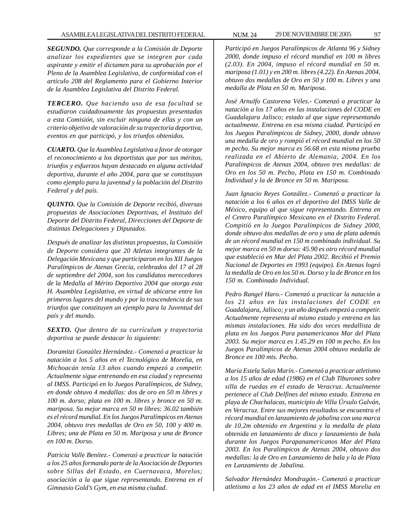*SEGUNDO. Que corresponde a la Comisión de Deporte analizar los expedientes que se integren por cada aspirante y emitir el dictamen para su aprobación por el Pleno de la Asamblea Legislativa, de conformidad con el artículo 208 del Reglamento para el Gobierno Interior de la Asamblea Legislativa del Distrito Federal.*

*TERCERO. Que haciendo uso de esa facultad se estudiaron cuidadosamente las propuestas presentadas a esta Comisión, sin excluir ninguna de ellas y con un criterio objetivo de valoración de su trayectoria deportiva, eventos en que participó, y los triunfos obtenidos.*

*CUARTO. Que la Asamblea Legislativa a favor de otorgar el reconocimiento a los deportistas que por sus méritos, triunfos y esfuerzos hayan destacado en alguna actividad deportiva, durante el año 2004, para que se constituyan como ejemplo para la juventud y la población del Distrito Federal y del país.*

*QUINTO. Que la Comisión de Deporte recibió, diversas propuestas de Asociaciones Deportivas, el Instituto del Deporte del Distrito Federal, Direcciones del Deporte de distintas Delegaciones y Diputados.*

*Después de analizar las distintas propuestas, la Comisión de Deporte considera que 20 Atletas integrantes de la Delegación Mexicana y que participaron en los XII Juegos Paralímpicos de Atenas Grecia, celebrados del 17 al 28 de septiembre del 2004, son los candidatos merecedores de la Medalla al Mérito Deportivo 2004 que otorga esta H. Asamblea Legislativa, en virtud de ubicarse entre los primeros lugares del mundo y por la trascendencia de sus triunfos que constituyen un ejemplo para la Juventud del país y del mundo.*

*SEXTO. Que dentro de su currículum y trayectoria deportiva se puede destacar lo siguiente:*

*Doramitzi González Hernández.- Comenzó a practicar la natación a los 5 años en el Tecnológico de Morelia, en Michoacán tenía 13 años cuando empezó a competir. Actualmente sigue entrenando en esa ciudad y representa al IMSS. Participó en lo Juegos Paralímpicos, de Sidney, en donde obtuvo 4 medallas: dos de oro en 50 m libres y 100 m. dorso; plata en 100 m. libres y bronce en 50 m. mariposa. Su mejor marca en 50 m libres: 36.02 también es el récord mundial. En los Juegos Paralímpicos en Atenas 2004, obtuvo tres medallas de Oro en 50, 100 y 400 m. Libres; una de Plata en 50 m. Mariposa y una de Bronce en 100 m. Dorso.*

*Patricia Valle Benítez.- Comenzó a practicar la natación a los 25 años formando parte de la Asociación de Deportes sobre Sillas del Estado, en Cuernavaca, Morelos; asociación a la que sigue representando. Entrena en el Gimnasio Gold's Gym, en esa misma ciudad.*

*Participó en Juegos Paralímpicos de Atlanta 96 y Sidney 2000, donde impuso el récord mundial en 100 m libres (2.03). En 2004, impuso el récord mundial en 50 m. mariposa (1.01) y en 200 m. libres (4.22). En Atenas 2004, obtuvo dos medallas de Oro en 50 y 100 m. Libres y una medalla de Plata en 50 m. Mariposa.*

*José Arnulfo Castorena Véles.- Comenzó a practicar la natación a los 17 años en las instalaciones del CODE en Guadalajara Jalisco; estado al que sigue representando actualmente. Entrena en esa misma ciudad. Participó en los Juegos Paralímpicos de Sidney, 2000, donde obtuvo una medalla de oro y rompió el récord mundial en los 50 m pecho. Su mejor marca es 56.68 en esta misma prueba realizada en el Abierto de Alemania, 2004. En los Paralímpicos de Atenas 2004, obtuvo tres medallas: de Oro en los 50 m. Pecho, Plata en 150 m. Combinado Individual y la de Bronce en 50 m. Mariposa.*

*Juan Ignacio Reyes González.- Comenzó a practicar la natación a los 6 años en el deportivo del IMSS Valle de México, equipo al que sigue representando. Entrena en el Centro Paralímpico Mexicano en el Distrito Federal. Compitió en lo Juegos Paralímpicos de Sidney 2000, donde obtuvo dos medallas de oro y una de plata además de un récord mundial en 150 m combinado individual. Su mejor marca en 50 m dorso: 45.90 es otro récord mundial que estableció en Mar del Plata 2002. Recibió el Premio Nacional de Deportes en 1993 (equipo). En Atenas logró la medalla de Oro en los 50 m. Dorso y la de Bronce en los 150 m. Combinado Individual.*

*Pedro Rangel Haro.- Comenzó a practicar la natación a los 21 años en las instalaciones del CODE en Guadalajara, Jalisco; y un año después empezó a competir. Actualmente representa al mismo estado y entrena en las mismas instalaciones. Ha sido dos veces medallista de plata en los Juegos Para panamericanos Mar del Plata 2003. Su mejor marca es 1.45.29 en 100 m pecho. En los Juegos Paralímpicos de Atenas 2004 obtuvo medalla de Bronce en 100 mts. Pecho.*

*María Estela Salas Marín.- Comenzó a practicar atletismo a los 15 años de edad (1986) en el Club Tiburones sobre silla de ruedas en el estado de Veracruz. Actualmente pertenece al Club Delfines del mismo estado. Entrena en playa de Chachalacas, municipio de Villa Úrsulo Galván, en Veracruz. Entre sus mejores resultados se encuentra el récord mundial en lanzamiento de jabalina con una marca de 10.2m obtenido en Argentina y la medalla de plata obtenida en lanzamiento de disco y lanzamiento de bala durante los Juegos Parapanamericanos Mar del Plata 2003. En los Paralímpicos de Atenas 2004, obtuvo dos medallas: la de Oro en Lanzamiento de bala y la de Plata en Lanzamiento de Jabalina.*

*Salvador Hernández Mondragón.- Comenzó a practicar atletismo a los 23 años de edad en el IMSS Morelia en*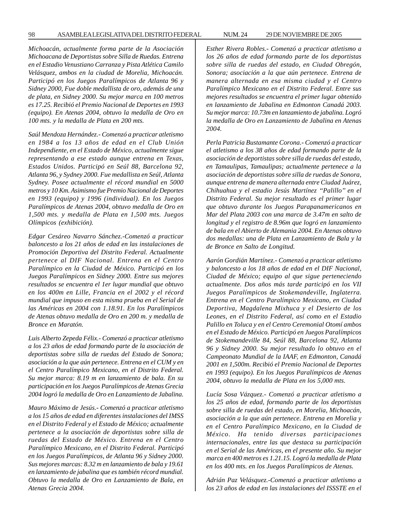*Michoacán, actualmente forma parte de la Asociación Michoacana de Deportistas sobre Silla de Ruedas. Entrena en el Estadio Venustiano Carranza y Pista Atlética Camilo Velásquez, ambos en la ciudad de Morelia, Michoacán. Participó en los Juegos Paralímpicos de Atlanta 96 y Sidney 2000, Fue doble medallista de oro, además de una de plata, en Sidney 2000. Su mejor marca en 100 metros es 17.25. Recibió el Premio Nacional de Deportes en 1993 (equipo). En Atenas 2004, obtuvo la medalla de Oro en 100 mts. y la medalla de Plata en 200 mts.*

*Saúl Mendoza Hernández.- Comenzó a practicar atletismo en 1984 a los 13 años de edad en el Club Unión Independiente, en el Estado de México, actualmente sigue representando a ese estado aunque entrena en Texas, Estados Unidos. Participó en Seúl 88, Barcelona 92, Atlanta 96, y Sydney 2000. Fue medallista en Seúl, Atlanta Sydney. Posee actualmente el récord mundial en 5000 metros y 10 Km. Asimismo fue Premio Nacional de Deportes en 1993 (equipo) y 1996 (individual). En los Juegos Paralímpicos de Atenas 2004, obtuvo medalla de Oro en 1,500 mts. y medalla de Plata en 1,500 mts. Juegos Olímpicos (exhibición).*

*Edgar Cesáreo Navarro Sánchez.-Comenzó a practicar baloncesto a los 21 años de edad en las instalaciones de Promoción Deportiva del Distrito Federal. Actualmente pertenece al DIF Nacional. Entrena en el Centro Paralímpico en la Ciudad de México. Participó en los Juegos Paralímpicos en Sidney 2000. Entre sus mejores resultados se encuentra el 1er lugar mundial que obtuvo en los 400m en Lille, Francia en el 2002 y el récord mundial que impuso en esta misma prueba en el Serial de las Américas en 2004 con 1.18.91. En los Paralímpicos de Atenas obtuvo medalla de Oro en 200 m. y medalla de Bronce en Maratón.*

*Luis Alberto Zepeda Félix.- Comenzó a practicar atletismo a los 23 años de edad formando parte de la asociación de deportistas sobre silla de ruedas del Estado de Sonora; asociación a la que aún pertenece. Entrena en el CUM y en el Centro Paralímpico Mexicano, en el Distrito Federal. Su mejor marca: 8.19 m en lanzamiento de bala. En su participación en los Juegos Paralímpicos de Atenas Grecia 2004 logró la medalla de Oro en Lanzamiento de Jabalina.*

*Mauro Máximo de Jesús.- Comenzó a practicar atletismo a los 15 años de edad en diferentes instalaciones del IMSS en el Distrito Federal y el Estado de México; actualmente pertenece a la asociación de deportistas sobre silla de ruedas del Estado de México. Entrena en el Centro Paralímpico Mexicano, en el Distrito Federal. Participó en los Juegos Paralímpicos, de Atlanta 96 y Sidney 2000. Sus mejores marcas: 8.32 m en lanzamiento de bala y 19.61 en lanzamiento de jabalina que es también récord mundial. Obtuvo la medalla de Oro en Lanzamiento de Bala, en Atenas Grecia 2004.*

*Esther Rivera Robles.- Comenzó a practicar atletismo a los 26 años de edad formando parte de los deportistas sobre silla de ruedas del estado, en Ciudad Obregón, Sonora; asociación a la que aún pertenece. Entrena de manera alternada en esa misma ciudad y el Centro Paralímpico Mexicano en el Distrito Federal. Entre sus mejores resultados se encuentra el primer lugar obtenido en lanzamiento de Jabalina en Edmonton Canadá 2003. Su mejor marca: 10.73m en lanzamiento de jabalina. Logró la medalla de Oro en Lanzamiento de Jabalina en Atenas*

*2004.*

*Perla Patricia Bustamante Corona.- Comenzó a practicar el atletismo a los 38 años de edad formando parte de la asociación de deportistas sobre silla de ruedas del estado, en Tamaulipas, Tamaulipas; actualmente pertenece a la asociación de deportistas sobre silla de ruedas de Sonora, aunque entrena de manera alternada entre Ciudad Juárez, Chihuahua y el estadio Jesús Martínez ''Palillo'' en el Distrito Federal. Su mejor resultado es el primer lugar que obtuvo durante los Juegos Parapanamericanos en Mar del Plata 2003 con una marca de 3.47m en salto de longitud y el registro de 8.96m que logró en lanzamiento de bala en el Abierto de Alemania 2004. En Atenas obtuvo dos medallas: una de Plata en Lanzamiento de Bala y la de Bronce en Salto de Longitud.*

*Aarón Gordián Martínez.- Comenzó a practicar atletismo y baloncesto a los 18 años de edad en el DIF Nacional, Ciudad de México; equipo al que sigue perteneciendo actualmente. Dos años más tarde participó en los VII Juegos Paralímpicos de Stokemandeville, Inglaterra. Entrena en el Centro Paralímpico Mexicano, en Ciudad Deportiva, Magdalena Mixhuca y el Desierto de los Leones, en el Distrito Federal, así como en el Estadio Palillo en Toluca y en el Centro Ceremonial Otomí ambos en el Estado de México. Participó en Juegos Paralímpicos de Stokemandeville 84, Seúl 88, Barcelona 92, Atlanta 96 y Sidney 2000. Su mejor resultado lo obtuvo en el Campeonato Mundial de la IAAF, en Edmonton, Canadá 2001 en 1,500m. Recibió el Premio Nacional de Deportes en 1993 (equipo). En los Juegos Paralímpicos de Atenas 2004, obtuvo la medalla de Plata en los 5,000 mts.*

*Lucía Sosa Vázquez.- Comenzó a practicar atletismo a los 25 años de edad, formando parte de los deportistas sobre silla de ruedas del estado, en Morelia, Michoacán, asociación a la que aún pertenece. Entrena en Morelia y en el Centro Paralímpico Mexicano, en la Ciudad de México. Ha tenido diversas participaciones internacionales, entre las que destaca su participación en el Serial de las Américas, en el presente año. Su mejor marca en 400 metros es 1.21.15. Logró la medalla de Plata en los 400 mts. en los Juegos Paralímpicos de Atenas.*

*Adrián Paz Velásquez.-Comenzó a practicar atletismo a los 23 años de edad en las instalaciones del ISSSTE en el*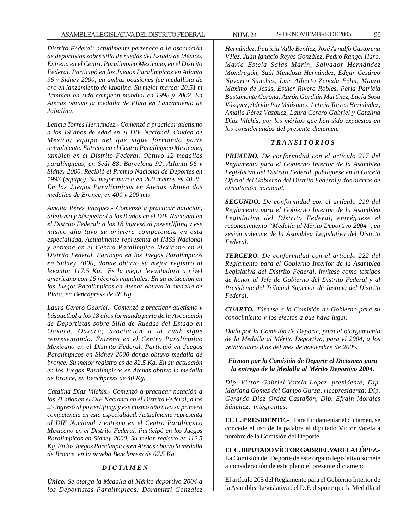*Distrito Federal; actualmente pertenece a la asociación de deportistas sobre silla de ruedas del Estado de México. Entrena en el Centro Paralímpico Mexicano, en el Distrito Federal. Participó en los Juegos Paralímpicos en Atlanta 96 y Sidney 2000; en ambas ocasiones fue medallista de oro en lanzamiento de jabalina. Su mejor marca: 20.51 m También ha sido campeón mundial en 1998 y 2002. En Atenas obtuvo la medalla de Plata en Lanzamiento de Jabalina.*

*Leticia Torres Hernández.- Comenzó a practicar atletismo a los 19 años de edad en el DIF Nacional, Ciudad de México; equipo del que sigue formando parte actualmente. Entrena en el Centro Paralímpico Mexicano, también en el Distrito Federal. Obtuvo 12 medallas paralímpicas, en Seúl 88, Barcelona 92, Atlanta 96 y Sidney 2000. Recibió el Premio Nacional de Deportes en 1993 (equipo). Su mejor marca en 200 metros es 40.25. En los Juegos Paralímpicos en Atenas obtuvo dos medallas de Bronce, en 400 y 200 mts.*

*Amalia Pérez Vázquez.- Comenzó a practicar natación, atletismo y básquetbol a los 8 años en el DIF Nacional en el Distrito Federal; a los 18 ingresó al powerlifting y ese mismo año tuvo su primera competencia en esta especialidad. Actualmente representa al IMSS Nacional y entrena en el Centro Paralímpico Mexicano en el Distrito Federal. Participó en los Juegos Paralímpicos en Sidney 2000, donde obtuvo su mejor registro al levantar 117.5 Kg. Es la mejor levantadora a nivel americano con 16 récords mundiales. En su actuación en los Juegos Paralímpicos en Atenas obtuvo la medalla de Plata, en Benchpress de 48 Kg.*

*Laura Cerero Gabriel.- Comenzó a practicar atletismo y básquetbol a los 18 años formando parte de la Asociación de Deportistas sobre Silla de Ruedas del Estado en Oaxaca, Oaxaca; asociación a la cual sigue representando. Entrena en el Centro Paralímpico Mexicano en el Distrito Federal. Participó en Juegos Paralímpicos en Sidney 2000 donde obtuvo medalla de bronce. Su mejor registro es de 82.5 Kg. En su actuación en los Juegos Paralímpicos en Atenas obtuvo la medalla de Bronce, en Benchpress de 40 Kg.*

*Catalina Díaz Vilchis.- Comenzó a practicar natación a los 21 años en el DIF Nacional en el Distrito Federal; a los 25 ingresó al powerlifting, y ese mismo año tuvo su primera competencia en esta especialidad. Actualmente representa al DIF Nacional y entrena en el Centro Paralímpico Mexicano en el Distrito Federal. Participó en los Juegos Paralímpicos en Sidney 2000. Su mejor registro es 112.5 Kg. En los Juegos Paralímpicos en Atenas obtuvo la medalla de Bronce, en la prueba Benchpress de 67.5 Kg.*

# *D I C T A M E N*

*Único. Se otorga la Medalla al Mérito deportivo 2004 a los Deportistas Paralímpicos: Doramitzi González* *Hernández, Patricia Valle Benítez, José Arnulfo Castorena Vélez, Juan Ignacio Reyes González, Pedro Rangel Haro, María Estela Salas Marín, Salvador Hernández Mondragón, Saúl Mendoza Hernández, Edgar Cesáreo Navarro Sánchez, Luis Alberto Zepeda Félix, Mauro Máximo de Jesús, Esther Rivera Robles, Perla Patricia Bustamante Corona, Aarón Gordián Martínez, Lucía Sosa Vázquez, Adrián Paz Velásquez, Leticia Torres Hernández, Amalia Pérez Vázquez, Laura Cerero Gabriel y Catalina Díaz Vilchis, por los méritos que han sido expuestos en los considerandos del presente dictamen.*

# *T R A N S I T O R I O S*

*PRIMERO. De conformidad con el artículo 217 del Reglamento para el Gobierno Interior de la Asamblea Legislativa del Distrito Federal, publíquese en la Gaceta Oficial del Gobierno del Distrito Federal y dos diarios de circulación nacional.*

*SEGUNDO. De conformidad con el artículo 219 del Reglamento para el Gobierno Interior de la Asamblea Legislativa del Distrito Federal, entréguese el reconocimiento ''Medalla al Mérito Deportivo 2004'', en sesión solemne de la Asamblea Legislativa del Distrito Federal.*

*TERCERO. De conformidad con el artículo 222 del Reglamento para el Gobierno Interior de la Asamblea Legislativa del Distrito Federal, invítese como testigos de honor al Jefe de Gobierno del Distrito Federal y al Presidente del Tribunal Superior de Justicia del Distrito Federal.*

*CUARTO. Túrnese a la Comisión de Gobierno para su conocimiento y los efectos a que haya lugar.*

*Dado por la Comisión de Deporte, para el otorgamiento de la Medalla al Mérito Deportivo, para el 2004, a los veinticuatro días del mes de noviembre de 2005.*

# *Firman por la Comisión de Deporte el Dictamen para la entrega de la Medalla al Mérito Deportivo 2004.*

*Dip. Víctor Gabriel Varela López, presidente; Dip. Mariana Gómez del Campo Gurza, vicepresidenta; Dip. Gerardo Díaz Ordaz Castañón, Dip. Efraín Morales Sánchez; integrantes:*

**EL C. PRESIDENTE.-** Para fundamentar el dictamen, se concede el uso de la palabra al diputado Víctor Varela a nombre de la Comisión del Deporte.

# **EL C. DIPUTADO VÍCTOR GABRIEL VARELA LÓPEZ.-**

La Comisión del Deporte de este órgano legislativo somete a consideración de este pleno el presente dictamen:

El artículo 205 del Reglamento para el Gobierno Interior de la Asamblea Legislativa del D.F. dispone que la Medalla al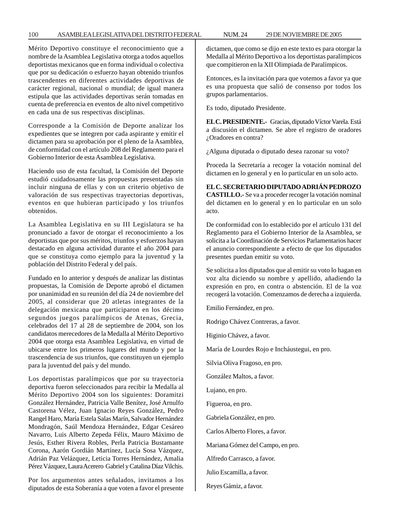#### 100 ASAMBLEA LEGISLATIVA DEL DISTRITO FEDERAL NUM. 24 29 DE NOVIEMBRE DE 2005

Mérito Deportivo constituye el reconocimiento que a nombre de la Asamblea Legislativa otorga a todos aquellos deportistas mexicanos que en forma individual o colectiva que por su dedicación o esfuerzo hayan obtenido triunfos trascendentes en diferentes actividades deportivas de carácter regional, nacional o mundial; de igual manera estipula que las actividades deportivas serán tomadas en cuenta de preferencia en eventos de alto nivel competitivo en cada una de sus respectivas disciplinas.

Corresponde a la Comisión de Deporte analizar los expedientes que se integren por cada aspirante y emitir el dictamen para su aprobación por el pleno de la Asamblea, de conformidad con el artículo 208 del Reglamento para el Gobierno Interior de esta Asamblea Legislativa.

Haciendo uso de esta facultad, la Comisión del Deporte estudió cuidadosamente las propuestas presentadas sin incluir ninguna de ellas y con un criterio objetivo de valoración de sus respectivas trayectorias deportivas, eventos en que hubieran participado y los triunfos obtenidos.

La Asamblea Legislativa en su III Legislatura se ha pronunciado a favor de otorgar el reconocimiento a los deportistas que por sus méritos, triunfos y esfuerzos hayan destacado en alguna actividad durante el año 2004 para que se constituya como ejemplo para la juventud y la población del Distrito Federal y del país.

Fundado en lo anterior y después de analizar las distintas propuestas, la Comisión de Deporte aprobó el dictamen por unanimidad en su reunión del día 24 de noviembre del 2005, al considerar que 20 atletas integrantes de la delegación mexicana que participaron en los décimo segundos juegos paralímpicos de Atenas, Grecia, celebrados del 17 al 28 de septiembre de 2004, son los candidatos merecedores de la Medalla al Mérito Deportivo 2004 que otorga esta Asamblea Legislativa, en virtud de ubicarse entre los primeros lugares del mundo y por la trascendencia de sus triunfos, que constituyen un ejemplo para la juventud del país y del mundo.

Los deportistas paralímpicos que por su trayectoria deportiva fueron seleccionados para recibir la Medalla al Mérito Deportivo 2004 son los siguientes: Doramitzi González Hernández, Patricia Valle Benítez, José Arnulfo Castorena Vélez, Juan Ignacio Reyes González, Pedro Rangel Haro, María Estela Salas Marín, Salvador Hernández Mondragón, Saúl Mendoza Hernández, Edgar Cesáreo Navarro, Luis Alberto Zepeda Félix, Mauro Máximo de Jesús, Esther Rivera Robles, Perla Patricia Bustamante Corona, Aarón Gordián Martínez, Lucía Sosa Vázquez, Adrián Paz Velázquez, Leticia Torres Hernández, Amalia Pérez Vázquez, Laura Acerero Gabriel y Catalina Díaz Vilchis.

Por los argumentos antes señalados, invitamos a los diputados de esta Soberanía a que voten a favor el presente dictamen, que como se dijo en este texto es para otorgar la Medalla al Mérito Deportivo a los deportistas paralímpicos que compitieron en la XII Olimpiada de Paralímpicos.

Entonces, es la invitación para que votemos a favor ya que es una propuesta que salió de consenso por todos los grupos parlamentarios.

Es todo, diputado Presidente.

**EL C. PRESIDENTE.-** Gracias, diputado Víctor Varela. Está a discusión el dictamen. Se abre el registro de oradores ¿Oradores en contra?

¿Alguna diputada o diputado desea razonar su voto?

Proceda la Secretaría a recoger la votación nominal del dictamen en lo general y en lo particular en un solo acto.

# **EL C. SECRETARIO DIPUTADO ADRIÁN PEDROZO**

**CASTILLO.-** Se va a proceder recoger la votación nominal del dictamen en lo general y en lo particular en un solo acto.

De conformidad con lo establecido por el artículo 131 del Reglamento para el Gobierno Interior de la Asamblea, se solicita a la Coordinación de Servicios Parlamentarios hacer el anuncio correspondiente a efecto de que los diputados presentes puedan emitir su voto.

Se solicita a los diputados que al emitir su voto lo hagan en voz alta diciendo su nombre y apellido, añadiendo la expresión en pro, en contra o abstención. El de la voz recogerá la votación. Comenzamos de derecha a izquierda.

Emilio Fernández, en pro.

Rodrigo Chávez Contreras, a favor.

Higinio Chávez, a favor.

María de Lourdes Rojo e Incháustegui, en pro.

Silvia Oliva Fragoso, en pro.

González Maltos, a favor.

Lujano, en pro.

Figueroa, en pro.

Gabriela González, en pro.

Carlos Alberto Flores, a favor.

Mariana Gómez del Campo, en pro.

Alfredo Carrasco, a favor.

Julio Escamilla, a favor.

Reyes Gámiz, a favor.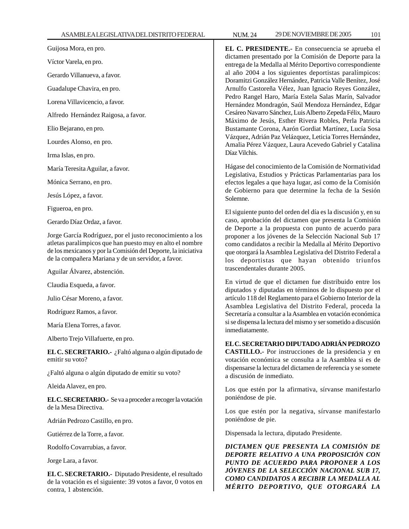Guijosa Mora, en pro.

Víctor Varela, en pro.

Gerardo Villanueva, a favor.

Guadalupe Chavira, en pro.

Lorena Villavicencio, a favor.

Alfredo Hernández Raigosa, a favor.

Elio Bejarano, en pro.

Lourdes Alonso, en pro.

Irma Islas, en pro.

María Teresita Aguilar, a favor.

Mónica Serrano, en pro.

Jesús López, a favor.

Figueroa, en pro.

Gerardo Díaz Ordaz, a favor.

Jorge García Rodríguez, por el justo reconocimiento a los atletas paralímpicos que han puesto muy en alto el nombre de los mexicanos y por la Comisión del Deporte, la iniciativa de la compañera Mariana y de un servidor, a favor.

Aguilar Álvarez, abstención.

Claudia Esqueda, a favor.

Julio César Moreno, a favor.

Rodríguez Ramos, a favor.

María Elena Torres, a favor.

Alberto Trejo Villafuerte, en pro.

**EL C. SECRETARIO.-** ¿Faltó alguna o algún diputado de emitir su voto?

¿Faltó alguna o algún diputado de emitir su voto?

Aleida Alavez, en pro.

**EL C. SECRETARIO.-** Se va a proceder a recoger la votación de la Mesa Directiva.

Adrián Pedrozo Castillo, en pro.

Gutiérrez de la Torre, a favor.

Rodolfo Covarrubias, a favor.

Jorge Lara, a favor.

**EL C. SECRETARIO.-** Diputado Presidente, el resultado de la votación es el siguiente: 39 votos a favor, 0 votos en contra, 1 abstención.

**EL C. PRESIDENTE.-** En consecuencia se aprueba el dictamen presentado por la Comisión de Deporte para la entrega de la Medalla al Mérito Deportivo correspondiente al año 2004 a los siguientes deportistas paralímpicos: Doramitzi González Hernández, Patricia Valle Benítez, José Arnulfo Castoreña Vélez, Juan Ignacio Reyes González, Pedro Rangel Haro, María Estela Salas Marín, Salvador Hernández Mondragón, Saúl Mendoza Hernández, Edgar Cesáreo Navarro Sánchez, Luis Alberto Zepeda Félix, Mauro Máximo de Jesús, Esther Rivera Robles, Perla Patricia Bustamante Corona, Aarón Gordiat Martínez, Lucía Sosa Vázquez, Adrián Paz Velázquez, Leticia Torres Hernández, Amalia Pérez Vázquez, Laura Acevedo Gabriel y Catalina Díaz Vilchis.

Hágase del conocimiento de la Comisión de Normatividad Legislativa, Estudios y Prácticas Parlamentarias para los efectos legales a que haya lugar, así como de la Comisión de Gobierno para que determine la fecha de la Sesión Solemne.

El siguiente punto del orden del día es la discusión y, en su caso, aprobación del dictamen que presenta la Comisión de Deporte a la propuesta con punto de acuerdo para proponer a los jóvenes de la Selección Nacional Sub 17 como candidatos a recibir la Medalla al Mérito Deportivo que otorgará la Asamblea Legislativa del Distrito Federal a los deportistas que hayan obtenido triunfos trascendentales durante 2005.

En virtud de que el dictamen fue distribuido entre los diputados y diputadas en términos de lo dispuesto por el artículo 118 del Reglamento para el Gobierno Interior de la Asamblea Legislativa del Distrito Federal, proceda la Secretaría a consultar a la Asamblea en votación económica si se dispensa la lectura del mismo y ser sometido a discusión inmediatamente.

### **EL C. SECRETARIO DIPUTADO ADRIÁN PEDROZO**

**CASTILLO.-** Por instrucciones de la presidencia y en votación económica se consulta a la Asamblea si es de dispensarse la lectura del dictamen de referencia y se somete a discusión de inmediato.

Los que estén por la afirmativa, sírvanse manifestarlo poniéndose de pie.

Los que estén por la negativa, sírvanse manifestarlo poniéndose de pie.

Dispensada la lectura, diputado Presidente.

*DICTAMEN QUE PRESENTA LA COMISIÓN DE DEPORTE RELATIVO A UNA PROPOSICIÓN CON PUNTO DE ACUERDO PARA PROPONER A LOS JÓVENES DE LA SELECCIÓN NACIONAL SUB 17, COMO CANDIDATOS A RECIBIR LA MEDALLA AL MÉRITO DEPORTIVO, QUE OTORGARÁ LA*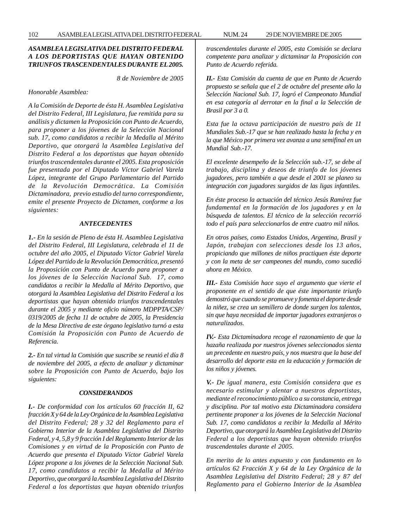# *ASAMBLEA LEGISLATIVA DEL DISTRITO FEDERAL A LOS DEPORTISTAS QUE HAYAN OBTENIDO TRIUNFOS TRASCENDENTALES DURANTE EL 2005.*

*8 de Noviembre de 2005*

*Honorable Asamblea:*

*A la Comisión de Deporte de ésta H. Asamblea Legislativa del Distrito Federal, III Legislatura, fue remitida para su análisis y dictamen la Proposición con Punto de Acuerdo, para proponer a los jóvenes de la Selección Nacional sub. 17, como candidatos a recibir la Medalla al Mérito Deportivo, que otorgará la Asamblea Legislativa del Distrito Federal a los deportistas que hayan obtenido triunfos trascendentales durante el 2005. Esta proposición fue presentada por el Diputado Víctor Gabriel Varela López, integrante del Grupo Parlamentario del Partido de la Revolución Democrática. La Comisión Dictaminadora, previo estudio del turno correspondiente, emite el presente Proyecto de Dictamen, conforme a los siguientes:*

#### *ANTECEDENTES*

*1.- En la sesión de Pleno de ésta H. Asamblea Legislativa del Distrito Federal, III Legislatura, celebrada el 11 de octubre del año 2005, el Diputado Víctor Gabriel Varela López del Partido de la Revolución Democrática, presentó la Proposición con Punto de Acuerdo para proponer a los jóvenes de la Selección Nacional Sub. 17, como candidatos a recibir la Medalla al Mérito Deportivo, que otorgará la Asamblea Legislativa del Distrito Federal a los deportistas que hayan obtenido triunfos trascendentales durante el 2005 y mediante oficio número MDPPTA/CSP/ 0319/2005 de fecha 11 de octubre de 2005, la Presidencia de la Mesa Directiva de este órgano legislativo turnó a esta Comisión la Proposición con Punto de Acuerdo de Referencia.*

*2.- En tal virtud la Comisión que suscribe se reunió el día 8 de noviembre del 2005, a efecto de analizar y dictaminar sobre la Proposición con Punto de Acuerdo, bajo los siguientes:*

#### *CONSIDERANDOS*

*I.- De conformidad con los artículos 60 fracción II, 62 fracción X y 64 de la Ley Orgánica de la Asamblea Legislativa del Distrito Federal; 28 y 32 del Reglamento para el Gobierno Interior de la Asamblea Legislativa del Distrito Federal, y 4, 5,8 y 9 fracción I del Reglamento Interior de las Comisiones y en virtud de la Proposición con Punto de Acuerdo que presenta el Diputado Víctor Gabriel Varela López propone a los jóvenes de la Selección Nacional Sub. 17, como candidatos a recibir la Medalla al Mérito Deportivo, que otorgará la Asamblea Legislativa del Distrito Federal a los deportistas que hayan obtenido triunfos* *trascendentales durante el 2005, esta Comisión se declara competente para analizar y dictaminar la Proposición con Punto de Acuerdo referida.*

*II.- Esta Comisión da cuenta de que en Punto de Acuerdo propuesto se señala que el 2 de octubre del presente año la Selección Nacional Sub. 17, logró el Campeonato Mundial en esa categoría al derrotar en la final a la Selección de Brasil por 3 a 0.*

*Esta fue la octava participación de nuestro país de 11 Mundiales Sub.-17 que se han realizado hasta la fecha y en la que México por primera vez avanza a una semifinal en un Mundial Sub.-17.*

*El excelente desempeño de la Selección sub.-17, se debe al trabajo, disciplina y deseos de triunfo de los jóvenes jugadores, pero también a que desde el 2001 se planeo su integración con jugadores surgidos de las ligas infantiles.*

*En éste proceso la actuación del técnico Jesús Ramírez fue fundamental en la formación de los jugadores y en la búsqueda de talentos. El técnico de la selección recorrió todo el país para seleccionarlos de entre cuatro mil niños.*

*En otros países, como Estados Unidos, Argentina, Brasil y Japón, trabajan con selecciones desde los 13 años, propiciando que millones de niños practiquen éste deporte y con la meta de ser campeones del mundo, como sucedió ahora en México.*

*III.- Esta Comisión hace suyo el argumento que vierte el proponente en el sentido de que éste importante triunfo demostró que cuando se promueve y fomenta el deporte desde la niñez, se crea un semillero de donde surgen los talentos, sin que haya necesidad de importar jugadores extranjeros o naturalizados.*

*IV.- Esta Dictaminadora recoge el razonamiento de que la hazaña realizada por nuestros jóvenes seleccionados sienta un precedente en nuestro país, y nos muestra que la base del desarrollo del deporte esta en la educación y formación de los niños y jóvenes.*

*V.- De igual manera, esta Comisión considera que es necesario estimular y alentar a nuestros deportistas, mediante el reconocimiento público a su constancia, entrega y disciplina. Por tal motivo esta Dictaminadora considera pertinente proponer a los jóvenes de la Selección Nacional Sub. 17, como candidatos a recibir la Medalla al Mérito Deportivo, que otorgará la Asamblea Legislativa del Distrito Federal a los deportistas que hayan obtenido triunfos trascendentales durante el 2005.*

*En merito de lo antes expuesto y con fundamento en lo artículos 62 Fracción X y 64 de la Ley Orgánica de la Asamblea Legislativa del Distrito Federal; 28 y 87 del Reglamento para el Gobierno Interior de la Asamblea*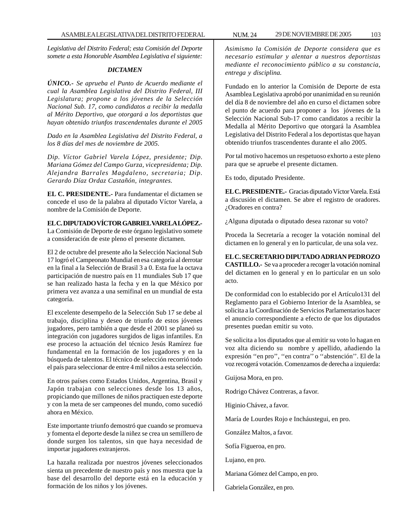*Legislativa del Distrito Federal; esta Comisión del Deporte somete a esta Honorable Asamblea Legislativa el siguiente:*

#### *DICTAMEN*

*ÚNICO.- Se aprueba el Punto de Acuerdo mediante el cual la Asamblea Legislativa del Distrito Federal, III Legislatura; propone a los jóvenes de la Selección Nacional Sub. 17, como candidatos a recibir la medalla al Mérito Deportivo, que otorgará a los deportistas que hayan obtenido triunfos trascendentales durante el 2005*

*Dado en la Asamblea Legislativa del Distrito Federal, a los 8 días del mes de noviembre de 2005.*

*Dip. Víctor Gabriel Varela López, presidente; Dip. Mariana Gómez del Campo Gurza, vicepresidenta; Dip. Alejandra Barrales Magdaleno, secretaria; Dip. Gerardo Díaz Ordaz Castañón, integrantes.*

**EL C. PRESIDENTE.-** Para fundamentar el dictamen se concede el uso de la palabra al diputado Víctor Varela, a nombre de la Comisión de Deporte.

**EL C. DIPUTADO VÍCTOR GABRIEL VARELA LÓPEZ.-** La Comisión de Deporte de este órgano legislativo somete a consideración de este pleno el presente dictamen.

El 2 de octubre del presente año la Selección Nacional Sub 17 logró el Campeonato Mundial en esa categoría al derrotar en la final a la Selección de Brasil 3 a 0. Esta fue la octava participación de nuestro país en 11 mundiales Sub 17 que se han realizado hasta la fecha y en la que México por primera vez avanza a una semifinal en un mundial de esta categoría.

El excelente desempeño de la Selección Sub 17 se debe al trabajo, disciplina y deseo de triunfo de estos jóvenes jugadores, pero también a que desde el 2001 se planeó su integración con jugadores surgidos de ligas infantiles. En ese proceso la actuación del técnico Jesús Ramírez fue fundamental en la formación de los jugadores y en la búsqueda de talentos. El técnico de selección recorrió todo el país para seleccionar de entre 4 mil niños a esta selección.

En otros países como Estados Unidos, Argentina, Brasil y Japón trabajan con selecciones desde los 13 años, propiciando que millones de niños practiquen este deporte y con la meta de ser campeones del mundo, como sucedió ahora en México.

Este importante triunfo demostró que cuando se promueva y fomenta el deporte desde la niñez se crea un semillero de donde surgen los talentos, sin que haya necesidad de importar jugadores extranjeros.

La hazaña realizada por nuestros jóvenes seleccionados sienta un precedente de nuestro país y nos muestra que la base del desarrollo del deporte está en la educación y formación de los niños y los jóvenes.

*Asimismo la Comisión de Deporte considera que es necesario estimular y alentar a nuestros deportistas mediante el reconocimiento público a su constancia, entrega y disciplina.*

Fundado en lo anterior la Comisión de Deporte de esta Asamblea Legislativa aprobó por unanimidad en su reunión del día 8 de noviembre del año en curso el dictamen sobre el punto de acuerdo para proponer a los jóvenes de la Selección Nacional Sub-17 como candidatos a recibir la Medalla al Mérito Deportivo que otorgará la Asamblea Legislativa del Distrito Federal a los deportistas que hayan obtenido triunfos trascendentes durante el año 2005.

Por tal motivo hacemos un respetuoso exhorto a este pleno para que se apruebe el presente dictamen.

Es todo, diputado Presidente.

**EL C. PRESIDENTE.-** Gracias diputado Víctor Varela. Está a discusión el dictamen. Se abre el registro de oradores. ¿Oradores en contra?

¿Alguna diputada o diputado desea razonar su voto?

Proceda la Secretaría a recoger la votación nominal del dictamen en lo general y en lo particular, de una sola vez.

**EL C. SECRETARIO DIPUTADO ADRIAN PEDROZO CASTILLO.-** Se va a proceder a recoger la votación nominal del dictamen en lo general y en lo particular en un solo acto.

De conformidad con lo establecido por el Artículo131 del Reglamento para el Gobierno Interior de la Asamblea, se solicita a la Coordinación de Servicios Parlamentarios hacer el anuncio correspondiente a efecto de que los diputados presentes puedan emitir su voto.

Se solicita a los diputados que al emitir su voto lo hagan en voz alta diciendo su nombre y apellido, añadiendo la expresión ''en pro'', ''en contra'' o ''abstención''. El de la voz recogerá votación. Comenzamos de derecha a izquierda:

Guijosa Mora, en pro.

Rodrigo Chávez Contreras, a favor.

Higinio Chávez, a favor.

María de Lourdes Rojo e Incháustegui, en pro.

González Maltos, a favor.

Sofía Figueroa, en pro.

Lujano, en pro.

Mariana Gómez del Campo, en pro.

Gabriela González, en pro.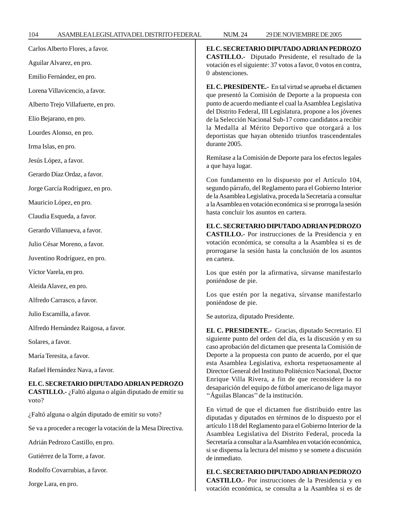| 104                      | ASAMBLEALEGISLATIVA DEL DISTRITO FEDERAL                                                           | <b>NUM.24</b>                                                                                                                                                                                                                                                                                                                                                                                                                                                                                                                 | 29 DE NOVIEMBRE DE 2005                                                                                            |  |
|--------------------------|----------------------------------------------------------------------------------------------------|-------------------------------------------------------------------------------------------------------------------------------------------------------------------------------------------------------------------------------------------------------------------------------------------------------------------------------------------------------------------------------------------------------------------------------------------------------------------------------------------------------------------------------|--------------------------------------------------------------------------------------------------------------------|--|
|                          | Carlos Alberto Flores, a favor.                                                                    |                                                                                                                                                                                                                                                                                                                                                                                                                                                                                                                               | EL C. SECRETARIO DIPUTADO ADRIAN PEDROZO                                                                           |  |
| Aguilar Alvarez, en pro. |                                                                                                    | CASTILLO.- Diputado Presidente, el resultado de la<br>votación es el siguiente: 37 votos a favor, 0 votos en contra,                                                                                                                                                                                                                                                                                                                                                                                                          |                                                                                                                    |  |
|                          | Emilio Fernández, en pro.                                                                          | 0 abstenciones.                                                                                                                                                                                                                                                                                                                                                                                                                                                                                                               |                                                                                                                    |  |
|                          | Lorena Villavicencio, a favor.                                                                     | EL C. PRESIDENTE.- En tal virtud se aprueba el dictamen<br>que presentó la Comisión de Deporte a la propuesta con<br>punto de acuerdo mediante el cual la Asamblea Legislativa<br>del Distrito Federal, III Legislatura, propone a los jóvenes<br>de la Selección Nacional Sub-17 como candidatos a recibir<br>la Medalla al Mérito Deportivo que otorgará a los<br>deportistas que hayan obtenido triunfos trascendentales<br>durante 2005.                                                                                  |                                                                                                                    |  |
|                          | Alberto Trejo Villafuerte, en pro.                                                                 |                                                                                                                                                                                                                                                                                                                                                                                                                                                                                                                               |                                                                                                                    |  |
|                          | Elio Bejarano, en pro.                                                                             |                                                                                                                                                                                                                                                                                                                                                                                                                                                                                                                               |                                                                                                                    |  |
|                          | Lourdes Alonso, en pro.                                                                            |                                                                                                                                                                                                                                                                                                                                                                                                                                                                                                                               |                                                                                                                    |  |
|                          | Irma Islas, en pro.                                                                                |                                                                                                                                                                                                                                                                                                                                                                                                                                                                                                                               |                                                                                                                    |  |
|                          | Jesús López, a favor.                                                                              | Remítase a la Comisión de Deporte para los efectos legales<br>a que haya lugar.                                                                                                                                                                                                                                                                                                                                                                                                                                               |                                                                                                                    |  |
|                          | Gerardo Díaz Ordaz, a favor.                                                                       |                                                                                                                                                                                                                                                                                                                                                                                                                                                                                                                               |                                                                                                                    |  |
|                          | Jorge García Rodríguez, en pro.                                                                    | Con fundamento en lo dispuesto por el Artículo 104,<br>segundo párrafo, del Reglamento para el Gobierno Interior<br>de la Asamblea Legislativa, proceda la Secretaría a consultar<br>a la Asamblea en votación económica si se prorroga la sesión                                                                                                                                                                                                                                                                             |                                                                                                                    |  |
|                          | Mauricio López, en pro.                                                                            |                                                                                                                                                                                                                                                                                                                                                                                                                                                                                                                               |                                                                                                                    |  |
|                          | Claudia Esqueda, a favor.                                                                          |                                                                                                                                                                                                                                                                                                                                                                                                                                                                                                                               | hasta concluir los asuntos en cartera.                                                                             |  |
|                          | Gerardo Villanueva, a favor.                                                                       | EL C. SECRETARIO DIPUTADO ADRIAN PEDROZO<br>CASTILLO.- Por instrucciones de la Presidencia y en<br>votación económica, se consulta a la Asamblea si es de<br>prorrogarse la sesión hasta la conclusión de los asuntos<br>en cartera.                                                                                                                                                                                                                                                                                          |                                                                                                                    |  |
|                          | Julio César Moreno, a favor.                                                                       |                                                                                                                                                                                                                                                                                                                                                                                                                                                                                                                               |                                                                                                                    |  |
|                          | Juventino Rodríguez, en pro.                                                                       |                                                                                                                                                                                                                                                                                                                                                                                                                                                                                                                               |                                                                                                                    |  |
|                          | Víctor Varela, en pro.                                                                             |                                                                                                                                                                                                                                                                                                                                                                                                                                                                                                                               | Los que estén por la afirmativa, sírvanse manifestarlo                                                             |  |
|                          | Aleida Alavez, en pro.                                                                             | poniéndose de pie.                                                                                                                                                                                                                                                                                                                                                                                                                                                                                                            |                                                                                                                    |  |
|                          | Alfredo Carrasco, a favor.                                                                         | poniéndose de pie.                                                                                                                                                                                                                                                                                                                                                                                                                                                                                                            | Los que estén por la negativa, sírvanse manifestarlo                                                               |  |
|                          | Julio Escamilla, a favor.                                                                          | Se autoriza, diputado Presidente.                                                                                                                                                                                                                                                                                                                                                                                                                                                                                             |                                                                                                                    |  |
|                          | Alfredo Hernández Raigosa, a favor.                                                                | EL C. PRESIDENTE.- Gracias, diputado Secretario. El<br>siguiente punto del orden del día, es la discusión y en su<br>caso aprobación del dictamen que presenta la Comisión de<br>Deporte a la propuesta con punto de acuerdo, por el que<br>esta Asamblea Legislativa, exhorta respetuosamente al<br>Director General del Instituto Politécnico Nacional, Doctor<br>Enrique Villa Rivera, a fin de que reconsidere la no<br>desaparición del equipo de fútbol americano de liga mayor<br>"Águilas Blancas" de la institución. |                                                                                                                    |  |
|                          | Solares, a favor.                                                                                  |                                                                                                                                                                                                                                                                                                                                                                                                                                                                                                                               |                                                                                                                    |  |
|                          | María Teresita, a favor.                                                                           |                                                                                                                                                                                                                                                                                                                                                                                                                                                                                                                               |                                                                                                                    |  |
|                          | Rafael Hernández Nava, a favor.                                                                    |                                                                                                                                                                                                                                                                                                                                                                                                                                                                                                                               |                                                                                                                    |  |
| voto?                    | EL C. SECRETARIO DIPUTADO ADRIAN PEDROZO<br>CASTILLO.- ¿Faltó alguna o algún diputado de emitir su |                                                                                                                                                                                                                                                                                                                                                                                                                                                                                                                               |                                                                                                                    |  |
|                          | ¿Faltó alguna o algún diputado de emitir su voto?                                                  |                                                                                                                                                                                                                                                                                                                                                                                                                                                                                                                               | En virtud de que el dictamen fue distribuido entre las<br>diputadas y diputados en términos de lo dispuesto por el |  |
|                          | Se va a proceder a recoger la votación de la Mesa Directiva.                                       | artículo 118 del Reglamento para el Gobierno Interior de la<br>Asamblea Legislativa del Distrito Federal, proceda la                                                                                                                                                                                                                                                                                                                                                                                                          |                                                                                                                    |  |
|                          | Adrián Pedrozo Castillo, en pro.                                                                   |                                                                                                                                                                                                                                                                                                                                                                                                                                                                                                                               | Secretaría a consultar a la Asamblea en votación económica,                                                        |  |
|                          | Gutiérrez de la Torre, a favor.                                                                    | si se dispensa la lectura del mismo y se somete a discusión<br>de inmediato.                                                                                                                                                                                                                                                                                                                                                                                                                                                  |                                                                                                                    |  |
|                          | Rodolfo Covarrubias, a favor.                                                                      | EL C. SECRETARIO DIPUTADO ADRIAN PEDROZO                                                                                                                                                                                                                                                                                                                                                                                                                                                                                      |                                                                                                                    |  |

Jorge Lara, en pro.

**CASTILLO.-** Por instrucciones de la Presidencia y en votación económica, se consulta a la Asamblea si es de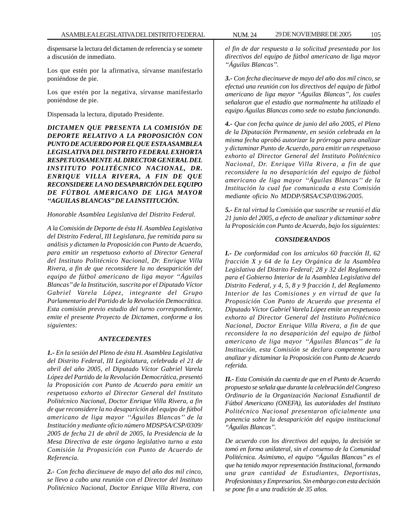dispensarse la lectura del dictamen de referencia y se somete a discusión de inmediato.

Los que estén por la afirmativa, sírvanse manifestarlo poniéndose de pie.

Los que estén por la negativa, sírvanse manifestarlo poniéndose de pie.

Dispensada la lectura, diputado Presidente.

*DICTAMEN QUE PRESENTA LA COMISIÓN DE DEPORTE RELATIVO A LA PROPOSICIÓN CON PUNTO DE ACUERDO POR EL QUE ESTA ASAMBLEA LEGISLATIVA DEL DISTRITO FEDERAL EXHORTA RESPETUOSAMENTE AL DIRECTOR GENERAL DEL INSTITUTO POLITÉCNICO NACIONAL, DR. ENRIQUE VILLA RIVERA, A FIN DE QUE RECONSIDERE LA NO DESAPARICIÓN DEL EQUIPO DE FÚTBOL AMERICANO DE LIGA MAYOR ''AGUILAS BLANCAS'' DE LA INSTITUCIÓN.*

# *Honorable Asamblea Legislativa del Distrito Federal.*

*A la Comisión de Deporte de ésta H. Asamblea Legislativa del Distrito Federal, III Legislatura, fue remitida para su análisis y dictamen la Proposición con Punto de Acuerdo, para emitir un respetuoso exhorto al Director General del Instituto Politécnico Nacional, Dr. Enrique Villa Rivera, a fin de que reconsidere la no desaparición del equipo de fútbol americano de liga mayor ''Águilas Blancas'' de la Institución, suscrita por el Diputado Víctor Gabriel Varela López, integrante del Grupo Parlamentario del Partido de la Revolución Democrática. Esta comisión previo estudio del turno correspondiente, emite el presente Proyecto de Dictamen, conforme a los siguientes:*

# *ANTECEDENTES*

*1.- En la sesión del Pleno de ésta H. Asamblea Legislativa del Distrito Federal, III Legislatura, celebrada el 21 de abril del año 2005, el Diputado Víctor Gabriel Varela López del Partido de la Revolución Democrática, presentó la Proposición con Punto de Acuerdo para emitir un respetuoso exhorto al Director General del Instituto Politécnico Nacional, Doctor Enrique Villa Rivera, a fin de que reconsidere la no desaparición del equipo de fútbol americano de liga mayor ''Águilas Blancas'' de la Institución y mediante oficio número MDSPSA/CSP/0309/ 2005 de fecha 21 de abril de 2005, la Presidencia de la Mesa Directiva de este órgano legislativo turno a esta Comisión la Proposición con Punto de Acuerdo de Referencia.*

*2.- Con fecha diecinueve de mayo del año dos mil cinco, se llevo a cabo una reunión con el Director del Instituto Politécnico Nacional, Doctor Enrique Villa Rivera, con* *el fin de dar respuesta a la solicitud presentada por los directivos del equipo de fútbol americano de liga mayor ''Águilas Blancas''.*

*3.- Con fecha diecinueve de mayo del año dos mil cinco, se efectuó una reunión con los directivos del equipo de fútbol americano de liga mayor ''Águilas Blancas'', los cuales señalaron que el estadio que normalmente ha utilizado el equipo Águilas Blancas como sede no estaba funcionando.*

*4.- Que con fecha quince de junio del año 2005, el Pleno de la Diputación Permanente, en sesión celebrada en la misma fecha aprobó autorizar la prórroga para analizar y dictaminar Punto de Acuerdo, para emitir un respetuoso exhorto al Director General del Instituto Politécnico Nacional, Dr. Enrique Villa Rivera, a fin de que reconsidere la no desaparición del equipo de fútbol americano de liga mayor ''Águilas Blancas'' de la Institución la cual fue comunicada a esta Comisión mediante oficio No MDDP/SRSA/CSP/0396/2005.*

*5.- En tal virtud la Comisión que suscribe se reunió el día 21 junio del 2005, a efecto de analizar y dictaminar sobre la Proposición con Punto de Acuerdo, bajo los siguientes:*

# *CONSIDERANDOS*

*I.- De conformidad con los artículos 60 fracción II, 62 fracción X y 64 de la Ley Orgánica de la Asamblea Legislativa del Distrito Federal; 28 y 32 del Reglamento para el Gobierno Interior de la Asamblea Legislativa del Distrito Federal, y 4, 5, 8 y 9 fracción I, del Reglamento Interior de las Comisiones y en virtud de que la Proposición Con Punto de Acuerdo que presenta el Diputado Víctor Gabriel Varela López emite un respetuoso exhorto al Director General del Instituto Politécnico Nacional, Doctor Enrique Villa Rivera, a fin de que reconsidere la no desaparición del equipo de fútbol americano de liga mayor ''Águilas Blancas'' de la Institución, esta Comisión se declara competente para analizar y dictaminar la Proposición con Punto de Acuerdo referida.*

*II.- Esta Comisión da cuenta de que en el Punto de Acuerdo propuesto se señala que durante la celebración del Congreso Ordinario de la Organización Nacional Estudiantil de Fútbol Americano (ONEFA), las autoridades del Instituto Politécnico Nacional presentaron oficialmente una ponencia sobre la desaparición del equipo institucional ''Águilas Blancas''.*

*De acuerdo con los directivos del equipo, la decisión se tomó en forma unilateral, sin el consenso de la Comunidad Politécnica. Asimismo, el equipo ''Águilas Blancas'' es el que ha tenido mayor representación Institucional, formando una gran cantidad de Estudiantes, Deportistas, Profesionistas y Empresarios. Sin embargo con esta decisión se pone fin a una tradición de 35 años.*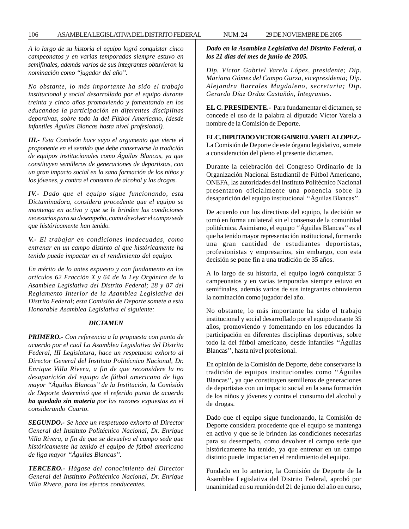*A lo largo de su historia el equipo logró conquistar cinco campeonatos y en varias temporadas siempre estuvo en semifinales, además varios de sus integrantes obtuvieron la nominación como ''jugador del año''.*

*No obstante, lo más importante ha sido el trabajo institucional y social desarrollado por el equipo durante treinta y cinco años promoviendo y fomentando en los educandos la participación en diferentes disciplinas deportivas, sobre todo la del Fútbol Americano, (desde infantiles Águilas Blancas hasta nivel profesional).*

*III.- Esta Comisión hace suyo el argumento que vierte el proponente en el sentido que debe conservarse la tradición de equipos institucionales como Águilas Blancas, ya que constituyen semilleros de generaciones de deportistas, con un gran impacto social en la sana formación de los niños y los jóvenes, y contra el consumo de alcohol y las drogas.*

*IV.- Dado que el equipo sigue funcionando, esta Dictaminadora, considera procedente que el equipo se mantenga en activo y que se le brinden las condiciones necesarias para su desempeño, como devolver el campo sede que históricamente han tenido.*

*V.- El trabajar en condiciones inadecuadas, como entrenar en un campo distinto al que históricamente ha tenido puede impactar en el rendimiento del equipo.*

*En mérito de lo antes expuesto y con fundamento en los artículos 62 Fracción X y 64 de la Ley Orgánica de la Asamblea Legislativa del Distrito Federal; 28 y 87 del Reglamento Interior de la Asamblea Legislativa del Distrito Federal; esta Comisión de Deporte somete a esta Honorable Asamblea Legislativa el siguiente:*

### *DICTAMEN*

*PRIMERO.- Con referencia a la propuesta con punto de acuerdo por el cual La Asamblea Legislativa del Distrito Federal, III Legislatura, hace un respetuoso exhorto al Director General del Instituto Politécnico Nacional, Dr. Enrique Villa Rivera, a fin de que reconsidere la no desaparición del equipo de fútbol americano de liga mayor ''Águilas Blancas'' de la Institución, la Comisión de Deporte determinó que el referido punto de acuerdo ha quedado sin materia por las razones expuestas en el considerando Cuarto.*

*SEGUNDO.- Se hace un respetuoso exhorto al Director General del Instituto Politécnico Nacional, Dr. Enrique Villa Rivera, a fin de que se devuelva el campo sede que históricamente ha tenido el equipo de fútbol americano de liga mayor ''Águilas Blancas''.*

*TERCERO.- Hágase del conocimiento del Director General del Instituto Politécnico Nacional, Dr. Enrique Villa Rivera, para los efectos conducentes.*

# *Dado en la Asamblea Legislativa del Distrito Federal, a los 21 días del mes de junio de 2005.*

*Dip. Víctor Gabriel Varela López, presidente; Dip. Mariana Gómez del Campo Gurza, vicepresidenta; Dip. Alejandra Barrales Magdaleno, secretaria; Dip. Gerardo Díaz Ordaz Castañón, Integrantes.*

**EL C. PRESIDENTE.-** Para fundamentar el dictamen, se concede el uso de la palabra al diputado Víctor Varela a nombre de la Comisión de Deporte.

**EL C. DIPUTADO VICTOR GABRIEL VARELA LOPEZ.-** La Comisión de Deporte de este órgano legislativo, somete a consideración del pleno el presente dictamen.

Durante la celebración del Congreso Ordinario de la Organización Nacional Estudiantil de Fútbol Americano, ONEFA, las autoridades del Instituto Politécnico Nacional presentaron oficialmente una ponencia sobre la desaparición del equipo institucional ''Águilas Blancas''.

De acuerdo con los directivos del equipo, la decisión se tomó en forma unilateral sin el consenso de la comunidad politécnica. Asimismo, el equipo ''Águilas Blancas'' es el que ha tenido mayor representación institucional, formando una gran cantidad de estudiantes deportistas, profesionistas y empresarios, sin embargo, con esta decisión se pone fin a una tradición de 35 años.

A lo largo de su historia, el equipo logró conquistar 5 campeonatos y en varias temporadas siempre estuvo en semifinales, además varios de sus integrantes obtuvieron la nominación como jugador del año.

No obstante, lo más importante ha sido el trabajo institucional y social desarrollado por el equipo durante 35 años, promoviendo y fomentando en los educandos la participación en diferentes disciplinas deportivas, sobre todo la del fútbol americano, desde infantiles ''Águilas Blancas'', hasta nivel profesional.

En opinión de la Comisión de Deporte, debe conservarse la tradición de equipos institucionales como ''Águilas Blancas'', ya que constituyen semilleros de generaciones de deportistas con un impacto social en la sana formación de los niños y jóvenes y contra el consumo del alcohol y de drogas.

Dado que el equipo sigue funcionando, la Comisión de Deporte considera procedente que el equipo se mantenga en activo y que se le brinden las condiciones necesarias para su desempeño, como devolver el campo sede que históricamente ha tenido, ya que entrenar en un campo distinto puede impactar en el rendimiento del equipo.

Fundado en lo anterior, la Comisión de Deporte de la Asamblea Legislativa del Distrito Federal, aprobó por unanimidad en su reunión del 21 de junio del año en curso,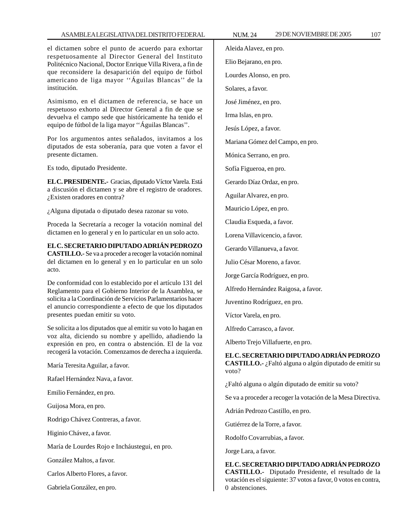el dictamen sobre el punto de acuerdo para exhortar respetuosamente al Director General del Instituto Politécnico Nacional, Doctor Enrique Villa Rivera, a fin de que reconsidere la desaparición del equipo de fútbol americano de liga mayor ''Águilas Blancas'' de la institución.

Asimismo, en el dictamen de referencia, se hace un respetuoso exhorto al Director General a fin de que se devuelva el campo sede que históricamente ha tenido el equipo de fútbol de la liga mayor ''Águilas Blancas''.

Por los argumentos antes señalados, invitamos a los diputados de esta soberanía, para que voten a favor el presente dictamen.

Es todo, diputado Presidente.

**EL C. PRESIDENTE.-** Gracias, diputado Víctor Varela. Está a discusión el dictamen y se abre el registro de oradores. ¿Existen oradores en contra?

¿Alguna diputada o diputado desea razonar su voto.

Proceda la Secretaría a recoger la votación nominal del dictamen en lo general y en lo particular en un solo acto.

**EL C. SECRETARIO DIPUTADO ADRIÁN PEDROZO CASTILLO.-** Se va a proceder a recoger la votación nominal del dictamen en lo general y en lo particular en un solo acto.

De conformidad con lo establecido por el artículo 131 del Reglamento para el Gobierno Interior de la Asamblea, se solicita a la Coordinación de Servicios Parlamentarios hacer el anuncio correspondiente a efecto de que los diputados presentes puedan emitir su voto.

Se solicita a los diputados que al emitir su voto lo hagan en voz alta, diciendo su nombre y apellido, añadiendo la expresión en pro, en contra o abstención. El de la voz recogerá la votación. Comenzamos de derecha a izquierda.

María Teresita Aguilar, a favor.

Rafael Hernández Nava, a favor.

Emilio Fernández, en pro.

Guijosa Mora, en pro.

Rodrigo Chávez Contreras, a favor.

Higinio Chávez, a favor.

María de Lourdes Rojo e Incháustegui, en pro.

González Maltos, a favor.

Carlos Alberto Flores, a favor.

Gabriela González, en pro.

Aleida Alavez, en pro.

Elio Bejarano, en pro.

Lourdes Alonso, en pro.

Solares, a favor.

José Jiménez, en pro.

Irma Islas, en pro.

Jesús López, a favor.

Mariana Gómez del Campo, en pro.

Mónica Serrano, en pro.

Sofía Figueroa, en pro.

Gerardo Díaz Ordaz, en pro.

Aguilar Alvarez, en pro.

Mauricio López, en pro.

Claudia Esqueda, a favor.

Lorena Villavicencio, a favor.

Gerardo Villanueva, a favor.

Julio César Moreno, a favor.

Jorge García Rodríguez, en pro.

Alfredo Hernández Raigosa, a favor.

Juventino Rodríguez, en pro.

Víctor Varela, en pro.

Alfredo Carrasco, a favor.

Alberto Trejo Villafuerte, en pro.

# **EL C. SECRETARIO DIPUTADO ADRIÁN PEDROZO**

**CASTILLO.-** ¿Faltó alguna o algún diputado de emitir su voto?

¿Faltó alguna o algún diputado de emitir su voto?

Se va a proceder a recoger la votación de la Mesa Directiva.

Adrián Pedrozo Castillo, en pro.

Gutiérrez de la Torre, a favor.

Rodolfo Covarrubias, a favor.

Jorge Lara, a favor.

#### **EL C. SECRETARIO DIPUTADO ADRIÁN PEDROZO CASTILLO.-** Diputado Presidente, el resultado de la

votación es el siguiente: 37 votos a favor, 0 votos en contra, 0 abstenciones.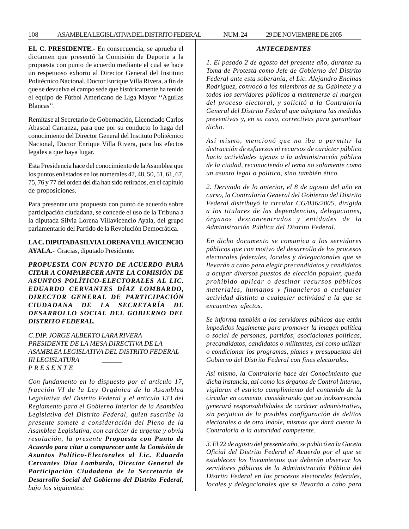**EL C. PRESIDENTE.-** En consecuencia, se aprueba el dictamen que presentó la Comisión de Deporte a la propuesta con punto de acuerdo mediante el cual se hace un respetuoso exhorto al Director General del Instituto Politécnico Nacional, Doctor Enrique Villa Rivera, a fin de que se devuelva el campo sede que históricamente ha tenido el equipo de Fútbol Americano de Liga Mayor ''Aguilas Blancas''.

Remítase al Secretario de Gobernación, Licenciado Carlos Abascal Carranza, para que por su conducto lo haga del conocimiento del Director General del Instituto Politécnico Nacional, Doctor Enrique Villa Rivera, para los efectos legales a que haya lugar.

Esta Presidencia hace del conocimiento de la Asamblea que los puntos enlistados en los numerales 47, 48, 50, 51, 61, 67, 75, 76 y 77 del orden del día han sido retirados, en el capítulo de proposiciones.

Para presentar una propuesta con punto de acuerdo sobre participación ciudadana, se concede el uso de la Tribuna a la diputada Silvia Lorena Villavicencio Ayala, del grupo parlamentario del Partido de la Revolución Democrática.

# **LA C. DIPUTADA SILVIA LORENA VILLAVICENCIO AYALA.-** Gracias, diputado Presidente.

*PROPUESTA CON PUNTO DE ACUERDO PARA CITAR A COMPARECER ANTE LA COMISIÓN DE ASUNTOS POLÍTICO-ELECTORALES AL LIC. EDUARDO CERVANTES DÍAZ LOMBARDO, DIRECTOR GENERAL DE PARTICIPACIÓN CIUDADANA DE LA SECRETARÍA DE DESARROLLO SOCIAL DEL GOBIERNO DEL DISTRITO FEDERAL.*

*C. DIP. JORGE ALBERTO LARA RIVERA PRESIDENTE DE LA MESA DIRECTIVA DE LA ASAMBLEA LEGISLATIVA DEL DISTRITO FEDERAL III LEGISLATURA \_\_\_\_\_\_ P R E S E N T E*

*Con fundamento en lo dispuesto por el artículo 17, fracción VI de la Ley Orgánica de la Asamblea Legislativa del Distrito Federal y el artículo 133 del Reglamento para el Gobierno Interior de la Asamblea Legislativa del Distrito Federal, quien suscribe la presente somete a consideración del Pleno de la Asamblea Legislativa, con carácter de urgente y obvia resolución, la presente Propuesta con Punto de Acuerdo para citar a comparecer ante la Comisión de Asuntos Político-Electorales al Lic. Eduardo Cervantes Díaz Lombardo, Director General de Participación Ciudadana de la Secretaría de Desarrollo Social del Gobierno del Distrito Federal, bajo los siguientes:*

#### *ANTECEDENTES*

*1. El pasado 2 de agosto del presente año, durante su Toma de Protesta como Jefe de Gobierno del Distrito Federal ante esta soberanía, el Lic. Alejandro Encinas Rodríguez, convocó a los miembros de su Gabinete y a todos los servidores públicos a mantenerse al margen del proceso electoral, y solicitó a la Contraloría General del Distrito Federal que adoptara las medidas preventivas y, en su caso, correctivas para garantizar dicho.*

*Así mismo, mencionó que no iba a permitir la distracción de esfuerzos ni recursos de carácter público hacia actividades ajenas a la administración pública de la ciudad, reconociendo el tema no solamente como un asunto legal o político, sino también ético.*

*2. Derivado de lo anterior, el 8 de agosto del año en curso, la Contraloría General del Gobierno del Distrito Federal distribuyó la circular CG/036/2005, dirigida a los titulares de las dependencias, delegaciones, órganos desconcentrados y entidades de la Administración Pública del Distrito Federal.*

*En dicho documento se comunica a los servidores públicos que con motivo del desarrollo de los procesos electorales federales, locales y delegacionales que se llevarán a cabo para elegir precandidatos y candidatos a ocupar diversos puestos de elección popular, queda prohibido aplicar o destinar recursos públicos materiales, humanos y financieros a cualquier actividad distinta a cualquier actividad a la que se encuentren afectos.*

*Se informa también a los servidores públicos que están impedidos legalmente para promover la imagen política o social de personas, partidos, asociaciones políticas, precandidatos, candidatos o militantes, así como utilizar o condicionar los programas, planes y presupuestos del Gobierno del Distrito Federal con fines electorales.*

*Así mismo, la Contraloría hace del Conocimiento que dicha instancia, así como los órganos de Control Interno, vigilaran el estricto cumplimiento del contenido de la circular en comento, considerando que su inobservancia generará responsabilidades de carácter administrativo, sin perjuicio de la posibles configuración de delitos electorales o de otra índole, mismos que dará cuenta la Contraloría a la autoridad competente.*

*3. El 22 de agosto del presente año, se publicó en la Gaceta Oficial del Distrito Federal el Acuerdo por el que se establecen los lineamientos que deberán observar los servidores públicos de la Administración Pública del Distrito Federal en los procesos electorales federales, locales y delegacionales que se llevarán a cabo para*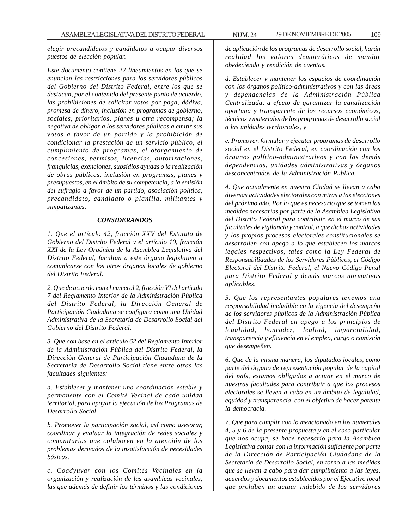*elegir precandidatos y candidatos a ocupar diversos puestos de elección popular.*

*Este documento contiene 22 lineamientos en los que se enuncian las restricciones para los servidores públicos del Gobierno del Distrito Federal, entre los que se destacan, por el contenido del presente punto de acuerdo, las prohibiciones de solicitar votos por paga, dádiva, promesa de dinero, inclusión en programas de gobierno, sociales, prioritarios, planes u otra recompensa; la negativa de obligar a los servidores públicos a emitir sus votos a favor de un partido y la prohibición de condicionar la prestación de un servicio público, el cumplimiento de programas, el otorgamiento de concesiones, permisos, licencias, autorizaciones, franquicias, exenciones, subsidios ayudas o la realización de obras públicas, inclusión en programas, planes y presupuestos, en el ámbito de su competencia, a la emisión del sufragio a favor de un partido, asociación política, precandidato, candidato o planilla, militantes y simpatizantes.*

#### *CONSIDERANDOS*

*1. Que el artículo 42, fracción XXV del Estatuto de Gobierno del Distrito Federal y el artículo 10, fracción XXI de la Ley Orgánica de la Asamblea Legislativa del Distrito Federal, facultan a este órgano legislativo a comunicarse con los otros órganos locales de gobierno del Distrito Federal.*

*2. Que de acuerdo con el numeral 2, fracción VI del artículo 7 del Reglamento Interior de la Administración Pública del Distrito Federal, la Dirección General de Participación Ciudadana se configura como una Unidad Administrativa de la Secretaria de Desarrollo Social del Gobierno del Distrito Federal.*

*3. Que con base en el artículo 62 del Reglamento Interior de la Administración Pública del Distrito Federal, la Dirección General de Participación Ciudadana de la Secretaria de Desarrollo Social tiene entre otras las facultades siguientes:*

*a. Establecer y mantener una coordinación estable y permanente con el Comité Vecinal de cada unidad territorial, para apoyar la ejecución de los Programas de Desarrollo Social.*

*b. Promover la participación social, así como asesorar, coordinar y evaluar la integración de redes sociales y comunitarias que colaboren en la atención de los problemas derivados de la insatisfacción de necesidades básicas.*

*c. Coadyuvar con los Comités Vecinales en la organización y realización de las asambleas vecinales, las que además de definir los términos y las condiciones*

*de aplicación de los programas de desarrollo social, harán realidad los valores democráticos de mandar obedeciendo y rendición de cuentas.*

*d. Establecer y mantener los espacios de coordinación con los órganos político-administrativos y con las áreas y dependencias de la Administración Pública Centralizada, a efecto de garantizar la canalización oportuna y transparente de los recursos económicos, técnicos y materiales de los programas de desarrollo social a las unidades territoriales, y*

*e. Promover, formular y ejecutar programas de desarrollo social en el Distrito Federal, en coordinación con los órganos político-administrativos y con las demás dependencias, unidades administrativas y órganos desconcentrados de la Administración Publica.*

*4. Que actualmente en nuestra Ciudad se llevan a cabo diversas actividades electorales con miras a las elecciones del próximo año. Por lo que es necesario que se tomen las medidas necesarias por parte de la Asamblea Legislativa del Distrito Federal para contribuir, en el marco de sus facultades de vigilancia y control, a que dichas actividades y los propios procesos electorales constitucionales se desarrollen con apego a lo que establecen los marcos legales respectivos, tales como la Ley Federal de Responsabilidades de los Servidores Públicos, el Código Electoral del Distrito Federal, el Nuevo Código Penal para Distrito Federal y demás marcos normativos aplicables.*

*5. Que los representantes populares tenemos una responsabilidad ineludible en la vigencia del desempeño de los servidores públicos de la Administración Pública del Distrito Federal en apego a los principios de legalidad, honradez, lealtad, imparcialidad, transparencia y eficiencia en el empleo, cargo o comisión que desempeñen.*

*6. Que de la misma manera, los diputados locales, como parte del órgano de representación popular de la capital del país, estamos obligados a actuar en el marco de nuestras facultades para contribuir a que los procesos electorales se lleven a cabo en un ámbito de legalidad, equidad y transparencia, con el objetivo de hacer patente la democracia.*

*7. Que para cumplir con lo mencionado en los numerales 4, 5 y 6 de la presente propuesta y en el caso particular que nos ocupa, se hace necesario para la Asamblea Legislativa contar con la información suficiente por parte de la Dirección de Participación Ciudadana de la Secretaría de Desarrollo Social, en torno a las medidas que se llevan a cabo para dar cumplimiento a las leyes, acuerdos y documentos establecidos por el Ejecutivo local que prohíben un actuar indebido de los servidores*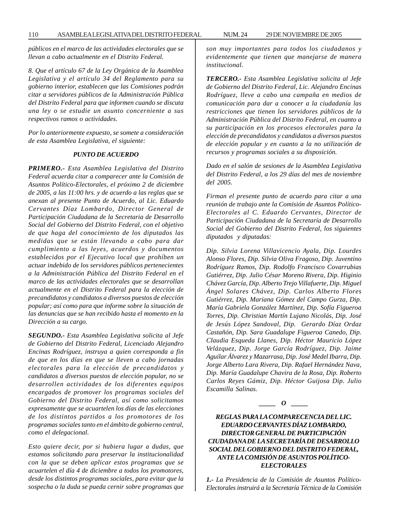110 ASAMBLEA LEGISLATIVA DEL DISTRITO FEDERAL NUM. 24 29 DE NOVIEMBRE DE 2005

*públicos en el marco de las actividades electorales que se llevan a cabo actualmente en el Distrito Federal.*

*8. Que el artículo 67 de la Ley Orgánica de la Asamblea Legislativa y el artículo 34 del Reglamento para su gobierno interior, establecen que las Comisiones podrán citar a servidores públicos de la Administración Pública del Distrito Federal para que informen cuando se discuta una ley o se estudie un asunto concerniente a sus respectivos ramos o actividades.*

*Por lo anteriormente expuesto, se somete a consideración de esta Asamblea Legislativa, el siguiente:*

## *PUNTO DE ACUERDO*

*PRIMERO.- Esta Asamblea Legislativa del Distrito Federal acuerda citar a comparecer ante la Comisión de Asuntos Político-Electorales, el próximo 2 de diciembre de 2005, a las 11:00 hrs. y de acuerdo a las reglas que se anexan al presente Punto de Acuerdo, al Lic. Eduardo Cervantes Díaz Lombardo, Director General de Participación Ciudadana de la Secretaria de Desarrollo Social del Gobierno del Distrito Federal, con el objetivo de que haga del conocimiento de los diputados las medidas que se están llevando a cabo para dar cumplimiento a las leyes, acuerdos y documentos establecidos por el Ejecutivo local que prohíben un actuar indebido de los servidores públicos pertenecientes a la Administración Pública del Distrito Federal en el marco de las actividades electorales que se desarrollan actualmente en el Distrito Federal para la elección de precandidatos y candidatos a diversos puestos de elección popular; así como para que informe sobre la situación de las denuncias que se han recibido hasta el momento en la Dirección a su cargo.*

*SEGUNDO.- Esta Asamblea Legislativa solicita al Jefe de Gobierno del Distrito Federal, Licenciado Alejandro Encinas Rodríguez, instruya a quien corresponda a fin de que en los días en que se lleven a cabo jornadas electorales para la elección de precandidatos y candidatos a diversos puestos de elección popular, no se desarrollen actividades de los diferentes equipos encargados de promover los programas sociales del Gobierno del Distrito Federal, así como solicitamos expresamente que se acuartelen los días de las elecciones de los distintos partidos a los promotores de los programas sociales tanto en el ámbito de gobierno central, como el delegacional.*

*Esto quiere decir, por si hubiera lugar a dudas, que estamos solicitando para preservar la institucionalidad con la que se deben aplicar estos programas que se acuartelen el día 4 de diciembre a todos los promotores, desde los distintos programas sociales, para evitar que la sospecha o la duda se pueda cernir sobre programas que* *son muy importantes para todos los ciudadanos y evidentemente que tienen que manejarse de manera institucional.*

*TERCERO.- Esta Asamblea Legislativa solicita al Jefe de Gobierno del Distrito Federal, Lic. Alejandro Encinas Rodríguez, lleve a cabo una campaña en medios de comunicación para dar a conocer a la ciudadanía las restricciones que tienen los servidores públicos de la Administración Pública del Distrito Federal, en cuanto a su participación en los procesos electorales para la elección de precandidatos y candidatos a diversos puestos de elección popular y en cuanto a la no utilización de recursos y programas sociales a su disposición.*

*Dado en el salón de sesiones de la Asamblea Legislativa del Distrito Federal, a los 29 días del mes de noviembre del 2005.*

*Firman el presente punto de acuerdo para citar a una reunión de trabajo ante la Comisión de Asuntos Político-Electorales al C. Eduardo Cervantes, Director de Participación Ciudadana de la Secretaría de Desarrollo Social del Gobierno del Distrito Federal, los siguientes diputados y diputadas:*

*Dip. Silvia Lorena Villavicencio Ayala, Dip. Lourdes Alonso Flores, Dip. Silvia Oliva Fragoso, Dip. Juventino Rodríguez Ramos, Dip. Rodolfo Francisco Covarrubias Gutiérrez, Dip. Julio César Moreno Rivera, Dip. Higinio Chávez García, Dip. Alberto Trejo Villafuerte, Dip. Miguel Ángel Solares Chávez, Dip. Carlos Alberto Flores Gutiérrez, Dip. Mariana Gómez del Campo Gurza, Dip. María Gabriela González Martínez, Dip. Sofía Figueroa Torres, Dip. Christian Martín Lujano Nicolás, Dip. José de Jesús López Sandoval, Dip. Gerardo Díaz Ordaz Castañón, Dip. Sara Guadalupe Figueroa Canedo, Dip. Claudia Esqueda Llanes, Dip. Héctor Mauricio López Velázquez, Dip. Jorge García Rodríguez, Dip. Jaime Aguilar Álvarez y Mazarrasa, Dip. José Medel Ibarra, Dip. Jorge Alberto Lara Rivera, Dip. Rafael Hernández Nava, Dip. María Guadalupe Chavira de la Rosa, Dip. Roberto Carlos Reyes Gámiz, Dip. Héctor Guijosa Dip. Julio Escamilla Salinas.*

$$
\_\_o
$$

# *REGLAS PARA LA COMPARECENCIA DEL LIC. EDUARDO CERVANTES DÍAZ LOMBARDO, DIRECTOR GENERAL DE PARTICIPACIÓN CIUDADANA DE LA SECRETARÍA DE DESARROLLO SOCIAL DEL GOBIERNO DEL DISTRITO FEDERAL, ANTE LA COMISIÓN DE ASUNTOS POLÍTICO-ELECTORALES*

*1.- La Presidencia de la Comisión de Asuntos Político-Electorales instruirá a la Secretaría Técnica de la Comisión*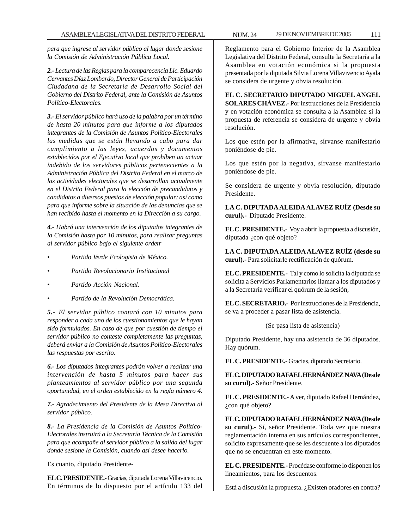*para que ingrese al servidor público al lugar donde sesione la Comisión de Administración Pública Local.*

*2.- Lectura de las Reglas para la comparecencia Lic. Eduardo Cervantes Díaz Lombardo, Director General de Participación Ciudadana de la Secretaría de Desarrollo Social del Gobierno del Distrito Federal, ante la Comisión de Asuntos Político-Electorales.*

*3.- El servidor público hará uso de la palabra por un término de hasta 20 minutos para que informe a los diputados integrantes de la Comisión de Asuntos Político-Electorales las medidas que se están llevando a cabo para dar cumplimiento a las leyes, acuerdos y documentos establecidos por el Ejecutivo local que prohíben un actuar indebido de los servidores públicos pertenecientes a la Administración Pública del Distrito Federal en el marco de las actividades electorales que se desarrollan actualmente en el Distrito Federal para la elección de precandidatos y candidatos a diversos puestos de elección popular; así como para que informe sobre la situación de las denuncias que se han recibido hasta el momento en la Dirección a su cargo.*

*4.- Habrá una intervención de los diputados integrantes de la Comisión hasta por 10 minutos, para realizar preguntas al servidor público bajo el siguiente orden-*

- *Partido Verde Ecologista de México.*
- *Partido Revolucionario Institucional*
- *Partido Acción Nacional.*
- *Partido de la Revolución Democrática.*

*5.- El servidor público contará con 10 minutos para responder a cada uno de los cuestionamientos que le hayan sido formulados. En caso de que por cuestión de tiempo el servidor público no conteste completamente las preguntas, deberá enviar a la Comisión de Asuntos Político-Electorales las respuestas por escrito.*

*6.- Los diputados integrantes podrán volver a realizar una intervención de hasta 5 minutos para hacer sus planteamientos al servidor público por una segunda oportunidad, en el orden establecido en la regla número 4.*

*7.- Agradecimiento del Presidente de la Mesa Directiva al servidor público.*

*8.- La Presidencia de la Comisión de Asuntos Político-Electorales instruirá a la Secretaría Técnica de la Comisión para que acompañe al servidor público a la salida del lugar donde sesione la Comisión, cuando así desee hacerlo.*

Es cuanto, diputado Presidente-

**EL C. PRESIDENTE.-** Gracias, diputada Lorena Villavicencio. En términos de lo dispuesto por el artículo 133 del Reglamento para el Gobierno Interior de la Asamblea Legislativa del Distrito Federal, consulte la Secretaría a la Asamblea en votación económica si la propuesta presentada por la diputada Silvia Lorena Villavivencio Ayala se considera de urgente y obvia resolución.

**EL C. SECRETARIO DIPUTADO MIGUEL ANGEL SOLARES CHÁVEZ.-** Por instrucciones de la Presidencia y en votación económica se consulta a la Asamblea si la propuesta de referencia se considera de urgente y obvia resolución.

Los que estén por la afirmativa, sírvanse manifestarlo poniéndose de pie.

Los que estén por la negativa, sírvanse manifestarlo poniéndose de pie.

Se considera de urgente y obvia resolución, diputado Presidente.

**LA C. DIPUTADA ALEIDA ALAVEZ RUÍZ (Desde su curul).-** Diputado Presidente.

**EL C. PRESIDENTE.-** Voy a abrir la propuesta a discusión, diputada ¿con qué objeto?

**LA C. DIPUTADA ALEIDA ALAVEZ RUÍZ (desde su curul).-** Para solicitarle rectificación de quórum.

**EL C. PRESIDENTE.-** Tal y como lo solicita la diputada se solicita a Servicios Parlamentarios llamar a los diputados y a la Secretaría verificar el quórum de la sesión,

**EL C. SECRETARIO.-** Por instrucciones de la Presidencia, se va a proceder a pasar lista de asistencia.

(Se pasa lista de asistencia)

Diputado Presidente, hay una asistencia de 36 diputados. Hay quórum.

**EL C. PRESIDENTE.-** Gracias, diputado Secretario.

**EL C. DIPUTADO RAFAEL HERNÁNDEZ NAVA (Desde su curul).-** Señor Presidente.

**EL C. PRESIDENTE.-** A ver, diputado Rafael Hernández, ¿con qué objeto?

**EL C. DIPUTADO RAFAEL HERNÁNDEZ NAVA (Desde su curul).-** Sí, señor Presidente. Toda vez que nuestra reglamentación interna en sus artículos correspondientes, solicito expresamente que se les descuente a los diputados que no se encuentran en este momento.

**EL C. PRESIDENTE.-** Procédase conforme lo disponen los lineamientos, para los descuentos.

Está a discusión la propuesta. ¿Existen oradores en contra?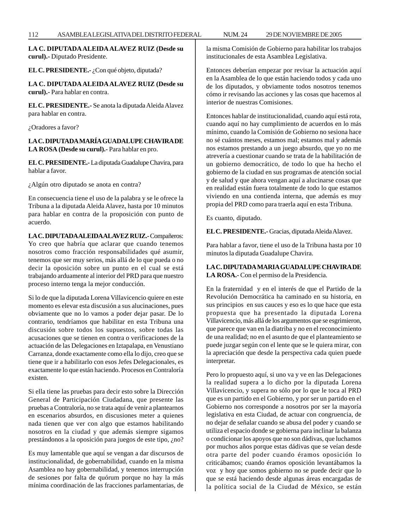**LA C. DIPUTADA ALEIDA ALAVEZ RUIZ (Desde su curul).-** Diputado Presidente.

**EL C. PRESIDENTE.-** ¿Con qué objeto, diputada?

**LA C. DIPUTADA ALEIDA ALAVEZ RUIZ (Desde su curul).-** Para hablar en contra.

**EL C. PRESIDENTE.-** Se anota la diputada Aleida Alavez para hablar en contra.

¿Oradores a favor?

**LA C. DIPUTADA MARÍA GUADALUPE CHAVIRA DE LA ROSA (Desde su curul).-** Para hablar en pro.

**EL C. PRESIDENTE.-** La diputada Guadalupe Chavira, para hablar a favor.

¿Algún otro diputado se anota en contra?

En consecuencia tiene el uso de la palabra y se le ofrece la Tribuna a la diputada Aleida Alavez, hasta por 10 minutos para hablar en contra de la proposición con punto de acuerdo.

**LA C. DIPUTADA ALEIDA ALAVEZ RUIZ.-** Compañeros: Yo creo que habría que aclarar que cuando tenemos nosotros como fracción responsabilidades qué asumir, tenemos que ser muy serios, más allá de lo que pueda o no decir la oposición sobre un punto en el cual se está trabajando arduamente al interior del PRD para que nuestro proceso interno tenga la mejor conducción.

Si lo de que la diputada Lorena Villavicencio quiere en este momento es elevar esta discusión a sus alucinaciones, pues obviamente que no lo vamos a poder dejar pasar. De lo contrario, tendríamos que habilitar en esta Tribuna una discusión sobre todos los supuestos, sobre todas las acusaciones que se tienen en contra o verificaciones de la actuación de las Delegaciones en Iztapalapa, en Venustiano Carranza, donde exactamente como ella lo dijo, creo que se tiene que ir a habilitarlo con esos Jefes Delegacionales, es exactamente lo que están haciendo. Procesos en Contraloría existen.

Si ella tiene las pruebas para decir esto sobre la Dirección General de Participación Ciudadana, que presente las pruebas a Contraloría, no se trata aquí de venir a plantearnos en escenarios absurdos, en discusiones meter a quienes nada tienen que ver con algo que estamos habilitando nosotros en la ciudad y que además siempre sigamos prestándonos a la oposición para juegos de este tipo, ¿no?

Es muy lamentable que aquí se vengan a dar discursos de institucionalidad, de gobernabilidad, cuando en la misma Asamblea no hay gobernabilidad, y tenemos interrupción de sesiones por falta de quórum porque no hay la más mínima coordinación de las fracciones parlamentarias, de la misma Comisión de Gobierno para habilitar los trabajos institucionales de esta Asamblea Legislativa.

Entonces deberían empezar por revisar la actuación aquí en la Asamblea de lo que están haciendo todos y cada uno de los diputados, y obviamente todos nosotros tenemos cómo ir revisando las acciones y las cosas que hacemos al interior de nuestras Comisiones.

Entonces hablar de institucionalidad, cuando aquí está rota, cuando aquí no hay cumplimiento de acuerdos en lo más mínimo, cuando la Comisión de Gobierno no sesiona hace no sé cuántos meses, estamos mal; estamos mal y además nos estamos prestando a un juego absurdo, que yo no me atrevería a cuestionar cuando se trata de la habilitación de un gobierno democrático, de todo lo que ha hecho el gobierno de la ciudad en sus programas de atención social y de salud y que ahora vengan aquí a alucinarse cosas que en realidad están fuera totalmente de todo lo que estamos viviendo en una contienda interna, que además es muy propia del PRD como para traerla aquí en esta Tribuna.

Es cuanto, diputado.

**EL C. PRESIDENTE.-** Gracias, diputada Aleida Alavez.

Para hablar a favor, tiene el uso de la Tribuna hasta por 10 minutos la diputada Guadalupe Chavira.

# **LA C. DIPUTADA MARIA GUADALUPE CHAVIRA DE LA ROSA.-** Con el permiso de la Presidencia.

En la fraternidad y en el interés de que el Partido de la Revolución Democrática ha caminado en su historia, en sus principios en sus cauces y eso es lo que hace que esta propuesta que ha presentado la diputada Lorena Villavicencio, más allá de los argumentos que se esgrimieron, que parece que van en la diatriba y no en el reconocimiento de una realidad; no en el asunto de que el planteamiento se puede juzgar según con el lente que se le quiera mirar, con la apreciación que desde la perspectiva cada quien puede interpretar.

Pero lo propuesto aquí, si uno va y ve en las Delegaciones la realidad supera a lo dicho por la diputada Lorena Villavicencio, y supera no sólo por lo que le toca al PRD que es un partido en el Gobierno, y por ser un partido en el Gobierno nos corresponde a nosotros por ser la mayoría legislativa en esta Ciudad, de actuar con congruencia, de no dejar de señalar cuando se abusa del poder y cuando se utiliza el espacio donde se gobierna para inclinar la balanza o condicionar los apoyos que no son dádivas, que luchamos por muchos años porque estas dádivas que se veían desde otra parte del poder cuando éramos oposición lo criticábamos; cuando éramos oposición levantábamos la voz y hoy que somos gobierno no se puede decir que lo que se está haciendo desde algunas áreas encargadas de la política social de la Ciudad de México, se están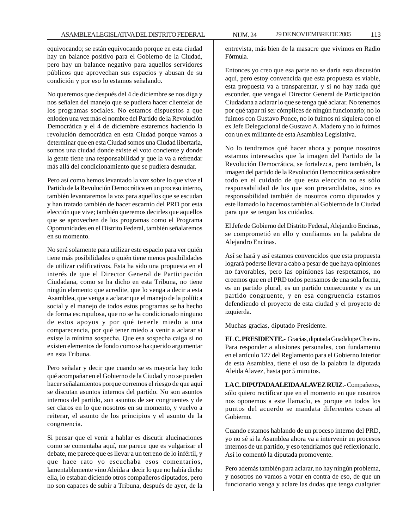equivocando; se están equivocando porque en esta ciudad hay un balance positivo para el Gobierno de la Ciudad, pero hay un balance negativo para aquellos servidores públicos que aprovechan sus espacios y abusan de su condición y por eso lo estamos señalando.

No queremos que después del 4 de diciembre se nos diga y nos señalen del manejo que se pudiera hacer clientelar de los programas sociales. No estamos dispuestos a que enloden una vez más el nombre del Partido de la Revolución Democrática y el 4 de diciembre estaremos haciendo la revolución democrática en esta Ciudad porque vamos a determinar que en esta Ciudad somos una Ciudad libertaria, somos una ciudad donde existe el voto conciente y donde la gente tiene una responsabilidad y que la va a refrendar más allá del condicionamiento que se pudiera desnudar.

Pero así como hemos levantado la voz sobre lo que vive el Partido de la Revolución Democrática en un proceso interno, también levantaremos la voz para aquellos que se escudan y han tratado también de hacer escarnio del PRD por esta elección que vive; también queremos decirles que aquellos que se aprovechen de los programas como el Programa Oportunidades en el Distrito Federal, también señalaremos en su momento.

No será solamente para utilizar este espacio para ver quién tiene más posibilidades o quién tiene menos posibilidades de utilizar calificativos. Esta ha sido una propuesta en el interés de que el Director General de Participación Ciudadana, como se ha dicho en esta Tribuna, no tiene ningún elemento que acredite, que lo venga a decir a esta Asamblea, que venga a aclarar que el manejo de la política social y el manejo de todos estos programas se ha hecho de forma escrupulosa, que no se ha condicionado ninguno de estos apoyos y por qué tenerle miedo a una comparecencia, por qué tener miedo a venir a aclarar si existe la mínima sospecha. Que esa sospecha caiga si no existen elementos de fondo como se ha querido argumentar en esta Tribuna.

Pero señalar y decir que cuando se es mayoría hay todo qué acompañar en el Gobierno de la Ciudad y no se pueden hacer señalamientos porque corremos el riesgo de que aquí se discutan asuntos internos del partido. No son asuntos internos del partido, son asuntos de ser congruentes y de ser claros en lo que nosotros en su momento, y vuelvo a reiterar, el asunto de los principios y el asunto de la congruencia.

Si pensar que el venir a hablar es discutir alucinaciones como se comentaba aquí, me parece que es vulgarizar el debate, me parece que es llevar a un terreno de lo infértil, y que hace rato yo escuchaba esos comentarios, lamentablemente vino Aleida a decir lo que no había dicho ella, lo estaban diciendo otros compañeros diputados, pero no son capaces de subir a Tribuna, después de ayer, de la

entrevista, más bien de la masacre que vivimos en Radio Fórmula.

Entonces yo creo que esa parte no se daría esta discusión aquí, pero estoy convencida que esta propuesta es viable, esta propuesta va a transparentar, y si no hay nada qué esconder, que venga el Director General de Participación Ciudadana a aclarar lo que se tenga qué aclarar. No tenemos por qué tapar ni ser cómplices de ningún funcionario; no lo fuimos con Gustavo Ponce, no lo fuimos ni siquiera con el ex Jefe Delegacional de Gustavo A. Madero y no lo fuimos con un ex militante de esta Asamblea Legislativa.

No lo tendremos qué hacer ahora y porque nosotros estamos interesados que la imagen del Partido de la Revolución Democrática, se fortalezca, pero también, la imagen del partido de la Revolución Democrática será sobre todo en el cuidado de que esta elección no es sólo responsabilidad de los que son precandidatos, sino es responsabilidad también de nosotros como diputados y este llamado lo hacemos también al Gobierno de la Ciudad para que se tengan los cuidados.

El Jefe de Gobierno del Distrito Federal, Alejandro Encinas, se comprometió en ello y confiamos en la palabra de Alejandro Encinas.

Así se hará y así estamos convencidos que esta propuesta logrará poderse llevar a cabo a pesar de que haya opiniones no favorables, pero las opiniones las respetamos, no creemos que en el PRD todos pensamos de una sola forma, es un partido plural, es un partido consecuente y es un partido congruente, y en esa congruencia estamos defendiendo el proyecto de esta ciudad y el proyecto de izquierda.

Muchas gracias, diputado Presidente.

**EL C. PRESIDENTE.-** Gracias, diputada Guadalupe Chavira. Para responder a alusiones personales, con fundamento en el artículo 127 del Reglamento para el Gobierno Interior de esta Asamblea, tiene el uso de la palabra la diputada Aleida Alavez, hasta por 5 minutos.

**LA C. DIPUTADA ALEIDA ALAVEZ RUIZ**.- Compañeros, sólo quiero rectificar que en el momento en que nosotros nos oponemos a este llamado, es porque en todos los puntos del acuerdo se mandata diferentes cosas al Gobierno.

Cuando estamos hablando de un proceso interno del PRD, yo no sé si la Asamblea ahora va a intervenir en procesos internos de un partido, y eso tendríamos qué reflexionarlo. Así lo comentó la diputada promovente.

Pero además también para aclarar, no hay ningún problema, y nosotros no vamos a votar en contra de eso, de que un funcionario venga y aclare las dudas que tenga cualquier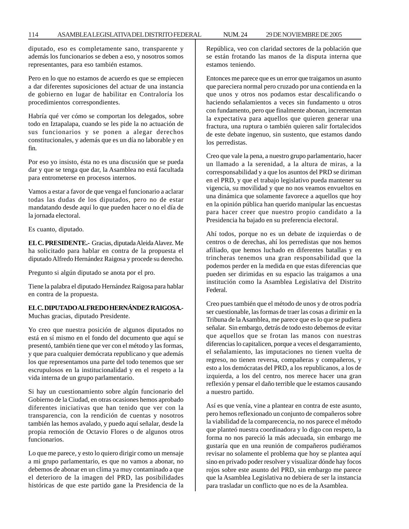#### 114 ASAMBLEA LEGISLATIVA DEL DISTRITO FEDERAL 29 DE NOVIEMBRE DE 2005 NUM. 24

diputado, eso es completamente sano, transparente y además los funcionarios se deben a eso, y nosotros somos representantes, para eso también estamos.

Pero en lo que no estamos de acuerdo es que se empiecen a dar diferentes suposiciones del actuar de una instancia de gobierno en lugar de habilitar en Contraloría los procedimientos correspondientes.

Habría qué ver cómo se comportan los delegados, sobre todo en Iztapalapa, cuando se les pide la no actuación de sus funcionarios y se ponen a alegar derechos constitucionales, y además que es un día no laborable y en fin.

Por eso yo insisto, ésta no es una discusión que se pueda dar y que se tenga que dar, la Asamblea no está facultada para entrometerse en procesos internos.

Vamos a estar a favor de que venga el funcionario a aclarar todas las dudas de los diputados, pero no de estar mandatando desde aquí lo que pueden hacer o no el día de la jornada electoral.

Es cuanto, diputado.

**EL C. PRESIDENTE.-** Gracias, diputada Aleida Alavez. Me ha solicitado para hablar en contra de la propuesta el diputado Alfredo Hernández Raigosa y procede su derecho.

Pregunto si algún diputado se anota por el pro.

Tiene la palabra el diputado Hernández Raigosa para hablar en contra de la propuesta.

# **EL C. DIPUTADO ALFREDO HERNÁNDEZ RAIGOSA.-** Muchas gracias, diputado Presidente.

Yo creo que nuestra posición de algunos diputados no está en sí mismo en el fondo del documento que aquí se presentó, también tiene que ver con el método y las formas, y que para cualquier demócrata republicano y que además los que representamos una parte del todo tenemos que ser escrupulosos en la institucionalidad y en el respeto a la vida interna de un grupo parlamentario.

Si hay un cuestionamiento sobre algún funcionario del Gobierno de la Ciudad, en otras ocasiones hemos aprobado diferentes iniciativas que han tenido que ver con la transparencia, con la rendición de cuentas y nosotros también las hemos avalado, y puedo aquí señalar, desde la propia remoción de Octavio Flores o de algunos otros funcionarios.

Lo que me parece, y esto lo quiero dirigir como un mensaje a mi grupo parlamentario, es que no vamos a abonar, no debemos de abonar en un clima ya muy contaminado a que el deterioro de la imagen del PRD, las posibilidades históricas de que este partido gane la Presidencia de la República, veo con claridad sectores de la población que se están frotando las manos de la disputa interna que estamos teniendo.

Entonces me parece que es un error que traigamos un asunto que pareciera normal pero cruzado por una contienda en la que unos y otros nos podamos estar descalificando o haciendo señalamientos a veces sin fundamento u otros con fundamento, pero que finalmente abonan, incrementan la expectativa para aquellos que quieren generar una fractura, una ruptura o también quieren salir fortalecidos de este debate ingenuo, sin sustento, que estamos dando los perredistas.

Creo que vale la pena, a nuestro grupo parlamentario, hacer un llamado a la serenidad, a la altura de miras, a la corresponsabilidad y a que los asuntos del PRD se diriman en el PRD, y que el trabajo legislativo pueda mantener su vigencia, su movilidad y que no nos veamos envueltos en una dinámica que solamente favorece a aquellos que hoy en la opinión pública han querido manipular las encuestas para hacer creer que nuestro propio candidato a la Presidencia ha bajado en su preferencia electoral.

Ahí todos, porque no es un debate de izquierdas o de centros o de derechas, ahí los perredistas que nos hemos afiliado, que hemos luchado en diferentes batallas y en trincheras tenemos una gran responsabilidad que la podemos perder en la medida en que estas diferencias que pueden ser dirimidas en su espacio las traigamos a una institución como la Asamblea Legislativa del Distrito Federal.

Creo pues también que el método de unos y de otros podría ser cuestionable, las formas de traer las cosas a dirimir en la Tribuna de la Asamblea, me parece que es lo que se pudiera señalar. Sin embargo, detrás de todo esto debemos de evitar que aquellos que se frotan las manos con nuestras diferencias lo capitalicen, porque a veces el desgarramiento, el señalamiento, las imputaciones no tienen vuelta de regreso, no tienen reversa, compañeras y compañeros, y esto a los demócratas del PRD, a los republicanos, a los de izquierda, a los del centro, nos merece hacer una gran reflexión y pensar el daño terrible que le estamos causando a nuestro partido.

Así es que venía, vine a plantear en contra de este asunto, pero hemos reflexionado un conjunto de compañeros sobre la viabilidad de la comparecencia, no nos parece el método que planteó nuestra coordinadora y lo digo con respeto, la forma no nos pareció la más adecuada, sin embargo me gustaría que en una reunión de compañeros pudiéramos revisar no solamente el problema que hoy se plantea aquí sino en privado poder resolver y visualizar dónde hay focos rojos sobre este asunto del PRD, sin embargo me parece que la Asamblea Legislativa no debiera de ser la instancia para trasladar un conflicto que no es de la Asamblea.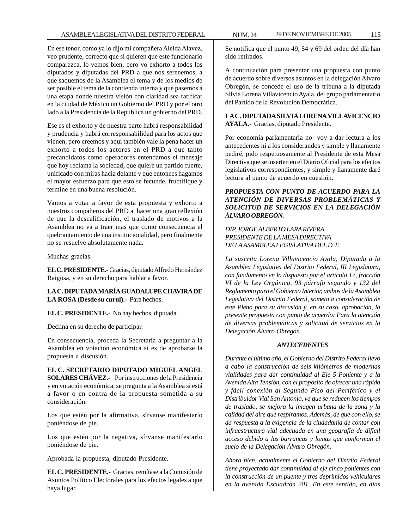En ese tenor, como ya lo dijo mi compañera Aleida Alavez, veo prudente, correcto que si quieren que este funcionario comparezca, lo vemos bien, pero yo exhorto a todos los diputados y diputadas del PRD a que nos serenemos, a que saquemos de la Asamblea el tema y de los medios de ser posible el tema de la contienda interna y que pasemos a una etapa donde nuestra visión con claridad sea ratificar en la ciudad de México un Gobierno del PRD y por el otro lado a la Presidencia de la República un gobierno del PRD.

Ese es el exhorto y de nuestra parte habrá responsabilidad y prudencia y habrá corresponsabilidad para los actos que vienen, pero creemos y aquí también vale la pena hacer un exhorto a todos los actores en el PRD a que tanto precandidatos como operadores entendamos el mensaje que hoy reclama la sociedad, que quiere un partido fuerte, unificado con miras hacia delante y que entonces hagamos el mayor esfuerzo para que esto se fecunde, fructifique y termine en una buena resolución.

Vamos a votar a favor de esta propuesta y exhorto a nuestros compañeros del PRD a hacer una gran reflexión de que la descalificación, el traslado de motivos a la Asamblea no va a traer mas que como consecuencia el quebrantamiento de una institucionalidad, pero finalmente no se resuelve absolutamente nada.

Muchas gracias.

**EL C. PRESIDENTE.-** Gracias, diputado Alfredo Hernández Raigosa, y en su derecho para hablar a favor.

## **LA C. DIPUTADA MARÍA GUADALUPE CHAVIRA DE LA ROSA (Desde su curul).-** Para hechos.

**EL C. PRESIDENTE.-** No hay hechos, diputada.

Declina en su derecho de participar.

En consecuencia, proceda la Secretaría a preguntar a la Asamblea en votación económica si es de aprobarse la propuesta a discusión.

**EL C. SECRETARIO DIPUTADO MIGUEL ANGEL SOLARES CHÁVEZ.-** Por instrucciones de la Presidencia y en votación económica, se pregunta a la Asamblea si está a favor o en contra de la propuesta sometida a su consideración.

Los que estén por la afirmativa, sírvanse manifestarlo poniéndose de pie.

Los que estén por la negativa, sírvanse manifestarlo poniéndose de pie.

Aprobada la propuesta, diputado Presidente.

**EL C. PRESIDENTE.-** Gracias, remítase a la Comisión de Asuntos Político Electorales para los efectos legales a que haya lugar.

Se notifica que el punto 49, 54 y 69 del orden del día han sido retirados.

A continuación para presentar una propuesta con punto de acuerdo sobre diversos asuntos en la delegación Alvaro Obregón, se concede el uso de la tribuna a la diputada Silvia Lorena Villavicencio Ayala, del grupo parlamentario del Partido de la Revolución Democrática.

# **LA C. DIPUTADA SILVIA LORENA VILLAVICENCIO AYALA.-** Gracias, diputado Presidente.

Por economía parlamentaria no voy a dar lectura a los antecedentes ni a los considerandos y simple y llanamente pediré, pido respetuosamente al Presidente de esta Mesa Directiva que se inserten en el Diario Oficial para los efectos legislativos correspondientes, y simple y llanamente daré lectura al punto de acuerdo en cuestión.

# *PROPUESTA CON PUNTO DE ACUERDO PARA LA ATENCIÓN DE DIVERSAS PROBLEMÁTICAS Y SOLICITUD DE SERVICIOS EN LA DELEGACIÓN ÁLVARO OBREGÓN.*

# *DIP. JORGE ALBERTO LARA RIVERA PRESIDENTE DE LA MESA DIRECTIVA DE LA ASAMBLEA LEGISLATIVA DEL D. F.*

*La suscrita Lorena Villavicencio Ayala, Diputada a la Asamblea Legislativa del Distrito Federal, III Legislatura, con fundamento en lo dispuesto por el artículo 17, fracción VI de la Ley Orgánica, 93 párrafo segundo y 132 del Reglamento para el Gobierno Interior, ambos de la Asamblea Legislativa del Distrito Federal, someto a consideración de este Pleno para su discusión y, en su caso, aprobación, la presente propuesta con punto de acuerdo: Para la atención de diversas problemáticas y solicitud de servicios en la Delegación Álvaro Obregón.*

# *ANTECEDENTES*

*Durante el último año, el Gobierno del Distrito Federal llevó a cabo la construcción de seis kilómetros de modernas vialidades para dar continuidad al Eje 5 Poniente y a la Avenida Alta Tensión, con el propósito de ofrecer una rápida y fácil conexión al Segundo Piso del Periférico y el Distribuidor Vial San Antonio, ya que se reducen los tiempos de traslado, se mejora la imagen urbana de la zona y la calidad del aire que respiramos. Además, de que con ello, se da respuesta a la exigencia de la ciudadanía de contar con infraestructura vial adecuada en una geografía de difícil acceso debido a las barrancas y lomas que conforman el suelo de la Delegación Álvaro Obregón.*

*Ahora bien, actualmente el Gobierno del Distrito Federal tiene proyectado dar continuidad al eje cinco ponientes con la construcción de un puente y tres deprimidos vehiculares en la avenida Escuadrón 201. En este sentido, en días*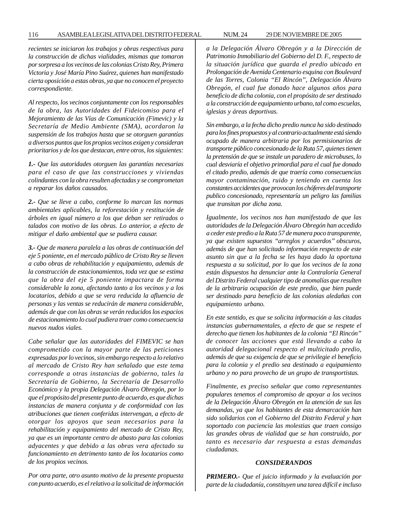*recientes se iniciaron los trabajos y obras respectivas para la construcción de dichas vialidades, mismas que tomaron por sorpresa a los vecinos de las colonias Cristo Rey, Primera Victoria y José María Pino Suárez, quienes han manifestado cierta oposición a estas obras, ya que no conocen el proyecto correspondiente.*

*Al respecto, los vecinos conjuntamente con los responsables de la obra, las Autoridades del Fideicomiso para el Mejoramiento de las Vías de Comunicación (Fimevic) y la Secretaría de Medio Ambiente (SMA), acordaron la suspensión de los trabajos hasta que se otorguen garantías a diversos puntos que los propios vecinos exigen y consideran prioritarios y de los que destacan, entre otros, los siguientes:*

*1.- Que las autoridades otorguen las garantías necesarias para el caso de que las construcciones y viviendas colindantes con la obra resulten afectadas y se comprometan a reparar los daños causados.*

*2.- Que se lleve a cabo, conforme lo marcan las normas ambientales aplicables, la reforestación y restitución de árboles en igual número a los que deban ser retirados o talados con motivo de las obras. Lo anterior, a efecto de mitigar el daño ambiental que se pudiera causar.*

*3.- Que de manera paralela a las obras de continuación del eje 5 poniente, en el mercado público de Cristo Rey se lleven a cabo obras de rehabilitación y equipamiento, además de la construcción de estacionamientos, toda vez que se estima que la obra del eje 5 poniente impactara de forma considerable la zona, afectando tanto a los vecinos y a los locatarios, debido a que se vera reducida la afluencia de personas y las ventas se reducirán de manera considerable, además de que con las obras se verán reducidos los espacios de estacionamiento lo cual pudiera traer como consecuencia nuevos nudos viales.*

*Cabe señalar que las autoridades del FIMEVIC se han comprometido con la mayor parte de las peticiones expresadas por lo vecinos, sin embargo respecto a lo relativo al mercado de Cristo Rey han señalado que este tema corresponde a otras instancias de gobierno, tales la Secretaría de Gobierno, la Secretaría de Desarrollo Económico y la propia Delegación Álvaro Obregón, por lo que el propósito del presente punto de acuerdo, es que dichas instancias de manera conjunta y de conformidad con las atribuciones que tienen conferidas intervengan, a efecto de otorgar los apoyos que sean necesarios para la rehabilitación y equipamiento del mercado de Cristo Rey, ya que es un importante centro de abasto para las colonias adyacentes y que debido a las obras vera afectado su funcionamiento en detrimento tanto de los locatarios como de los propios vecinos.*

*Por otra parte, otro asunto motivo de la presente propuesta con punto acuerdo, es el relativo a la solicitud de información* *a la Delegación Álvaro Obregón y a la Dirección de Patrimonio Inmobiliario del Gobierno del D. F., respecto de la situación jurídica que guarda el predio ubicado en Prolongación de Avenida Centenario esquina con Boulevard de las Torres, Colonia ''El Rincón'', Delegación Álvaro Obregón, el cual fue donado hace algunos años para beneficio de dicha colonia, con el propósito de ser destinado a la construcción de equipamiento urbano, tal como escuelas, iglesias y áreas deportivas.*

*Sin embargo, a la fecha dicho predio nunca ha sido destinado para los fines propuestos y al contrario actualmente está siendo ocupado de manera arbitraria por los permisionarios de transporte público concesionado de la Ruta 57, quienes tienen la pretensión de que se instale un paradero de microbuses, lo cual desviaría el objetivo primordial para el cual fue donado el citado predio, además de que traería como consecuencias mayor contaminación, ruido y teniendo en cuenta los constantes accidentes que provocan los chóferes del transporte publico concesionado, representaría un peligro las familias que transitan por dicha zona.*

*Igualmente, los vecinos nos han manifestado de que las autoridades de la Delegación Álvaro Obregón han accedido a ceder este predio a la Ruta 57 de manera poco transparente, ya que existen supuestos ''arreglos y acuerdos'' obscuros, además de que han solicitado información respecto de este asunto sin que a la fecha se les haya dado la oportuna respuesta a su solicitud, por lo que los vecinos de la zona están dispuestos ha denunciar ante la Contraloría General del Distrito Federal cualquier tipo de anomalías que resulten de la arbitraria ocupación de este predio, que bien puede ser destinado para beneficio de las colonias aledañas con equipamiento urbano.*

*En este sentido, es que se solicita información a las citadas instancias gubernamentales, a efecto de que se respete el derecho que tienen los habitantes de la colonia ''El Rincón'' de conocer las acciones que está llevando a cabo la autoridad delegacional respecto el multicitado predio, además de que su exigencia de que se privilegie el beneficio para la colonia y el predio sea destinado a equipamiento urbano y no para provecho de un grupo de transportistas.*

*Finalmente, es preciso señalar que como representantes populares tenemos el compromiso de apoyar a los vecinos de la Delegación Álvaro Obregón en la atención de sus las demandas, ya que los habitantes de esta demarcación han sido solidarios con el Gobierno del Distrito Federal y han soportado con paciencia las molestias que traen consigo las grandes obras de vialidad que se han construido, por tanto es necesario dar respuesta a estas demandas ciudadanas.*

#### *CONSIDERANDOS*

*PRIMERO.- Que el juicio informado y la evaluación por parte de la ciudadanía, constituyen una tarea difícil e incluso*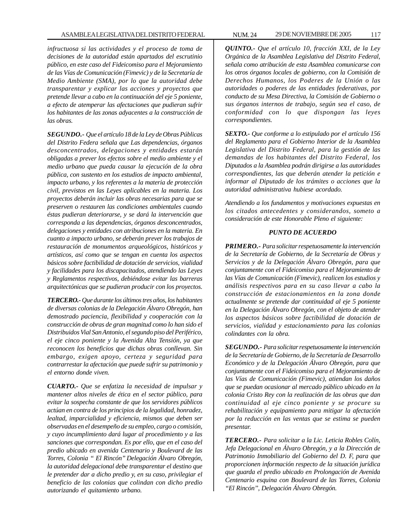*infructuosa si las actividades y el proceso de toma de decisiones de la autoridad están apartados del escrutinio público, en este caso del Fideicomiso para el Mejoramiento de las Vías de Comunicación (Fimevic) y de la Secretaría de Medio Ambiente (SMA), por lo que la autoridad debe transparentar y explicar las acciones y proyectos que pretende llevar a cabo en la continuación del eje 5 poniente, a efecto de atemperar las afectaciones que pudieran sufrir los habitantes de las zonas adyacentes a la construcción de las obras.*

*SEGUNDO.- Que el artículo 18 de la Ley de Obras Públicas del Distrito Federa señala que Las dependencias, órganos desconcentrados, delegaciones y entidades estarán obligadas a prever los efectos sobre el medio ambiente y el medio urbano que pueda causar la ejecución de la obra pública, con sustento en los estudios de impacto ambiental, impacto urbano, y los referentes a la materia de protección civil, previstos en las Leyes aplicables en la materia. Los proyectos deberán incluir las obras necesarias para que se preserven o restauren las condiciones ambientales cuando éstas pudieran deteriorarse, y se dará la intervención que corresponda a las dependencias, órganos desconcentrados, delegaciones y entidades con atribuciones en la materia. En cuanto a impacto urbano, se deberán prever los trabajos de restauración de monumentos arqueológicos, históricos y artísticos, así como que se tengan en cuenta los aspectos básicos sobre factibilidad de dotación de servicios, vialidad y facilidades para los discapacitados, atendiendo las Leyes y Reglamentos respectivos, debiéndose evitar las barreras arquitectónicas que se pudieran producir con los proyectos.*

*TERCERO.- Que durante los últimos tres años, los habitantes de diversas colonias de la Delegación Álvaro Obregón, han demostrado paciencia, flexibilidad y cooperación con la construcción de obras de gran magnitud como lo han sido el Distribuidos Vial San Antonio, el segundo piso del Periférico, el eje cinco poniente y la Avenida Alta Tensión, ya que reconocen los beneficios que dichas obras conllevan. Sin embargo, exigen apoyo, certeza y seguridad para contrarrestar la afectación que puede sufrir su patrimonio y el entorno donde viven.*

*CUARTO.- Que se enfatiza la necesidad de impulsar y mantener altos niveles de ética en el sector público, para evitar la sospecha constante de que los servidores públicos actúan en contra de los principios de la legalidad, honradez, lealtad, imparcialidad y eficiencia, mismos que deben ser observadas en el desempeño de su empleo, cargo o comisión, y cuyo incumplimiento dará lugar al procedimiento y a las sanciones que correspondan. Es por ello, que en el caso del predio ubicado en avenida Centenario y Boulevard de las Torres, Colonia '' El Rincón'' Delegación Álvaro Obregón, la autoridad delegacional debe transparentar el destino que le pretender dar a dicho predio y, en su caso, privilegiar el beneficio de las colonias que colindan con dicho predio autorizando el quitamiento urbano.*

ASAMBLEA LEGISLATIVA DEL DISTRITO FEDERAL NUM. 24 29 DE NOVIEMBRE DE 2005 117

*QUINTO.- Que el artículo 10, fracción XXI, de la Ley Orgánica de la Asamblea Legislativa del Distrito Federal, señala como atribución de esta Asamblea comunicarse con los otros órganos locales de gobierno, con la Comisión de Derechos Humanos, los Poderes de la Unión o las autoridades o poderes de las entidades federativas, por conducto de su Mesa Directiva, la Comisión de Gobierno o sus órganos internos de trabajo, según sea el caso, de conformidad con lo que dispongan las leyes correspondientes.*

*SEXTO.- Que conforme a lo estipulado por el artículo 156 del Reglamento para el Gobierno Interior de la Asamblea Legislativa del Distrito Federal, para la gestión de las demandas de los habitantes del Distrito Federal, los Diputados a la Asamblea podrán dirigirse a las autoridades correspondientes, las que deberán atender la petición e informar al Diputado de los trámites o acciones que la autoridad administrativa hubiese acordado.*

*Atendiendo a los fundamentos y motivaciones expuestas en los citados antecedentes y considerandos, someto a consideración de este Honorable Pleno el siguiente:*

#### *PUNTO DE ACUERDO*

*PRIMERO.- Para solicitar respetuosamente la intervención de la Secretaría de Gobierno, de la Secretaría de Obras y Servicios y de la Delegación Álvaro Obregón, para que conjuntamente con el Fideicomiso para el Mejoramiento de las Vías de Comunicación (Fimevic), realicen los estudios y análisis respectivos para en su caso llevar a cabo la construcción de estacionamientos en la zona donde actualmente se pretende dar continuidad al eje 5 poniente en la Delegación Álvaro Obregón, con el objeto de atender los aspectos básicos sobre factibilidad de dotación de servicios, vialidad y estacionamiento para las colonias colindantes con la obra.*

*SEGUNDO.- Para solicitar respetuosamente la intervención de la Secretaría de Gobierno, de la Secretaría de Desarrollo Económico y de la Delegación Álvaro Obregón, para que conjuntamente con el Fideicomiso para el Mejoramiento de las Vías de Comunicación (Fimevic), atiendan los daños que se puedan ocasionar al mercado público ubicado en la colonia Cristo Rey con la realización de las obras que dan continuidad al eje cinco poniente y se procure su rehabilitación y equipamiento para mitigar la afectación por la reducción en las ventas que se estima se pueden presentar.*

*TERCERO.- Para solicitar a la Lic. Leticia Robles Colín, Jefa Delegacional en Álvaro Obregón, y a la Dirección de Patrimonio Inmobiliario del Gobierno del D. F, para que proporcionen información respecto de la situación jurídica que guarda el predio ubicado en Prolongación de Avenida Centenario esquina con Boulevard de las Torres, Colonia ''El Rincón'', Delegación Álvaro Obregón.*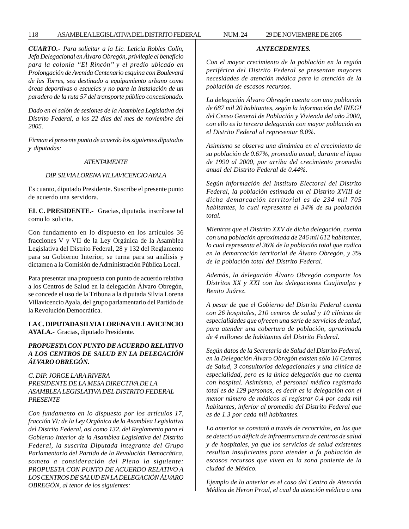*CUARTO.- Para solicitar a la Lic. Leticia Robles Colín, Jefa Delegacional en Álvaro Obregón, privilegie el beneficio para la colonia ''El Rincón'' y el predio ubicado en Prolongación de Avenida Centenario esquina con Boulevard de las Torres, sea destinado a equipamiento urbano como áreas deportivas o escuelas y no para la instalación de un paradero de la ruta 57 del transporte público concesionado.*

*Dado en el salón de sesiones de la Asamblea Legislativa del Distrito Federal, a los 22 días del mes de noviembre del 2005.*

*Firman el presente punto de acuerdo los siguientes diputados y diputadas:*

#### *ATENTAMENTE*

# *DIP. SILVIA LORENA VILLAVICENCIO AYALA*

Es cuanto, diputado Presidente. Suscribe el presente punto de acuerdo una servidora.

**EL C. PRESIDENTE.-** Gracias, diputada. inscríbase tal como lo solicita.

Con fundamento en lo dispuesto en los artículos 36 fracciones V y VII de la Ley Orgánica de la Asamblea Legislativa del Distrito Federal, 28 y 132 del Reglamento para su Gobierno Interior, se turna para su análisis y dictamen a la Comisión de Administración Pública Local.

Para presentar una propuesta con punto de acuerdo relativa a los Centros de Salud en la delegación Álvaro Obregón, se concede el uso de la Tribuna a la diputada Silvia Lorena Villavicencio Ayala, del grupo parlamentario del Partido de la Revolución Democrática.

**LA C. DIPUTADA SILVIA LORENA VILLAVICENCIO AYALA.-** Gracias, diputado Presidente.

# *PROPUESTA CON PUNTO DE ACUERDO RELATIVO A LOS CENTROS DE SALUD EN LA DELEGACIÓN ÁLVARO OBREGÓN.*

*C. DIP. JORGE LARA RIVERA PRESIDENTE DE LA MESA DIRECTIVA DE LA ASAMBLEA LEGISLATIVA DEL DISTRITO FEDERAL PRESENTE*

*Con fundamento en lo dispuesto por los artículos 17, fracción VI; de la Ley Orgánica de la Asamblea Legislativa del Distrito Federal, así como 132. del Reglamento para el Gobierno Interior de la Asamblea Legislativa del Distrito Federal, la suscrita Diputada integrante del Grupo Parlamentario del Partido de la Revolución Democrática, someto a consideración del Pleno la siguiente: PROPUESTA CON PUNTO DE ACUERDO RELATIVO A LOS CENTROS DE SALUD EN LA DELEGACIÓN ÁLVARO OBREGÓN, al tenor de los siguientes:*

*ANTECEDENTES.*

*Con el mayor crecimiento de la población en la región periférica del Distrito Federal se presentan mayores necesidades de atención médica para la atención de la población de escasos recursos.*

*La delegación Álvaro Obregón cuenta con una población de 687 mil 20 habitantes, según la información del INEGI del Censo General de Población y Vivienda del año 2000, con ello es la tercera delegación con mayor población en el Distrito Federal al representar 8.0%.*

*Asimismo se observa una dinámica en el crecimiento de su población de 0.67%, promedio anual, durante el lapso de 1990 al 2000, por arriba del crecimiento promedio anual del Distrito Federal de 0.44%.*

*Según información del Instituto Electoral del Distrito Federal, la población estimada en el Distrito XVIII de dicha demarcación territorial es de 234 mil 705 habitantes, lo cual representa el 34% de su población total.*

*Mientras que el Distrito XXV de dicha delegación, cuenta con una población aproximada de 246 mil 612 habitantes, lo cual representa el 36% de la población total que radica en la demarcación territorial de Álvaro Obregón, y 3% de la población total del Distrito Federal.*

*Además, la delegación Álvaro Obregón comparte los Distritos XX y XXI con las delegaciones Cuajimalpa y Benito Juárez.*

*A pesar de que el Gobierno del Distrito Federal cuenta con 26 hospitales, 210 centros de salud y 10 clínicas de especialidades que ofrecen una serie de servicios de salud, para atender una cobertura de población, aproximada de 4 millones de habitantes del Distrito Federal.*

*Según datos de la Secretaría de Salud del Distrito Federal, en la Delegación Álvaro Obregón existen sólo 16 Centros de Salud, 3 consultorios delegacionales y una clínica de especialidad, pero es la única delegación que no cuenta con hospital. Asimismo, el personal médico registrado total es de 129 personas, es decir es la delegación con el menor número de médicos al registrar 0.4 por cada mil habitantes, inferior al promedio del Distrito Federal que es de 1.3 por cada mil habitantes.*

*Lo anterior se constató a través de recorridos, en los que se detectó un déficit de infraestructura de centros de salud y de hospitales, ya que los servicios de salud existentes resultan insuficientes para atender a fa población de escasos recursos que viven en la zona poniente de la ciudad de México.*

*Ejemplo de lo anterior es el caso del Centro de Atención Médica de Heron Proal, el cual da atención médica a una*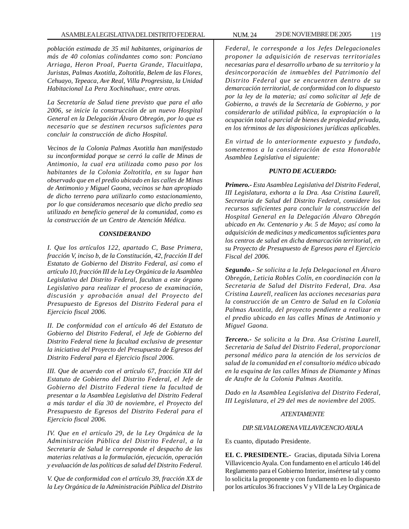*población estimada de 35 mil habitantes, originarios de más de 40 colonias colindantes como son: Ponciano Arriaga, Heron Proal, Puerta Grande, Tlacuitlapa, Juristas, Palmas Axotitla, Zoltotitla, Belem de las Flores, Cehuayo, Tepeaca, Ave Real, Villa Progresista, la Unidad Habitacional La Pera Xochinahuac, entre otras.*

*La Secretaría de Salud tiene previsto que para el año 2006, se inicie la construcción de un nuevo Hospital General en la Delegación Álvaro Obregón, por lo que es necesario que se destinen recursos suficientes para concluir la construcción de dicho Hospital.*

*Vecinos de la Colonia Palmas Axotitla han manifestado su inconformidad porque se cerró la calle de Minas de Antimonio, la cual era utilizada como paso por los habitantes de la Colonia Zoltotitla, en su lugar han observado que en el predio ubicado en las calles de Minas de Antimonio y Miguel Gaona, vecinos se han apropiado de dicho terreno para utilizarlo como estacionamiento, por lo que consideramos necesario que dicho predio sea utilizado en beneficio general de la comunidad, como es la construcción de un Centro de Atención Médica.*

#### *CONSIDERANDO*

*I. Que los artículos 122, apartado C, Base Primera, fracción V, inciso b, de la Constitución, 42, fracción II del Estatuto de Gobierno del Distrito Federal, así como el artículo 10, fracción III de la Ley Orgánica de la Asamblea Legislativa del Distrito Federal, facultan a este órgano Legislativo para realizar el proceso de examinación, discusión y aprobación anual del Proyecto del Presupuesto de Egresos del Distrito Federal para el Ejercicio fiscal 2006.*

*II. De conformidad con el artículo 46 del Estatuto de Gobierno del Distrito Federal, el Jefe de Gobierno del Distrito Federal tiene la facultad exclusiva de presentar la iniciativa del Proyecto del Presupuesto de Egresos del Distrito Federal para el Ejercicio fiscal 2006.*

*III. Que de acuerdo con el artículo 67, fracción XII del Estatuto de Gobierno del Distrito Federal, el Jefe de Gobierno del Distrito Federal tiene la facultad de presentar a la Asamblea Legislativa del Distrito Federal a más tardar el día 30 de noviembre, el Proyecto del Presupuesto de Egresos del Distrito Federal para el Ejercicio fiscal 2006.*

*IV. Que en el artículo 29, de la Ley Orgánica de la Administración Pública del Distrito Federal, a la Secretaría de Salud le corresponde el despacho de las materias relativas a la formulación, ejecución, operación y evaluación de las políticas de salud del Distrito Federal.*

*V. Que de conformidad con el artículo 39, fracción XX de la Ley Orgánica de la Administración Pública del Distrito* *Federal, le corresponde a los Jefes Delegacionales proponer la adquisición de reservas territoriales necesarias para el desarrollo urbano de su territorio y la desincorporación de inmuebles del Patrimonio del Distrito Federal que se encuentren dentro de su demarcación territorial, de conformidad con lo dispuesto por la ley de la materia; así como solicitar al Jefe de Gobierno, a través de la Secretaría de Gobierno, y por considerarlo de utilidad pública, la expropiación o la ocupación total o parcial de bienes de propiedad privada, en los términos de las disposiciones jurídicas aplicables.*

*En virtud de lo anteriormente expuesto y fundado, sometemos a la consideración de esta Honorable Asamblea Legislativa el siguiente:*

#### *PUNTO DE ACUERDO:*

*Primero.- Esta Asamblea Legislativa del Distrito Federal, III Legislatura, exhorta a la Dra. Asa Cristina Laurell, Secretaria de Salud del Distrito Federal, considere los recursos suficientes para concluir la construcción del Hospital General en la Delegación Álvaro Obregón ubicado en Av. Centenario y Av. 5 de Mayo; así como la adquisición de medicinas y medicamentos suficientes para los centros de salud en dicha demarcación territorial, en su Proyecto de Presupuesto de Egresos para el Ejercicio Fiscal del 2006.*

*Segundo.- Se solicita a la Jefa Delegacional en Álvaro Obregón, Leticia Robles Colín, en coordinación con la Secretaria de Salud del Distrito Federal, Dra. Asa Cristina Laurell, realicen las acciones necesarias para la construcción de un Centro de Salud en la Colonia Palmas Axotitla, del proyecto pendiente a realizar en el predio ubicado en las calles Minas de Antimonio y Miguel Gaona.*

*Tercero.- Se solicita a la Dra. Asa Cristina Laurell, Secretaria de Salud del Distrito Federal, proporcionar personal médico para la atención de los servicios de salud de la comunidad en el consultorio médico ubicado en la esquina de las calles Minas de Diamante y Minas de Azufre de la Colonia Palmas Axotitla.*

*Dado en la Asamblea Legislativa del Distrito Federal, III Legislatura, el 29 del mes de noviembre del 2005.*

#### *ATENTAMENTE*

#### *DIP. SILVIA LORENA VILLAVICENCIO AYALA*

Es cuanto, diputado Presidente.

**EL C. PRESIDENTE.-** Gracias, diputada Silvia Lorena Villavicencio Ayala. Con fundamento en el artículo 146 del Reglamento para el Gobierno Interior, insértese tal y como lo solicita la proponente y con fundamento en lo dispuesto por los artículos 36 fracciones V y VII de la Ley Orgánica de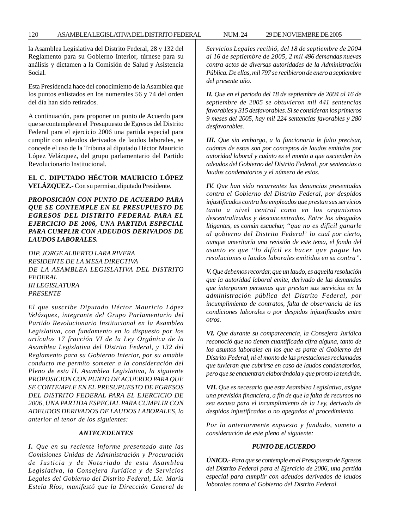la Asamblea Legislativa del Distrito Federal, 28 y 132 del Reglamento para su Gobierno Interior, túrnese para su análisis y dictamen a la Comisión de Salud y Asistencia

Esta Presidencia hace del conocimiento de la Asamblea que los puntos enlistados en los numerales 56 y 74 del orden del día han sido retirados.

Social.

A continuación, para proponer un punto de Acuerdo para que se contemple en el Presupuesto de Egresos del Distrito Federal para el ejercicio 2006 una partida especial para cumplir con adeudos derivados de laudos laborales, se concede el uso de la Tribuna al diputado Héctor Mauricio López Velázquez, del grupo parlamentario del Partido Revolucionario Institucional.

# **EL C. DIPUTADO HÉCTOR MAURICIO LÓPEZ VELÁZQUEZ.-** Con su permiso, diputado Presidente.

*PROPOSICIÓN CON PUNTO DE ACUERDO PARA QUE SE CONTEMPLE EN EL PRESUPUESTO DE EGRESOS DEL DISTRITO FEDERAL PARA EL EJERCICIO DE 2006, UNA PARTIDA ESPECIAL PARA CUMPLIR CON ADEUDOS DERIVADOS DE LAUDOS LABORALES.*

*DIP. JORGE ALBERTO LARA RIVERA RESIDENTE DE LA MESA DIRECTIVA DE LA ASAMBLEA LEGISLATIVA DEL DISTRITO FEDERAL III LEGISLATURA PRESENTE*

*El que suscribe Diputado Héctor Mauricio López Velázquez, integrante del Grupo Parlamentario del Partido Revolucionario Institucional en la Asamblea Legislativa, con fundamento en lo dispuesto por los artículos 17 fracción VI de la Ley Orgánica de la Asamblea Legislativa del Distrito Federal, y 132 del Reglamento para su Gobierno Interior, por su amable conducto me permito someter a la consideración del Pleno de esta H. Asamblea Legislativa, la siguiente PROPOSICION CON PUNTO DE ACUERDO PARA QUE SE CONTEMPLE EN EL PRESUPUESTO DE EGRESOS DEL DISTRITO FEDERAL PARA EL EJERCICIO DE 2006, UNA PARTIDA ESPECIAL PARA CUMPLIR CON ADEUDOS DERIVADOS DE LAUDOS LABORALES, lo anterior al tenor de los siguientes:*

#### *ANTECEDENTES*

*I. Que en su reciente informe presentado ante las Comisiones Unidas de Administración y Procuración de Justicia y de Notariado de esta Asamblea Legislativa, la Consejera Jurídica y de Servicios Legales del Gobierno del Distrito Federal, Lic. María Estela Ríos, manifestó que la Dirección General de* *Servicios Legales recibió, del 18 de septiembre de 2004 al 16 de septiembre de 2005, 2 mil 496 demandas nuevas contra actos de diversas autoridades de la Administración Pública. De ellas, mil 797 se recibieron de enero a septiembre del presente año.*

*II. Que en el periodo del 18 de septiembre de 2004 al 16 de septiembre de 2005 se obtuvieron mil 441 sentencias favorables y 315 desfavorables. Si se consideran los primeros 9 meses del 2005, hay mil 224 sentencias favorables y 280 desfavorables.*

*III. Que sin embargo, a la funcionaria le falto precisar, cuántas de estas son por conceptos de laudos emitidos por autoridad laboral y cuánto es el monto a que ascienden los adeudos del Gobierno del Distrito Federal, por sentencias o laudos condenatorios y el número de estos.*

*IV. Que han sido recurrentes las denuncias presentadas contra el Gobierno del Distrito Federal, por despidos injustificados contra los empleados que prestan sus servicios tanto a nivel central como en los organismos descentralizados y desconcentrados. Entre los abogados litigantes, es común escuchar, ''que no es difícil ganarle al gobierno del Distrito Federal' lo cual por cierto, aunque ameritaría una revisión de este tema, el fondo del asunto es que ''lo difícil es hacer que pague las resoluciones o laudos laborales emitidos en su contra''.*

*V. Que debemos recordar, que un laudo, es aquella resolución que la autoridad laboral emite, derivado de las demandas que interponen personas que prestan sus servicios en la administración pública del Distrito Federal, por incumplimiento de contratos, falta de observancia de las condiciones laborales o por despidos injustificados entre otros.*

*VI. Que durante su comparecencia, la Consejera Jurídica reconoció que no tienen cuantificada cifra alguna, tanto de los asuntos laborales en los que es parte el Gobierno del Distrito Federal, ni el monto de las prestaciones reclamadas que tuvieran que cubrirse en caso de laudos condenatorios, pero que se encuentran elaborándola y que pronto la tendrán.*

*VII. Que es necesario que esta Asamblea Legislativa, asigne una previsión financiera, a fin de que la falta de recursos no sea excusa para el incumplimiento de la Ley, derivado de despidos injustificados o no apegados al procedimiento.*

*Por lo anteriormente expuesto y fundado, someto a consideración de este pleno el siguiente:*

#### *PUNTO DE ACUERDO*

*ÚNICO.- Para que se contemple en el Presupuesto de Egresos del Distrito Federal para el Ejercicio de 2006, una partida especial para cumplir con adeudos derivados de laudos laborales contra el Gobierno del Distrito Federal.*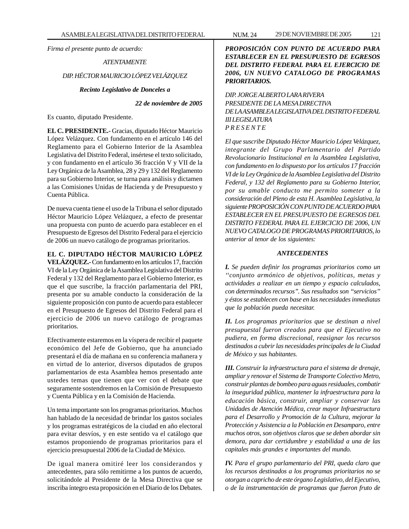*Firma el presente punto de acuerdo:*

# *ATENTAMENTE DIP. HÉCTOR MAURICIO LÓPEZ VELÁZQUEZ Recinto Legislativo de Donceles a*

*22 de noviembre de 2005*

Es cuanto, diputado Presidente.

**EL C. PRESIDENTE.-** Gracias, diputado Héctor Mauricio López Velázquez. Con fundamento en el artículo 146 del Reglamento para el Gobierno Interior de la Asamblea Legislativa del Distrito Federal, insértese el texto solicitado, y con fundamento en el artículo 36 fracción V y VII de la Ley Orgánica de la Asamblea, 28 y 29 y 132 del Reglamento para su Gobierno Interior, se turna para análisis y dictamen a las Comisiones Unidas de Hacienda y de Presupuesto y Cuenta Pública.

De nueva cuenta tiene el uso de la Tribuna el señor diputado Héctor Mauricio López Velázquez, a efecto de presentar una propuesta con punto de acuerdo para establecer en el Presupuesto de Egresos del Distrito Federal para el ejercicio de 2006 un nuevo catálogo de programas prioritarios.

# **EL C. DIPUTADO HÉCTOR MAURICIO LÓPEZ**

**VELÁZQUEZ.-** Con fundamento en los artículos 17, fracción VI de la Ley Orgánica de la Asamblea Legislativa del Distrito Federal y 132 del Reglamento para el Gobierno Interior, es que el que suscribe, la fracción parlamentaria del PRI, presenta por su amable conducto la consideración de la siguiente proposición con punto de acuerdo para establecer en el Presupuesto de Egresos del Distrito Federal para el ejercicio de 2006 un nuevo catálogo de programas prioritarios.

Efectivamente estaremos en la víspera de recibir el paquete económico del Jefe de Gobierno, que ha anunciado presentará el día de mañana en su conferencia mañanera y en virtud de lo anterior, diversos diputados de grupos parlamentarios de esta Asamblea hemos presentado ante ustedes temas que tienen que ver con el debate que seguramente sostendremos en la Comisión de Presupuesto y Cuenta Pública y en la Comisión de Hacienda.

Un tema importante son los programas prioritarios. Muchos han hablado de la necesidad de brindar los gastos sociales y los programas estratégicos de la ciudad en año electoral para evitar desvíos, y en este sentido va el catálogo que estamos proponiendo de programas prioritarios para el ejercicio presupuestal 2006 de la Ciudad de México.

De igual manera omitiré leer los considerandos y antecedentes, para sólo remitirme a los puntos de acuerdo, solicitándole al Presidente de la Mesa Directiva que se inscriba íntegro esta proposición en el Diario de los Debates.

# *PROPOSICIÓN CON PUNTO DE ACUERDO PARA ESTABLECER EN EL PRESUPUESTO DE EGRESOS DEL DISTRITO FEDERAL PARA EL EJERCICIO DE 2006, UN NUEVO CATALOGO DE PROGRAMAS PRIORITARIOS.*

# *DIP. JORGE ALBERTO LARA RIVERA PRESIDENTE DE LA MESA DIRECTIVA DE LA ASAMBLEA LEGISLATIVA DEL DISTRITO FEDERAL III LEGISLATURA P R E S E N T E*

*El que suscribe Diputado Héctor Mauricio López Velázquez, integrante del Grupo Parlamentario del Partido Revolucionario Institucional en la Asamblea Legislativa, con fundamento en lo dispuesto por los artículos 17 fracción VI de la Ley Orgánica de la Asamblea Legislativa del Distrito Federal, y 132 del Reglamento para su Gobierno Interior, por su amable conducto me permito someter a la consideración del Pleno de esta H. Asamblea Legislativa, la siguiente PROPOSICIÓN CON PUNTO DE ACUERDO PARA ESTABLECER EN EL PRESUPUESTO DE EGRESOS DEL DISTRITO FEDERAL PARA EL EJERCICIO DE 2006, UN NUEVO CATALOGO DE PROGRAMAS PRIORITARIOS, lo anterior al tenor de los siguientes:*

## *ANTECEDENTES*

*I. Se pueden definir los programas prioritarios como un ''conjunto armónico de objetivos, políticas, metas y actividades a realizar en un tiempo y espacio calculados, con determinados recursos''. Sus resultados son ''servicios'' y éstos se establecen con base en las necesidades inmediatas que la población pueda necesitar.*

*II. Los programas prioritarios que se destinan a nivel presupuestal fueron creados para que el Ejecutivo no pudiera, en forma discrecional, reasignar los recursos destinados a cubrir las necesidades principales de la Ciudad de México y sus habitantes.*

*III. Construir la infraestructura para el sistema de drenaje, ampliar y renovar el Sistema de Transporte Colectivo Metro, construir plantas de bombeo para aguas residuales, combatir la inseguridad pública, mantener la infraestructura para la educación básica, construir, ampliar y conservar las Unidades de Atención Médica, crear mayor Infraestructura para el Desarrollo y Promoción de la Cultura, mejorar la Protección y Asistencia a la Población en Desamparo, entre muchos otros, son objetivos claros que se deben abordar sin demora, para dar certidumbre y estabilidad a una de las capitales más grandes e importantes del mundo.*

*IV. Para el grupo parlamentario del PRI, queda claro que los recursos destinados a los programas prioritarios no se otorgan a capricho de este órgano Legislativo, del Ejecutivo, o de la instrumentación de programas que fueron fruto de*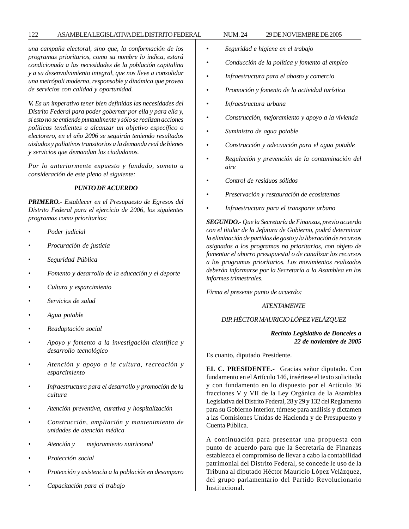# 122 ASAMBLEA LEGISLATIVA DEL DISTRITO FEDERAL NUM. 24 29 DE NOVIEMBRE DE 2005

*una campaña electoral, sino que, la conformación de los programas prioritarios, como su nombre lo indica, estará condicionada a las necesidades de la población capitalina y a su desenvolvimiento integral, que nos lleve a consolidar una metrópoli moderna, responsable y dinámica que provea de servicios con calidad y oportunidad.*

*V. Es un imperativo tener bien definidas las necesidades del Distrito Federal para poder gobernar por ella y para ella y, si esto no se entiende puntualmente y sólo se realizan acciones políticas tendientes a alcanzar un objetivo específico o electorero, en el año 2006 se seguirán teniendo resultados aislados y paliativos transitorios a la demanda real de bienes y servicios que demandan los ciudadanos.*

*Por lo anteriormente expuesto y fundado, someto a consideración de este pleno el siguiente:*

#### *PUNTO DE ACUERDO*

*PRIMERO.- Establecer en el Presupuesto de Egresos del Distrito Federal para el ejercicio de 2006, los siguientes programas como prioritarios:*

- *Poder judicial*
- *Procuración de justicia*
- *Seguridad Pública*
- *Fomento y desarrollo de la educación y el deporte*
- *Cultura y esparcimiento*
- *Servicios de salud*
- *Agua potable*
- *Readaptación social*
- *Apoyo y fomento a la investigación científica y desarrollo tecnológico*
- *Atención y apoyo a la cultura, recreación y esparcimiento*
- *Infraestructura para el desarrollo y promoción de la cultura*
- *Atención preventiva, curativa y hospitalización*
- *Construcción, ampliación y mantenimiento de unidades de atención médica*
- *Atención y mejoramiento nutricional*
- *Protección social*
- *Protección y asistencia a la población en desamparo*
- *Capacitación para el trabajo*
- *Seguridad e higiene en el trabajo*
- *Conducción de la política y fomento al empleo*
- *Infraestructura para el abasto y comercio*
- *Promoción y fomento de la actividad turística*
- *Infraestructura urbana*
- *Construcción, mejoramiento y apoyo a la vivienda*
- *Suministro de agua potable*
- *Construcción y adecuación para el agua potable*
- *Regulación y prevención de la contaminación del aire*
- *Control de residuos sólidos*
- *Preservación y restauración de ecosistemas*
- *Infraestructura para el transporte urbano*

*SEGUNDO.- Que la Secretaría de Finanzas, previo acuerdo con el titular de la Jefatura de Gobierno, podrá determinar la eliminación de partidas de gasto y la liberación de recursos asignados a los programas no prioritarios, con objeto de fomentar el ahorro presupuestal o de canalizar los recursos a los programas prioritarios. Los movimientos realizados deberán informarse por la Secretaría a la Asamblea en los informes trimestrales.*

*Firma el presente punto de acuerdo:*

#### *ATENTAMENTE*

# *DIP. HÉCTOR MAURICIO LÓPEZ VELÁZQUEZ*

## *Recinto Legislativo de Donceles a 22 de noviembre de 2005*

Es cuanto, diputado Presidente.

**EL C. PRESIDENTE.-** Gracias señor diputado. Con fundamento en el Artículo 146, insértese el texto solicitado y con fundamento en lo dispuesto por el Artículo 36 fracciones V y VII de la Ley Orgánica de la Asamblea Legislativa del Distrito Federal, 28 y 29 y 132 del Reglamento para su Gobierno Interior, túrnese para análisis y dictamen a las Comisiones Unidas de Hacienda y de Presupuesto y Cuenta Pública.

A continuación para presentar una propuesta con punto de acuerdo para que la Secretaría de Finanzas establezca el compromiso de llevar a cabo la contabilidad patrimonial del Distrito Federal, se concede le uso de la Tribuna al diputado Héctor Mauricio López Velázquez, del grupo parlamentario del Partido Revolucionario Institucional.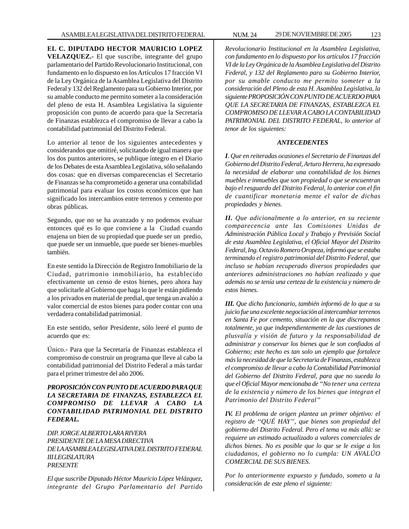**EL C. DIPUTADO HECTOR MAURICIO LOPEZ VELAZQUEZ.-** El que suscribe, integrante del grupo parlamentario del Partido Revolucionario Institucional, con fundamento en lo dispuesto en los Artículos 17 fracción VI de la Ley Orgánica de la Asamblea Legislativa del Distrito Federal y 132 del Reglamento para su Gobierno Interior, por su amable conducto me permito someter a la consideración del pleno de esta H. Asamblea Legislativa la siguiente proposición con punto de acuerdo para que la Secretaría de Finanzas establezca el compromiso de llevar a cabo la contabilidad patrimonial del Distrito Federal.

Lo anterior al tenor de los siguientes antecedentes y considerandos que omitiré, solicitando de igual manera que los dos puntos anteriores, se publique íntegro en el Diario de los Debates de esta Asamblea Legislativa, sólo señalando dos cosas: que en diversas comparecencias el Secretario de Finanzas se ha comprometido a generar una contabilidad patrimonial para evaluar los costos económicos que han significado los intercambios entre terrenos y cemento por obras públicas.

Segundo, que no se ha avanzado y no podemos evaluar entonces qué es lo que conviene a la Ciudad cuando enajena un bien de su propiedad que puede ser un predio, que puede ser un inmueble, que puede ser bienes-muebles también.

En este sentido la Dirección de Registro Inmobiliario de la Ciudad, patrimonio inmobiliario, ha establecido efectivamente un censo de estos bienes, pero ahora hay que solicitarle al Gobierno que haga lo que le están pidiendo a los privados en material de predial, que tenga un avalúo a valor comercial de estos bienes para poder contar con una verdadera contabilidad patrimonial.

En este sentido, señor Presidente, sólo leeré el punto de acuerdo que es:

Único.- Para que la Secretaría de Finanzas establezca el compromiso de construir un programa que lleve al cabo la contabilidad patrimonial del Distrito Federal a más tardar para el primer trimestre del año 2006.

*PROPOSICIÓN CON PUNTO DE ACUERDO PARA QUE LA SECRETARIA DE FINANZAS, ESTABLEZCA EL COMPROMISO DE LLEVAR A CABO LA CONTABILIDAD PATRIMONIAL DEL DISTRITO FEDERAL.*

*DIP. JORGE ALBERTO LARA RIVERA PRESIDENTE DE LA MESA DIRECTIVA DE LA ASAMBLEA LEGISLATIVA DEL DISTRITO FEDERAL III LEGISLATURA PRESENTE*

*El que suscribe Diputado Héctor Mauricio López Velázquez, integrante del Grupo Parlamentario del Partido* *Revolucionario Institucional en la Asamblea Legislativa, con fundamento en lo dispuesto por los artículos 17 fracción VI de la Ley Orgánica de la Asamblea Legislativa del Distrito Federal, y 132 del Reglamento para su Gobierno Interior, por su amable conducto me permito someter a la consideración del Pleno de esta H. Asamblea Legislativa, la siguiente PROPOSICIÓN CON PUNTO DE ACUERDO PARA QUE LA SECRETARIA DE FINANZAS, ESTABLEZCA EL COMPROMISO DE LLEVAR A CABO LA CONTABILIDAD PATRIMONIAL DEL DISTRITO FEDERAL, lo anterior al tenor de los siguientes:*

#### *ANTECEDENTES*

*I. Que en reiteradas ocasiones el Secretario de Finanzas del Gobierno del Distrito Federal, Arturo Herrera, ha expresado la necesidad de elaborar una contabilidad de los bienes muebles e inmuebles que son propiedad o que se encuentran bajo el resguardo del Distrito Federal, lo anterior con el fin de cuantificar monetaria mente el valor de dichas propiedades y bienes.*

*II. Que adicionalmente a lo anterior, en su reciente comparecencia ante las Comisiones Unidas de Administración Pública Local y Trabajo y Previsión Social de esta Asamblea Legislativa, el Oficial Mayor del Distrito Federal, Ing. Octavio Romero Oropeza, informó que se estaba terminando el registro patrimonial del Distrito Federal, que incluso se habían recuperado diversos propiedades que anteriores administraciones no habían realizado y que además no se tenía una certeza de la existencia y número de estos bienes.*

*III. Que dicho funcionario, también informó de lo que a su juicio fue una excelente negociación al intercambiar terrenos en Santa Fe por cemento, situación en la que discrepamos totalmente, ya que independientemente de las cuestiones de plusvalía y visión de futuro y la responsabilidad de administrar y conservar los bienes que le son confiados al Gobierno; este hecho es tan solo un ejemplo que fortalece más la necesidad de que la Secretaria de Finanzas, establezca el compromiso de llevar a cabo la Contabilidad Patrimonial del Gobierno del Distrito Federal, para que no suceda lo que el Oficial Mayor mencionaba de ''No tener una certeza de la existencia y número de los bienes que integran el Patrimonio del Distrito Federal''*

*IV. El problema de origen plantea un primer objetivo: el registro de ''QUÉ HAY'', que bienes son propiedad del gobierno del Distrito Federal. Pero el tema va más allá: se requiere un estimado actualizado a valores comerciales de dichos bienes. No es posible que lo que se le exige a los ciudadanos, el gobierno no lo cumpla: UN AVALÚO COMERCIAL DE SUS BIENES.*

*Por lo anteriormente expuesto y fundado, someto a la consideración de este pleno el siguiente:*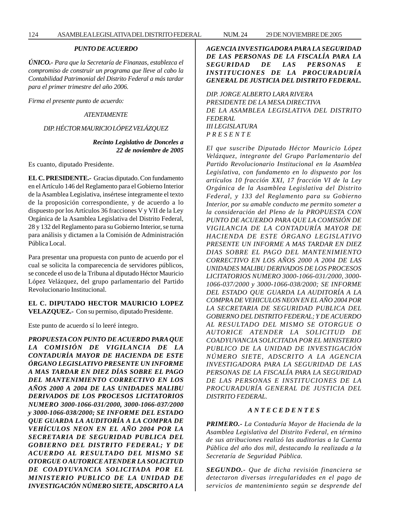*ÚNICO.- Para que la Secretaría de Finanzas, establezca el compromiso de construir un programa que lleve al cabo la Contabilidad Patrimonial del Distrito Federal a más tardar para el primer trimestre del año 2006.*

*Firma el presente punto de acuerdo:*

#### *ATENTAMENTE*

#### *DIP. HÉCTOR MAURICIO LÓPEZ VELÁZQUEZ*

#### *Recinto Legislativo de Donceles a 22 de noviembre de 2005*

Es cuanto, diputado Presidente.

**EL C. PRESIDENTE.-** Gracias diputado. Con fundamento en el Artículo 146 del Reglamento para el Gobierno Interior de la Asamblea Legislativa, insértese íntegramente el texto de la proposición correspondiente, y de acuerdo a lo dispuesto por los Artículos 36 fracciones V y VII de la Ley Orgánica de la Asamblea Legislativa del Distrito Federal, 28 y 132 del Reglamento para su Gobierno Interior, se turna para análisis y dictamen a la Comisión de Administración Pública Local.

Para presentar una propuesta con punto de acuerdo por el cual se solicita la comparecencia de servidores públicos, se concede el uso de la Tribuna al diputado Héctor Mauricio López Velázquez, del grupo parlamentario del Partido Revolucionario Institucional.

#### **EL C. DIPUTADO HECTOR MAURICIO LOPEZ VELAZQUEZ.-** Con su permiso, diputado Presidente.

Este punto de acuerdo sí lo leeré íntegro.

*PROPUESTA CON PUNTO DE ACUERDO PARA QUE LA COMISIÓN DE VIGILANCIA DE LA CONTADURÍA MAYOR DE HACIENDA DE ESTE ÓRGANO LEGISLATIVO PRESENTE UN INFORME A MAS TARDAR EN DIEZ DÍAS SOBRE EL PAGO DEL MANTENIMIENTO CORRECTIVO EN LOS AÑOS 2000 A 2004 DE LAS UNIDADES MALIBU DERIVADOS DE LOS PROCESOS LICITATORIOS NUMERO 3000-1066-031/2000, 3000-1066-037/2000 y 3000-1066-038/2000; SE INFORME DEL ESTADO QUE GUARDA LA AUDITORÍA A LA COMPRA DE VEHÍCULOS NEON EN EL AÑO 2004 POR LA SECRETARIA DE SEGURIDAD PUBLICA DEL GOBIERNO DEL DISTRITO FEDERAL; Y DE ACUERDO AL RESULTADO DEL MISMO SE OTORGUE O AUTORICE ATENDER LA SOLICITUD DE COADYUVANCIA SOLICITADA POR EL MINISTERIO PUBLICO DE LA UNIDAD DE INVESTIGACIÓN NÚMERO SIETE, ADSCRITO A LA* *AGENCIA INVESTIGADORA PARA LA SEGURIDAD DE LAS PERSONAS DE LA FISCALÍA PARA LA SEGURIDAD DE LAS PERSONAS E INSTITUCIONES DE LA PROCURADURÍA GENERAL DE JUSTICIA DEL DISTRITO FEDERAL.*

*DIP. JORGE ALBERTO LARA RIVERA PRESIDENTE DE LA MESA DIRECTIVA DE LA ASAMBLEA LEGISLATIVA DEL DISTRITO FEDERAL III LEGISLATURA P R E S E N T E*

*El que suscribe Diputado Héctor Mauricio López Velázquez, integrante del Grupo Parlamentario del Partido Revolucionario Institucional en la Asamblea Legislativa, con fundamento en lo dispuesto por los artículos 10 fracción XXI, 17 fracción VI de la Ley Orgánica de la Asamblea Legislativa del Distrito Federal, y 133 del Reglamento para su Gobierno Interior, por su amable conducto me permito someter a la consideración del Pleno de la PROPUESTA CON PUNTO DE ACUERDO PARA QUE LA COMISIÓN DE VIGILANCIA DE LA CONTADURÍA MAYOR DE HACIENDA DE ESTE ÓRGANO LEGISLATIVO PRESENTE UN INFORME A MAS TARDAR EN DIEZ DIAS SOBRE EL PAGO DEL MANTENIMIENTO CORRECTIVO EN LOS AÑOS 2000 A 2004 DE LAS UNIDADES MALIBU DERIVADOS DE LOS PROCESOS LICITATORIOS NUMERO 3000-1066-031/2000, 3000- 1066-037/2000 y 3000-1066-038/2000; SE INFORME DEL ESTADO QUE GUARDA LA AUDITORÍA A LA COMPRA DE VEHICULOS NEON EN EL AÑO 2004 POR LA SECRETARIA DE SEGURIDAD PUBLICA DEL GOBIERNO DEL DISTRITO FEDERAL; Y DE ACUERDO AL RESULTADO DEL MISMO SE OTORGUE O AUTORICE ATENDER LA SOLICITUD DE COADYUVANCIA SOLICITADA POR EL MINISTERIO PUBLICO DE LA UNIDAD DE INVESTIGACIÓN NÚMERO SIETE, ADSCRITO A LA AGENCIA INVESTIGADORA PARA LA SEGURIDAD DE LAS PERSONAS DE LA FISCALÍA PARA LA SEGURIDAD DE LAS PERSONAS E INSTITUCIONES DE LA PROCURADURÍA GENERAL DE JUSTICIA DEL DISTRITO FEDERAL.*

#### *A N T E C E D E N T E S*

*PRIMERO.- La Contaduría Mayor de Hacienda de la Asamblea Legislativa del Distrito Federal, en término de sus atribuciones realizó las auditorias a la Cuenta Pública del año dos mil, destacando la realizada a la Secretaría de Seguridad Pública.*

*SEGUNDO.- Que de dicha revisión financiera se detectaron diversas irregularidades en el pago de servicios de mantenimiento según se desprende del*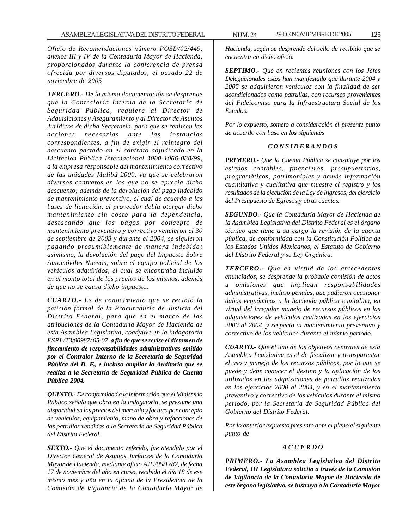*Oficio de Recomendaciones número POSD/02/449, anexos III y IV de la Contaduría Mayor de Hacienda, proporcionados durante la conferencia de prensa ofrecida por diversos diputados, el pasado 22 de noviembre de 2005*

*TERCERO.- De la misma documentación se desprende que la Contraloría Interna de la Secretaría de Seguridad Pública, requiere al Director de Adquisiciones y Aseguramiento y al Director de Asuntos Jurídicos de dicha Secretaría, para que se realicen las acciones necesarias ante las instancias correspondientes, a fin de exigir el reintegro del descuento pactado en el contrato adjudicado en la Licitación Pública Internacional 3000-1066-088/99, a la empresa responsable del mantenimiento correctivo de las unidades Malibú 2000, ya que se celebraron diversos contratos en los que no se aprecia dicho descuento; además de la devolución del pago indebido de mantenimiento preventivo, el cual de acuerdo a las bases de licitación, el proveedor debía otorgar dicho mantenimiento sin costo para la dependencia, destacando que los pagos por concepto de mantenimiento preventivo y correctivo vencieron el 30 de septiembre de 2003 y durante el 2004, se siguieron pagando presumiblemente de manera indebida; asimismo, la devolución del pago del Impuesto Sobre Automóviles Nuevos, sobre el equipo policial de los vehículos adquiridos, el cual se encontraba incluido en el monto total de los precios de los mismos, además de que no se causa dicho impuesto.*

*CUARTO.- Es de conocimiento que se recibió la petición formal de la Procuraduría de Justicia del Distrito Federal, para que en el marco de las atribuciones de la Contaduría Mayor de Hacienda de esta Asamblea Legislativa, coadyuve en la indagatoria FSPI /T3/00987/ 05-07, a fin de que se revise el dictamen de fincamiento de responsabilidades administrativas emitido por el Contralor Interno de la Secretaria de Seguridad Pública del D. F., e incluso ampliar la Auditoria que se realiza a la Secretaría de Seguridad Pública de Cuenta Pública 2004.*

*QUINTO.- De conformidad a la información que el Ministerio Público señala que obra en la indagatoria, se presume una disparidad en los precios del mercado y factura por concepto de vehículos, equipamiento, mano de obra y refacciones de las patrullas vendidas a la Secretaria de Seguridad Pública del Distrito Federal.*

*SEXTO.- Que el documento referido, fue atendido por el Director General de Asuntos Jurídicos de la Contaduría Mayor de Hacienda, mediante oficio AJU/05/1782, de fecha 17 de noviembre del año en curso, recibido el día 18 de ese mismo mes y año en la oficina de la Presidencia de la Comisión de Vigilancia de la Contaduría Mayor de*

*Hacienda, según se desprende del sello de recibido que se encuentra en dicho oficio.*

*SEPTIMO.- Que en recientes reuniones con los Jefes Delegacionales estos han manifestado que durante 2004 y 2005 se adquirieron vehículos con la finalidad de ser acondicionados como patrullas, con recursos provenientes del Fideicomiso para la Infraestructura Social de los Estados.*

*Por lo expuesto, someto a consideración el presente punto de acuerdo con base en los siguientes*

#### *C O N S I D E R A N D O S*

*PRIMERO.- Que la Cuenta Pública se constituye por los estados contables, financieros, presupuestarios, programáticos, patrimoniales y demás información cuantitativa y cualitativa que muestre el registro y los resultados de la ejecución de la Ley de Ingresos, del ejercicio del Presupuesto de Egresos y otras cuentas.*

*SEGUNDO.- Que la Contaduría Mayor de Hacienda de la Asamblea Legislativa del Distrito Federal es el órgano técnico que tiene a su cargo la revisión de la cuenta pública, de conformidad con la Constitución Política de los Estados Unidos Mexicanos, el Estatuto de Gobierno del Distrito Federal y su Ley Orgánica.*

*TERCERO.- Que en virtud de los antecedentes enunciados, se desprende la probable comisión de actos u omisiones que implican responsabilidades administrativas, incluso penales, que pudieron ocasionar daños económicos a la hacienda pública capitalina, en virtud del irregular manejo de recursos públicos en las adquisiciones de vehículos realizadas en los ejercicios 2000 al 2004, y respecto al mantenimiento preventivo y correctivo de los vehículos durante el mismo periodo.*

*CUARTO.- Que el uno de los objetivos centrales de esta Asamblea Legislativa es el de fiscalizar y transparentar el uso y manejo de los recursos públicos, por lo que se puede y debe conocer el destino y la aplicación de los utilizados en las adquisiciones de patrullas realizadas en los ejercicios 2000 al 2004, y en el mantenimiento preventivo y correctivo de los vehículos durante el mismo periodo, por la Secretaría de Seguridad Pública del Gobierno del Distrito Federal.*

*Por lo anterior expuesto presento ante el pleno el siguiente punto de*

#### *A C U E R D O*

*PRIMERO.- La Asamblea Legislativa del Distrito Federal, III Legislatura solicita a través de la Comisión de Vigilancia de la Contaduría Mayor de Hacienda de este órgano legislativo, se instruya a la Contaduría Mayor*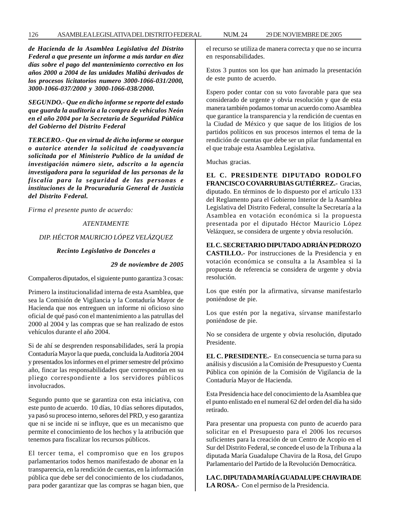*de Hacienda de la Asamblea Legislativa del Distrito Federal a que presente un informe a más tardar en diez días sobre el pago del mantenimiento correctivo en los años 2000 a 2004 de las unidades Malibú derivados de los procesos licitatorios numero 3000-1066-031/2000, 3000-1066-037/2000 y 3000-1066-038/2000.*

*SEGUNDO.- Que en dicho informe se reporte del estado que guarda la auditoria a la compra de vehículos Neón en el año 2004 por la Secretaria de Seguridad Pública del Gobierno del Distrito Federal*

*TERCERO.- Que en virtud de dicho informe se otorgue o autorice atender la solicitud de coadyuvancia solicitada por el Ministerio Publico de la unidad de investigación número siete, adscrito a la agencia investigadora para la seguridad de las personas de la fiscalía para la seguridad de las personas e instituciones de la Procuraduría General de Justicia del Distrito Federal.*

*Firma el presente punto de acuerdo:*

#### *ATENTAMENTE*

#### *DIP. HÉCTOR MAURICIO LÓPEZ VELÁZQUEZ*

# *Recinto Legislativo de Donceles a*

#### *29 de noviembre de 2005*

Compañeros diputados, el siguiente punto garantiza 3 cosas:

Primero la institucionalidad interna de esta Asamblea, que sea la Comisión de Vigilancia y la Contaduría Mayor de Hacienda que nos entreguen un informe ni oficioso sino oficial de qué pasó con el mantenimiento a las patrullas del 2000 al 2004 y las compras que se han realizado de estos vehículos durante el año 2004.

Si de ahí se desprenden responsabilidades, será la propia Contaduría Mayor la que pueda, concluida la Auditoría 2004 y presentados los informes en el primer semestre del próximo año, fincar las responsabilidades que correspondan en su pliego correspondiente a los servidores públicos involucrados.

Segundo punto que se garantiza con esta iniciativa, con este punto de acuerdo. 10 días, 10 días señores diputados, ya pasó su proceso interno, señores del PRD, y eso garantiza que ni se incide ni se influye, que es un mecanismo que permite el conocimiento de los hechos y la atribución que tenemos para fiscalizar los recursos públicos.

El tercer tema, el compromiso que en los grupos parlamentarios todos hemos manifestado de abonar en la transparencia, en la rendición de cuentas, en la información pública que debe ser del conocimiento de los ciudadanos, para poder garantizar que las compras se hagan bien, que el recurso se utiliza de manera correcta y que no se incurra en responsabilidades.

Estos 3 puntos son los que han animado la presentación de este punto de acuerdo.

Espero poder contar con su voto favorable para que sea considerado de urgente y obvia resolución y que de esta manera también podamos tomar un acuerdo como Asamblea que garantice la transparencia y la rendición de cuentas en la Ciudad de México y que saque de los litigios de los partidos políticos en sus procesos internos el tema de la rendición de cuentas que debe ser un pilar fundamental en el que trabaje esta Asamblea Legislativa.

Muchas gracias.

**EL C. PRESIDENTE DIPUTADO RODOLFO FRANCISCO COVARRUBIAS GUTIÉRREZ.-** Gracias, diputado. En términos de lo dispuesto por el artículo 133 del Reglamento para el Gobierno Interior de la Asamblea Legislativa del Distrito Federal, consulte la Secretaría a la Asamblea en votación económica si la propuesta presentada por el diputado Héctor Mauricio López Velázquez, se considera de urgente y obvia resolución.

#### **EL C. SECRETARIO DIPUTADO ADRIÁN PEDROZO**

**CASTILLO.-** Por instrucciones de la Presidencia y en votación económica se consulta a la Asamblea si la propuesta de referencia se considera de urgente y obvia resolución.

Los que estén por la afirmativa, sírvanse manifestarlo poniéndose de pie.

Los que estén por la negativa, sírvanse manifestarlo poniéndose de pie.

No se considera de urgente y obvia resolución, diputado Presidente.

**EL C. PRESIDENTE.-** En consecuencia se turna para su análisis y discusión a la Comisión de Presupuesto y Cuenta Pública con opinión de la Comisión de Vigilancia de la Contaduría Mayor de Hacienda.

Esta Presidencia hace del conocimiento de la Asamblea que el punto enlistado en el numeral 62 del orden del día ha sido retirado.

Para presentar una propuesta con punto de acuerdo para solicitar en el Presupuesto para el 2006 los recursos suficientes para la creación de un Centro de Acopio en el Sur del Distrito Federal, se concede el uso de la Tribuna a la diputada María Guadalupe Chavira de la Rosa, del Grupo Parlamentario del Partido de la Revolución Democrática.

**LA C. DIPUTADA MARÍA GUADALUPE CHAVIRA DE LA ROSA.-** Con el permiso de la Presidencia.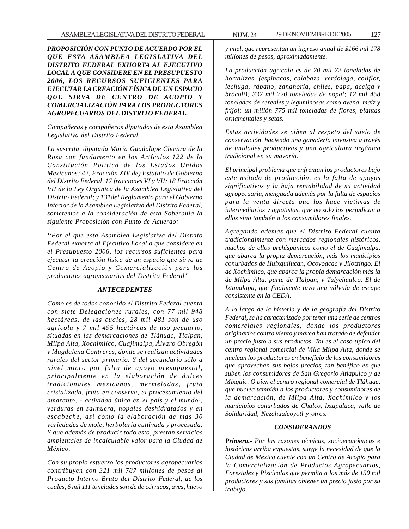*PROPOSICIÓN CON PUNTO DE ACUERDO POR EL QUE ESTA ASAMBLEA LEGISLATIVA DEL DISTRITO FEDERAL EXHORTA AL EJECUTIVO LOCAL A QUE CONSIDERE EN EL PRESUPUESTO 2006, LOS RECURSOS SUFICIENTES PARA EJECUTAR LA CREACIÓN FÍSICA DE UN ESPACIO QUE SIRVA DE CENTRO DE ACOPIO Y COMERCIALIZACIÓN PARA LOS PRODUCTORES AGROPECUARIOS DEL DISTRITO FEDERAL.*

*Compañeras y compañeros diputados de esta Asamblea Legislativa del Distrito Federal.*

*La suscrita, diputada María Guadalupe Chavira de la Rosa con fundamento en los Artículos 122 de la Constitución Política de los Estados Unidos Mexicanos; 42, Fracción XIV de) Estatuto de Gobierno del Distrito Federal, 17 fracciones VI y VII; 18 Fracción VII de la Ley Orgánica de la Asamblea Legislativa del Distrito Federal; y 131del Reglamento para el Gobierno Interior de la Asamblea Legislativa del Distrito Federal, sometemos a la consideración de esta Soberanía la siguiente Proposición con Punto de Acuerdo:*

*''Por el que esta Asamblea Legislativa del Distrito Federal exhorta al Ejecutivo Local a que considere en el Presupuesto 2006, los recursos suficientes para ejecutar la creación física de un espacio que sirva de Centro de Acopio y Comercialización para los productores agropecuarios del Distrito Federal''*

#### *ANTECEDENTES*

*Como es de todos conocido el Distrito Federal cuenta con siete Delegaciones rurales, con 77 mil 948 hectáreas, de las cuales, 28 mil 481 son de uso agrícola y 7 mil 495 hectáreas de uso pecuario, situadas en las demarcaciones de Tláhuac, Tlalpan, Milpa Alta, Xochimilco, Cuajimalpa, Álvaro Obregón y Magdalena Contreras, donde se realizan actividades rurales del sector primario. Y del secundario sólo a nivel micro por falta de apoyo presupuestal, principalmente en la elaboración de dulces tradicionales mexicanos, mermeladas, fruta cristalizada, fruta en conserva, el procesamiento del amaranto, - actividad única en el país y el mundo-, verduras en salmuera, nopales deshidratados y en escabeche, así como la elaboración de mas 30 variedades de mole, herbolaria cultivada y procesada. Y que además de producir todo esto, prestan servicios ambientales de incalculable valor para la Ciudad de México.*

*Con su propio esfuerzo los productores agropecuarios contribuyen con 321 mil 787 millones de pesos al Producto Interno Bruto del Distrito Federal, de los cuales, 6 mil 111 toneladas son de de cárnicos, aves, huevo*

*y miel, que representan un ingreso anual de \$166 mil 178 millones de pesos, aproximadamente.*

*La producción agrícola es de 20 mil 72 toneladas de hortalizas, (espinacas, calabaza, verdolaga, coliflor, lechuga, rábano, zanahoria, chiles, papa, acelga y brócoli); 332 mil 720 toneladas de nopal; 12 mil 458 toneladas de cereales y leguminosas como avena, maíz y fríjol; un millón 775 mil toneladas de flores, plantas ornamentales y setas.*

*Estas actividades se ciñen al respeto del suelo de conservación, haciendo una ganadería intensiva a través de unidades productivas y una agricultura orgánica tradicional en su mayoría.*

*El principal problema que enfrentan los productores bajo este método de producción, es la falta de apoyos significativos y la baja rentabilidad de su actividad agropecuaria, menguada además por la falta de espacios para la venta directa que los hace victimas de intermediarios y agiotistas, que no solo los perjudican a ellos sino también a los consumidores finales.*

*Agregando además que el Distrito Federal cuenta tradicionalmente con mercados regionales históricos, muchos de ellos prehispánicos como el de Cuajimalpa, que abarca la propia demarcación, más los municipios conurbados de Huixquilucan, Ocoyoacac y Jilotzingo. El de Xochimilco, que abarca la propia demarcación más la de Milpa Alta, parte de Tlalpan, y Tulyehualco. El de Iztapalapa, que finalmente tuvo una válvula de escape consistente en la CEDA.*

*A lo largo de la historia y de la geografía del Distrito Federal, se ha caracterizado por tener una serie de centros comerciales regionales, donde los productores originarios contra viento y marea han tratado de defender un precio justo a sus productos. Tal es el caso típico del centro regional comercial de Villa Milpa Alta, donde se nuclean los productores en beneficio de los consumidores que aprovechan sus bajos precios, tan benéfico es que suben los consumidores de San Gregorio Atlapulco y de Mixquic. O bien el centro regional comercial de Tláhuac, que nuclea también a los productores y consumidores de la demarcación, de Milpa Alta, Xochimilco y los municipios conurbados de Chalco, Ixtapaluca, valle de Solidaridad, Nezahualcoyotl y otros.*

#### *CONSIDERANDOS*

*Primero.- Por las razones técnicas, socioeconómicas e históricas arriba expuestas, surge la necesidad de que la Ciudad de México cuente con un Centro de Acopio para la Comercialización de Productos Agropecuarios, Forestales y Piscícolas que permita a los más de 150 mil productores y sus familias obtener un precio justo por su trabajo.*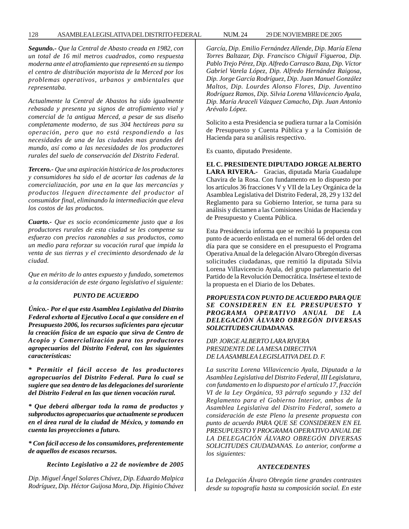*Segundo.- Que la Central de Abasto creada en 1982, con un total de 16 mil metros cuadrados, como respuesta moderna ante el atrofiamiento que representó en su tiempo el centro de distribución mayorista de la Merced por los problemas operativos, urbanos y ambientales que representaba.*

*Actualmente la Central de Abastos ha sido igualmente rebasada y presenta ya signos de atrofiamiento vial y comercial de !a antigua Merced, a pesar de sus diseño completamente moderno, de sus 304 hectáreas para su operación, pero que no está respondiendo a las necesidades de una de las ciudades mas grandes del mundo, así como a las necesidades de los productores rurales del suelo de conservación del Distrito Federal.*

*Tercero.- Que una aspiración histórica de los productores y consumidores ha sido el de acortar las cadenas de la comercialización, por una en la que las mercancías y productos lleguen directamente del productor al consumidor final, eliminando la intermediación que eleva los costos de las productos.*

*Cuarto.- Que es socio económicamente justo que a los productores rurales de esta ciudad se les compense su esfuerzo con precios razonables a sus productos, como un medio para reforzar su vocación rural que impida la venta de sus tierras y el crecimiento desordenado de la ciudad.*

*Que en mérito de lo antes expuesto y fundado, sometemos a la consideración de este órgano legislativo el siguiente:*

#### *PUNTO DE ACUERDO*

*Único.- Por el que esta Asamblea Legislativa del Distrito Federal exhorta al Ejecutivo Local a que considere en el Presupuesto 2006, los recursos suficientes para ejecutar la creación física de un espacio que sirva de Centro de Acopio y Comercialización para tos productores agropecuarios del Distrito Federal, con las siguientes características:*

*\* Permitir el fácil acceso de los productores agropecuarios del Distrito Federal. Para lo cual se sugiere que sea dentro de las delegaciones del suroriente del Distrito Federal en las que tienen vocación rural.*

*\* Que deberá albergar toda la rama de productos y subproductos agropecuarios que actualmente se producen en el área rural de la ciudad de México, y tomando en cuenta las proyecciones a futuro.*

*\* Con fácil acceso de los consumidores, preferentemente de aquellos de escasos recursos.*

*Recinto Legislativo a 22 de noviembre de 2005*

*Dip. Miguel Ángel Solares Chávez, Dip. Eduardo Malpica Rodríguez, Dip. Héctor Guijosa Mora, Dip. Higinio Chávez* *García, Dip. Emilio Fernández Allende, Dip. María Elena Torres Baltazar, Dip. Francisco Chiguil Figueroa, Dip. Pablo Trejo Pérez, Dip. Alfredo Carrasco Baza, Dip. Víctor Gabriel Varela López, Dip. Alfredo Hernández Raigosa, Dip. Jorge García Rodríguez, Dip. Juan Manuel González Maltos, Dip. Lourdes Alonso Flores, Dip. Juventino Rodríguez Ramos, Dip. Silvia Lorena Villavicencio Ayala, Dip. María Araceli Vázquez Camacho, Dip. Juan Antonio Arévalo López.*

Solicito a esta Presidencia se pudiera turnar a la Comisión de Presupuesto y Cuenta Pública y a la Comisión de Hacienda para su análisis respectivo.

Es cuanto, diputado Presidente.

**EL C. PRESIDENTE DIPUTADO JORGE ALBERTO LARA RIVERA.-** Gracias, diputada María Guadalupe Chavira de la Rosa. Con fundamento en lo dispuesto por los artículos 36 fracciones V y VII de la Ley Orgánica de la Asamblea Legislativa del Distrito Federal, 28, 29 y 132 del Reglamento para su Gobierno Interior, se turna para su análisis y dictamen a las Comisiones Unidas de Hacienda y de Presupuesto y Cuenta Pública.

Esta Presidencia informa que se recibió la propuesta con punto de acuerdo enlistada en el numeral 66 del orden del día para que se considere en el presupuesto el Programa Operativa Anual de la delegación Alvaro Obregón diversas solicitudes ciudadanas, que remitió la diputada Silvia Lorena Villavicencio Ayala, del grupo parlamentario del Partido de la Revolución Democrática. Insértese el texto de la propuesta en el Diario de los Debates.

*PROPUESTA CON PUNTO DE ACUERDO PARA QUE SE CONSIDEREN EN EL PRESUPUESTO Y PROGRAMA OPERATIVO ANUAL DE LA DELEGACIÓN ÁLVARO OBREGÓN DIVERSAS SOLICITUDES CIUDADANAS.*

*DIP. JORGE ALBERTO LARA RIVERA PRESIDENTE DE LA MESA DIRECTIVA DE LA ASAMBLEA LEGISLATIVA DEL D. F.*

*La suscrita Lorena Villavicencio Ayala, Diputada a la Asamblea Legislativa del Distrito Federal, III Legislatura, con fundamento en lo dispuesto por el artículo 17, fracción VI de la Ley Orgánica, 93 párrafo segundo y 132 del Reglamento para el Gobierno Interior, ambos de la Asamblea Legislativa del Distrito Federal, someto a consideración de este Pleno la presente propuesta con punto de acuerdo PARA QUE SE CONSIDEREN EN EL PRESUPUESTO Y PROGRAMA OPERATIVO ANUAL DE LA DELEGACIÓN ÁLVARO OBREGÓN DIVERSAS SOLICITUDES CIUDADANAS. Lo anterior, conforme a los siguientes:*

#### *ANTECEDENTES*

*La Delegación Álvaro Obregón tiene grandes contrastes desde su topografía hasta su composición social. En este*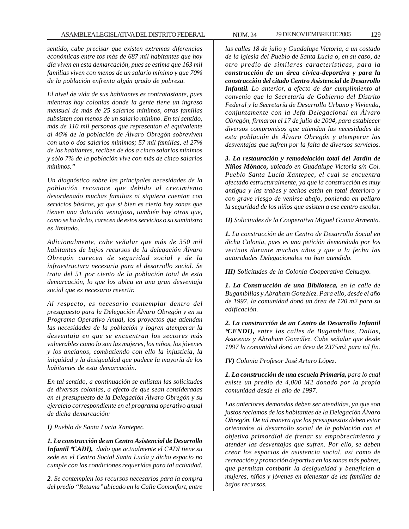*sentido, cabe precisar que existen extremas diferencias económicas entre tos más de 687 mil habitantes que hoy día viven en esta demarcación, pues se estima que 163 mil familias viven con menos de un salario mínimo y que 70% de la población enfrenta algún grado de pobreza.*

*El nivel de vida de sus habitantes es contratastante, pues mientras hay colonias donde la gente tiene un ingreso mensual de más de 25 salarios mínimos, otras familias subsisten con menos de un salario mínimo. En tal sentido, más de 110 mil personas que representan el equivalente al 46% de la población de Álvaro Obregón sobreviven con uno o dos salarios mínimos; 57 mil familias, el 27% de los habitantes, reciben de dos a cinco salarios mínimos y sólo 7% de la población vive con más de cinco salarios mínimos.''*

*Un diagnóstico sobre las principales necesidades de la población reconoce que debido al crecimiento desordenado muchas familias ni siquiera cuentan con servicios básicos, ya que si bien es cierto hay zonas que tienen una dotación ventajosa, también hay otras que, como se ha dicho, carecen de estos servicios o su suministro es limitado.*

*Adicionalmente, cabe señalar que más de 350 mil habitantes de bajos recursos de la delegación Álvaro Obregón carecen de seguridad social y de la infraestructura necesaria para el desarrollo social. Se trata del 51 por ciento de la población total de esta demarcación, lo que los ubica en una gran desventaja social que es necesario revertir.*

*Al respecto, es necesario contemplar dentro del presupuesto para la Delegación Álvaro Obregón y en su Programa Operativo Anual, los proyectos que atiendan las necesidades de la población y logren atemperar la desventaja en que se encuentran los sectores más vulnerables como lo son las mujeres, los niños, los jóvenes y los ancianos, combatiendo con ello la injusticia, la iniquidad y la desigualdad que padece la mayoría de los habitantes de esta demarcación.*

*En tal sentido, a continuación se enlistan las solicitudes de diversas colonias, a efecto de que sean consideradas en el presupuesto de la Delegación Álvaro Obregón y su ejercicio correspondiente en el programa operativo anual de dicha demarcación:*

*I) Pueblo de Santa Lucia Xantepec.*

*1. La construcción de un Centro Asistencial de Desarrollo Infantil \*CADI), dado que actualmente el CADI tiene su sede en el Centro Social Santa Lucía y dicho espacio no cumple con las condiciones requeridas para tal actividad.*

*2. Se contemplen los recursos necesarios para la compra del predio ''Retama'' ubicado en la Calle Comonfort, entre* *las calles 18 de julio y Guadalupe Victoria, a un costado de la iglesia del Pueblo de Santa Lucia o, en su caso, de otro predio de similares características, para la construcción de un área cívica-deportiva y para la construcción del citado Centro Asistencial de Desarrollo Infantil. Lo anterior, a efecto de dar cumplimiento al convenio que la Secretaría de Gobierno del Distrito Federal y la Secretaría de Desarrollo Urbano y Vivienda, conjuntamente con la Jefa Delegacional en Álvaro Obregón, firmaron el 17 de julio de 2004, para establecer diversos compromisos que atiendan las necesidades de esta población de Álvaro Obregón y atemperar las desventajas que sufren por la falta de diversos servicios.*

*3. La restauración y remodelación total del Jardín de Niños Mónaco, ubicado en Guadalupe Victoria s/n Col. Pueblo Santa Lucía Xantepec, el cual se encuentra afectado estructuralmente, ya que la construcción es muy antigua y las trabes y techos están en total deterioro y con grave riesgo de venirse abajo, poniendo en peligro la seguridad de los niños que asisten a ese centro escolar.*

*II) Solicitudes de la Cooperativa Miguel Gaona Armenta.*

*1. La construcción de un Centro de Desarrollo Social en dicha Colonia, pues es una petición demandada por los vecinos durante muchos años y que a la fecha las autoridades Delegacionales no han atendido.*

*III) Solicitudes de la Colonia Cooperativa Cehuayo.*

*1. La Construcción de una Biblioteca, en la calle de Bugambilias y Abraham González. Para ello, desde el año de 1997, la comunidad donó un área de 120 m2 para su edificación.*

*2. La construcción de un Centro de Desarrollo Infantil \*CENDI), entre las calles de Bugambilias, Dalias, Azucenas y Abraham González. Cabe señalar que desde 1997 la comunidad donó un área de 2375m2 para tal fin.*

*IV) Colonia Profesor José Arturo López.*

*1. La construcción de una escuela Primaria, para lo cual existe un predio de 4,000 M2 donado por la propia comunidad desde el año de 1997.*

*Las anteriores demandas deben ser atendidas, ya que son justos reclamos de los habitantes de la Delegación Álvaro Obregón. De tal manera que los presupuestos deben estar orientados al desarrollo social de la población con el objetivo primordial de frenar su empobrecimiento y atender las desventajas que sufren. Por ello, se deben crear los espacios de asistencia social, así como de recreación y promoción deportiva en las zonas más pobres, que permitan combatir la desigualdad y beneficien a mujeres, niños y jóvenes en bienestar de las familias de bajos recursos.*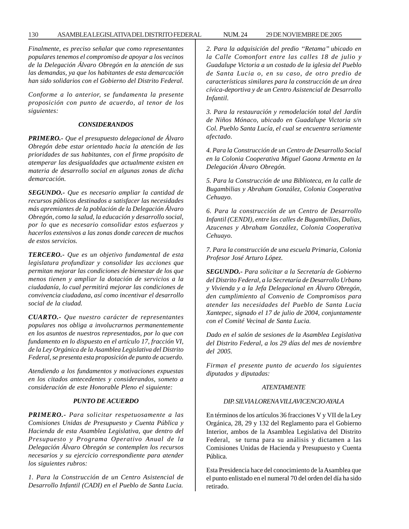*Finalmente, es preciso señalar que como representantes populares tenemos el compromiso de apoyar a los vecinos de la Delegación Álvaro Obregón en la atención de sus las demandas, ya que los habitantes de esta demarcación han sido solidarios con el Gobierno del Distrito Federal.*

*Conforme a lo anterior, se fundamenta la presente proposición con punto de acuerdo, al tenor de los siguientes:*

#### *CONSIDERANDOS*

*PRIMERO.- Que el presupuesto delegacional de Álvaro Obregón debe estar orientado hacia la atención de las prioridades de sus habitantes, con el firme propósito de atemperar las desigualdades que actualmente existen en materia de desarrollo social en algunas zonas de dicha demarcación.*

*SEGUNDO.- Que es necesario ampliar la cantidad de recursos públicos destinados a satisfacer las necesidades más apremiantes de la población de la Delegación Álvaro Obregón, como la salud, la educación y desarrollo social, por lo que es necesario consolidar estos esfuerzos y hacerlos extensivos a las zonas donde carecen de muchos de estos servicios.*

*TERCERO.- Que es un objetivo fundamental de esta legislatura profundizar y consolidar las acciones que permitan mejorar las condiciones de bienestar de los que menos tienen y ampliar la dotación de servicios a la ciudadanía, lo cual permitirá mejorar las condiciones de convivencia ciudadana, así como incentivar el desarrollo social de la ciudad.*

*CUARTO.- Que nuestro carácter de representantes populares nos obliga a involucrarnos permanentemente en los asuntos de nuestros representados, por lo que con fundamento en lo dispuesto en el artículo 17, fracción VI, de la Ley Orgánica de la Asamblea Legislativa del Distrito Federal, se presenta esta proposición de punto de acuerdo.*

*Atendiendo a los fundamentos y motivaciones expuestas en los citados antecedentes y considerandos, someto a consideración de este Honorable Pleno el siguiente:*

#### *PUNTO DE ACUERDO*

*PRIMERO.- Para solicitar respetuosamente a las Comisiones Unidas de Presupuesto y Cuenta Pública y Hacienda de esta Asamblea Legislativa, que dentro del Presupuesto y Programa Operativo Anual de la Delegación Álvaro Obregón se contemplen los recursos necesarios y su ejercicio correspondiente para atender los siguientes rubros:*

*1. Para la Construcción de un Centro Asistencial de Desarrollo Infantil (CADI) en el Pueblo de Santa Lucia.*

*2. Para la adquisición del predio ''Retama'' ubicado en la Calle Comonfort entre las calles 18 de julio y Guadalupe Victoria a un costado de la iglesia del Pueblo de Santa Lucia o, en su caso, de otro predio de características similares para la construcción de un área cívica-deportiva y de un Centro Asistencial de Desarrollo Infantil.*

*3. Para la restauración y remodelación total del Jardín de Niños Mónaco, ubicado en Guadalupe Victoria s/n Col. Pueblo Santa Lucía, el cual se encuentra seriamente afectado.*

*4. Para la Construcción de un Centro de Desarrollo Social en la Colonia Cooperativa Miguel Gaona Armenta en la Delegación Álvaro Obregón.*

*5. Para la Construcción de una Biblioteca, en la calle de Bugambilias y Abraham González, Colonia Cooperativa Cehuayo.*

*6. Para la construcción de un Centro de Desarrollo Infantil (CENDI), entre las calles de Bugambilias, Dalias, Azucenas y Abraham González, Colonia Cooperativa Cehuayo.*

*7. Para la construcción de una escuela Primaria, Colonia Profesor José Arturo López.*

*SEGUNDO.- Para solicitar a la Secretaría de Gobierno del Distrito Federal, a la Secretaría de Desarrollo Urbano y Vivienda y a la Jefa Delegacional en Álvaro Obregón, den cumplimiento al Convenio de Compromisos para atender las necesidades del Pueblo de Santa Lucia Xantepec, signado el 17 de julio de 2004, conjuntamente con el Comité Vecinal de Santa Lucia.*

*Dado en el salón de sesiones de la Asamblea Legislativa del Distrito Federal, a los 29 días del mes de noviembre del 2005.*

*Firman el presente punto de acuerdo los siguientes diputados y diputadas:*

#### *ATENTAMENTE*

# *DIP. SILVIA LORENA VILLAVICENCIO AYALA*

En términos de los artículos 36 fracciones V y VII de la Ley Orgánica, 28, 29 y 132 del Reglamento para el Gobierno Interior, ambos de la Asamblea Legislativa del Distrito Federal, se turna para su análisis y dictamen a las Comisiones Unidas de Hacienda y Presupuesto y Cuenta Pública.

Esta Presidencia hace del conocimiento de la Asamblea que el punto enlistado en el numeral 70 del orden del día ha sido retirado.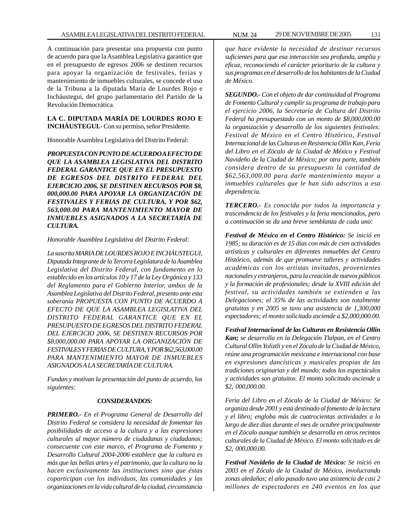A continuación para presentar una propuesta con punto de acuerdo para que la Asamblea Legislativa garantice que en el presupuesto de egresos 2006 se destinen recursos para apoyar la organización de festivales, ferias y mantenimiento de inmuebles culturales, se concede el uso de la Tribuna a la diputada María de Lourdes Rojo e Incháustegui, del grupo parlamentario del Partido de la Revolución Democrática.

# **LA C. DIPUTADA MARÍA DE LOURDES ROJO E INCHÁUSTEGUI.-** Con su permiso, señor Presidente.

Honorable Asamblea Legislativa del Distrito Federal:

*PROPUESTA CON PUNTO DE ACUERDO A EFECTO DE QUE LA ASAMBLEA LEGISLATIVA DEL DISTRITO FEDERAL GARANTICE QUE EN EL PRESUPUESTO DE EGRESOS DEL DISTRITO FEDERAL DEL EJERCICIO 2006, SE DESTINEN RECURSOS POR \$8, 000,000.00 PARA APOYAR LA ORGANIZACIÓN DE FESTIVALES Y FERIAS DE CULTURA, Y POR \$62, 563,000.00 PARA MANTENIMIENTO MAYOR DE INMUEBLES ASIGNADOS A LA SECRETARÍA DE CULTURA.*

*Honorable Asamblea Legislativa del Distrito Federal:*

*La suscrita MARIA DE LOURDES ROJO E INCHÁUSTEGUI, Diputada Integrante de la Tercera Legislatura de la Asamblea Legislativa del Distrito Federal, con fundamento en lo establecido en los artículos 10 y 17 de la Ley Orgánica y 133 del Reglamento para el Gobierno Interior, ambos de la Asamblea Legislativa del Distrito Federal, presento ante esta soberanía PROPUESTA CON PUNTO DE ACUERDO A EFECTO DE QUE LA ASAMBLEA LEGISLATIVA DEL DISTRITO FEDERAL GARANTICE QUE EN EL PRESUPUESTO DE EGRESOS DEL DISTRITO FEDERAL DEL EJERCICIO 2006, SE DESTINEN RECURSOS POR \$8,000,000.00 PARA APOYAR LA ORGANIZACIÓN DE FESTIVALES Y FERIAS DE CULTURA, Y POR \$62,563,000.00 PARA MANTENIMIENTO MAYOR DE INMUEBLES ASIGNADOS A LA SECRETARÍA DE CULTURA.*

*Fundan y motivan la presentación del punto de acuerdo, los siguientes:*

#### *CONSIDERANDOS:*

*PRIMERO.- En el Programa General de Desarrollo del Distrito Federal se considera la necesidad de fomentar las posibilidades de acceso a la cultura y a las expresiones culturales al mayor número de ciudadanas y ciudadanos; consecuente con este marco, el Programa de Fomento y Desarrollo Cultural 2004-2006 establece que la cultura es más que las bellas artes y el patrimonio, que la cultura no la hacen exclusivamente las instituciones sino que éstas coparticipan con los individuos, las comunidades y las organizaciones en la vida cultural de la ciudad, circunstancia*

*que hace evidente la necesidad de destinar recursos suficientes para que esa interacción sea profunda, amplia y eficaz, reconociendo el carácter prioritario de la cultura y sus programas en el desarrollo de los habitantes de la Ciudad de México.*

*SEGUNDO.- Con el objeto de dar continuidad al Programa de Fomento Cultural y cumplir su programa de trabajo para el ejercicio 2006, la Secretaría de Cultura del Distrito Federal ha presupuestado con un monto de \$8,000,000.00 la organización y desarrollo de los siguientes festivales: Festival de México en el Centro Histórico, Festival Internacional de las Culturas en Resistencia Ollin Kan, Feria del Libro en el Zócalo de la Ciudad de México y Festival Navideño de la Ciudad de México; por otra parte, también considera dentro de su presupuesto la cantidad de \$62,563,000.00 para darle mantenimiento mayor a inmuebles culturales que le han sido adscritos a esa dependencia.*

*TERCERO.- Es conocida por todos la importancia y trascendencia de los festivales y la feria mencionados, pero a continuación se da una breve semblanza de cada uno:*

*Festival de México en el Centro Histórico: Se inició en 1985; su duración es de 15 días con más de cien actividades artísticas y culturales en diferentes inmuebles del Centro Histórico, además de que promueve talleres y actividades académicas con los artistas invitados, provenientes nacionales y extranjeros, para la creación de nuevos públicos y la formación de profesionales; desde la XVIII edición del festival, su actividades también se extienden a las Delegaciones; el 35% de las actividades son totalmente gratuitas y en 2005 se tuvo una asistencia de 1,300,000 espectadores; el monto solicitado asciende a \$2,000,000.00.*

*Festival Internacional de las Culturas en Resistencia Ollin Kan; se desarrolla en la Delegación Tlalpan, en el Centro Cultural Ollin Yoliztli y en el Zócalo de la Ciudad de México, reúne una programación mexicana e internacional con base en expresiones dancísticas y musicales propias de las tradiciones originarias y del mundo; todos los espectáculos y actividades son gratuitos. El monto solicitado asciende a \$2, 000,000.00.*

*Feria del Libro en el Zócalo de la Ciudad de México: Se organiza desde 2001 y está destinado al fomento de la lectura y el libro; engloba más de cuatrocientas actividades a lo largo de diez días durante el mes de octubre principalmente en el Zócalo aunque también se desarrolla en otros recintos culturales de la Ciudad de México. El monto solicitado es de \$2, 000,000.00.*

*Festival Navideño de la Ciudad de México: Se inició en 2003 en el Zócalo de la Ciudad de México, involucrando zonas aledañas; el año pasado tuvo una asistencia de casi 2 millones de espectadores en 240 eventos en los que*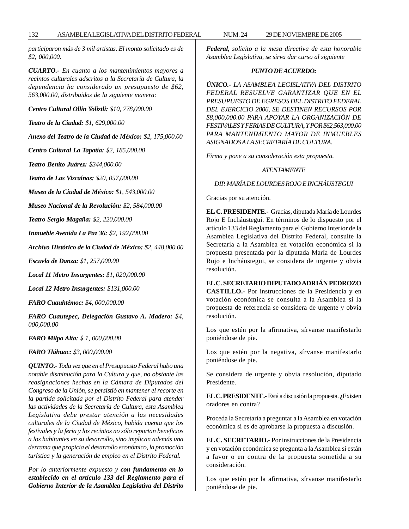*participaron más de 3 mil artistas. El monto solicitado es de \$2, 000,000.*

*CUARTO.- En cuanto a los mantenimientos mayores a recintos culturales adscritos a la Secretaría de Cultura, la dependencia ha considerado un presupuesto de \$62, 563,000.00, distribuidos de la siguiente manera:*

*Centro Cultural Ollin Yoliztli: \$10, 778,000.00*

*Teatro de la Ciudad: \$1, 629,000.00*

*Anexo del Teatro de la Ciudad de México: \$2, 175,000.00*

*Centro Cultural La Tapatía: \$2, 185,000.00*

*Teatro Benito Juárez: \$344,000.00*

*Teatro de Las Vizcaínas: \$20, 057,000.00*

*Museo de la Ciudad de México: \$1, 543,000.00*

*Museo Nacional de la Revolución: \$2, 584,000.00*

*Teatro Sergio Magaña: \$2, 220,000.00*

*Inmueble Avenida La Paz 36: \$2, 192,000.00*

*Archivo Histórico de la Ciudad de México: \$2, 448,000.00*

*Escuela de Danza: \$1, 257,000.00*

*Local 11 Metro Insurgentes: \$1, 020,000.00*

*Local 12 Metro Insurgentes: \$131,000.00*

*FARO Cuauhtémoc: \$4, 000,000.00*

*FARO Cuautepec, Delegación Gustavo A. Madero: \$4, 000,000.00*

*FARO Milpa Alta: \$ 1, 000,000.00*

*FARO Tláhuac: \$3, 000,000.00*

*QUINTO.- Toda vez que en el Presupuesto Federal hubo una notable disminución para la Cultura y que, no obstante las reasignaciones hechas en la Cámara de Diputados del Congreso de la Unión, se persistió en mantener el recorte en la partida solicitada por el Distrito Federal para atender las actividades de la Secretaría de Cultura, esta Asamblea Legislativa debe prestar atención a las necesidades culturales de la Ciudad de México, habida cuenta que los festivales y la feria y los recintos no sólo reportan beneficios a los habitantes en su desarrollo, sino implican además una derrama que propicia el desarrollo económico, la promoción turística y la generación de empleo en el Distrito Federal.*

*Por lo anteriormente expuesto y con fundamento en lo establecido en el artículo 133 del Reglamento para el Gobierno Interior de la Asamblea Legislativa del Distrito* *Federal, solicito a la mesa directiva de esta honorable Asamblea Legislativa, se sirva dar curso al siguiente*

#### *PUNTO DE ACUERDO:*

*ÚNICO.- LA ASAMBLEA LEGISLATIVA DEL DISTRITO FEDERAL RESUELVE GARANTIZAR QUE EN EL PRESUPUESTO DE EGRESOS DEL DISTRITO FEDERAL DEL EJERCICIO 2006, SE DESTINEN RECURSOS POR \$8,000,000.00 PARA APOYAR LA ORGANIZACIÓN DE FESTIVALES Y FERIAS DE CULTURA, Y POR \$62,563,000.00 PARA MANTENIMIENTO MAYOR DE INMUEBLES ASIGNADOS A LA SECRETARÍA DE CULTURA.*

*Firma y pone a su consideración esta propuesta.*

#### *ATENTAMENTE*

*DIP. MARÍA DE LOURDES ROJO E INCHÁUSTEGUI*

Gracias por su atención.

**EL C. PRESIDENTE.-** Gracias, diputada María de Lourdes Rojo E Incháustegui. En términos de lo dispuesto por el artículo 133 del Reglamento para el Gobierno Interior de la Asamblea Legislativa del Distrito Federal, consulte la Secretaría a la Asamblea en votación económica si la propuesta presentada por la diputada María de Lourdes Rojo e Incháustegui, se considera de urgente y obvia resolución.

**EL C. SECRETARIO DIPUTADO ADRIÁN PEDROZO CASTILLO.-** Por instrucciones de la Presidencia y en votación económica se consulta a la Asamblea si la propuesta de referencia se considera de urgente y obvia resolución.

Los que estén por la afirmativa, sírvanse manifestarlo poniéndose de pie.

Los que estén por la negativa, sírvanse manifestarlo poniéndose de pie.

Se considera de urgente y obvia resolución, diputado Presidente.

**EL C. PRESIDENTE.-** Está a discusión la propuesta. ¿Existen oradores en contra?

Proceda la Secretaría a preguntar a la Asamblea en votación económica si es de aprobarse la propuesta a discusión.

**EL C. SECRETARIO.-** Por instrucciones de la Presidencia y en votación económica se pregunta a la Asamblea si están a favor o en contra de la propuesta sometida a su consideración.

Los que estén por la afirmativa, sírvanse manifestarlo poniéndose de pie.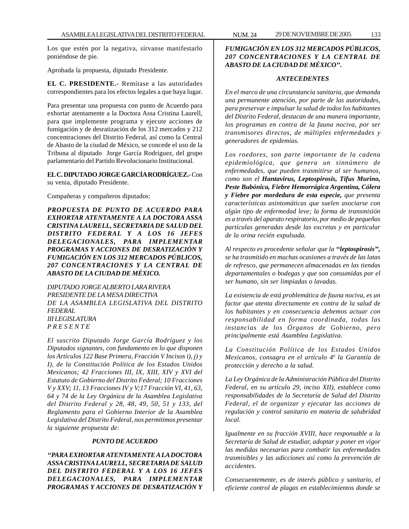Los que estén por la negativa, sírvanse manifestarlo poniéndose de pie.

Aprobada la propuesta, diputado Presidente.

**EL C. PRESIDENTE.-** Remítase a las autoridades correspondientes para los efectos legales a que haya lugar.

Para presentar una propuesta con punto de Acuerdo para exhortar atentamente a la Doctora Assa Cristina Laurell, para que implemente programa y ejecute acciones de fumigación y de desratización de los 312 mercados y 212 concentraciones del Distrito Federal, así como la Central de Abasto de la ciudad de México, se concede el uso de la Tribuna al diputado Jorge García Rodríguez, del grupo parlamentario del Partido Revolucionario Institucional.

**EL C. DIPUTADO JORGE GARCÍA RODRÍGUEZ.-** Con su venia, diputado Presidente.

Compañeras y compañeros diputados:

*PROPUESTA DE PUNTO DE ACUERDO PARA EXHORTAR ATENTAMENTE A LA DOCTORA ASSA CRISTINA LAURELL, SECRETARIA DE SALUD DEL DISTRITO FEDERAL Y A LOS 16 JEFES DELEGACIONALES, PARA IMPLEMENTAR PROGRAMAS Y ACCIONES DE DESRATIZACIÓN Y FUMIGACIÓN EN LOS 312 MERCADOS PÚBLICOS, 207 CONCENTRACIONES Y LA CENTRAL DE ABASTO DE LA CIUDAD DE MÉXICO.*

*DIPUTADO JORGE ALBERTO LARA RIVERA PRESIDENTE DE LA MESA DIRECTIVA DE LA ASAMBLEA LEGISLATIVA DEL DISTRITO FEDERAL III LEGISLATURA P R E S E N T E*

*El suscrito Diputado Jorge García Rodríguez y los Diputados signantes, con fundamento en lo que disponen los Artículos 122 Base Primera, Fracción V Incisos i), j) y I), de la Constitución Política de los Estados Unidos Mexicanos; 42 Fracciones III, IX, XIII, XIV y XVI del Estatuto de Gobierno del Distrito Federal; 10 Fracciones V y XXV; 11, 13 Fracciones IV y V;17 Fracción VI, 41, 63, 64 y 74 de la Ley Orgánica de la Asamblea Legislativa del Distrito Federal y 28, 48, 49, 50, 51 y 133, del Reglamento para el Gobierno Interior de la Asamblea Legislativa del Distrito Federal, nos permitimos presentar la siguiente propuesta de:*

#### *PUNTO DE ACUERDO*

*''PARA EXHORTAR ATENTAMENTE A LA DOCTORA ASSA CRISTINA LAURELL, SECRETARIA DE SALUD DEL DISTRITO FEDERAL Y A LOS 16 JEFES DELEGACIONALES, PARA IMPLEMENTAR PROGRAMAS Y ACCIONES DE DESRATIZACIÓN Y*

# *FUMIGACIÓN EN LOS 312 MERCADOS PÚBLICOS, 207 CONCENTRACIONES Y LA CENTRAL DE ABASTO DE LA CIUDAD DE MÉXICO''.*

#### *ANTECEDENTES*

*En el marco de una circunstancia sanitaria, que demanda una permanente atención, por parte de las autoridades, para preservar e impulsar la salud de todos los habitantes del Distrito Federal, destacan de una manera importante, los programas en contra de la fauna nociva, por ser transmisores directos, de múltiples enfermedades y generadores de epidemias.*

*Los roedores, son parte importante de la cadena epidemiológica, que genera un sinnúmero de enfermedades, que pueden trasmitirse al ser humanos, como son el Hantavirus, Leptospirosis, Tifus Murino, Peste Bubónica, Fiebre Hemorrágica Argentina, Cólera y Fiebre por mordedura de esta especie, que presenta características asintomáticas que suelen asociarse con algún tipo de enfermedad leve; la forma de transmisión es a través del aparato respiratorio, por medio de pequeñas partículas generadas desde las excretas y en particular de la orina recién expulsada.*

*Al respecto es procedente señalar que la ''leptospirosis'', se ha trasmitido en muchas ocasiones a través de las latas de refresco, que permanecen almacenadas en las tiendas departamentales o bodegas y que son consumidas por el ser humano, sin ser limpiadas o lavadas.*

*La existencia de está problemática de fauna nociva, es un factor que atenta directamente en contra de la salud de los habitantes y en consecuencia debemos actuar con responsabilidad en forma coordinada, todas las instancias de los Órganos de Gobierno, pero principalmente está Asamblea Legislativa.*

*La Constitución Política de los Estados Unidos Mexicanos, consagra en el artículo 40 la Garantía de protección y derecho a la salud.*

*La Ley Orgánica de la Administración Pública del Distrito Federal, en su artículo 29, inciso XII), establece como responsabilidades de la Secretaría de Salud del Distrito Federal, el de organizar y ejecutar las acciones de regulación y control sanitario en materia de salubridad local.*

*Igualmente en su fracción XVIII, hace responsable a la Secretaría de Salud de estudiar, adoptar y poner en vigor las medidas necesarias para combatir las enfermedades trasmisibles y las adicciones así como la prevención de accidentes.*

*Consecuentemente, es de interés público y sanitario, el eficiente control de plagas en establecimientos donde se*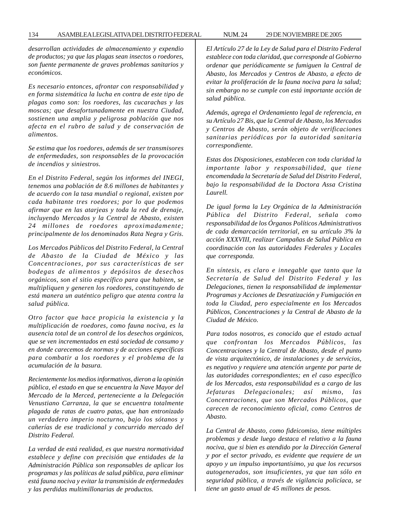*desarrollan actividades de almacenamiento y expendio de productos; ya que las plagas sean insectos o roedores, son fuente permanente de graves problemas sanitarios y económicos.*

*Es necesario entonces, afrontar con responsabilidad y en forma sistemática la lucha en contra de este tipo de plagas como son: los roedores, las cucarachas y las moscas; que desafortunadamente en nuestra Ciudad, sostienen una amplia y peligrosa población que nos afecta en el rubro de salud y de conservación de alimentos.*

*Se estima que los roedores, además de ser transmisores de enfermedades, son responsables de la provocación de incendios y siniestros.*

*En el Distrito Federal, según los informes del INEGI, tenemos una población de 8.6 millones de habitantes y de acuerdo con la tasa mundial o regional, existen por cada habitante tres roedores; por lo que podemos afirmar que en las atarjeas y toda la red de drenaje, incluyendo Mercados y la Central de Abasto, existen 24 millones de roedores aproximadamente; principalmente de los denominados Rata Negra y Gris.*

*Los Mercados Públicos del Distrito Federal, la Central de Abasto de la Ciudad de México y las Concentraciones, por sus características de ser bodegas de alimentos y depósitos de desechos orgánicos, son el sitio específico para que habiten, se multipliquen y generen los roedores, constituyendo de está manera un auténtico peligro que atenta contra la salud pública.*

*Otro factor que hace propicia la existencia y la multiplicación de roedores, como fauna nociva, es la ausencia total de un control de los desechos orgánicos, que se ven incrementados en está sociedad de consumo y en donde carecemos de normas y de acciones específicas para combatir a los roedores y el problema de la acumulación de la basura.*

*Recientemente los medios informativos, dieron a la opinión pública, el estado en que se encuentra la Nave Mayor del Mercado de la Merced, perteneciente a la Delegación Venustiano Carranza, la que se encuentra totalmente plagada de ratas de cuatro patas, que han entronizado un verdadero imperio nocturno, bajo los sótanos y cañerías de ese tradicional y concurrido mercado del Distrito Federal.*

*La verdad de está realidad, es que nuestra normatividad establece y define con precisión que entidades de la Administración Pública son responsables de aplicar los programas y las políticas de salud pública, para eliminar está fauna nociva y evitar la transmisión de enfermedades y las perdidas multimillonarias de productos.*

*El Artículo 27 de la Ley de Salud para el Distrito Federal establece con toda claridad, que corresponde al Gobierno ordenar que periódicamente se fumiguen la Central de Abasto, los Mercados y Centros de Abasto, a efecto de evitar la proliferación de la fauna nociva para la salud; sin embargo no se cumple con está importante acción de salud pública.*

*Además, agrega el Ordenamiento legal de referencia, en su Artículo 27 Bis, que la Central de Abasto, los Mercados y Centros de Abasto, serán objeto de verificaciones sanitarias periódicas por la autoridad sanitaria correspondiente.*

*Estas dos Disposiciones, establecen con toda claridad la importante labor y responsabilidad, que tiene encomendada la Secretaría de Salud del Distrito Federal, bajo la responsabilidad de la Doctora Assa Cristina Laurell.*

*De igual forma la Ley Orgánica de la Administración Pública del Distrito Federal, señala como responsabilidad de los Órganos Políticos Administrativos de cada demarcación territorial, en su artículo 3% la acción XXXVIII, realizar Campañas de Salud Pública en coordinación con las autoridades Federales y Locales que corresponda.*

*En síntesis, es claro e innegable que tanto que la Secretaría de Salud del Distrito Federal y las Delegaciones, tienen la responsabilidad de implementar Programas y Acciones de Desratización y Fumigación en toda la Ciudad, pero especialmente en los Mercados Públicos, Concentraciones y la Central de Abasto de la Ciudad de México.*

*Para todos nosotros, es conocido que el estado actual que confrontan los Mercados Públicos, las Concentraciones y la Central de Abasto, desde el punto de vista arquitectónico, de instalaciones y de servicios, es negativo y requiere una atención urgente por parte de las autoridades correspondientes; en el caso específico de los Mercados, esta responsabilidad es a cargo de las Jefaturas Delegacionales; así mismo, las Concentraciones, que son Mercados Públicos, que carecen de reconocimiento oficial, como Centros de Abasto.*

*La Central de Abasto, como fideicomiso, tiene múltiples problemas y desde luego destaca el relativo a la fauna nociva, que si bien es atendido por la Dirección General y por el sector privado, es evidente que requiere de un apoyo y un impulso importantísimo, ya que los recursos autogenerados, son insuficientes, ya que tan sólo en seguridad pública, a través de vigilancia policíaca, se tiene un gasto anual de 45 millones de pesos.*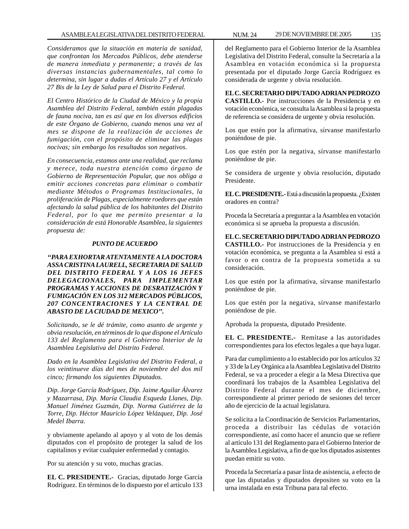*Consideramos que la situación en materia de sanidad, que confrontan los Mercados Públicos, debe atenderse de manera inmediata y permanente; a través de las diversas instancias gubernamentales, tal como lo determina, sin lugar a dudas el Artículo 27 y el Artículo 27 Bis de la Ley de Salud para el Distrito Federal.*

*El Centro Histórico de la Ciudad de México y la propia Asamblea del Distrito Federal, también están plagadas de fauna nociva, tan es así que en los diversos edificios de este Órgano de Gobierno, cuando menos una vez al mes se dispone de la realización de acciones de fumigación, con el propósito de eliminar las plagas nocivas; sin embargo los resultados son negativos.*

*En consecuencia, estamos ante una realidad, que reclama y merece, toda nuestra atención como órgano de Gobierno de Representación Popular, que nos obliga a emitir acciones concretas para eliminar o combatir mediante Métodos o Programas Institucionales, la proliferación de Plagas, especialmente roedores que están afectando la salud pública de los habitantes del Distrito Federal, por lo que me permito presentar a la consideración de está Honorable Asamblea, la siguientes propuesta de:*

#### *PUNTO DE ACUERDO*

*''PARA EXHORTAR ATENTAMENTE A LA DOCTORA ASSA CRISTINA LAURELL, SECRETARIA DE SALUD DEL DISTRITO FEDERAL Y A LOS 16 JEFES DELEGACIONALES, PARA IMPLEMENTAR PROGRAMAS Y ACCIONES DE DESRATIZACIÓN Y FUMIGACIÓN EN LOS 312 MERCADOS PÚBLICOS, 207 CONCENTRACIONES Y LA CENTRAL DE ABASTO DE LA CIUDAD DE MEXICO''.*

*Solicitando, se le dé trámite, como asunto de urgente y obvia resolución, en términos de lo que dispone el Artículo 133 del Reglamento para el Gobierno Interior de la Asamblea Legislativa del Distrito Federal.*

*Dado en la Asamblea Legislativa del Distrito Federal, a los veintinueve días del mes de noviembre del dos mil cinco; firmando los siguientes Diputados.*

*Dip. Jorge García Rodríguez, Dip. Jaime Aguilar Álvarez y Mazarrasa, Dip. María Claudia Esqueda Llanes, Dip. Manuel Jiménez Guzmán, Dip. Norma Gutiérrez de la Torre, Dip. Héctor Mauricio López Velázquez, Dip. José Medel Ibarra.*

y obviamente apelando al apoyo y al voto de los demás diputados con el propósito de proteger la salud de los capitalinos y evitar cualquier enfermedad y contagio.

Por su atención y su voto, muchas gracias.

**EL C. PRESIDENTE.-** Gracias, diputado Jorge García Rodríguez. En términos de lo dispuesto por el artículo 133

Legislativa del Distrito Federal, consulte la Secretaría a la Asamblea en votación económica si la propuesta presentada por el diputado Jorge García Rodríguez es considerada de urgente y obvia resolución.

**EL C. SECRETARIO DIPUTADO ADRIAN PEDROZO CASTILLO.-** Por instrucciones de la Presidencia y en votación económica, se consulta la Asamblea si la propuesta de referencia se considera de urgente y obvia resolución.

Los que estén por la afirmativa, sírvanse manifestarlo poniéndose de pie.

Los que estén por la negativa, sírvanse manifestarlo poniéndose de pie.

Se considera de urgente y obvia resolución, diputado Presidente.

**EL C. PRESIDENTE.-** Está a discusión la propuesta. ¿Existen oradores en contra?

Proceda la Secretaría a preguntar a la Asamblea en votación económica si se aprueba la propuesta a discusión.

**EL C. SECRETARIO DIPUTADO ADRIAN PEDROZO CASTILLO.-** Por instrucciones de la Presidencia y en votación económica, se pregunta a la Asamblea si está a favor o en contra de la propuesta sometida a su consideración.

Los que estén por la afirmativa, sírvanse manifestarlo poniéndose de pie.

Los que estén por la negativa, sírvanse manifestarlo poniéndose de pie.

Aprobada la propuesta, diputado Presidente.

**EL C. PRESIDENTE.-** Remítase a las autoridades correspondientes para los efectos legales a que haya lugar.

Para dar cumplimiento a lo establecido por los artículos 32 y 33 de la Ley Orgánica a la Asamblea Legislativa del Distrito Federal, se va a proceder a elegir a la Mesa Directiva que coordinará los trabajos de la Asamblea Legislativa del Distrito Federal durante el mes de diciembre, correspondiente al primer periodo de sesiones del tercer año de ejercicio de la actual legislatura.

Se solicita a la Coordinación de Servicios Parlamentarios, proceda a distribuir las cédulas de votación correspondiente, así como hacer el anuncio que se refiere al artículo 131 del Reglamento para el Gobierno Interior de la Asamblea Legislativa, a fin de que los diputados asistentes puedan emitir su voto.

Proceda la Secretaría a pasar lista de asistencia, a efecto de que las diputadas y diputados depositen su voto en la urna instalada en esta Tribuna para tal efecto.